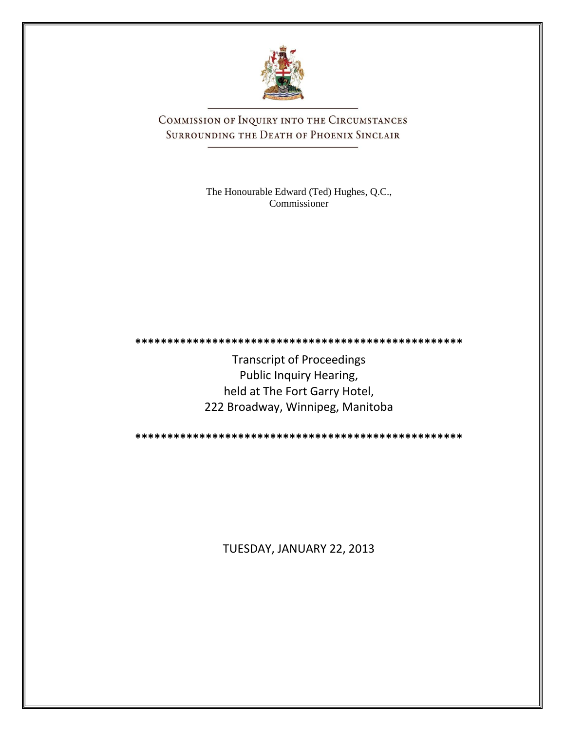

COMMISSION OF INQUIRY INTO THE CIRCUMSTANCES SURROUNDING THE DEATH OF PHOENIX SINCLAIR

> The Honourable Edward (Ted) Hughes, Q.C., Commissioner

**\*\*\*\*\*\*\*\*\*\*\*\*\*\*\*\*\*\*\*\*\*\*\*\*\*\*\*\*\*\*\*\*\*\*\*\*\*\*\*\*\*\*\*\*\*\*\*\*\*\*\***

Transcript of Proceedings Public Inquiry Hearing, held at The Fort Garry Hotel, 222 Broadway, Winnipeg, Manitoba

**\*\*\*\*\*\*\*\*\*\*\*\*\*\*\*\*\*\*\*\*\*\*\*\*\*\*\*\*\*\*\*\*\*\*\*\*\*\*\*\*\*\*\*\*\*\*\*\*\*\*\***

TUESDAY, JANUARY 22, 2013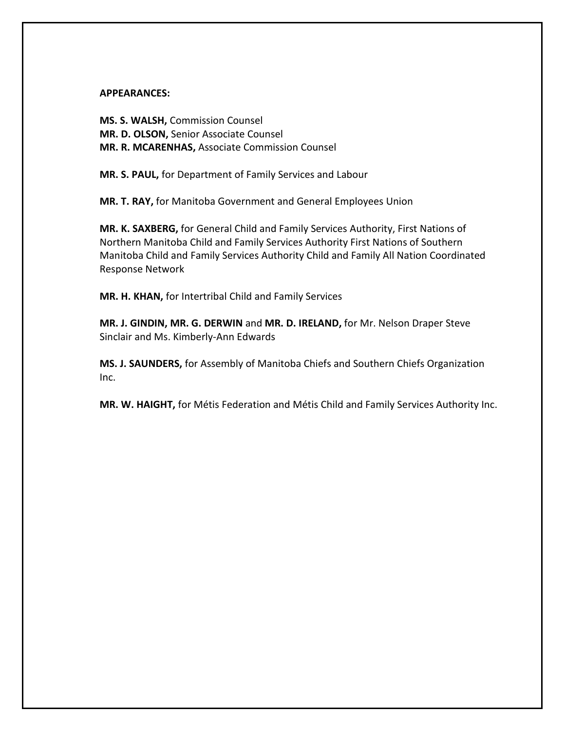#### **APPEARANCES:**

**MS. S. WALSH,** Commission Counsel **MR. D. OLSON,** Senior Associate Counsel **MR. R. MCARENHAS,** Associate Commission Counsel

**MR. S. PAUL,** for Department of Family Services and Labour

**MR. T. RAY,** for Manitoba Government and General Employees Union

**MR. K. SAXBERG,** for General Child and Family Services Authority, First Nations of Northern Manitoba Child and Family Services Authority First Nations of Southern Manitoba Child and Family Services Authority Child and Family All Nation Coordinated Response Network

**MR. H. KHAN,** for Intertribal Child and Family Services

**MR. J. GINDIN, MR. G. DERWIN** and **MR. D. IRELAND,** for Mr. Nelson Draper Steve Sinclair and Ms. Kimberly-Ann Edwards

**MS. J. SAUNDERS,** for Assembly of Manitoba Chiefs and Southern Chiefs Organization Inc.

**MR. W. HAIGHT,** for Métis Federation and Métis Child and Family Services Authority Inc.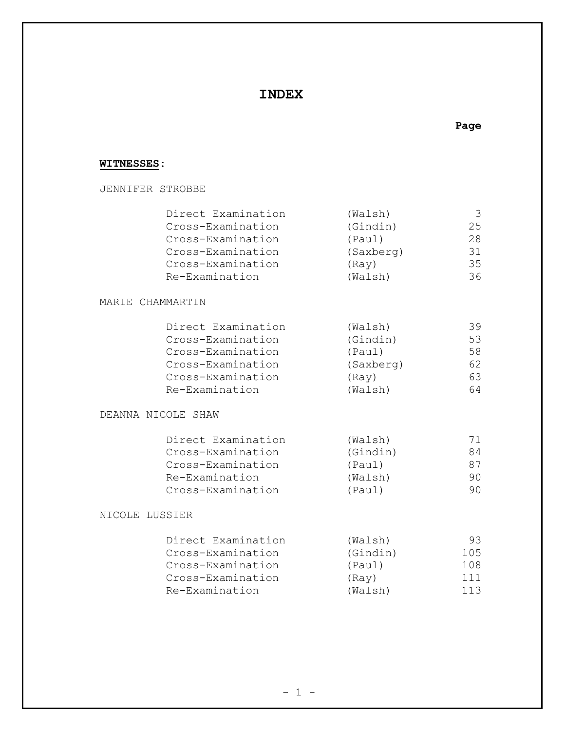### **INDEX**

#### **WITNESSES:**

JENNIFER STROBBE

| Direct Examination | (Walsh)   | 3  |
|--------------------|-----------|----|
| Cross-Examination  | (Gindin)  | 25 |
| Cross-Examination  | (Paul)    | 28 |
| Cross-Examination  | (Saxberg) | 31 |
| Cross-Examination  | (Ray)     | 35 |
| Re-Examination     | (Walsh)   | 36 |
| MARIE CHAMMARTIN   |           |    |
| Direct Examination | (Walsh)   | 39 |
| Cross-Examination  | (Gindin)  | 53 |
| Cross-Examination  | (Paul)    | 58 |
| Cross-Examination  | (Saxberg) | 62 |
| Cross-Examination  | (Ray)     | 63 |
| Re-Examination     | (Walsh)   | 64 |
| DEANNA NICOLE SHAW |           |    |
| Direct Examination | (Walsh)   | 71 |
| Cross-Examination  | (Gindin)  | 84 |
| Cross-Examination  | (Paul)    | 87 |
| Re-Examination     | (Walsh)   | 90 |

#### NICOLE LUSSIER

| (Walsh)  | 93  |
|----------|-----|
| (Gindin) | 105 |
| (Paul)   | 108 |
| (Rav)    | 111 |
| (Walsh)  | 113 |
|          |     |

Cross-Examination (Paul) 90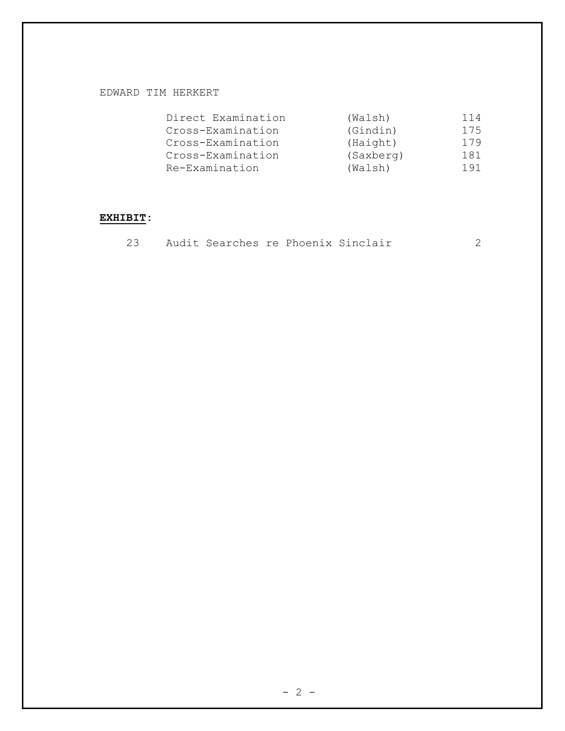#### EDWARD TIM HERKERT

| Direct Examination | (Walsh)   | 114 |
|--------------------|-----------|-----|
| Cross-Examination  | (Gindin)  | 175 |
| Cross-Examination  | (Haight)  | 179 |
| Cross-Examination  | (Saxberg) | 181 |
| Re-Examination     | (Walsh)   | 191 |

#### **EXHIBIT:**

|  |  |  |  |  | Audit Searches re Phoenix Sinclair |  |  |
|--|--|--|--|--|------------------------------------|--|--|
|--|--|--|--|--|------------------------------------|--|--|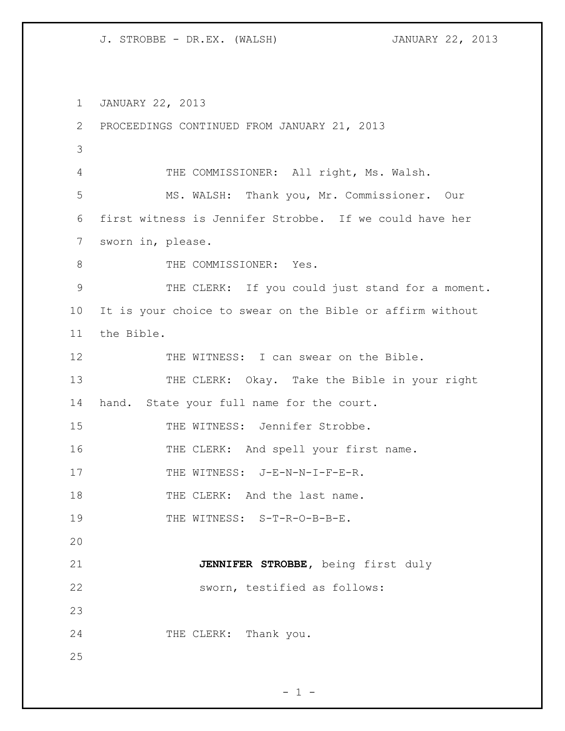1 JANUARY 22, 2013 2 PROCEEDINGS CONTINUED FROM JANUARY 21, 2013 3 4 THE COMMISSIONER: All right, Ms. Walsh. 5 MS. WALSH: Thank you, Mr. Commissioner. Our 6 first witness is Jennifer Strobbe. If we could have her 7 sworn in, please. 8 THE COMMISSIONER: Yes. 9 THE CLERK: If you could just stand for a moment. 10 It is your choice to swear on the Bible or affirm without 11 the Bible. 12 THE WITNESS: I can swear on the Bible. 13 THE CLERK: Okay. Take the Bible in your right 14 hand. State your full name for the court. 15 THE WITNESS: Jennifer Strobbe. 16 THE CLERK: And spell your first name. 17 THE WITNESS: J-E-N-N-I-F-E-R. 18 THE CLERK: And the last name. 19 THE WITNESS: S-T-R-O-B-B-E. 20 21 **JENNIFER STROBBE,** being first duly 22 sworn, testified as follows: 23 24 THE CLERK: Thank you. 25

 $- 1 -$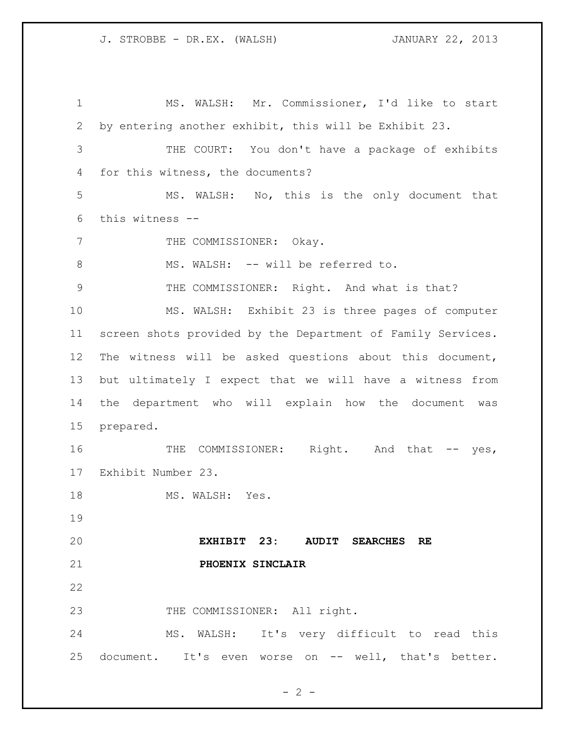MS. WALSH: Mr. Commissioner, I'd like to start by entering another exhibit, this will be Exhibit 23. THE COURT: You don't have a package of exhibits for this witness, the documents? MS. WALSH: No, this is the only document that this witness -- 7 THE COMMISSIONER: Okay. 8 MS. WALSH: -- will be referred to. THE COMMISSIONER: Right. And what is that? MS. WALSH: Exhibit 23 is three pages of computer screen shots provided by the Department of Family Services. The witness will be asked questions about this document, but ultimately I expect that we will have a witness from the department who will explain how the document was prepared. 16 THE COMMISSIONER: Right. And that -- yes, Exhibit Number 23. 18 MS. WALSH: Yes. **EXHIBIT 23: AUDIT SEARCHES RE PHOENIX SINCLAIR** 23 THE COMMISSIONER: All right. MS. WALSH: It's very difficult to read this document. It's even worse on -- well, that's better.

 $- 2 -$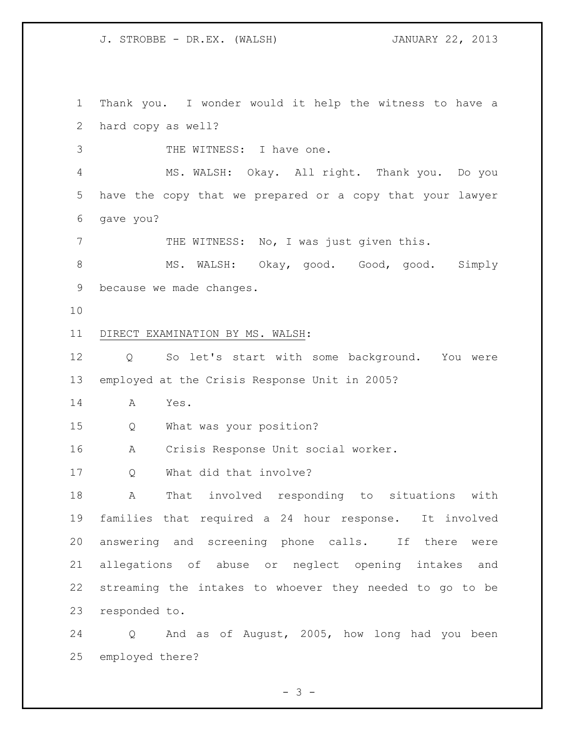Thank you. I wonder would it help the witness to have a hard copy as well? 3 THE WITNESS: I have one. MS. WALSH: Okay. All right. Thank you. Do you have the copy that we prepared or a copy that your lawyer gave you? 7 THE WITNESS: No, I was just given this. 8 MS. WALSH: Okay, good. Good, good. Simply because we made changes. DIRECT EXAMINATION BY MS. WALSH: 12 Q So let's start with some background. You were employed at the Crisis Response Unit in 2005? A Yes. Q What was your position? A Crisis Response Unit social worker. Q What did that involve? A That involved responding to situations with families that required a 24 hour response. It involved answering and screening phone calls. If there were allegations of abuse or neglect opening intakes and streaming the intakes to whoever they needed to go to be responded to. Q And as of August, 2005, how long had you been

 $- 3 -$ 

employed there?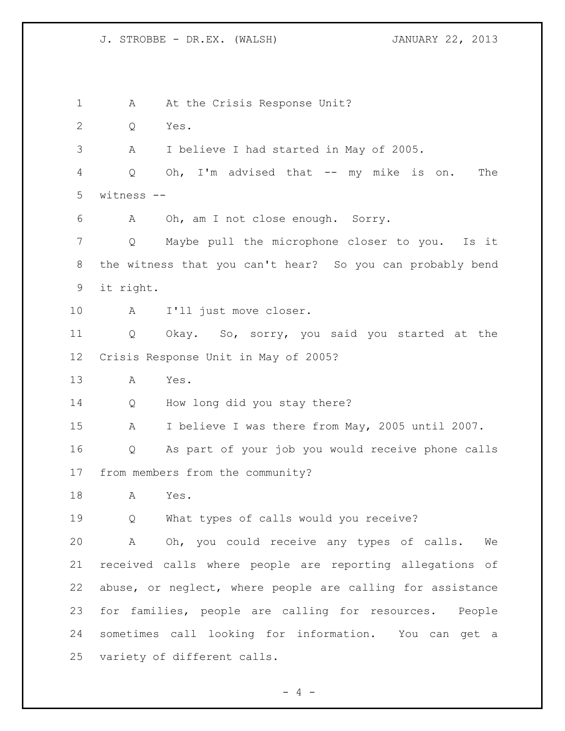1 A At the Crisis Response Unit? Q Yes. A I believe I had started in May of 2005. Q Oh, I'm advised that -- my mike is on. The witness -- A Oh, am I not close enough. Sorry. Q Maybe pull the microphone closer to you. Is it the witness that you can't hear? So you can probably bend it right. A I'll just move closer. Q Okay. So, sorry, you said you started at the Crisis Response Unit in May of 2005? A Yes. Q How long did you stay there? A I believe I was there from May, 2005 until 2007. Q As part of your job you would receive phone calls from members from the community? A Yes. Q What types of calls would you receive? A Oh, you could receive any types of calls. We received calls where people are reporting allegations of abuse, or neglect, where people are calling for assistance for families, people are calling for resources. People sometimes call looking for information. You can get a variety of different calls.

 $- 4 -$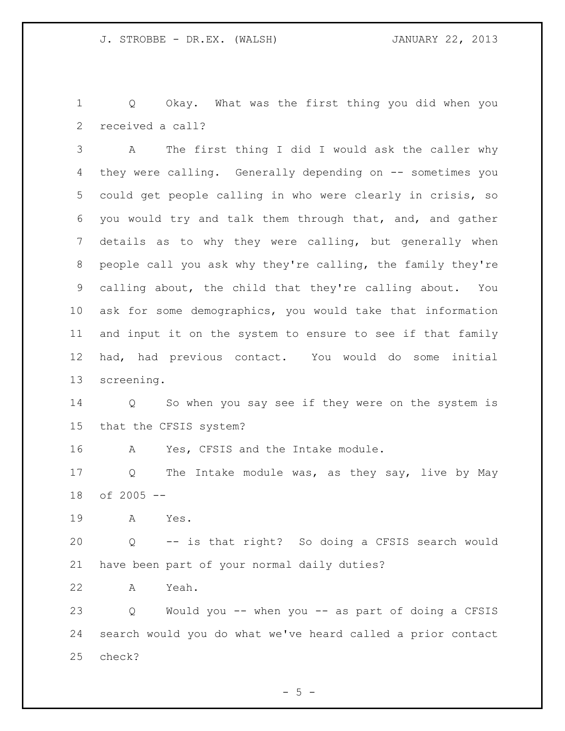Q Okay. What was the first thing you did when you received a call?

 A The first thing I did I would ask the caller why they were calling. Generally depending on -- sometimes you could get people calling in who were clearly in crisis, so you would try and talk them through that, and, and gather details as to why they were calling, but generally when people call you ask why they're calling, the family they're calling about, the child that they're calling about. You ask for some demographics, you would take that information and input it on the system to ensure to see if that family had, had previous contact. You would do some initial screening.

 Q So when you say see if they were on the system is that the CFSIS system?

A Yes, CFSIS and the Intake module.

 Q The Intake module was, as they say, live by May of 2005 --

A Yes.

 Q -- is that right? So doing a CFSIS search would have been part of your normal daily duties?

A Yeah.

 Q Would you -- when you -- as part of doing a CFSIS search would you do what we've heard called a prior contact check?

 $-5 -$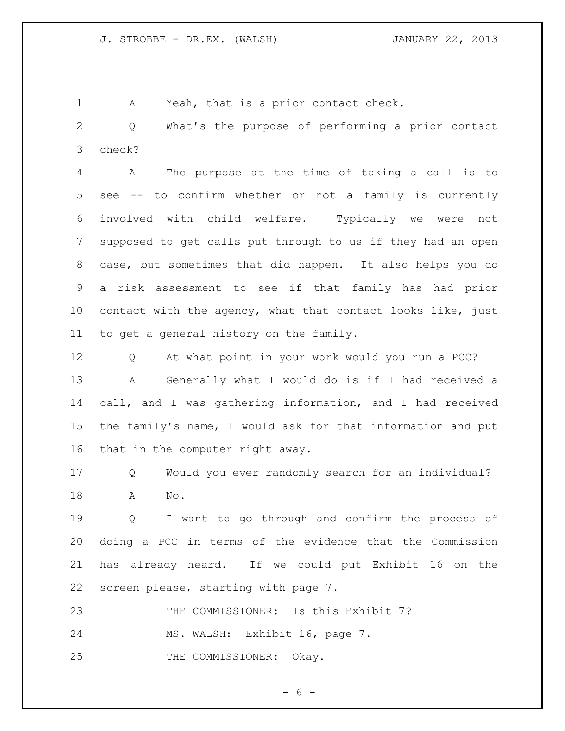A Yeah, that is a prior contact check.

 Q What's the purpose of performing a prior contact check?

 A The purpose at the time of taking a call is to see -- to confirm whether or not a family is currently involved with child welfare. Typically we were not supposed to get calls put through to us if they had an open case, but sometimes that did happen. It also helps you do a risk assessment to see if that family has had prior contact with the agency, what that contact looks like, just to get a general history on the family.

 Q At what point in your work would you run a PCC? A Generally what I would do is if I had received a call, and I was gathering information, and I had received the family's name, I would ask for that information and put that in the computer right away.

 Q Would you ever randomly search for an individual? A No.

 Q I want to go through and confirm the process of doing a PCC in terms of the evidence that the Commission has already heard. If we could put Exhibit 16 on the screen please, starting with page 7.

23 THE COMMISSIONER: Is this Exhibit 7?

MS. WALSH: Exhibit 16, page 7.

25 THE COMMISSIONER: Okay.

 $- 6 -$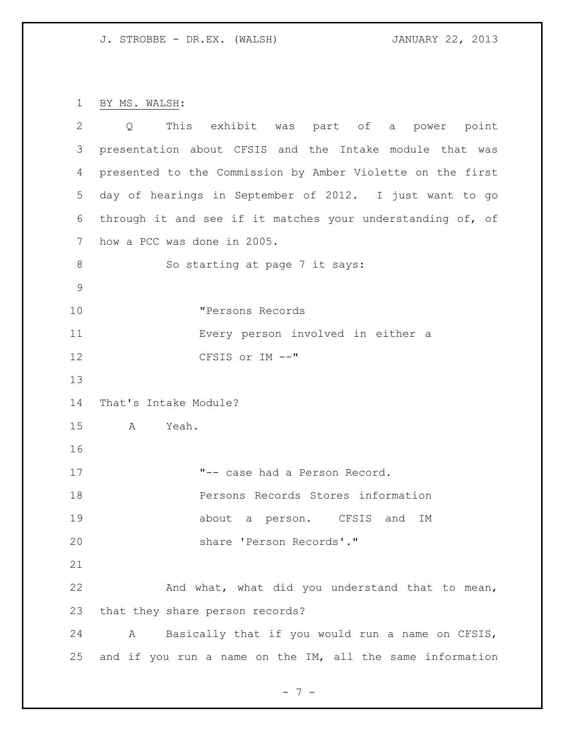BY MS. WALSH:

| 2  | This exhibit was part of a power point<br>$\overline{Q}$   |
|----|------------------------------------------------------------|
| 3  | presentation about CFSIS and the Intake module that was    |
| 4  | presented to the Commission by Amber Violette on the first |
| 5  | day of hearings in September of 2012. I just want to go    |
| 6  | through it and see if it matches your understanding of, of |
| 7  | how a PCC was done in 2005.                                |
| 8  | So starting at page 7 it says:                             |
| 9  |                                                            |
| 10 | "Persons Records                                           |
| 11 | Every person involved in either a                          |
| 12 | CFSIS or IM --"                                            |
| 13 |                                                            |
| 14 | That's Intake Module?                                      |
| 15 | Yeah.<br>A                                                 |
| 16 |                                                            |
| 17 | "-- case had a Person Record.                              |
| 18 | Persons Records Stores information                         |
| 19 | about a person. CFSIS and<br>ΙM                            |
| 20 | share 'Person Records'."                                   |
| 21 |                                                            |
| 22 | And what, what did you understand that to mean,            |
| 23 | that they share person records?                            |
| 24 | Basically that if you would run a name on CFSIS,<br>A      |
| 25 | and if you run a name on the IM, all the same information  |

- 7 -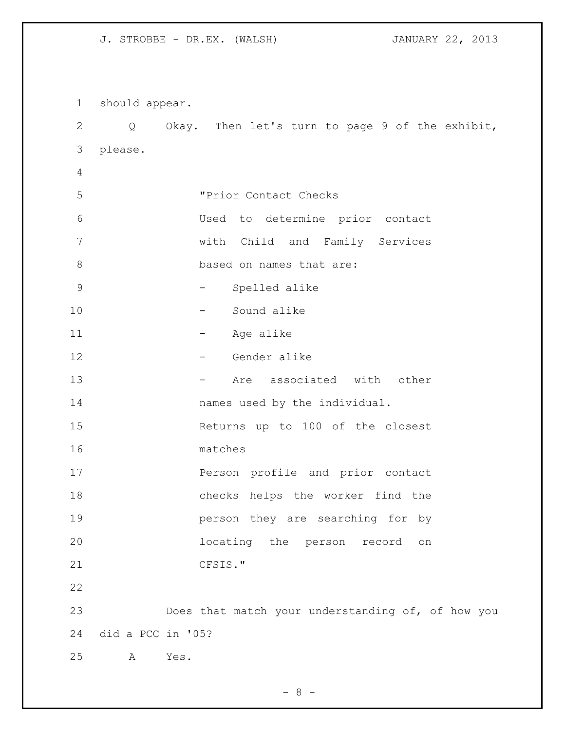should appear. Q Okay. Then let's turn to page 9 of the exhibit, please. "Prior Contact Checks Used to determine prior contact with Child and Family Services 8 based on names that are: 9 - Spelled alike - Sound alike 11 - Age alike 12 - Gender alike 13 - Are associated with other **names** used by the individual. Returns up to 100 of the closest matches Person profile and prior contact checks helps the worker find the person they are searching for by locating the person record on CFSIS." Does that match your understanding of, of how you did a PCC in '05? A Yes.

 $- 8 -$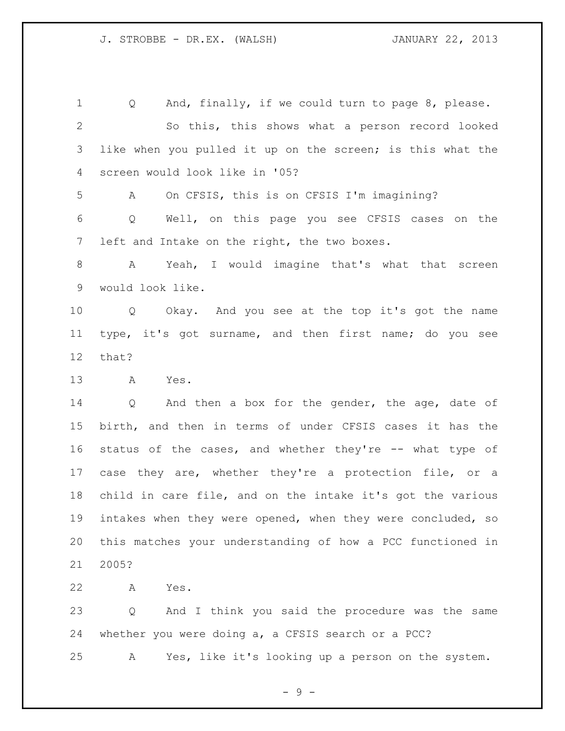Q And, finally, if we could turn to page 8, please. So this, this shows what a person record looked like when you pulled it up on the screen; is this what the screen would look like in '05? A On CFSIS, this is on CFSIS I'm imagining? Q Well, on this page you see CFSIS cases on the left and Intake on the right, the two boxes. A Yeah, I would imagine that's what that screen would look like. Q Okay. And you see at the top it's got the name type, it's got surname, and then first name; do you see that? A Yes. Q And then a box for the gender, the age, date of birth, and then in terms of under CFSIS cases it has the status of the cases, and whether they're -- what type of

 case they are, whether they're a protection file, or a child in care file, and on the intake it's got the various intakes when they were opened, when they were concluded, so this matches your understanding of how a PCC functioned in 2005?

A Yes.

 Q And I think you said the procedure was the same whether you were doing a, a CFSIS search or a PCC? A Yes, like it's looking up a person on the system.

 $-9 -$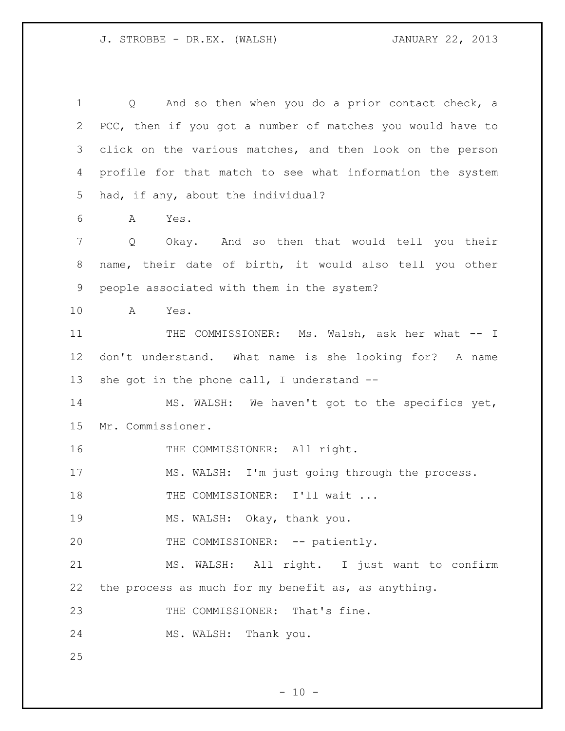Q And so then when you do a prior contact check, a PCC, then if you got a number of matches you would have to click on the various matches, and then look on the person profile for that match to see what information the system had, if any, about the individual? A Yes. Q Okay. And so then that would tell you their name, their date of birth, it would also tell you other people associated with them in the system? A Yes. 11 THE COMMISSIONER: Ms. Walsh, ask her what -- I don't understand. What name is she looking for? A name 13 she got in the phone call, I understand -- MS. WALSH: We haven't got to the specifics yet, Mr. Commissioner. 16 THE COMMISSIONER: All right. MS. WALSH: I'm just going through the process. 18 THE COMMISSIONER: I'll wait ... MS. WALSH: Okay, thank you. 20 THE COMMISSIONER: -- patiently. MS. WALSH: All right. I just want to confirm the process as much for my benefit as, as anything. 23 THE COMMISSIONER: That's fine. MS. WALSH: Thank you.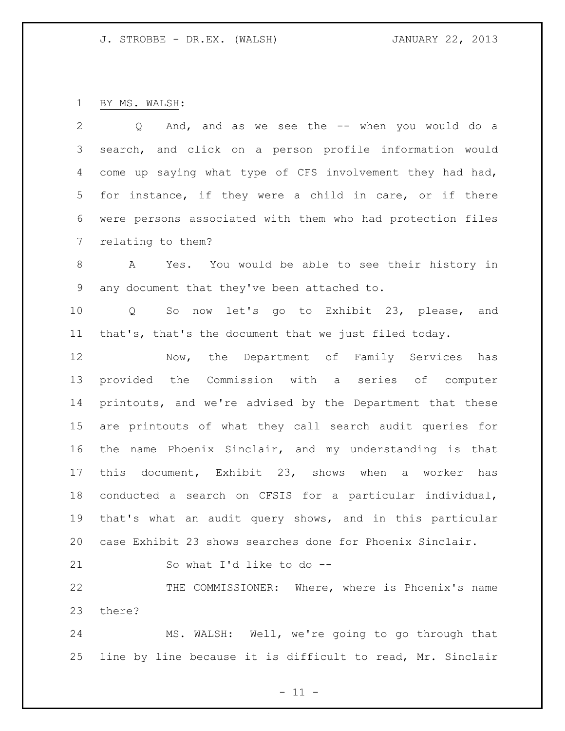BY MS. WALSH:

 Q And, and as we see the -- when you would do a search, and click on a person profile information would come up saying what type of CFS involvement they had had, for instance, if they were a child in care, or if there were persons associated with them who had protection files relating to them? A Yes. You would be able to see their history in any document that they've been attached to. Q So now let's go to Exhibit 23, please, and that's, that's the document that we just filed today. Now, the Department of Family Services has provided the Commission with a series of computer printouts, and we're advised by the Department that these are printouts of what they call search audit queries for the name Phoenix Sinclair, and my understanding is that this document, Exhibit 23, shows when a worker has conducted a search on CFSIS for a particular individual, that's what an audit query shows, and in this particular case Exhibit 23 shows searches done for Phoenix Sinclair. So what I'd like to do -- THE COMMISSIONER: Where, where is Phoenix's name there?

 MS. WALSH: Well, we're going to go through that line by line because it is difficult to read, Mr. Sinclair

 $- 11 -$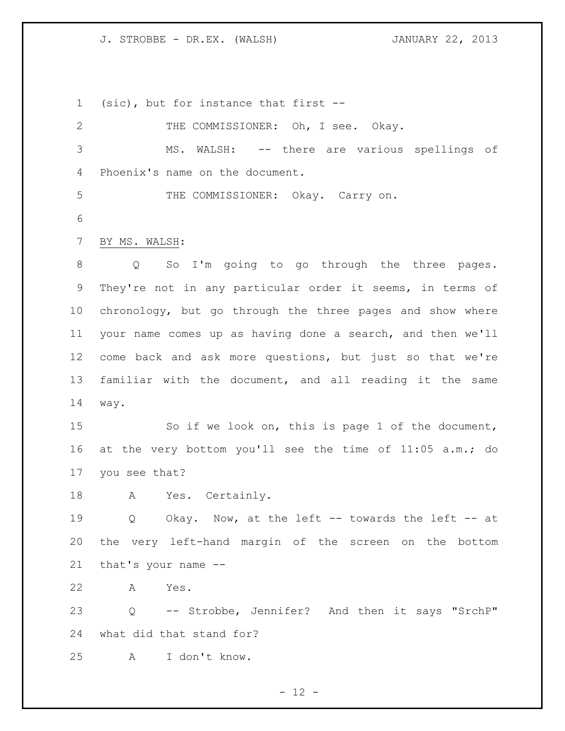(sic), but for instance that first --

| $\overline{2}$  | THE COMMISSIONER: Oh, I see. Okay.                               |
|-----------------|------------------------------------------------------------------|
| 3               | MS. WALSH: -- there are various spellings of                     |
| 4               | Phoenix's name on the document.                                  |
| 5               | THE COMMISSIONER: Okay. Carry on.                                |
| 6               |                                                                  |
| $7\phantom{.0}$ | BY MS. WALSH:                                                    |
|                 |                                                                  |
| 8               | So I'm going to go through the three pages.<br>$Q \qquad \qquad$ |
| 9               | They're not in any particular order it seems, in terms of        |
| 10              | chronology, but go through the three pages and show where        |
| 11              | your name comes up as having done a search, and then we'll       |
| 12              | come back and ask more questions, but just so that we're         |
| 13              | familiar with the document, and all reading it the same          |
| 14              | way.                                                             |
| 15              | So if we look on, this is page 1 of the document,                |
| 16              | at the very bottom you'll see the time of 11:05 a.m.; do         |
| 17              | you see that?                                                    |
| 18              | Yes. Certainly.<br>A                                             |
| 19              | Okay. Now, at the left -- towards the left -- at<br>Q            |
| 20              | the very left-hand margin of the screen on the bottom            |
| 21              | that's your name --                                              |
| 22              | Α<br>Yes.                                                        |
| 23              | -- Strobbe, Jennifer? And then it says "SrchP"<br>Q              |
| 24              | what did that stand for?                                         |
| 25              | I don't know.<br>$\mathbf{A}$                                    |

- 12 -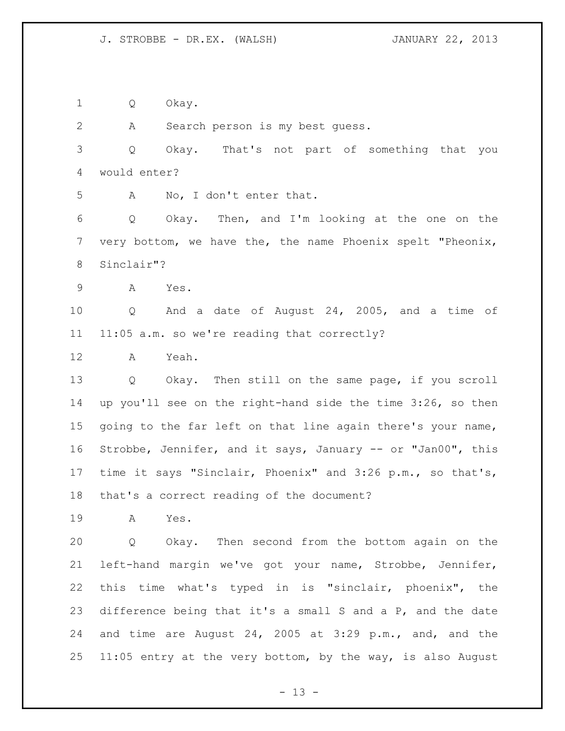Q Okay.

A Search person is my best guess.

 Q Okay. That's not part of something that you would enter?

A No, I don't enter that.

 Q Okay. Then, and I'm looking at the one on the very bottom, we have the, the name Phoenix spelt "Pheonix, Sinclair"?

A Yes.

 Q And a date of August 24, 2005, and a time of 11:05 a.m. so we're reading that correctly?

A Yeah.

 Q Okay. Then still on the same page, if you scroll up you'll see on the right-hand side the time 3:26, so then going to the far left on that line again there's your name, Strobbe, Jennifer, and it says, January -- or "Jan00", this time it says "Sinclair, Phoenix" and 3:26 p.m., so that's, that's a correct reading of the document?

A Yes.

 Q Okay. Then second from the bottom again on the left-hand margin we've got your name, Strobbe, Jennifer, this time what's typed in is "sinclair, phoenix", the difference being that it's a small S and a P, and the date and time are August 24, 2005 at 3:29 p.m., and, and the 11:05 entry at the very bottom, by the way, is also August

 $- 13 -$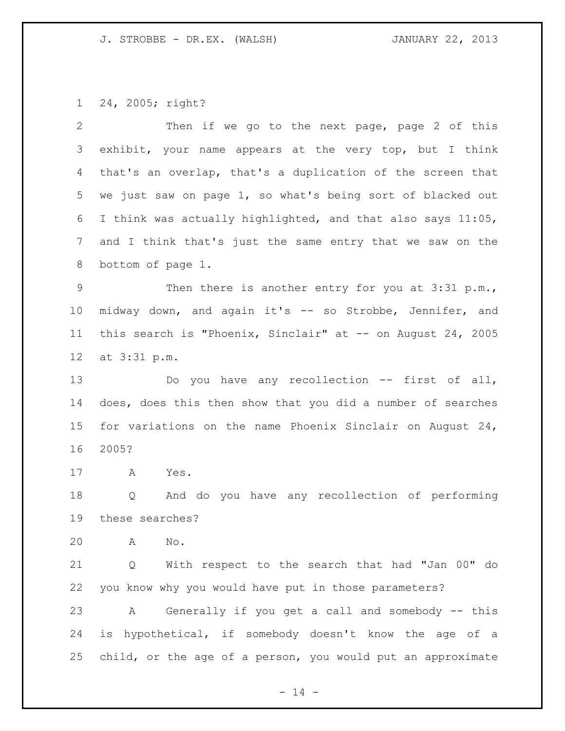24, 2005; right?

| 2               | Then if we go to the next page, page 2 of this              |
|-----------------|-------------------------------------------------------------|
| 3               | exhibit, your name appears at the very top, but I think     |
| 4               | that's an overlap, that's a duplication of the screen that  |
| 5               | we just saw on page 1, so what's being sort of blacked out  |
| 6               | I think was actually highlighted, and that also says 11:05, |
| $7\phantom{.0}$ | and I think that's just the same entry that we saw on the   |
| 8               | bottom of page 1.                                           |
| 9               | Then there is another entry for you at 3:31 p.m.,           |
| 10 <sub>o</sub> | midway down, and again it's -- so Strobbe, Jennifer, and    |
| 11              | this search is "Phoenix, Sinclair" at -- on August 24, 2005 |
| 12              | at 3:31 p.m.                                                |
| 13              | Do you have any recollection -- first of all,               |
| 14              | does, does this then show that you did a number of searches |
| 15              | for variations on the name Phoenix Sinclair on August 24,   |
| 16              | 2005?                                                       |
| 17              | A<br>Yes.                                                   |
| 18              | And do you have any recollection of performing<br>Q         |
| 19              | these searches?                                             |
| 20              | A<br>No.                                                    |
| 21              | With respect to the search that had "Jan 00" do<br>Q        |
| 22              | you know why you would have put in those parameters?        |
| 23              | Generally if you get a call and somebody -- this<br>A       |
| 24              | is hypothetical, if somebody doesn't know the age of a      |
| 25              | child, or the age of a person, you would put an approximate |
|                 |                                                             |

- 14 -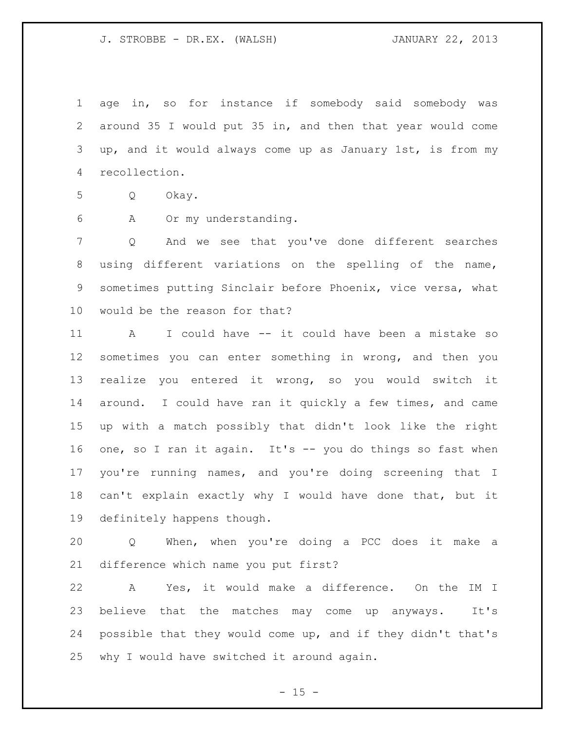age in, so for instance if somebody said somebody was around 35 I would put 35 in, and then that year would come up, and it would always come up as January 1st, is from my recollection.

Q Okay.

A Or my understanding.

 Q And we see that you've done different searches using different variations on the spelling of the name, sometimes putting Sinclair before Phoenix, vice versa, what would be the reason for that?

 A I could have -- it could have been a mistake so sometimes you can enter something in wrong, and then you realize you entered it wrong, so you would switch it around. I could have ran it quickly a few times, and came up with a match possibly that didn't look like the right one, so I ran it again. It's -- you do things so fast when you're running names, and you're doing screening that I can't explain exactly why I would have done that, but it definitely happens though.

 Q When, when you're doing a PCC does it make a difference which name you put first?

 A Yes, it would make a difference. On the IM I believe that the matches may come up anyways. It's possible that they would come up, and if they didn't that's why I would have switched it around again.

 $- 15 -$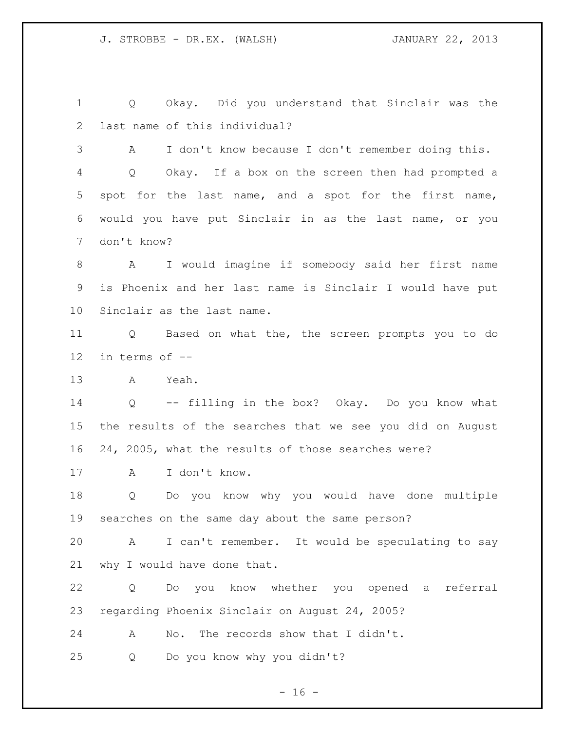Q Okay. Did you understand that Sinclair was the last name of this individual?

 A I don't know because I don't remember doing this. Q Okay. If a box on the screen then had prompted a spot for the last name, and a spot for the first name, would you have put Sinclair in as the last name, or you don't know?

 A I would imagine if somebody said her first name is Phoenix and her last name is Sinclair I would have put Sinclair as the last name.

 Q Based on what the, the screen prompts you to do in terms of --

A Yeah.

 Q -- filling in the box? Okay. Do you know what the results of the searches that we see you did on August 24, 2005, what the results of those searches were?

A I don't know.

 Q Do you know why you would have done multiple searches on the same day about the same person?

 A I can't remember. It would be speculating to say why I would have done that.

 Q Do you know whether you opened a referral regarding Phoenix Sinclair on August 24, 2005?

A No. The records show that I didn't.

Q Do you know why you didn't?

 $- 16 -$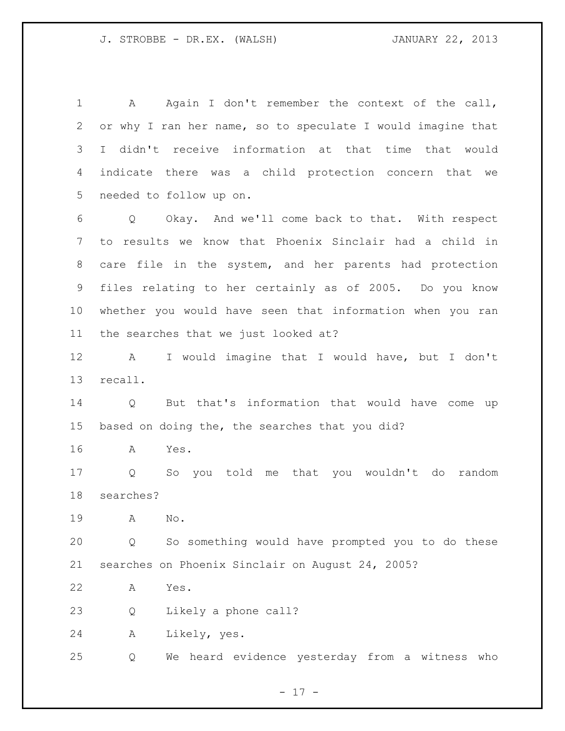1 A Again I don't remember the context of the call, or why I ran her name, so to speculate I would imagine that I didn't receive information at that time that would indicate there was a child protection concern that we needed to follow up on.

 Q Okay. And we'll come back to that. With respect to results we know that Phoenix Sinclair had a child in care file in the system, and her parents had protection files relating to her certainly as of 2005. Do you know whether you would have seen that information when you ran the searches that we just looked at?

 A I would imagine that I would have, but I don't recall.

 Q But that's information that would have come up based on doing the, the searches that you did?

A Yes.

 Q So you told me that you wouldn't do random searches?

A No.

 Q So something would have prompted you to do these searches on Phoenix Sinclair on August 24, 2005?

A Yes.

Q Likely a phone call?

A Likely, yes.

Q We heard evidence yesterday from a witness who

- 17 -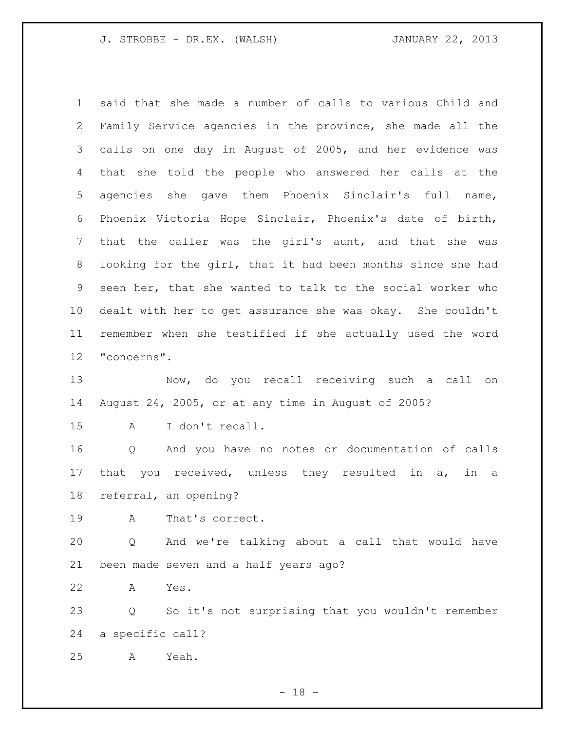said that she made a number of calls to various Child and Family Service agencies in the province, she made all the calls on one day in August of 2005, and her evidence was that she told the people who answered her calls at the agencies she gave them Phoenix Sinclair's full name, Phoenix Victoria Hope Sinclair, Phoenix's date of birth, that the caller was the girl's aunt, and that she was looking for the girl, that it had been months since she had seen her, that she wanted to talk to the social worker who dealt with her to get assurance she was okay. She couldn't remember when she testified if she actually used the word "concerns". Now, do you recall receiving such a call on August 24, 2005, or at any time in August of 2005? A I don't recall. Q And you have no notes or documentation of calls that you received, unless they resulted in a, in a referral, an opening? A That's correct. Q And we're talking about a call that would have been made seven and a half years ago? A Yes. Q So it's not surprising that you wouldn't remember

a specific call?

A Yeah.

- 18 -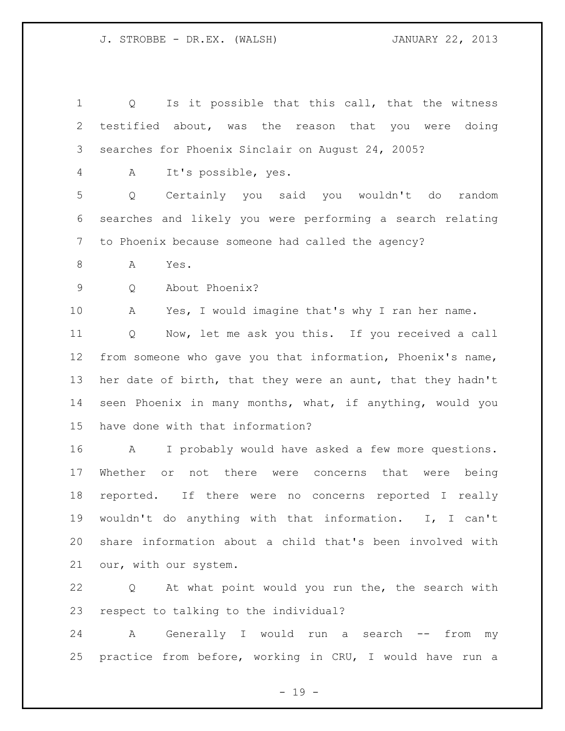Q Is it possible that this call, that the witness testified about, was the reason that you were doing searches for Phoenix Sinclair on August 24, 2005? A It's possible, yes. Q Certainly you said you wouldn't do random searches and likely you were performing a search relating to Phoenix because someone had called the agency? A Yes. Q About Phoenix? A Yes, I would imagine that's why I ran her name. Q Now, let me ask you this. If you received a call from someone who gave you that information, Phoenix's name, her date of birth, that they were an aunt, that they hadn't seen Phoenix in many months, what, if anything, would you have done with that information? A I probably would have asked a few more questions. Whether or not there were concerns that were being reported. If there were no concerns reported I really wouldn't do anything with that information. I, I can't share information about a child that's been involved with our, with our system. Q At what point would you run the, the search with

respect to talking to the individual?

 A Generally I would run a search -- from my practice from before, working in CRU, I would have run a

- 19 -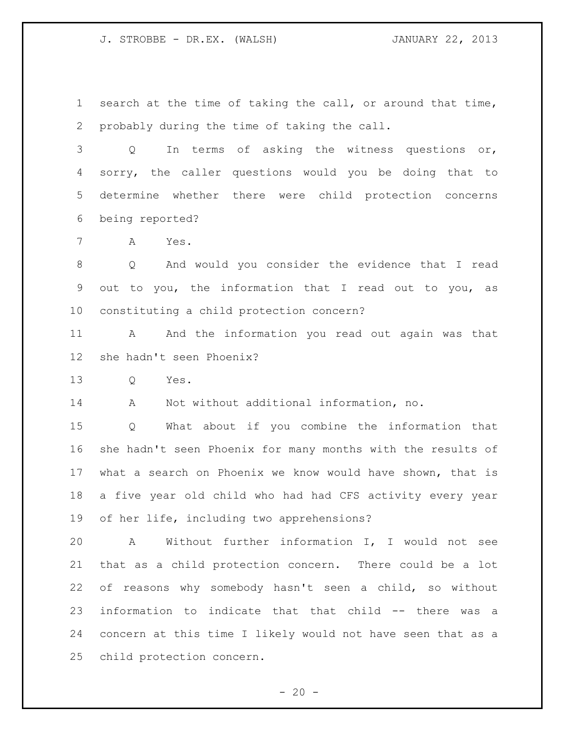search at the time of taking the call, or around that time, probably during the time of taking the call.

 Q In terms of asking the witness questions or, sorry, the caller questions would you be doing that to determine whether there were child protection concerns being reported?

A Yes.

 Q And would you consider the evidence that I read out to you, the information that I read out to you, as constituting a child protection concern?

 A And the information you read out again was that she hadn't seen Phoenix?

Q Yes.

A Not without additional information, no.

 Q What about if you combine the information that she hadn't seen Phoenix for many months with the results of what a search on Phoenix we know would have shown, that is a five year old child who had had CFS activity every year of her life, including two apprehensions?

 A Without further information I, I would not see that as a child protection concern. There could be a lot of reasons why somebody hasn't seen a child, so without information to indicate that that child -- there was a concern at this time I likely would not have seen that as a child protection concern.

 $-20 -$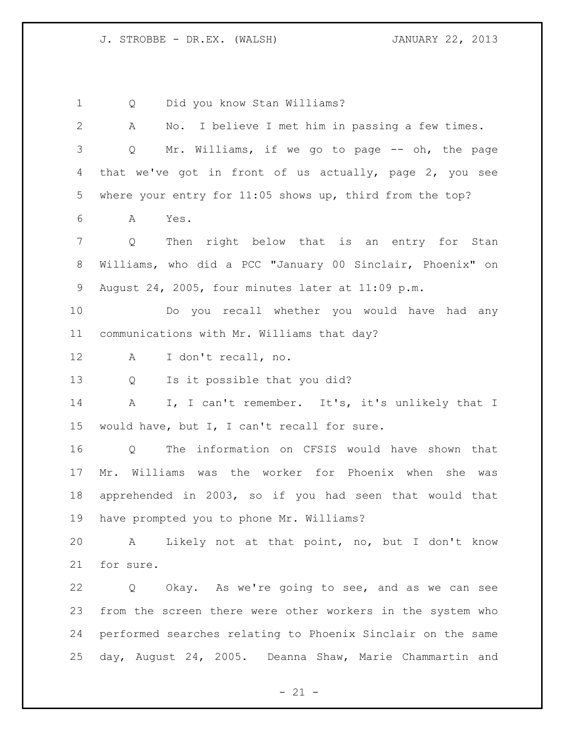Q Did you know Stan Williams? A No. I believe I met him in passing a few times. Q Mr. Williams, if we go to page -- oh, the page that we've got in front of us actually, page 2, you see where your entry for 11:05 shows up, third from the top? A Yes. Q Then right below that is an entry for Stan Williams, who did a PCC "January 00 Sinclair, Phoenix" on August 24, 2005, four minutes later at 11:09 p.m. Do you recall whether you would have had any communications with Mr. Williams that day? A I don't recall, no. Q Is it possible that you did? A I, I can't remember. It's, it's unlikely that I would have, but I, I can't recall for sure. Q The information on CFSIS would have shown that Mr. Williams was the worker for Phoenix when she was apprehended in 2003, so if you had seen that would that have prompted you to phone Mr. Williams? A Likely not at that point, no, but I don't know for sure. Q Okay. As we're going to see, and as we can see from the screen there were other workers in the system who performed searches relating to Phoenix Sinclair on the same day, August 24, 2005. Deanna Shaw, Marie Chammartin and

 $- 21 -$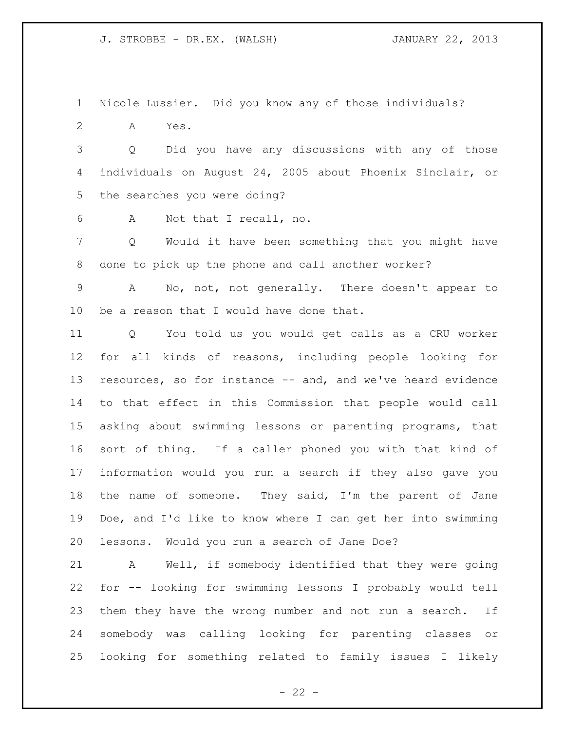Nicole Lussier. Did you know any of those individuals?

A Yes.

 Q Did you have any discussions with any of those individuals on August 24, 2005 about Phoenix Sinclair, or the searches you were doing?

A Not that I recall, no.

 Q Would it have been something that you might have done to pick up the phone and call another worker?

 A No, not, not generally. There doesn't appear to 10 be a reason that I would have done that.

 Q You told us you would get calls as a CRU worker for all kinds of reasons, including people looking for resources, so for instance -- and, and we've heard evidence to that effect in this Commission that people would call asking about swimming lessons or parenting programs, that sort of thing. If a caller phoned you with that kind of information would you run a search if they also gave you 18 the name of someone. They said, I'm the parent of Jane Doe, and I'd like to know where I can get her into swimming lessons. Would you run a search of Jane Doe?

 A Well, if somebody identified that they were going for -- looking for swimming lessons I probably would tell them they have the wrong number and not run a search. If somebody was calling looking for parenting classes or looking for something related to family issues I likely

 $- 22 -$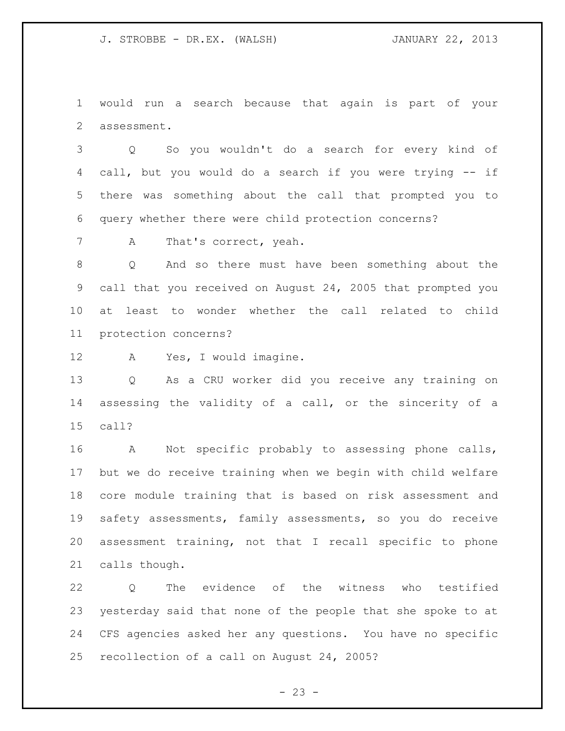would run a search because that again is part of your assessment.

 Q So you wouldn't do a search for every kind of call, but you would do a search if you were trying -- if there was something about the call that prompted you to query whether there were child protection concerns?

7 A That's correct, yeah.

 Q And so there must have been something about the call that you received on August 24, 2005 that prompted you at least to wonder whether the call related to child protection concerns?

A Yes, I would imagine.

 Q As a CRU worker did you receive any training on assessing the validity of a call, or the sincerity of a call?

 A Not specific probably to assessing phone calls, but we do receive training when we begin with child welfare core module training that is based on risk assessment and safety assessments, family assessments, so you do receive assessment training, not that I recall specific to phone calls though.

 Q The evidence of the witness who testified yesterday said that none of the people that she spoke to at CFS agencies asked her any questions. You have no specific recollection of a call on August 24, 2005?

 $- 23 -$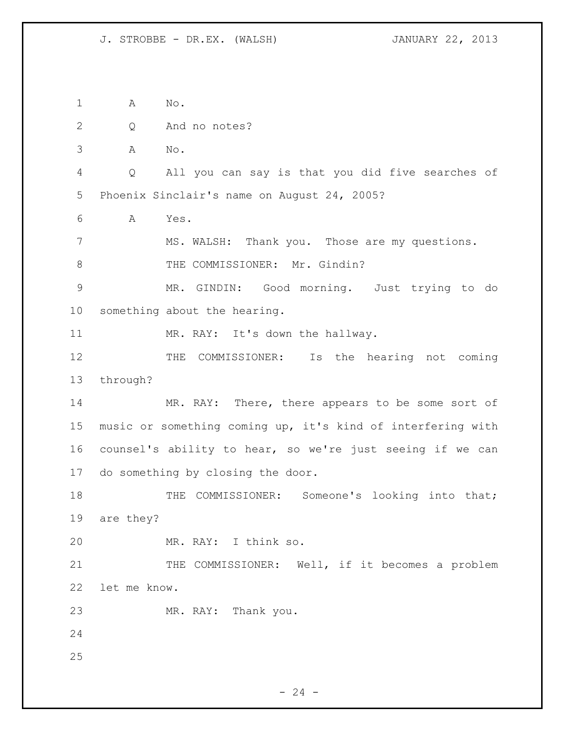A No. Q And no notes? A No. Q All you can say is that you did five searches of Phoenix Sinclair's name on August 24, 2005? A Yes. MS. WALSH: Thank you. Those are my questions. 8 THE COMMISSIONER: Mr. Gindin? MR. GINDIN: Good morning. Just trying to do something about the hearing. 11 MR. RAY: It's down the hallway. 12 THE COMMISSIONER: Is the hearing not coming through? MR. RAY: There, there appears to be some sort of music or something coming up, it's kind of interfering with counsel's ability to hear, so we're just seeing if we can do something by closing the door. 18 THE COMMISSIONER: Someone's looking into that; are they? MR. RAY: I think so. 21 THE COMMISSIONER: Well, if it becomes a problem let me know. MR. RAY: Thank you. 

 $-24 -$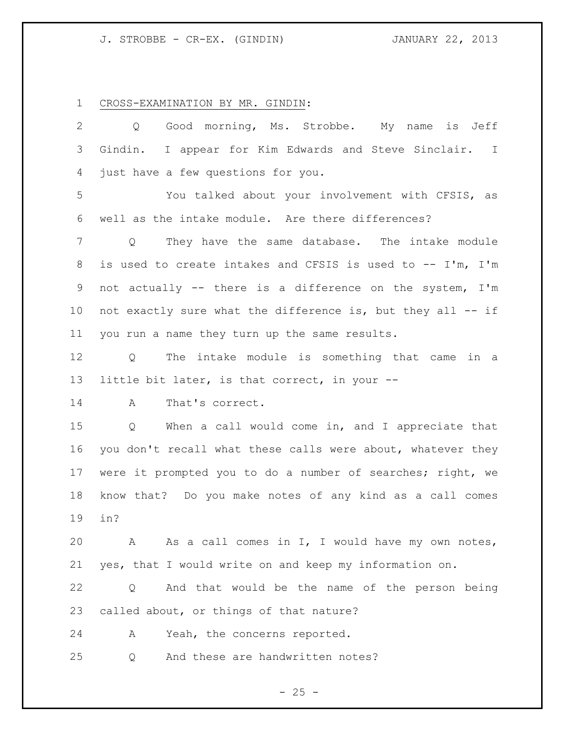# J. STROBBE - CR-EX. (GINDIN) JANUARY 22, 2013

CROSS-EXAMINATION BY MR. GINDIN:

| 2  | Good morning, Ms. Strobbe. My name is Jeff<br>$Q \qquad \qquad$       |
|----|-----------------------------------------------------------------------|
| 3  | Gindin. I appear for Kim Edwards and Steve Sinclair. I                |
| 4  | just have a few questions for you.                                    |
| 5  | You talked about your involvement with CFSIS, as                      |
| 6  | well as the intake module. Are there differences?                     |
| 7  | They have the same database. The intake module<br>Q                   |
| 8  | is used to create intakes and CFSIS is used to -- I'm, I'm            |
| 9  | not actually -- there is a difference on the system, I'm              |
| 10 | not exactly sure what the difference is, but they all -- if           |
| 11 | you run a name they turn up the same results.                         |
| 12 | Q The intake module is something that came in a                       |
| 13 | little bit later, is that correct, in your --                         |
| 14 | That's correct.<br>A                                                  |
| 15 | When a call would come in, and I appreciate that<br>$Q \qquad \qquad$ |
| 16 | you don't recall what these calls were about, whatever they           |
| 17 | were it prompted you to do a number of searches; right, we            |
| 18 | know that? Do you make notes of any kind as a call comes              |
| 19 | in?                                                                   |
| 20 | As a call comes in I, I would have my own notes,<br>A                 |
| 21 | yes, that I would write on and keep my information on.                |
| 22 | And that would be the name of the person being<br>Q                   |
| 23 | called about, or things of that nature?                               |
| 24 | Yeah, the concerns reported.<br>Α                                     |
| 25 | And these are handwritten notes?<br>Q                                 |

- 25 -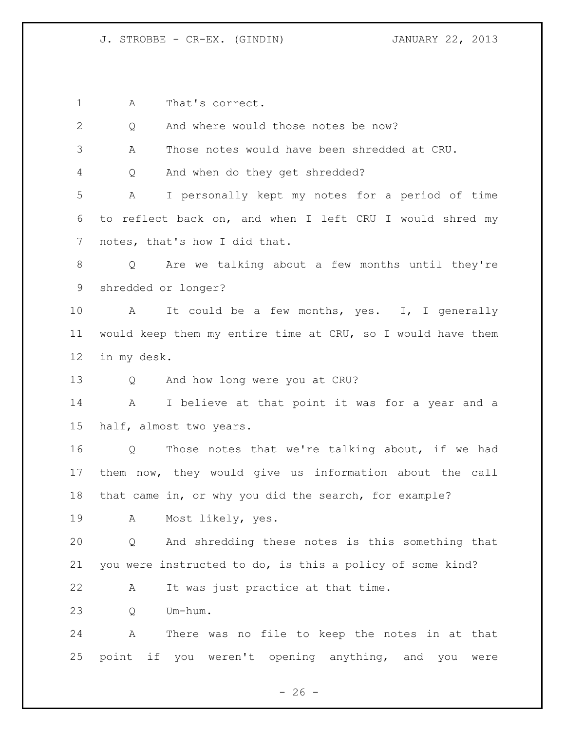J. STROBBE - CR-EX. (GINDIN) JANUARY 22, 2013

A That's correct.

Q And where would those notes be now?

A Those notes would have been shredded at CRU.

Q And when do they get shredded?

 A I personally kept my notes for a period of time to reflect back on, and when I left CRU I would shred my 7 notes, that's how I did that.

 Q Are we talking about a few months until they're shredded or longer?

 A It could be a few months, yes. I, I generally would keep them my entire time at CRU, so I would have them in my desk.

Q And how long were you at CRU?

 A I believe at that point it was for a year and a half, almost two years.

 Q Those notes that we're talking about, if we had them now, they would give us information about the call that came in, or why you did the search, for example?

A Most likely, yes.

 Q And shredding these notes is this something that you were instructed to do, is this a policy of some kind?

A It was just practice at that time.

Q Um-hum.

 A There was no file to keep the notes in at that point if you weren't opening anything, and you were

 $- 26 -$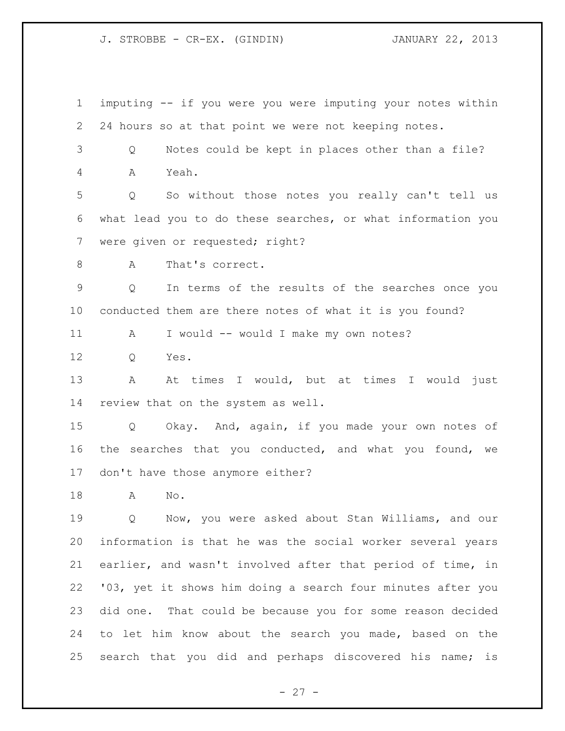J. STROBBE - CR-EX. (GINDIN) JANUARY 22, 2013

 imputing -- if you were you were imputing your notes within 24 hours so at that point we were not keeping notes. Q Notes could be kept in places other than a file? A Yeah. Q So without those notes you really can't tell us what lead you to do these searches, or what information you were given or requested; right? 8 A That's correct. Q In terms of the results of the searches once you conducted them are there notes of what it is you found? A I would -- would I make my own notes? Q Yes. 13 A At times I would, but at times I would just review that on the system as well. Q Okay. And, again, if you made your own notes of the searches that you conducted, and what you found, we don't have those anymore either? A No. Q Now, you were asked about Stan Williams, and our information is that he was the social worker several years earlier, and wasn't involved after that period of time, in '03, yet it shows him doing a search four minutes after you did one. That could be because you for some reason decided to let him know about the search you made, based on the search that you did and perhaps discovered his name; is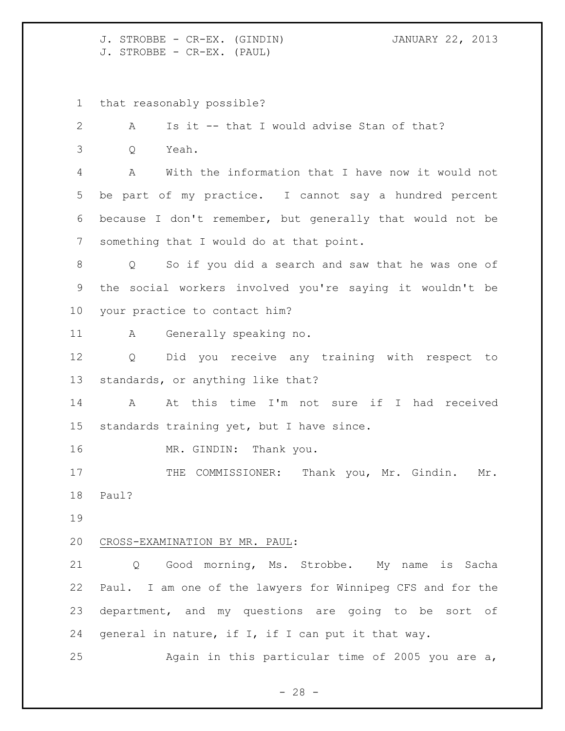J. STROBBE - CR-EX. (GINDIN) JANUARY 22, 2013 J. STROBBE - CR-EX. (PAUL)

that reasonably possible?

 A Is it -- that I would advise Stan of that? Q Yeah. A With the information that I have now it would not be part of my practice. I cannot say a hundred percent because I don't remember, but generally that would not be something that I would do at that point. Q So if you did a search and saw that he was one of the social workers involved you're saying it wouldn't be your practice to contact him? A Generally speaking no. Q Did you receive any training with respect to standards, or anything like that? A At this time I'm not sure if I had received standards training yet, but I have since. 16 MR. GINDIN: Thank you. 17 THE COMMISSIONER: Thank you, Mr. Gindin. Mr. Paul? CROSS-EXAMINATION BY MR. PAUL: 21 Q Good morning, Ms. Strobbe. My name is Sacha Paul. I am one of the lawyers for Winnipeg CFS and for the department, and my questions are going to be sort of general in nature, if I, if I can put it that way. Again in this particular time of 2005 you are a,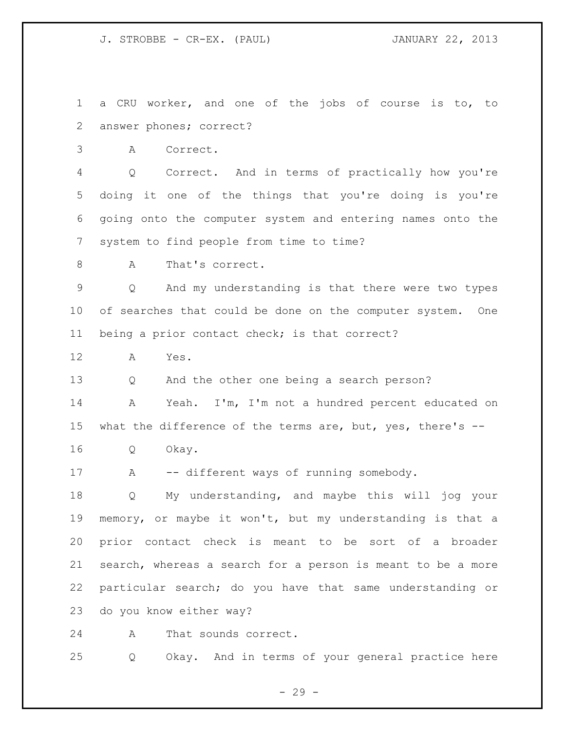J. STROBBE - CR-EX. (PAUL) JANUARY 22, 2013

 a CRU worker, and one of the jobs of course is to, to answer phones; correct?

A Correct.

 Q Correct. And in terms of practically how you're doing it one of the things that you're doing is you're going onto the computer system and entering names onto the system to find people from time to time?

8 A That's correct.

 Q And my understanding is that there were two types 10 of searches that could be done on the computer system. One being a prior contact check; is that correct?

A Yes.

Q And the other one being a search person?

 A Yeah. I'm, I'm not a hundred percent educated on 15 what the difference of the terms are, but, yes, there's --

Q Okay.

17 A -- different ways of running somebody.

 Q My understanding, and maybe this will jog your memory, or maybe it won't, but my understanding is that a prior contact check is meant to be sort of a broader search, whereas a search for a person is meant to be a more particular search; do you have that same understanding or do you know either way?

A That sounds correct.

Q Okay. And in terms of your general practice here

- 29 -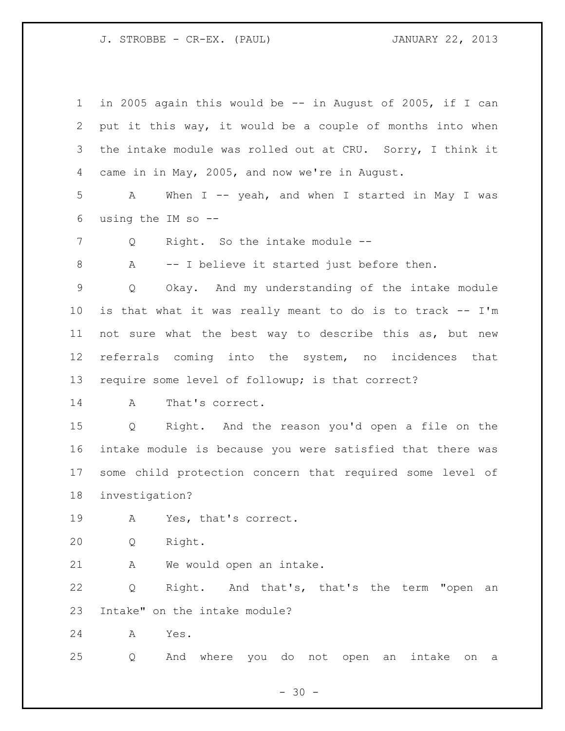J. STROBBE - CR-EX. (PAUL) JANUARY 22, 2013

 in 2005 again this would be -- in August of 2005, if I can put it this way, it would be a couple of months into when the intake module was rolled out at CRU. Sorry, I think it came in in May, 2005, and now we're in August. A When I -- yeah, and when I started in May I was using the IM so -- 7 Q Right. So the intake module -- A -- I believe it started just before then. Q Okay. And my understanding of the intake module is that what it was really meant to do is to track -- I'm not sure what the best way to describe this as, but new referrals coming into the system, no incidences that require some level of followup; is that correct? A That's correct. Q Right. And the reason you'd open a file on the intake module is because you were satisfied that there was some child protection concern that required some level of investigation? A Yes, that's correct. Q Right. A We would open an intake. Q Right. And that's, that's the term "open an Intake" on the intake module? A Yes. Q And where you do not open an intake on a

 $- 30 -$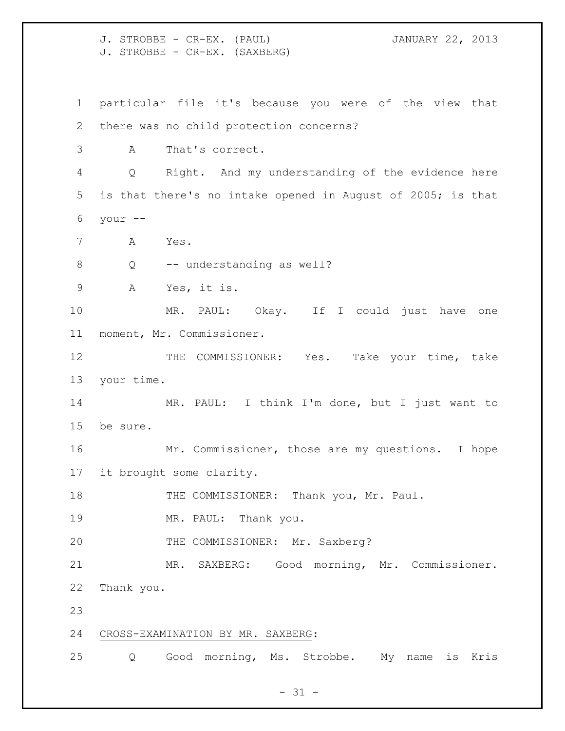J. STROBBE - CR-EX. (PAUL) JANUARY 22, 2013 J. STROBBE - CR-EX. (SAXBERG) particular file it's because you were of the view that there was no child protection concerns? A That's correct. Q Right. And my understanding of the evidence here is that there's no intake opened in August of 2005; is that your -- A Yes. 8 O -- understanding as well? A Yes, it is. MR. PAUL: Okay. If I could just have one moment, Mr. Commissioner. 12 THE COMMISSIONER: Yes. Take your time, take your time. MR. PAUL: I think I'm done, but I just want to be sure. Mr. Commissioner, those are my questions. I hope it brought some clarity. 18 THE COMMISSIONER: Thank you, Mr. Paul. 19 MR. PAUL: Thank you. THE COMMISSIONER: Mr. Saxberg? MR. SAXBERG: Good morning, Mr. Commissioner. Thank you. CROSS-EXAMINATION BY MR. SAXBERG: Q Good morning, Ms. Strobbe. My name is Kris

 $- 31 -$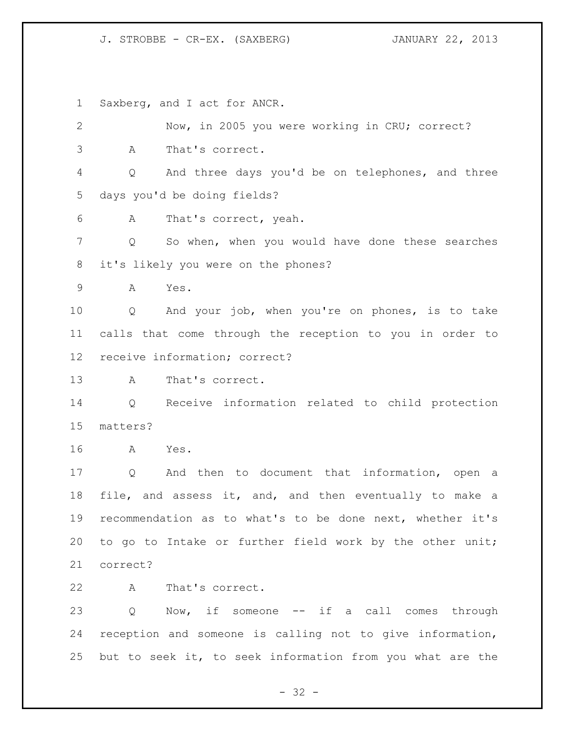## J. STROBBE - CR-EX. (SAXBERG) JANUARY 22, 2013

Saxberg, and I act for ANCR.

| $\mathbf{2}$    |          | Now, in 2005 you were working in CRU; correct?            |
|-----------------|----------|-----------------------------------------------------------|
| 3               | A        | That's correct.                                           |
| 4               | Q        | And three days you'd be on telephones, and three          |
| 5               |          | days you'd be doing fields?                               |
| 6               | A        | That's correct, yeah.                                     |
| 7               | Q        | So when, when you would have done these searches          |
| 8               |          | it's likely you were on the phones?                       |
| 9               | Α        | Yes.                                                      |
| 10              | Q        | And your job, when you're on phones, is to take           |
| 11              |          | calls that come through the reception to you in order to  |
| 12 <sup>°</sup> |          | receive information; correct?                             |
| 13              | A        | That's correct.                                           |
| 14              | Q        | Receive information related to child protection           |
| 15              | matters? |                                                           |
| 16              | A        | Yes.                                                      |
| 17              | Q        | And then to document that information, open a             |
| 18              |          | file, and assess it, and, and then eventually to make a   |
| 19              |          | recommendation as to what's to be done next, whether it's |
| 20              |          | to go to Intake or further field work by the other unit;  |
| 21              | correct? |                                                           |
| 22              | A        | That's correct.                                           |
| 23              | Q        | Now, if someone -- if a call comes through                |
| 24              |          | reception and someone is calling not to give information, |
| 25              |          | but to seek it, to seek information from you what are the |

- 32 -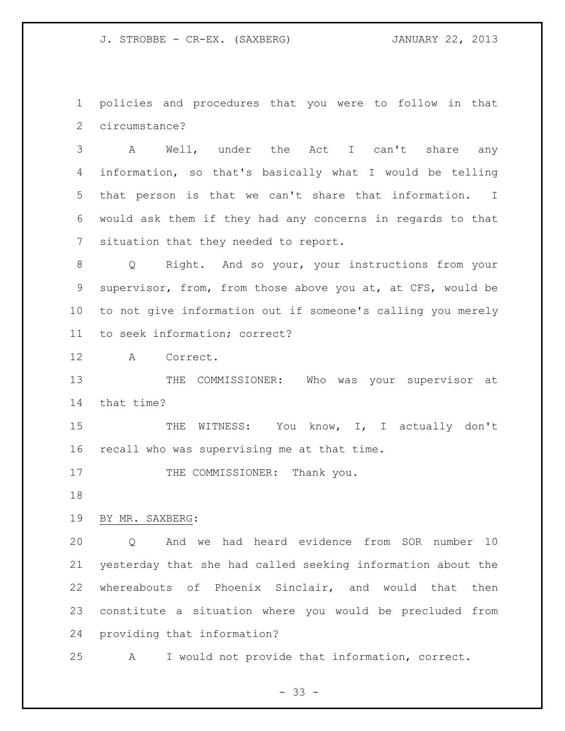J. STROBBE - CR-EX. (SAXBERG) JANUARY 22, 2013

 policies and procedures that you were to follow in that circumstance?

 A Well, under the Act I can't share any information, so that's basically what I would be telling that person is that we can't share that information. I would ask them if they had any concerns in regards to that situation that they needed to report.

 Q Right. And so your, your instructions from your supervisor, from, from those above you at, at CFS, would be to not give information out if someone's calling you merely to seek information; correct?

A Correct.

13 THE COMMISSIONER: Who was your supervisor at that time?

15 THE WITNESS: You know, I, I actually don't recall who was supervising me at that time.

17 THE COMMISSIONER: Thank you.

## BY MR. SAXBERG:

 Q And we had heard evidence from SOR number 10 yesterday that she had called seeking information about the whereabouts of Phoenix Sinclair, and would that then constitute a situation where you would be precluded from providing that information?

A I would not provide that information, correct.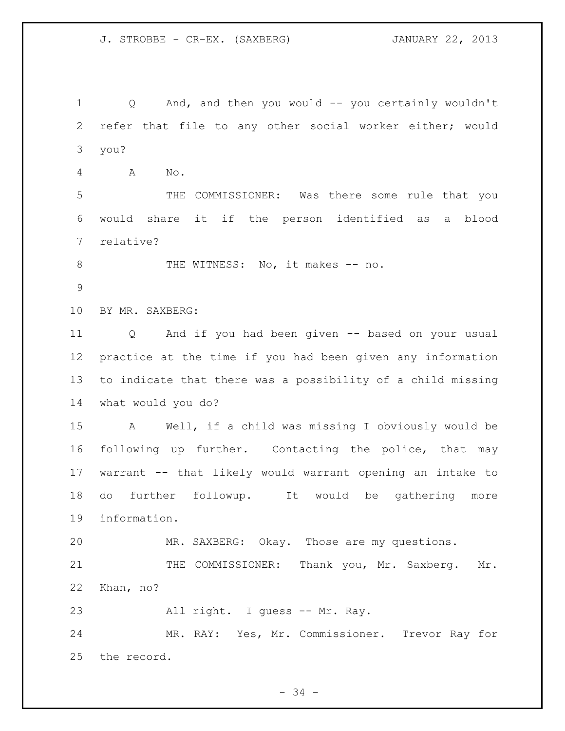Q And, and then you would -- you certainly wouldn't refer that file to any other social worker either; would you? A No.

 THE COMMISSIONER: Was there some rule that you would share it if the person identified as a blood relative?

8 THE WITNESS: No, it makes -- no.

BY MR. SAXBERG:

 Q And if you had been given -- based on your usual practice at the time if you had been given any information to indicate that there was a possibility of a child missing what would you do?

 A Well, if a child was missing I obviously would be following up further. Contacting the police, that may warrant -- that likely would warrant opening an intake to do further followup. It would be gathering more information.

MR. SAXBERG: Okay. Those are my questions.

21 THE COMMISSIONER: Thank you, Mr. Saxberg. Mr. Khan, no?

23 All right. I guess -- Mr. Ray.

 MR. RAY: Yes, Mr. Commissioner. Trevor Ray for the record.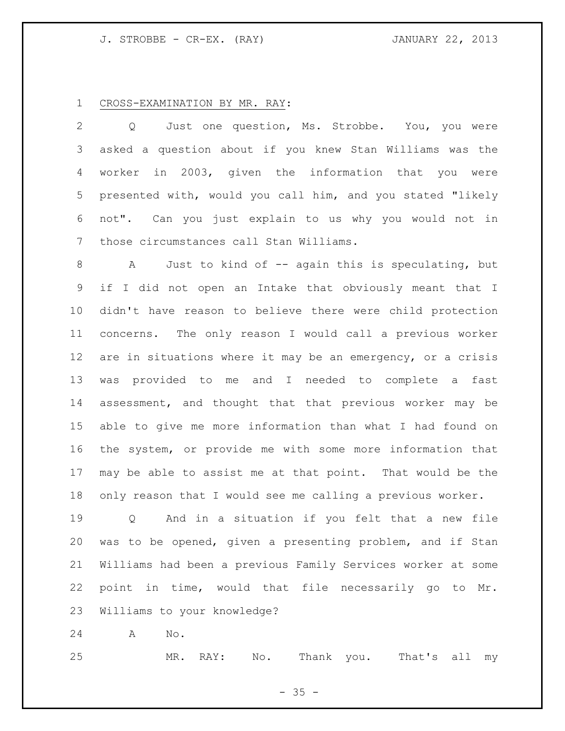## J. STROBBE - CR-EX. (RAY) JANUARY 22, 2013

## CROSS-EXAMINATION BY MR. RAY:

 Q Just one question, Ms. Strobbe. You, you were asked a question about if you knew Stan Williams was the worker in 2003, given the information that you were presented with, would you call him, and you stated "likely not". Can you just explain to us why you would not in those circumstances call Stan Williams.

8 A Just to kind of -- again this is speculating, but if I did not open an Intake that obviously meant that I didn't have reason to believe there were child protection concerns. The only reason I would call a previous worker are in situations where it may be an emergency, or a crisis was provided to me and I needed to complete a fast assessment, and thought that that previous worker may be able to give me more information than what I had found on the system, or provide me with some more information that may be able to assist me at that point. That would be the only reason that I would see me calling a previous worker.

 Q And in a situation if you felt that a new file was to be opened, given a presenting problem, and if Stan Williams had been a previous Family Services worker at some point in time, would that file necessarily go to Mr. Williams to your knowledge?

A No.

MR. RAY: No. Thank you. That's all my

 $- 35 -$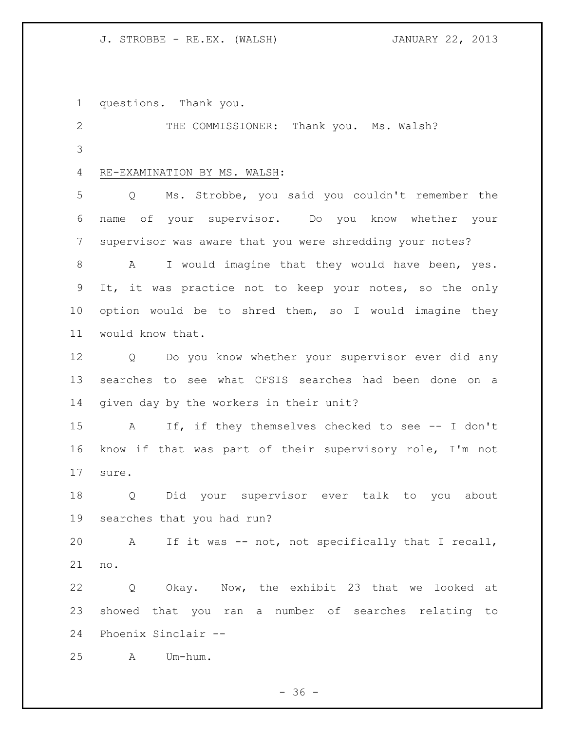## J. STROBBE - RE.EX. (WALSH) JANUARY 22, 2013

questions. Thank you.

 THE COMMISSIONER: Thank you. Ms. Walsh? 

# RE-EXAMINATION BY MS. WALSH:

 Q Ms. Strobbe, you said you couldn't remember the name of your supervisor. Do you know whether your supervisor was aware that you were shredding your notes?

 A I would imagine that they would have been, yes. It, it was practice not to keep your notes, so the only option would be to shred them, so I would imagine they would know that.

 Q Do you know whether your supervisor ever did any searches to see what CFSIS searches had been done on a given day by the workers in their unit?

 A If, if they themselves checked to see -- I don't know if that was part of their supervisory role, I'm not sure.

 Q Did your supervisor ever talk to you about searches that you had run?

 A If it was -- not, not specifically that I recall, no.

 Q Okay. Now, the exhibit 23 that we looked at showed that you ran a number of searches relating to Phoenix Sinclair --

A Um-hum.

 $-36 -$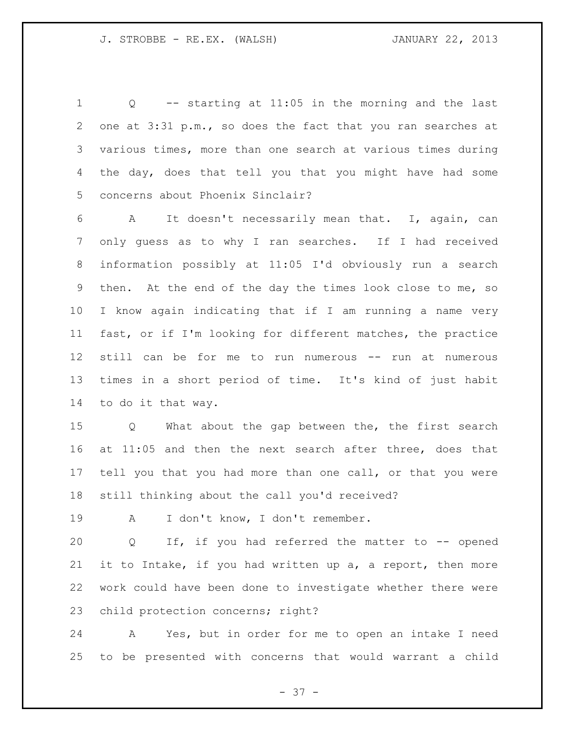Q -- starting at 11:05 in the morning and the last 2 one at 3:31 p.m., so does the fact that you ran searches at various times, more than one search at various times during the day, does that tell you that you might have had some concerns about Phoenix Sinclair?

 A It doesn't necessarily mean that. I, again, can only guess as to why I ran searches. If I had received information possibly at 11:05 I'd obviously run a search then. At the end of the day the times look close to me, so I know again indicating that if I am running a name very fast, or if I'm looking for different matches, the practice still can be for me to run numerous -- run at numerous times in a short period of time. It's kind of just habit to do it that way.

 Q What about the gap between the, the first search at 11:05 and then the next search after three, does that tell you that you had more than one call, or that you were still thinking about the call you'd received?

A I don't know, I don't remember.

 Q If, if you had referred the matter to -- opened it to Intake, if you had written up a, a report, then more work could have been done to investigate whether there were child protection concerns; right?

 A Yes, but in order for me to open an intake I need to be presented with concerns that would warrant a child

 $- 37 -$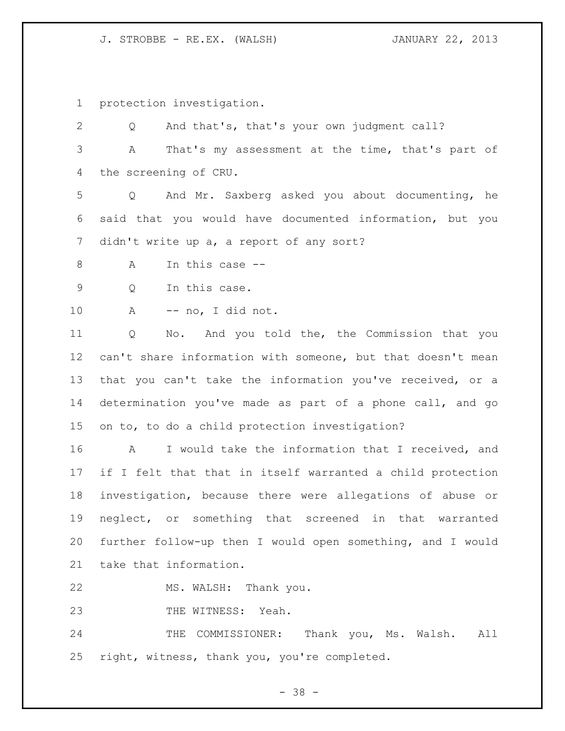J. STROBBE - RE.EX. (WALSH) JANUARY 22, 2013

protection investigation.

 Q And that's, that's your own judgment call? A That's my assessment at the time, that's part of the screening of CRU. Q And Mr. Saxberg asked you about documenting, he said that you would have documented information, but you didn't write up a, a report of any sort? A In this case -- Q In this case. A -- no, I did not. Q No. And you told the, the Commission that you can't share information with someone, but that doesn't mean that you can't take the information you've received, or a determination you've made as part of a phone call, and go on to, to do a child protection investigation? A I would take the information that I received, and if I felt that that in itself warranted a child protection investigation, because there were allegations of abuse or neglect, or something that screened in that warranted further follow-up then I would open something, and I would take that information. MS. WALSH: Thank you.

23 THE WITNESS: Yeah.

24 THE COMMISSIONER: Thank you, Ms. Walsh. All right, witness, thank you, you're completed.

 $- 38 -$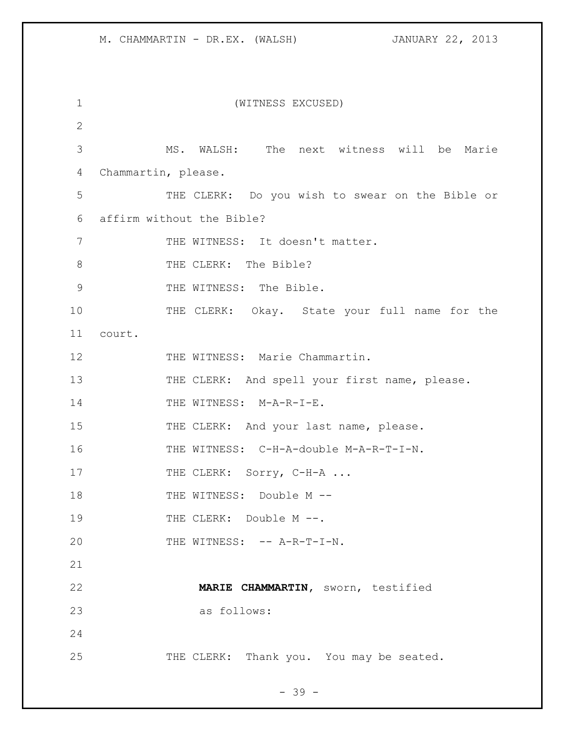| 1              | (WITNESS EXCUSED)                               |
|----------------|-------------------------------------------------|
| $\overline{2}$ |                                                 |
| 3              | MS. WALSH: The next witness will be Marie       |
| 4              | Chammartin, please.                             |
| 5              | THE CLERK: Do you wish to swear on the Bible or |
| 6              | affirm without the Bible?                       |
| 7              | THE WITNESS: It doesn't matter.                 |
| 8              | THE CLERK: The Bible?                           |
| $\mathcal{G}$  | THE WITNESS: The Bible.                         |
| 10             | THE CLERK: Okay. State your full name for the   |
| 11             | court.                                          |
| 12             | THE WITNESS: Marie Chammartin.                  |
| 13             | THE CLERK: And spell your first name, please.   |
| 14             | THE WITNESS: M-A-R-I-E.                         |
| 15             | THE CLERK: And your last name, please.          |
| 16             | THE WITNESS: C-H-A-double M-A-R-T-I-N.          |
| 17             | THE CLERK: Sorry, C-H-A                         |
| 18             | THE WITNESS: Double M --                        |
| 19             | THE CLERK: Double M --.                         |
| 20             | THE WITNESS: -- A-R-T-I-N.                      |
| 21             |                                                 |
| 22             | MARIE CHAMMARTIN, sworn, testified              |
| 23             | as follows:                                     |
| 24             |                                                 |
| 25             | THE CLERK: Thank you. You may be seated.        |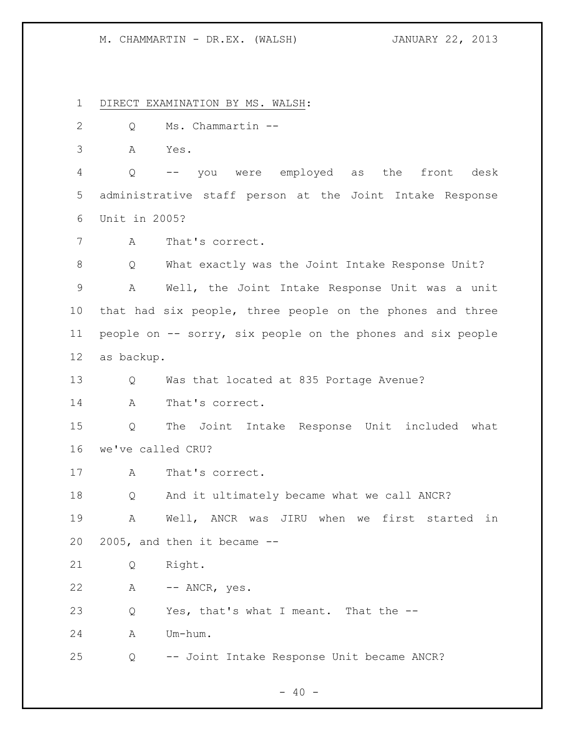DIRECT EXAMINATION BY MS. WALSH:

- Q Ms. Chammartin --
- A Yes.

 Q -- you were employed as the front desk administrative staff person at the Joint Intake Response Unit in 2005?

A That's correct.

 Q What exactly was the Joint Intake Response Unit? A Well, the Joint Intake Response Unit was a unit that had six people, three people on the phones and three people on -- sorry, six people on the phones and six people as backup.

Q Was that located at 835 Portage Avenue?

A That's correct.

 Q The Joint Intake Response Unit included what we've called CRU?

A That's correct.

Q And it ultimately became what we call ANCR?

 A Well, ANCR was JIRU when we first started in 2005, and then it became --

Q Right.

A -- ANCR, yes.

Q Yes, that's what I meant. That the --

A Um-hum.

Q -- Joint Intake Response Unit became ANCR?

 $- 40 -$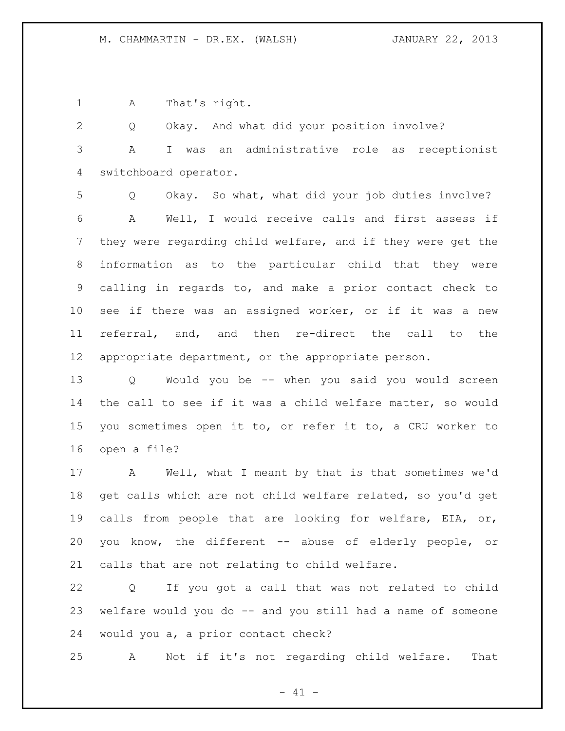A That's right.

 Q Okay. And what did your position involve? A I was an administrative role as receptionist switchboard operator.

 Q Okay. So what, what did your job duties involve? A Well, I would receive calls and first assess if they were regarding child welfare, and if they were get the information as to the particular child that they were calling in regards to, and make a prior contact check to see if there was an assigned worker, or if it was a new referral, and, and then re-direct the call to the appropriate department, or the appropriate person.

 Q Would you be -- when you said you would screen the call to see if it was a child welfare matter, so would you sometimes open it to, or refer it to, a CRU worker to open a file?

 A Well, what I meant by that is that sometimes we'd get calls which are not child welfare related, so you'd get calls from people that are looking for welfare, EIA, or, you know, the different -- abuse of elderly people, or calls that are not relating to child welfare.

 Q If you got a call that was not related to child welfare would you do -- and you still had a name of someone would you a, a prior contact check?

A Not if it's not regarding child welfare. That

 $- 41 -$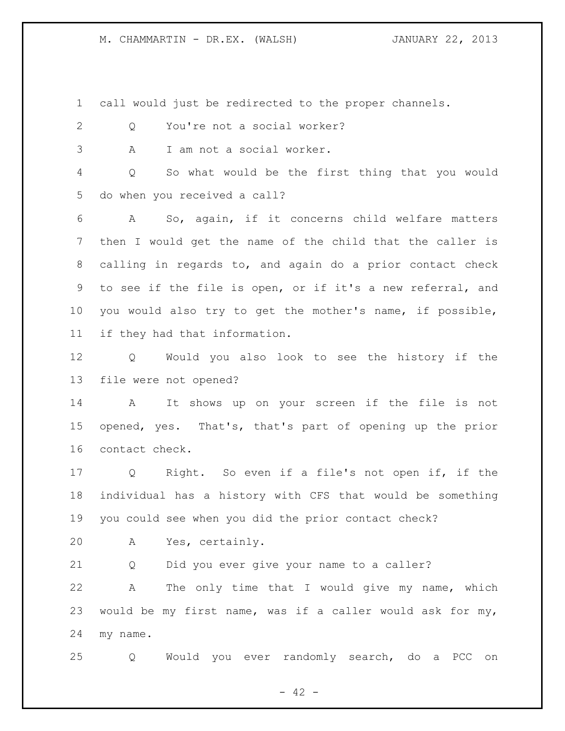call would just be redirected to the proper channels.

- Q You're not a social worker?
- A I am not a social worker.

 Q So what would be the first thing that you would do when you received a call?

 A So, again, if it concerns child welfare matters then I would get the name of the child that the caller is calling in regards to, and again do a prior contact check to see if the file is open, or if it's a new referral, and you would also try to get the mother's name, if possible, if they had that information.

 Q Would you also look to see the history if the file were not opened?

 A It shows up on your screen if the file is not opened, yes. That's, that's part of opening up the prior contact check.

 Q Right. So even if a file's not open if, if the individual has a history with CFS that would be something you could see when you did the prior contact check?

A Yes, certainly.

Q Did you ever give your name to a caller?

 A The only time that I would give my name, which would be my first name, was if a caller would ask for my, my name.

Q Would you ever randomly search, do a PCC on

 $- 42 -$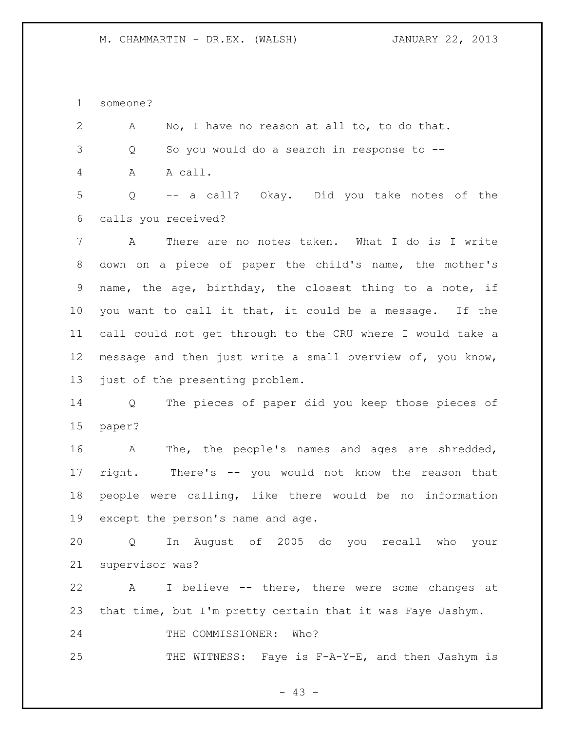someone?

 A No, I have no reason at all to, to do that. Q So you would do a search in response to -- A A call. Q -- a call? Okay. Did you take notes of the calls you received? A There are no notes taken. What I do is I write down on a piece of paper the child's name, the mother's name, the age, birthday, the closest thing to a note, if you want to call it that, it could be a message. If the call could not get through to the CRU where I would take a message and then just write a small overview of, you know, just of the presenting problem. Q The pieces of paper did you keep those pieces of paper? A The, the people's names and ages are shredded, right. There's -- you would not know the reason that people were calling, like there would be no information except the person's name and age. Q In August of 2005 do you recall who your supervisor was? A I believe -- there, there were some changes at that time, but I'm pretty certain that it was Faye Jashym. 24 THE COMMISSIONER: Who? 25 THE WITNESS: Faye is F-A-Y-E, and then Jashym is

- 43 -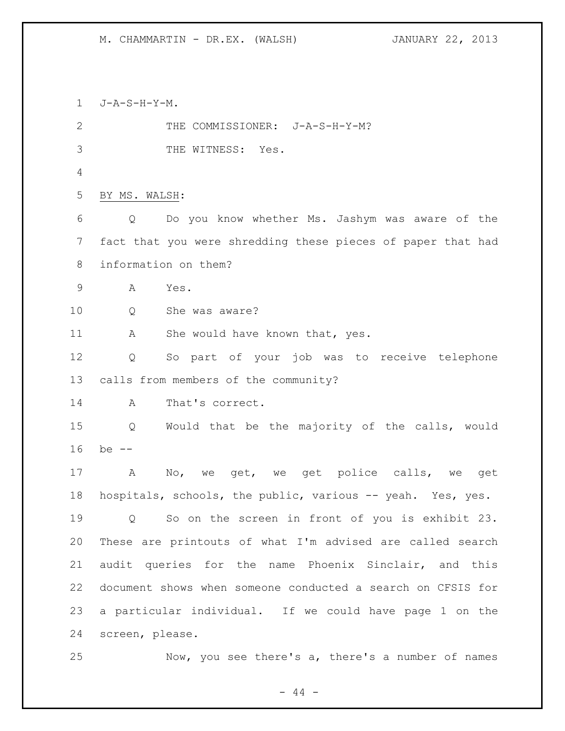J-A-S-H-Y-M. 2 THE COMMISSIONER: J-A-S-H-Y-M? THE WITNESS: Yes. BY MS. WALSH: Q Do you know whether Ms. Jashym was aware of the fact that you were shredding these pieces of paper that had information on them? A Yes. Q She was aware? 11 A She would have known that, yes. Q So part of your job was to receive telephone calls from members of the community? A That's correct. Q Would that be the majority of the calls, would be -- A No, we get, we get police calls, we get hospitals, schools, the public, various -- yeah. Yes, yes. Q So on the screen in front of you is exhibit 23. These are printouts of what I'm advised are called search audit queries for the name Phoenix Sinclair, and this document shows when someone conducted a search on CFSIS for a particular individual. If we could have page 1 on the screen, please. Now, you see there's a, there's a number of names

 $-44 -$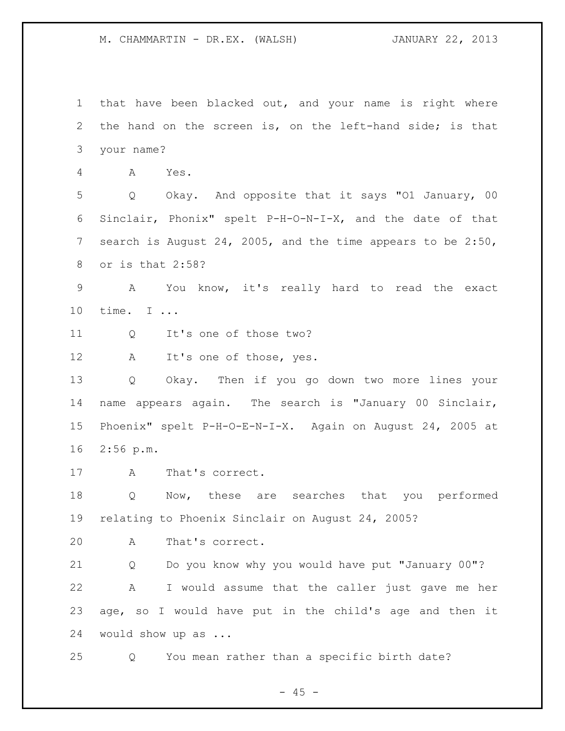that have been blacked out, and your name is right where the hand on the screen is, on the left-hand side; is that your name?

A Yes.

 Q Okay. And opposite that it says "O1 January, 00 Sinclair, Phonix" spelt P-H-O-N-I-X, and the date of that search is August 24, 2005, and the time appears to be 2:50, or is that 2:58?

 A You know, it's really hard to read the exact time. I ...

11 Q It's one of those two?

12 A It's one of those, yes.

 Q Okay. Then if you go down two more lines your name appears again. The search is "January 00 Sinclair, Phoenix" spelt P-H-O-E-N-I-X. Again on August 24, 2005 at 2:56 p.m.

A That's correct.

 Q Now, these are searches that you performed relating to Phoenix Sinclair on August 24, 2005?

A That's correct.

 Q Do you know why you would have put "January 00"? A I would assume that the caller just gave me her age, so I would have put in the child's age and then it would show up as ...

Q You mean rather than a specific birth date?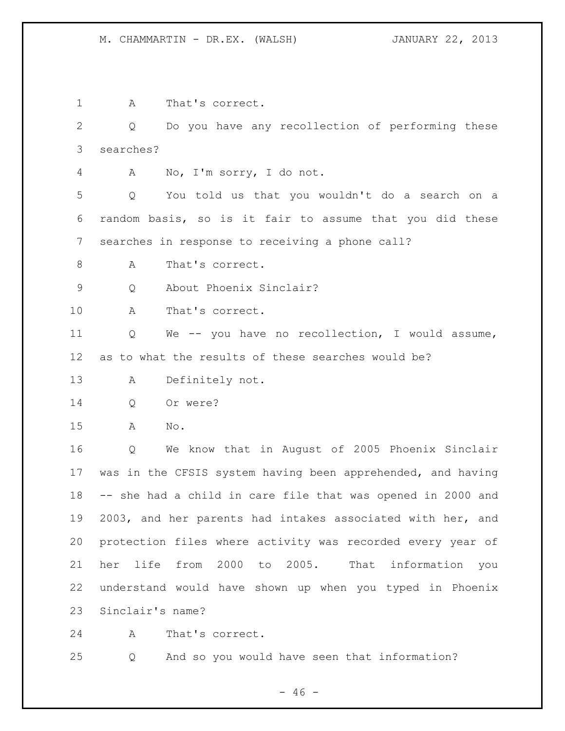A That's correct. Q Do you have any recollection of performing these searches? A No, I'm sorry, I do not. Q You told us that you wouldn't do a search on a random basis, so is it fair to assume that you did these searches in response to receiving a phone call? 8 A That's correct. Q About Phoenix Sinclair? A That's correct. Q We -- you have no recollection, I would assume, as to what the results of these searches would be? A Definitely not. Q Or were? A No. Q We know that in August of 2005 Phoenix Sinclair was in the CFSIS system having been apprehended, and having -- she had a child in care file that was opened in 2000 and 2003, and her parents had intakes associated with her, and protection files where activity was recorded every year of her life from 2000 to 2005. That information you understand would have shown up when you typed in Phoenix Sinclair's name? A That's correct. Q And so you would have seen that information?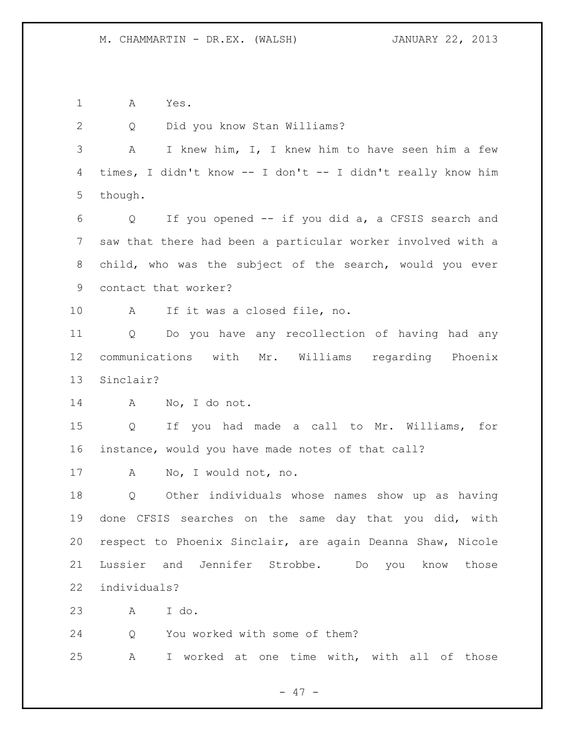A Yes.

 Q Did you know Stan Williams? A I knew him, I, I knew him to have seen him a few times, I didn't know -- I don't -- I didn't really know him though. Q If you opened -- if you did a, a CFSIS search and saw that there had been a particular worker involved with a child, who was the subject of the search, would you ever contact that worker? A If it was a closed file, no. Q Do you have any recollection of having had any communications with Mr. Williams regarding Phoenix Sinclair? A No, I do not. Q If you had made a call to Mr. Williams, for instance, would you have made notes of that call? A No, I would not, no. Q Other individuals whose names show up as having done CFSIS searches on the same day that you did, with respect to Phoenix Sinclair, are again Deanna Shaw, Nicole Lussier and Jennifer Strobbe. Do you know those individuals? A I do. Q You worked with some of them? A I worked at one time with, with all of those

- 47 -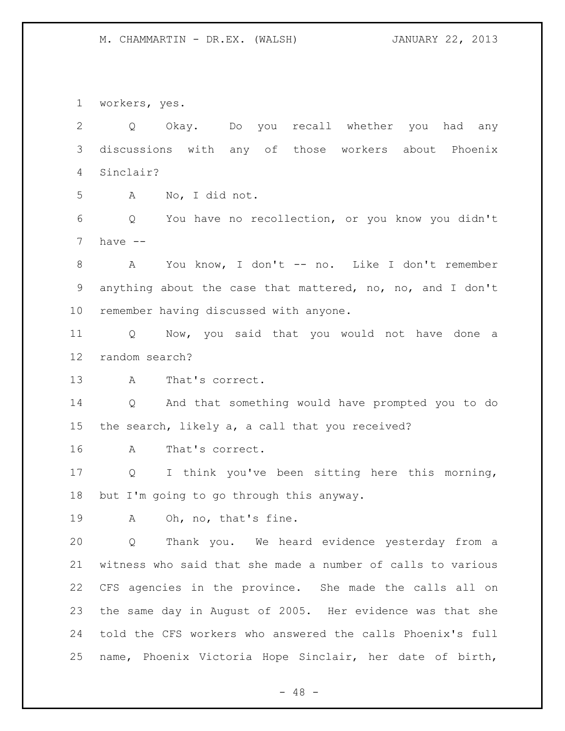workers, yes.

 Q Okay. Do you recall whether you had any discussions with any of those workers about Phoenix Sinclair? A No, I did not. Q You have no recollection, or you know you didn't have  $-$  A You know, I don't -- no. Like I don't remember anything about the case that mattered, no, no, and I don't remember having discussed with anyone. Q Now, you said that you would not have done a random search? A That's correct. Q And that something would have prompted you to do the search, likely a, a call that you received? A That's correct. Q I think you've been sitting here this morning, but I'm going to go through this anyway. A Oh, no, that's fine. Q Thank you. We heard evidence yesterday from a witness who said that she made a number of calls to various CFS agencies in the province. She made the calls all on the same day in August of 2005. Her evidence was that she told the CFS workers who answered the calls Phoenix's full name, Phoenix Victoria Hope Sinclair, her date of birth,

- 48 -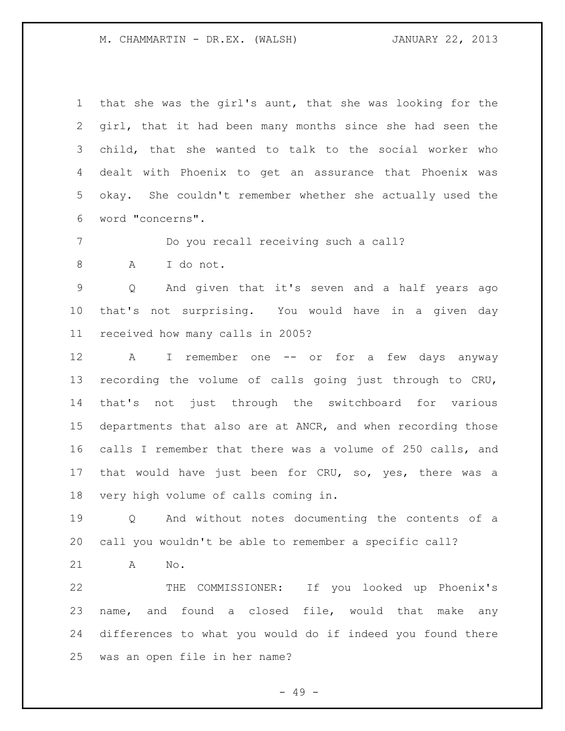that she was the girl's aunt, that she was looking for the girl, that it had been many months since she had seen the child, that she wanted to talk to the social worker who dealt with Phoenix to get an assurance that Phoenix was okay. She couldn't remember whether she actually used the word "concerns".

Do you recall receiving such a call?

A I do not.

 Q And given that it's seven and a half years ago that's not surprising. You would have in a given day received how many calls in 2005?

12 A I remember one -- or for a few days anyway recording the volume of calls going just through to CRU, that's not just through the switchboard for various departments that also are at ANCR, and when recording those calls I remember that there was a volume of 250 calls, and that would have just been for CRU, so, yes, there was a very high volume of calls coming in.

 Q And without notes documenting the contents of a call you wouldn't be able to remember a specific call?

A No.

 THE COMMISSIONER: If you looked up Phoenix's name, and found a closed file, would that make any differences to what you would do if indeed you found there was an open file in her name?

- 49 -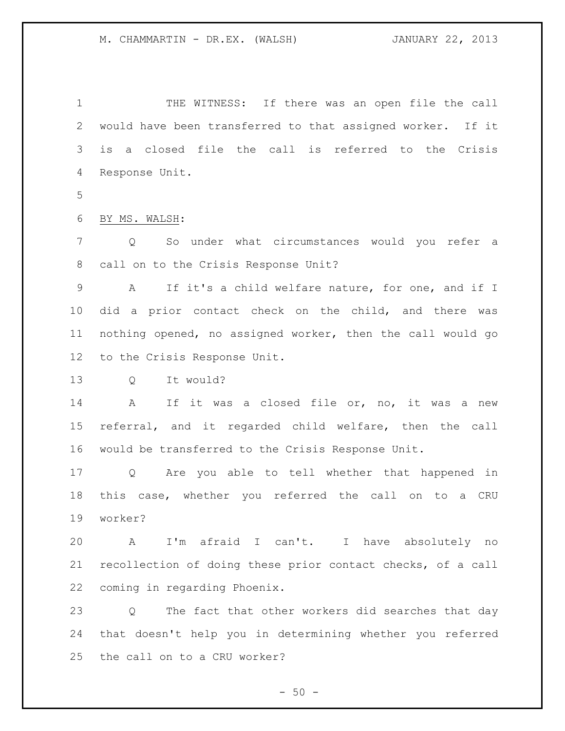1 THE WITNESS: If there was an open file the call would have been transferred to that assigned worker. If it is a closed file the call is referred to the Crisis Response Unit.

BY MS. WALSH:

 Q So under what circumstances would you refer a call on to the Crisis Response Unit?

 A If it's a child welfare nature, for one, and if I did a prior contact check on the child, and there was nothing opened, no assigned worker, then the call would go to the Crisis Response Unit.

Q It would?

 A If it was a closed file or, no, it was a new referral, and it regarded child welfare, then the call would be transferred to the Crisis Response Unit.

 Q Are you able to tell whether that happened in this case, whether you referred the call on to a CRU worker?

 A I'm afraid I can't. I have absolutely no recollection of doing these prior contact checks, of a call coming in regarding Phoenix.

 Q The fact that other workers did searches that day that doesn't help you in determining whether you referred the call on to a CRU worker?

 $-50 -$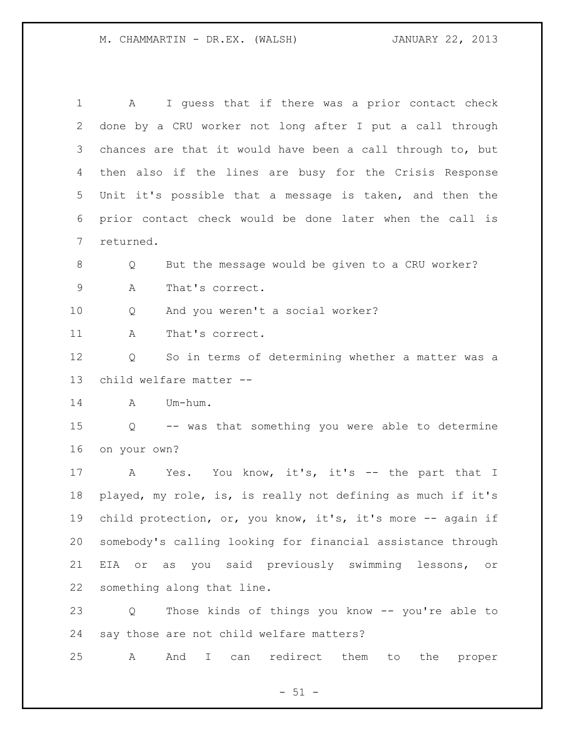A I guess that if there was a prior contact check done by a CRU worker not long after I put a call through chances are that it would have been a call through to, but then also if the lines are busy for the Crisis Response Unit it's possible that a message is taken, and then the prior contact check would be done later when the call is returned. Q But the message would be given to a CRU worker? A That's correct. Q And you weren't a social worker? 11 A That's correct. Q So in terms of determining whether a matter was a child welfare matter -- A Um-hum. Q -- was that something you were able to determine on your own? 17 A Yes. You know, it's, it's -- the part that I played, my role, is, is really not defining as much if it's child protection, or, you know, it's, it's more -- again if somebody's calling looking for financial assistance through EIA or as you said previously swimming lessons, or something along that line. Q Those kinds of things you know -- you're able to say those are not child welfare matters? A And I can redirect them to the proper

 $-51 -$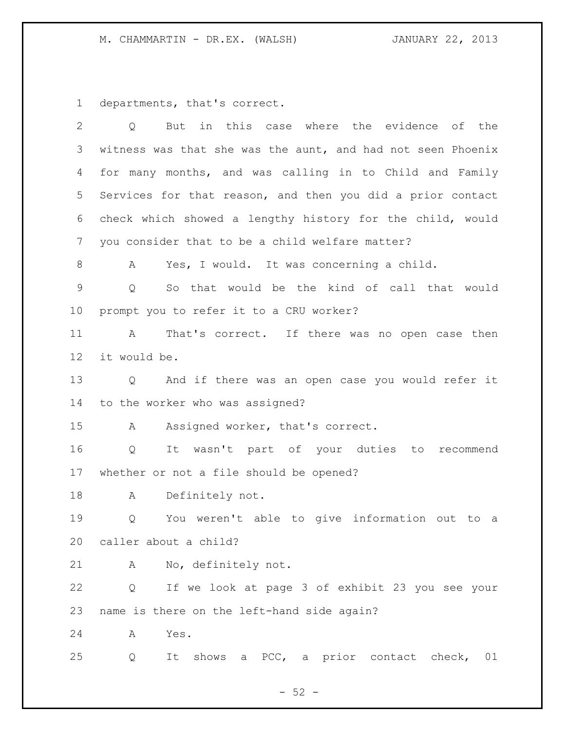departments, that's correct.

| $\overline{2}$  | But in this case where the evidence of the<br>Q             |
|-----------------|-------------------------------------------------------------|
| 3               | witness was that she was the aunt, and had not seen Phoenix |
| 4               | for many months, and was calling in to Child and Family     |
| 5               | Services for that reason, and then you did a prior contact  |
| 6               | check which showed a lengthy history for the child, would   |
| 7               | you consider that to be a child welfare matter?             |
| 8               | Yes, I would. It was concerning a child.<br>A               |
| $\overline{9}$  | So that would be the kind of call that would<br>Q           |
| 10              | prompt you to refer it to a CRU worker?                     |
| 11              | That's correct. If there was no open case then<br>A         |
| 12 <sup>°</sup> | it would be.                                                |
| 13              | Q and if there was an open case you would refer it          |
| 14              | to the worker who was assigned?                             |
| 15              | Assigned worker, that's correct.<br>A                       |
| 16              | It wasn't part of your duties to<br>recommend<br>Q          |
| 17              | whether or not a file should be opened?                     |
| 18              | Definitely not.<br>A                                        |
| 19              | You weren't able to give information out to a<br>Q          |
| 20              | caller about a child?                                       |
| 21              | No, definitely not.<br>A                                    |
| 22              | If we look at page 3 of exhibit 23 you see your<br>Q        |
| 23              | name is there on the left-hand side again?                  |
| 24              | Yes.<br>A                                                   |
| 25              | It shows a PCC, a prior contact check, 01<br>Q              |
|                 |                                                             |

- 52 -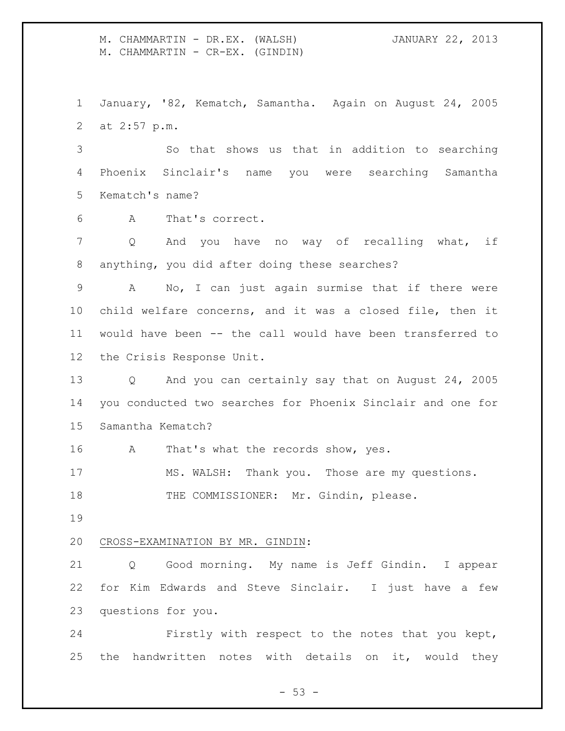M. CHAMMARTIN - DR.EX. (WALSH) JANUARY 22, 2013 M. CHAMMARTIN - CR-EX. (GINDIN)

 January, '82, Kematch, Samantha. Again on August 24, 2005 at 2:57 p.m.

 So that shows us that in addition to searching Phoenix Sinclair's name you were searching Samantha Kematch's name?

A That's correct.

7 Q And you have no way of recalling what, if anything, you did after doing these searches?

 A No, I can just again surmise that if there were child welfare concerns, and it was a closed file, then it would have been -- the call would have been transferred to the Crisis Response Unit.

 Q And you can certainly say that on August 24, 2005 you conducted two searches for Phoenix Sinclair and one for Samantha Kematch?

16 A That's what the records show, yes.

MS. WALSH: Thank you. Those are my questions.

18 THE COMMISSIONER: Mr. Gindin, please.

# CROSS-EXAMINATION BY MR. GINDIN:

 Q Good morning. My name is Jeff Gindin. I appear for Kim Edwards and Steve Sinclair. I just have a few questions for you.

 Firstly with respect to the notes that you kept, the handwritten notes with details on it, would they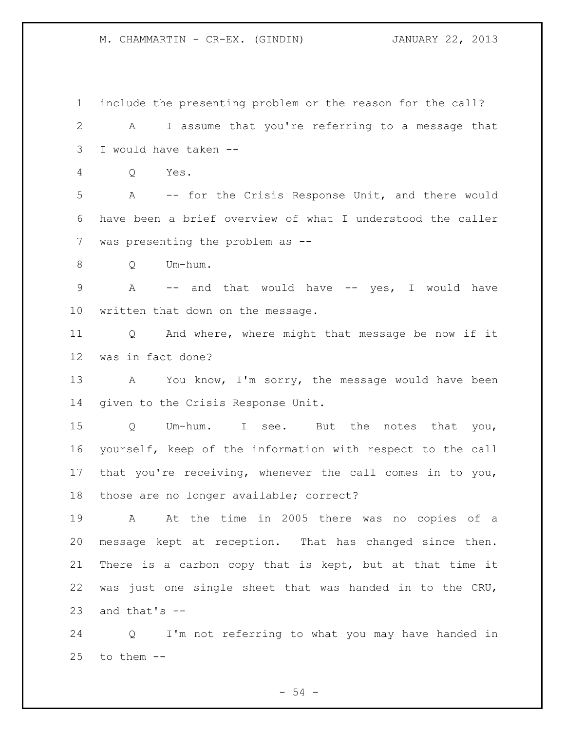M. CHAMMARTIN - CR-EX. (GINDIN) JANUARY 22, 2013

 include the presenting problem or the reason for the call? A I assume that you're referring to a message that I would have taken -- Q Yes. A -- for the Crisis Response Unit, and there would have been a brief overview of what I understood the caller was presenting the problem as -- Q Um-hum. A -- and that would have -- yes, I would have written that down on the message. Q And where, where might that message be now if it was in fact done? 13 A You know, I'm sorry, the message would have been given to the Crisis Response Unit. Q Um-hum. I see. But the notes that you, yourself, keep of the information with respect to the call that you're receiving, whenever the call comes in to you, those are no longer available; correct? A At the time in 2005 there was no copies of a message kept at reception. That has changed since then. There is a carbon copy that is kept, but at that time it was just one single sheet that was handed in to the CRU, 23 and that's  $-$  Q I'm not referring to what you may have handed in to them  $-$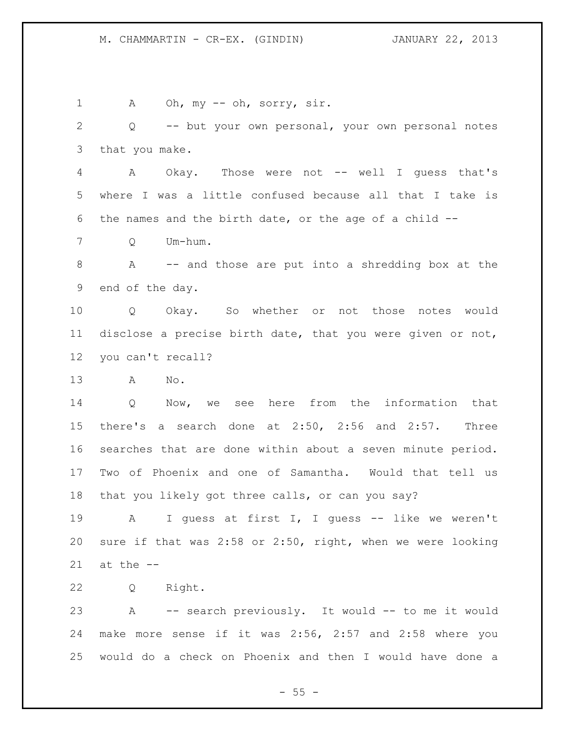1 A Oh, my -- oh, sorry, sir. Q -- but your own personal, your own personal notes that you make. 4 A Okay. Those were not -- well I guess that's where I was a little confused because all that I take is the names and the birth date, or the age of a child -- Q Um-hum. A -- and those are put into a shredding box at the end of the day. Q Okay. So whether or not those notes would disclose a precise birth date, that you were given or not, you can't recall? A No. Q Now, we see here from the information that there's a search done at 2:50, 2:56 and 2:57. Three searches that are done within about a seven minute period. Two of Phoenix and one of Samantha. Would that tell us that you likely got three calls, or can you say? 19 A I guess at first I, I guess -- like we weren't sure if that was 2:58 or 2:50, right, when we were looking at the  $-$  Q Right. A -- search previously. It would -- to me it would make more sense if it was 2:56, 2:57 and 2:58 where you would do a check on Phoenix and then I would have done a

 $- 55 -$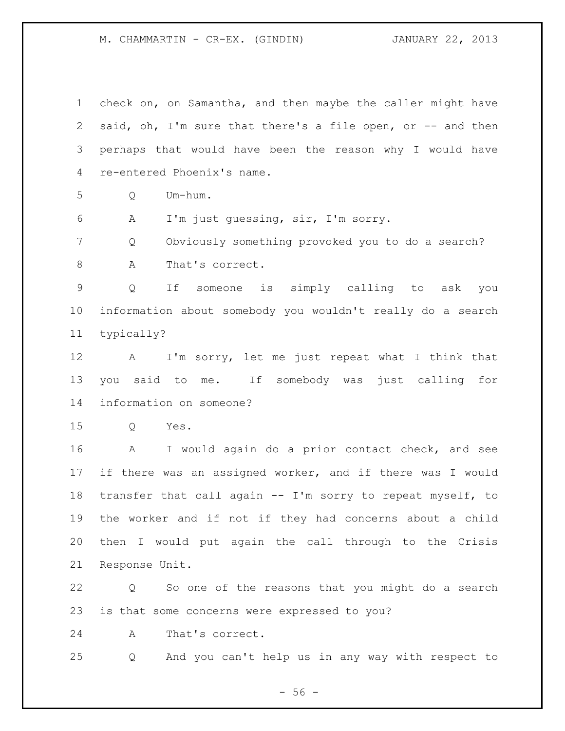M. CHAMMARTIN - CR-EX. (GINDIN) JANUARY 22, 2013

 check on, on Samantha, and then maybe the caller might have 2 said, oh, I'm sure that there's a file open, or -- and then perhaps that would have been the reason why I would have re-entered Phoenix's name. Q Um-hum. A I'm just guessing, sir, I'm sorry. Q Obviously something provoked you to do a search? 8 A That's correct. Q If someone is simply calling to ask you information about somebody you wouldn't really do a search typically? A I'm sorry, let me just repeat what I think that you said to me. If somebody was just calling for information on someone? Q Yes. A I would again do a prior contact check, and see if there was an assigned worker, and if there was I would transfer that call again -- I'm sorry to repeat myself, to the worker and if not if they had concerns about a child then I would put again the call through to the Crisis Response Unit. Q So one of the reasons that you might do a search is that some concerns were expressed to you? A That's correct.

Q And you can't help us in any way with respect to

 $-56 -$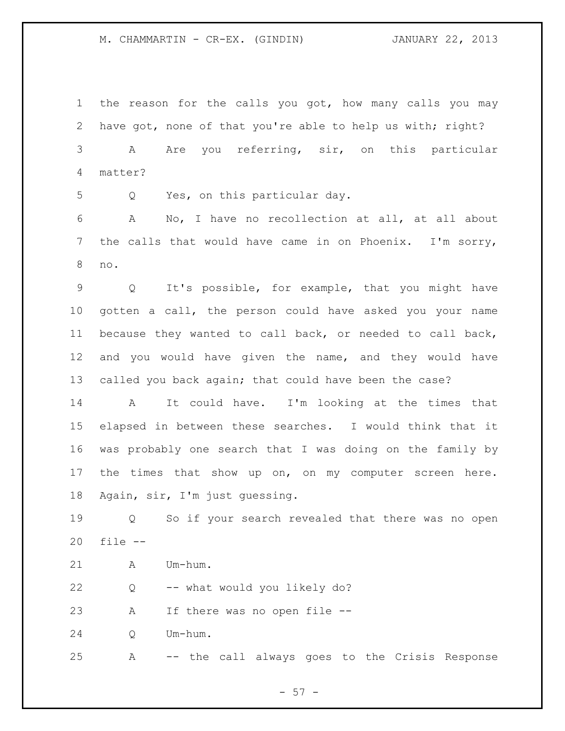## M. CHAMMARTIN - CR-EX. (GINDIN) JANUARY 22, 2013

 the reason for the calls you got, how many calls you may have got, none of that you're able to help us with; right? A Are you referring, sir, on this particular matter?

Q Yes, on this particular day.

 A No, I have no recollection at all, at all about the calls that would have came in on Phoenix. I'm sorry, no.

 Q It's possible, for example, that you might have gotten a call, the person could have asked you your name because they wanted to call back, or needed to call back, and you would have given the name, and they would have called you back again; that could have been the case?

 A It could have. I'm looking at the times that elapsed in between these searches. I would think that it was probably one search that I was doing on the family by 17 the times that show up on, on my computer screen here. Again, sir, I'm just guessing.

 Q So if your search revealed that there was no open file --

A Um-hum.

Q -- what would you likely do?

A If there was no open file --

Q Um-hum.

A -- the call always goes to the Crisis Response

 $- 57 -$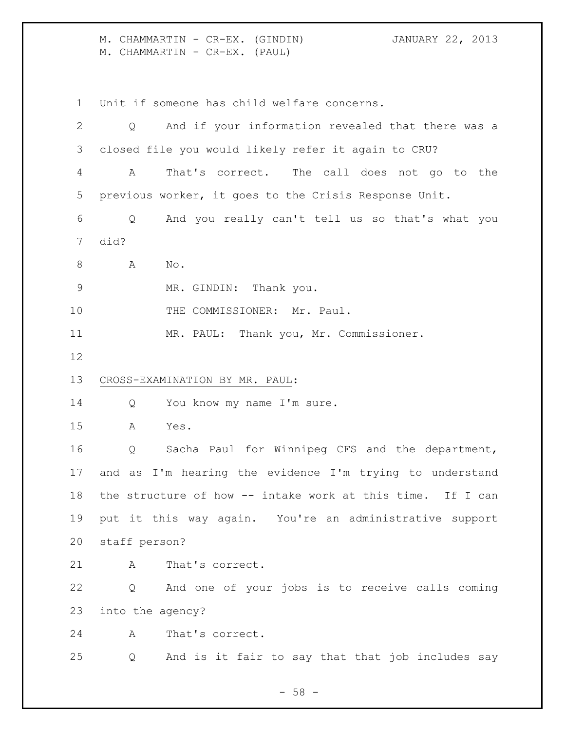M. CHAMMARTIN - CR-EX. (GINDIN) JANUARY 22, 2013 M. CHAMMARTIN - CR-EX. (PAUL)

 Unit if someone has child welfare concerns. Q And if your information revealed that there was a closed file you would likely refer it again to CRU? A That's correct. The call does not go to the previous worker, it goes to the Crisis Response Unit. Q And you really can't tell us so that's what you did? 8 A No. MR. GINDIN: Thank you. 10 THE COMMISSIONER: Mr. Paul. MR. PAUL: Thank you, Mr. Commissioner. CROSS-EXAMINATION BY MR. PAUL: 14 Q You know my name I'm sure. A Yes. Q Sacha Paul for Winnipeg CFS and the department, and as I'm hearing the evidence I'm trying to understand the structure of how -- intake work at this time. If I can put it this way again. You're an administrative support staff person? A That's correct. Q And one of your jobs is to receive calls coming into the agency? A That's correct. Q And is it fair to say that that job includes say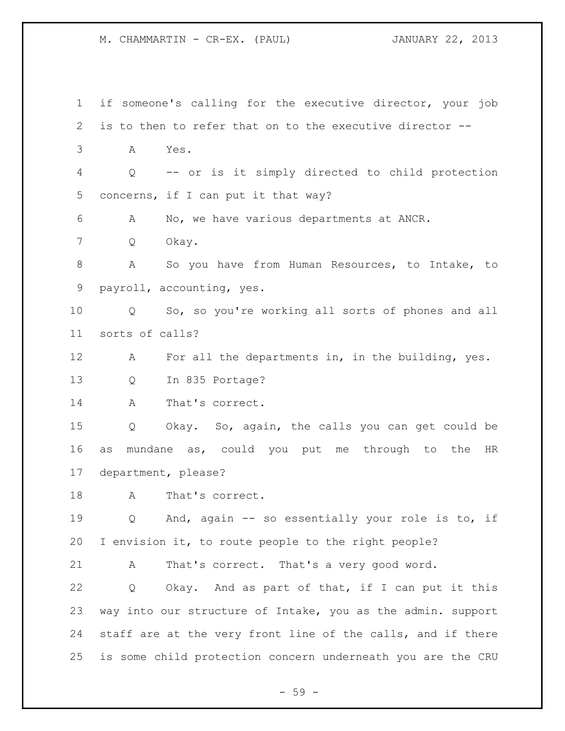M. CHAMMARTIN - CR-EX. (PAUL) JANUARY 22, 2013

 if someone's calling for the executive director, your job is to then to refer that on to the executive director -- A Yes. Q -- or is it simply directed to child protection concerns, if I can put it that way? A No, we have various departments at ANCR. Q Okay. A So you have from Human Resources, to Intake, to payroll, accounting, yes. Q So, so you're working all sorts of phones and all sorts of calls? A For all the departments in, in the building, yes. Q In 835 Portage? 14 A That's correct. Q Okay. So, again, the calls you can get could be as mundane as, could you put me through to the HR department, please? A That's correct. Q And, again -- so essentially your role is to, if I envision it, to route people to the right people? A That's correct. That's a very good word. Q Okay. And as part of that, if I can put it this way into our structure of Intake, you as the admin. support staff are at the very front line of the calls, and if there is some child protection concern underneath you are the CRU

- 59 -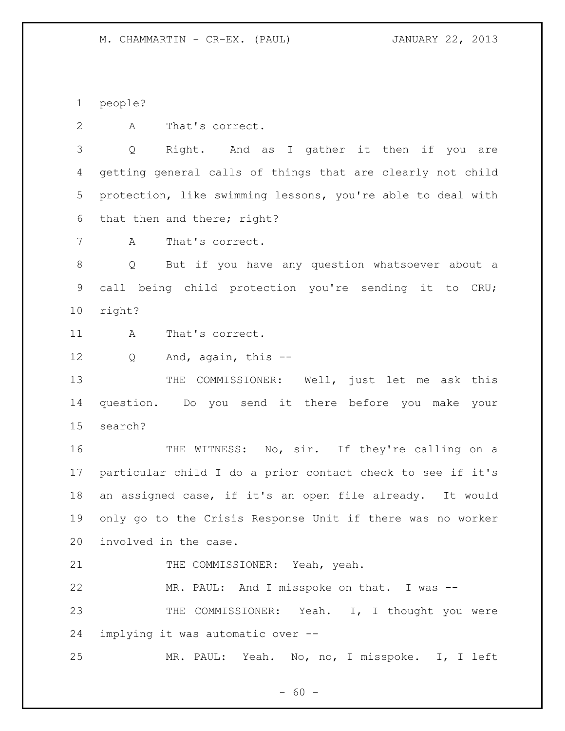M. CHAMMARTIN - CR-EX. (PAUL) JANUARY 22, 2013

people?

A That's correct.

 Q Right. And as I gather it then if you are getting general calls of things that are clearly not child protection, like swimming lessons, you're able to deal with that then and there; right?

A That's correct.

 Q But if you have any question whatsoever about a call being child protection you're sending it to CRU; right?

11 A That's correct.

12 Q And, again, this --

13 THE COMMISSIONER: Well, just let me ask this question. Do you send it there before you make your search?

16 THE WITNESS: No, sir. If they're calling on a particular child I do a prior contact check to see if it's an assigned case, if it's an open file already. It would only go to the Crisis Response Unit if there was no worker involved in the case.

21 THE COMMISSIONER: Yeah, yeah.

 MR. PAUL: And I misspoke on that. I was -- 23 THE COMMISSIONER: Yeah. I, I thought you were implying it was automatic over --

MR. PAUL: Yeah. No, no, I misspoke. I, I left

 $- 60 -$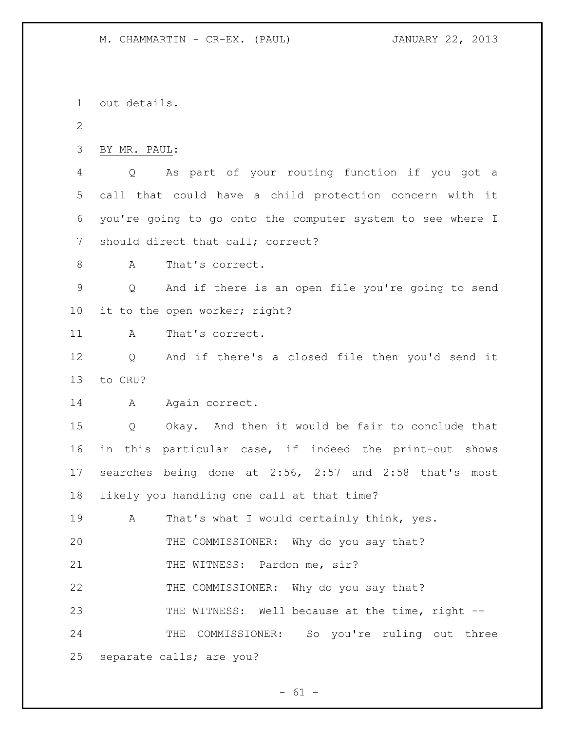# M. CHAMMARTIN - CR-EX. (PAUL) JANUARY 22, 2013

 out details. BY MR. PAUL: Q As part of your routing function if you got a call that could have a child protection concern with it you're going to go onto the computer system to see where I should direct that call; correct? 8 A That's correct. Q And if there is an open file you're going to send it to the open worker; right? 11 A That's correct. Q And if there's a closed file then you'd send it to CRU? 14 A Again correct. Q Okay. And then it would be fair to conclude that in this particular case, if indeed the print-out shows searches being done at 2:56, 2:57 and 2:58 that's most likely you handling one call at that time? A That's what I would certainly think, yes. THE COMMISSIONER: Why do you say that? 21 THE WITNESS: Pardon me, sir? THE COMMISSIONER: Why do you say that? 23 THE WITNESS: Well because at the time, right -- THE COMMISSIONER: So you're ruling out three separate calls; are you?

 $- 61 -$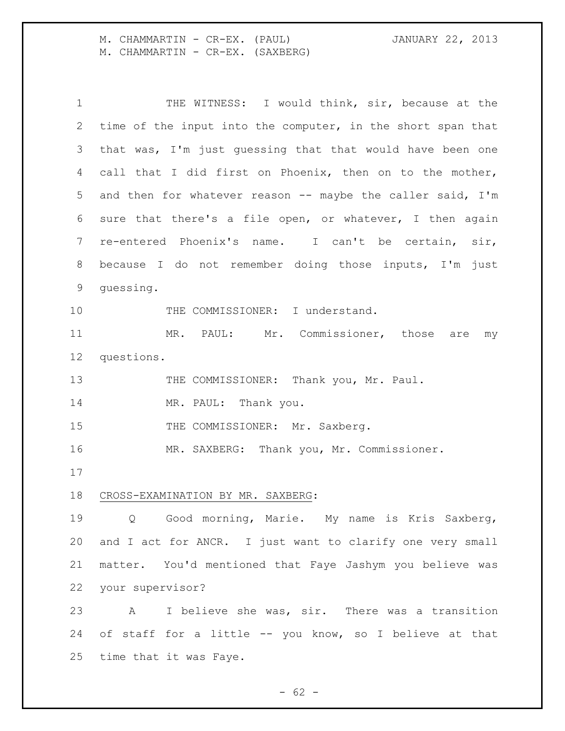M. CHAMMARTIN - CR-EX. (PAUL) JANUARY 22, 2013 M. CHAMMARTIN - CR-EX. (SAXBERG)

 THE WITNESS: I would think, sir, because at the time of the input into the computer, in the short span that that was, I'm just guessing that that would have been one call that I did first on Phoenix, then on to the mother, and then for whatever reason -- maybe the caller said, I'm sure that there's a file open, or whatever, I then again re-entered Phoenix's name. I can't be certain, sir, because I do not remember doing those inputs, I'm just guessing. 10 THE COMMISSIONER: I understand. 11 MR. PAUL: Mr. Commissioner, those are my questions. 13 THE COMMISSIONER: Thank you, Mr. Paul. 14 MR. PAUL: Thank you. 15 THE COMMISSIONER: Mr. Saxberg. MR. SAXBERG: Thank you, Mr. Commissioner. CROSS-EXAMINATION BY MR. SAXBERG: Q Good morning, Marie. My name is Kris Saxberg, and I act for ANCR. I just want to clarify one very small matter. You'd mentioned that Faye Jashym you believe was your supervisor? A I believe she was, sir. There was a transition of staff for a little -- you know, so I believe at that time that it was Faye.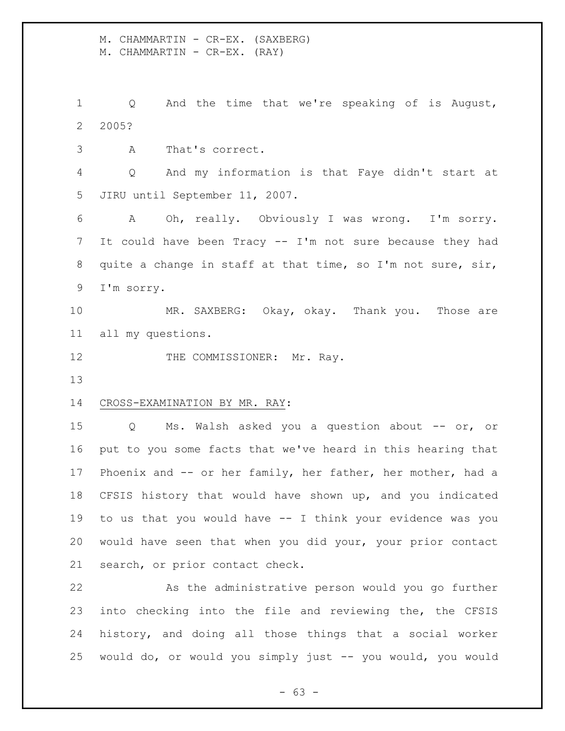M. CHAMMARTIN - CR-EX. (SAXBERG) M. CHAMMARTIN - CR-EX. (RAY)

 Q And the time that we're speaking of is August, 2005?

A That's correct.

 Q And my information is that Faye didn't start at JIRU until September 11, 2007.

 A Oh, really. Obviously I was wrong. I'm sorry. It could have been Tracy -- I'm not sure because they had quite a change in staff at that time, so I'm not sure, sir, I'm sorry.

 MR. SAXBERG: Okay, okay. Thank you. Those are all my questions.

12 THE COMMISSIONER: Mr. Ray.

## CROSS-EXAMINATION BY MR. RAY:

 Q Ms. Walsh asked you a question about -- or, or put to you some facts that we've heard in this hearing that Phoenix and -- or her family, her father, her mother, had a CFSIS history that would have shown up, and you indicated to us that you would have -- I think your evidence was you would have seen that when you did your, your prior contact search, or prior contact check.

 As the administrative person would you go further into checking into the file and reviewing the, the CFSIS history, and doing all those things that a social worker would do, or would you simply just -- you would, you would

- 63 -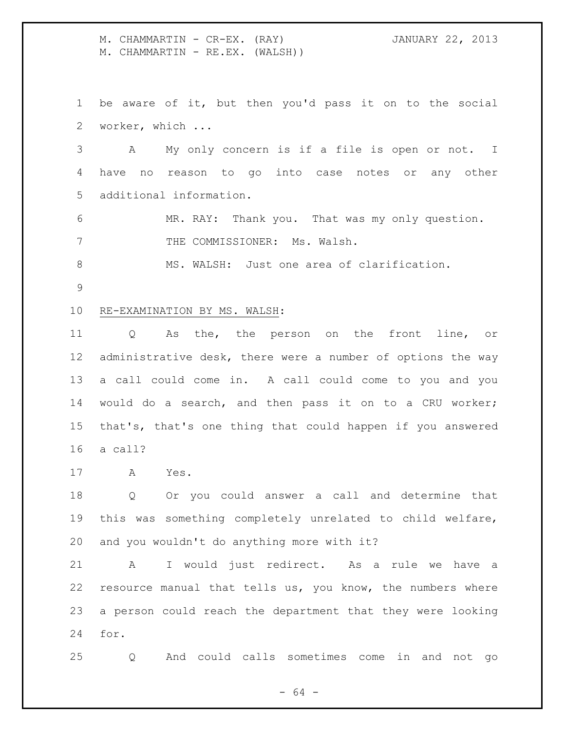M. CHAMMARTIN - CR-EX. (RAY) JANUARY 22, 2013 M. CHAMMARTIN - RE.EX. (WALSH))

 be aware of it, but then you'd pass it on to the social worker, which ...

 A My only concern is if a file is open or not. I have no reason to go into case notes or any other additional information.

 MR. RAY: Thank you. That was my only question. 7 THE COMMISSIONER: Ms. Walsh.

MS. WALSH: Just one area of clarification.

## RE-EXAMINATION BY MS. WALSH:

 Q As the, the person on the front line, or administrative desk, there were a number of options the way a call could come in. A call could come to you and you would do a search, and then pass it on to a CRU worker; that's, that's one thing that could happen if you answered a call?

A Yes.

 Q Or you could answer a call and determine that this was something completely unrelated to child welfare, and you wouldn't do anything more with it?

 A I would just redirect. As a rule we have a resource manual that tells us, you know, the numbers where a person could reach the department that they were looking for.

Q And could calls sometimes come in and not go

 $- 64 -$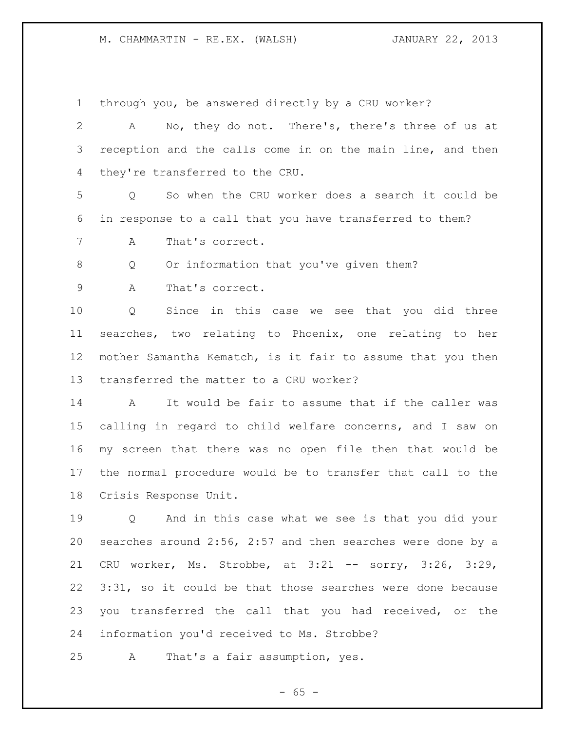through you, be answered directly by a CRU worker?

 A No, they do not. There's, there's three of us at reception and the calls come in on the main line, and then they're transferred to the CRU.

 Q So when the CRU worker does a search it could be in response to a call that you have transferred to them?

A That's correct.

Q Or information that you've given them?

A That's correct.

 Q Since in this case we see that you did three searches, two relating to Phoenix, one relating to her mother Samantha Kematch, is it fair to assume that you then transferred the matter to a CRU worker?

 A It would be fair to assume that if the caller was calling in regard to child welfare concerns, and I saw on my screen that there was no open file then that would be the normal procedure would be to transfer that call to the Crisis Response Unit.

 Q And in this case what we see is that you did your searches around 2:56, 2:57 and then searches were done by a CRU worker, Ms. Strobbe, at 3:21 -- sorry, 3:26, 3:29, 3:31, so it could be that those searches were done because you transferred the call that you had received, or the information you'd received to Ms. Strobbe?

A That's a fair assumption, yes.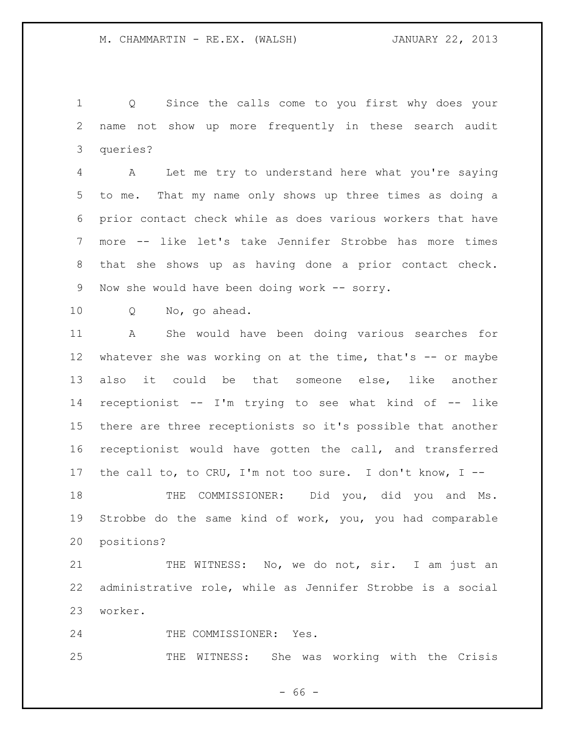Q Since the calls come to you first why does your name not show up more frequently in these search audit queries?

 A Let me try to understand here what you're saying to me. That my name only shows up three times as doing a prior contact check while as does various workers that have more -- like let's take Jennifer Strobbe has more times that she shows up as having done a prior contact check. 9 Now she would have been doing work -- sorry.

Q No, go ahead.

 A She would have been doing various searches for 12 whatever she was working on at the time, that's -- or maybe also it could be that someone else, like another receptionist -- I'm trying to see what kind of -- like there are three receptionists so it's possible that another receptionist would have gotten the call, and transferred the call to, to CRU, I'm not too sure. I don't know, I --

18 THE COMMISSIONER: Did you, did you and Ms. Strobbe do the same kind of work, you, you had comparable positions?

21 THE WITNESS: No, we do not, sir. I am just an administrative role, while as Jennifer Strobbe is a social worker.

24 THE COMMISSIONER: Yes.

THE WITNESS: She was working with the Crisis

- 66 -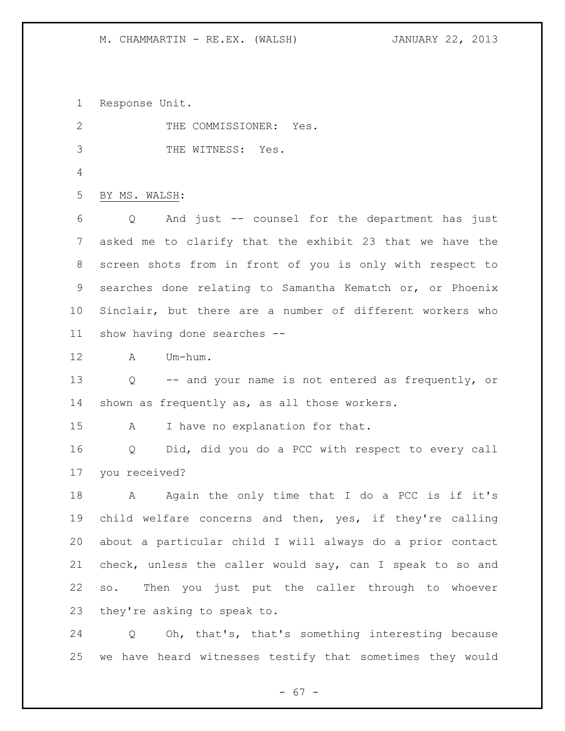Response Unit.

| 2               | THE COMMISSIONER: Yes.                                         |
|-----------------|----------------------------------------------------------------|
| 3               | THE WITNESS: Yes.                                              |
| 4               |                                                                |
| 5               | BY MS. WALSH:                                                  |
| 6               | And just -- counsel for the department has just<br>Q           |
| 7               | asked me to clarify that the exhibit 23 that we have the       |
| 8               | screen shots from in front of you is only with respect to      |
| 9               | searches done relating to Samantha Kematch or, or Phoenix      |
| 10 <sub>o</sub> | Sinclair, but there are a number of different workers who      |
| 11              | show having done searches --                                   |
| 12              | Um-hum.<br>$\mathbb A$                                         |
| 13              | Q -- and your name is not entered as frequently, or            |
| 14              | shown as frequently as, as all those workers.                  |
| 15              | I have no explanation for that.<br>A                           |
| 16              | Did, did you do a PCC with respect to every call<br>Q          |
| 17              | you received?                                                  |
| 18              | Again the only time that I do a PCC is if it's<br>$\mathbf{A}$ |
| 19              | child welfare concerns and then, yes, if they're calling       |
| 20              | about a particular child I will always do a prior contact      |
| 21              | check, unless the caller would say, can I speak to so and      |
| 22              | so. Then you just put the caller through to whoever            |
| 23              | they're asking to speak to.                                    |
| 24              | Oh, that's, that's something interesting because<br>Q          |
|                 |                                                                |

- 67 -

we have heard witnesses testify that sometimes they would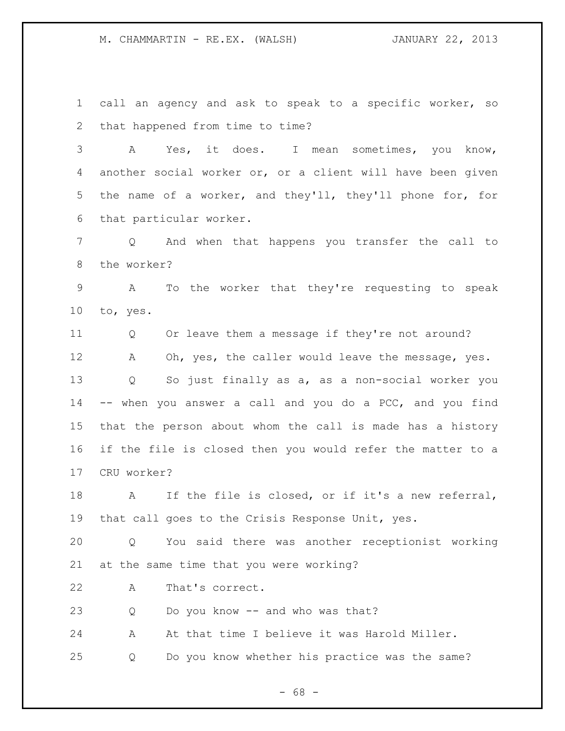call an agency and ask to speak to a specific worker, so that happened from time to time?

 A Yes, it does. I mean sometimes, you know, another social worker or, or a client will have been given the name of a worker, and they'll, they'll phone for, for that particular worker.

 Q And when that happens you transfer the call to the worker?

 A To the worker that they're requesting to speak to, yes.

 Q Or leave them a message if they're not around? A Oh, yes, the caller would leave the message, yes. Q So just finally as a, as a non-social worker you -- when you answer a call and you do a PCC, and you find that the person about whom the call is made has a history if the file is closed then you would refer the matter to a CRU worker?

 A If the file is closed, or if it's a new referral, that call goes to the Crisis Response Unit, yes.

 Q You said there was another receptionist working at the same time that you were working?

A That's correct.

Q Do you know -- and who was that?

A At that time I believe it was Harold Miller.

Q Do you know whether his practice was the same?

 $- 68 -$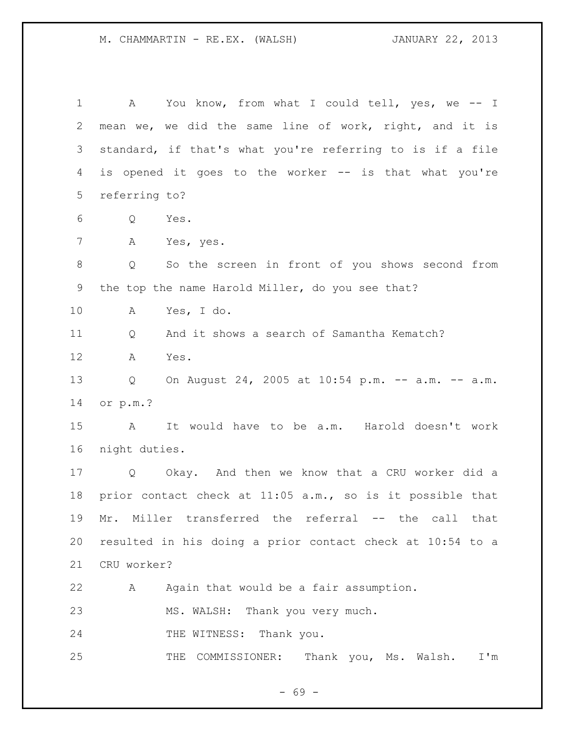M. CHAMMARTIN - RE.EX. (WALSH) JANUARY 22, 2013

1 A You know, from what I could tell, yes, we -- I mean we, we did the same line of work, right, and it is standard, if that's what you're referring to is if a file is opened it goes to the worker -- is that what you're referring to? Q Yes. A Yes, yes. Q So the screen in front of you shows second from the top the name Harold Miller, do you see that? A Yes, I do. Q And it shows a search of Samantha Kematch? A Yes. Q On August 24, 2005 at 10:54 p.m. -- a.m. -- a.m. or p.m.? A It would have to be a.m. Harold doesn't work night duties. Q Okay. And then we know that a CRU worker did a prior contact check at 11:05 a.m., so is it possible that Mr. Miller transferred the referral -- the call that resulted in his doing a prior contact check at 10:54 to a CRU worker? A Again that would be a fair assumption. MS. WALSH: Thank you very much. 24 THE WITNESS: Thank you. THE COMMISSIONER: Thank you, Ms. Walsh. I'm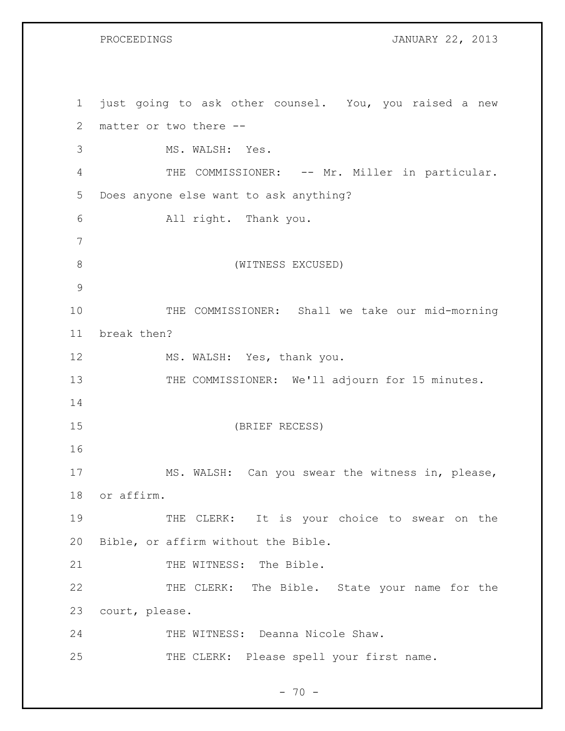PROCEEDINGS **JANUARY 22, 2013** 

 just going to ask other counsel. You, you raised a new matter or two there -- MS. WALSH: Yes. 4 THE COMMISSIONER: -- Mr. Miller in particular. Does anyone else want to ask anything? All right. Thank you. (WITNESS EXCUSED) THE COMMISSIONER: Shall we take our mid-morning break then? 12 MS. WALSH: Yes, thank you. 13 THE COMMISSIONER: We'll adjourn for 15 minutes. (BRIEF RECESS) MS. WALSH: Can you swear the witness in, please, or affirm. 19 THE CLERK: It is your choice to swear on the Bible, or affirm without the Bible. 21 THE WITNESS: The Bible. THE CLERK: The Bible. State your name for the court, please. THE WITNESS: Deanna Nicole Shaw. 25 THE CLERK: Please spell your first name.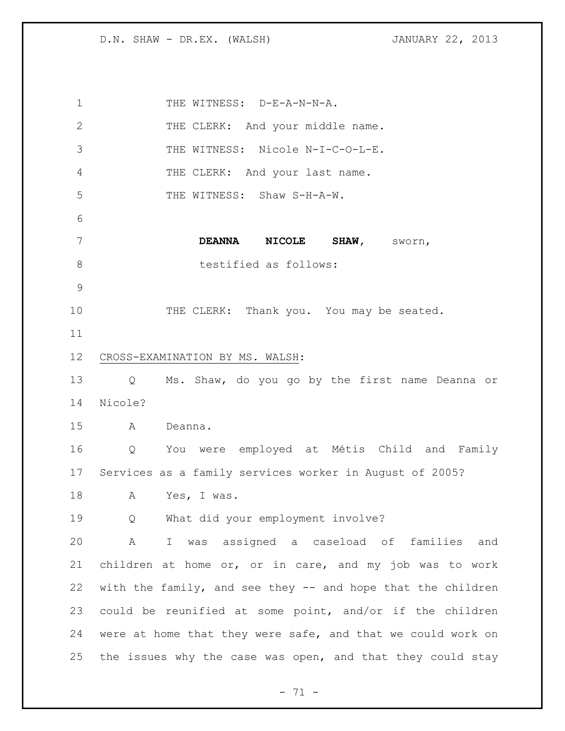1 THE WITNESS: D-E-A-N-N-A. 2 THE CLERK: And your middle name. THE WITNESS: Nicole N-I-C-O-L-E. 4 THE CLERK: And your last name. 5 THE WITNESS: Shaw S-H-A-W. **DEANNA NICOLE SHAW,** sworn, 8 testified as follows: 10 THE CLERK: Thank you. You may be seated. CROSS-EXAMINATION BY MS. WALSH: Q Ms. Shaw, do you go by the first name Deanna or Nicole? A Deanna. Q You were employed at Métis Child and Family Services as a family services worker in August of 2005? A Yes, I was. Q What did your employment involve? A I was assigned a caseload of families and children at home or, or in care, and my job was to work with the family, and see they -- and hope that the children could be reunified at some point, and/or if the children were at home that they were safe, and that we could work on the issues why the case was open, and that they could stay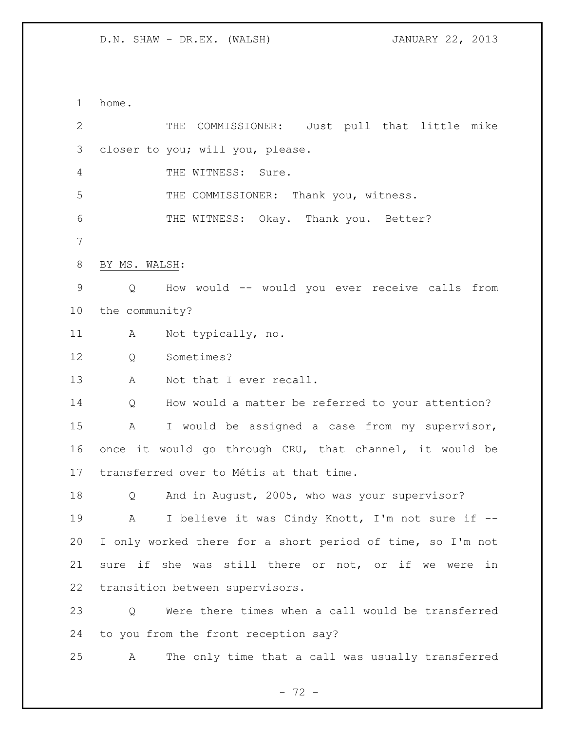home. THE COMMISSIONER: Just pull that little mike closer to you; will you, please. THE WITNESS: Sure. THE COMMISSIONER: Thank you, witness. THE WITNESS: Okay. Thank you. Better? BY MS. WALSH: Q How would -- would you ever receive calls from the community? A Not typically, no. Q Sometimes? 13 A Not that I ever recall. Q How would a matter be referred to your attention? A I would be assigned a case from my supervisor, once it would go through CRU, that channel, it would be transferred over to Métis at that time. Q And in August, 2005, who was your supervisor? A I believe it was Cindy Knott, I'm not sure if -- I only worked there for a short period of time, so I'm not sure if she was still there or not, or if we were in transition between supervisors. Q Were there times when a call would be transferred to you from the front reception say? A The only time that a call was usually transferred

 $- 72 -$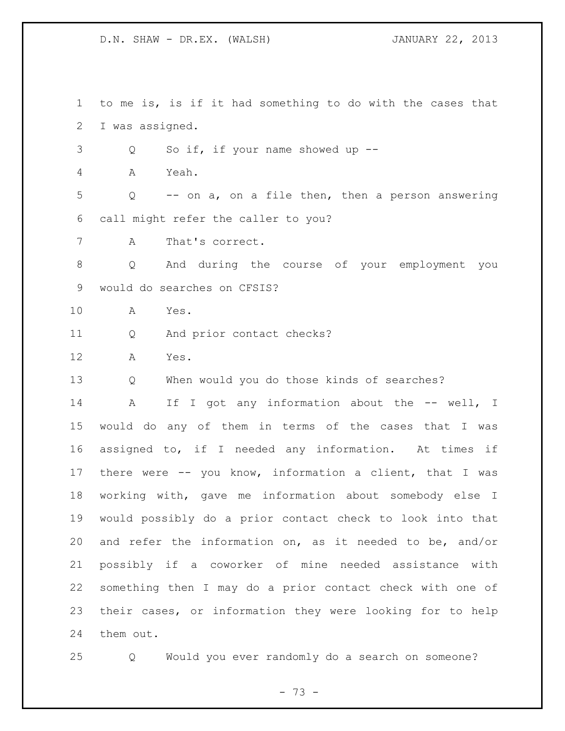to me is, is if it had something to do with the cases that I was assigned. Q So if, if your name showed up -- A Yeah. Q -- on a, on a file then, then a person answering call might refer the caller to you? A That's correct. Q And during the course of your employment you would do searches on CFSIS? A Yes. Q And prior contact checks? A Yes. Q When would you do those kinds of searches? 14 A If I got any information about the -- well, I would do any of them in terms of the cases that I was assigned to, if I needed any information. At times if there were -- you know, information a client, that I was working with, gave me information about somebody else I would possibly do a prior contact check to look into that and refer the information on, as it needed to be, and/or possibly if a coworker of mine needed assistance with something then I may do a prior contact check with one of their cases, or information they were looking for to help them out.

Q Would you ever randomly do a search on someone?

 $- 73 -$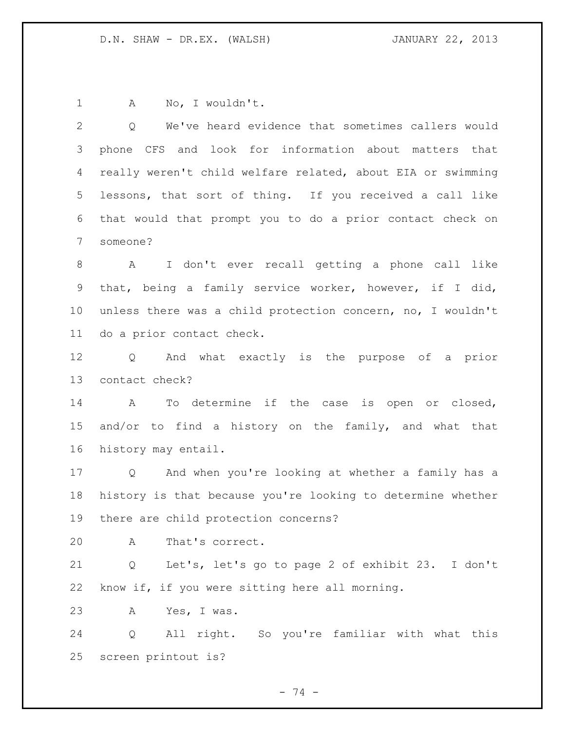1 A No, I wouldn't.

| $\mathbf{2}$    | Q We've heard evidence that sometimes callers would         |
|-----------------|-------------------------------------------------------------|
| 3               | phone CFS and look for information about matters that       |
| 4               | really weren't child welfare related, about EIA or swimming |
| 5               | lessons, that sort of thing. If you received a call like    |
| 6               | that would that prompt you to do a prior contact check on   |
| 7               | someone?                                                    |
| 8               | A I don't ever recall getting a phone call like             |
| 9               | that, being a family service worker, however, if I did,     |
| 10              | unless there was a child protection concern, no, I wouldn't |
| 11              | do a prior contact check.                                   |
| 12              | Q And what exactly is the purpose of a prior                |
| 13              | contact check?                                              |
| 14              | To determine if the case is open or closed,<br>$\mathbb A$  |
| 15 <sub>1</sub> | and/or to find a history on the family, and what that       |
| 16              | history may entail.                                         |
| 17              | Q And when you're looking at whether a family has a         |
| 18              | history is that because you're looking to determine whether |
| 19              | there are child protection concerns?                        |
| 20              | That's correct.<br>$\mathbf{A}$                             |
| 21              | Let's, let's go to page 2 of exhibit 23. I don't<br>Q       |
| 22              | know if, if you were sitting here all morning.              |
| 23              | Yes, I was.<br>A                                            |
| 24              | All right. So you're familiar with what this<br>Q           |
| 25              | screen printout is?                                         |

- 74 -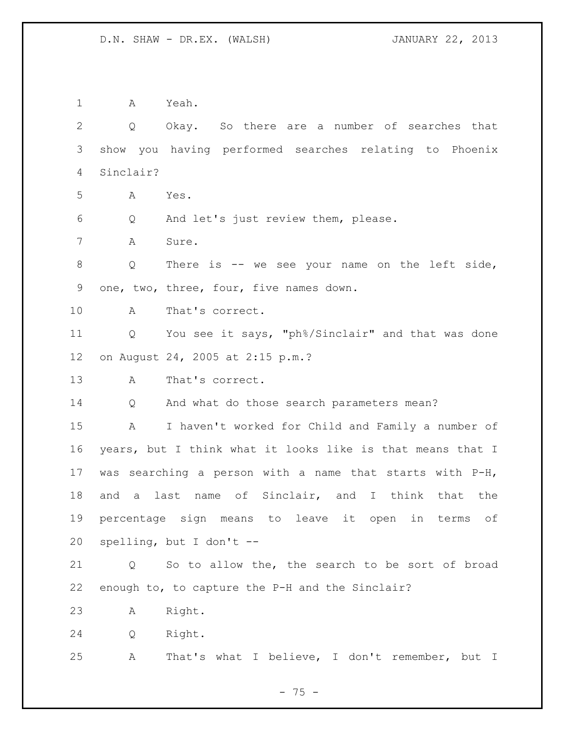A Yeah. Q Okay. So there are a number of searches that show you having performed searches relating to Phoenix Sinclair? A Yes. Q And let's just review them, please. A Sure. Q There is -- we see your name on the left side, one, two, three, four, five names down. A That's correct. Q You see it says, "ph%/Sinclair" and that was done on August 24, 2005 at 2:15 p.m.? A That's correct. Q And what do those search parameters mean? A I haven't worked for Child and Family a number of years, but I think what it looks like is that means that I was searching a person with a name that starts with P-H, and a last name of Sinclair, and I think that the percentage sign means to leave it open in terms of spelling, but I don't -- Q So to allow the, the search to be sort of broad enough to, to capture the P-H and the Sinclair? A Right. Q Right. A That's what I believe, I don't remember, but I

- 75 -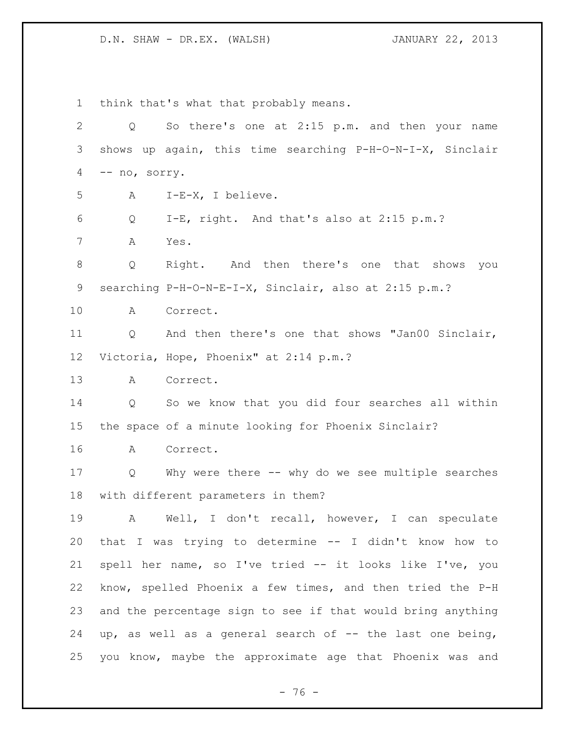think that's what that probably means. Q So there's one at 2:15 p.m. and then your name shows up again, this time searching P-H-O-N-I-X, Sinclair -- no, sorry. A I-E-X, I believe. Q I-E, right. And that's also at 2:15 p.m.? A Yes. Q Right. And then there's one that shows you searching P-H-O-N-E-I-X, Sinclair, also at 2:15 p.m.? A Correct. Q And then there's one that shows "Jan00 Sinclair, Victoria, Hope, Phoenix" at 2:14 p.m.? A Correct. Q So we know that you did four searches all within the space of a minute looking for Phoenix Sinclair? A Correct. Q Why were there -- why do we see multiple searches with different parameters in them? A Well, I don't recall, however, I can speculate that I was trying to determine -- I didn't know how to spell her name, so I've tried -- it looks like I've, you know, spelled Phoenix a few times, and then tried the P-H and the percentage sign to see if that would bring anything up, as well as a general search of -- the last one being, you know, maybe the approximate age that Phoenix was and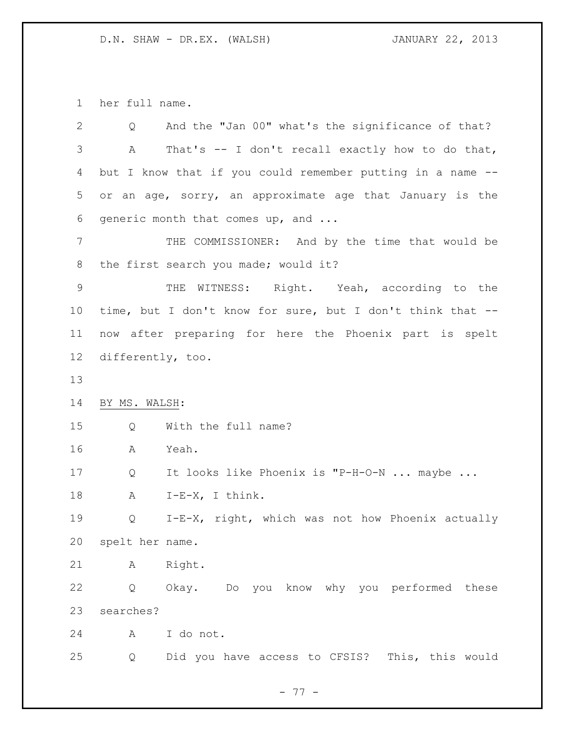her full name.

| $\overline{2}$    | Q                 | And the "Jan 00" what's the significance of that?          |
|-------------------|-------------------|------------------------------------------------------------|
| 3                 | Α                 | That's -- I don't recall exactly how to do that,           |
| 4                 |                   | but I know that if you could remember putting in a name -- |
| 5                 |                   | or an age, sorry, an approximate age that January is the   |
| 6                 |                   | generic month that comes up, and                           |
| 7                 |                   | THE COMMISSIONER: And by the time that would be            |
| 8                 |                   | the first search you made; would it?                       |
| $\mathsf 9$       |                   | THE WITNESS: Right. Yeah, according to the                 |
| 10                |                   | time, but I don't know for sure, but I don't think that -- |
| 11                |                   | now after preparing for here the Phoenix part is spelt     |
| $12 \overline{ }$ | differently, too. |                                                            |
| 13                |                   |                                                            |
| 14                | BY MS. WALSH:     |                                                            |
| 15                | Q                 | With the full name?                                        |
| 16                | A                 | Yeah.                                                      |
| 17                | Q                 | It looks like Phoenix is "P-H-O-N  maybe                   |
| 18                | A                 | $I-E-X$ , I think.                                         |
| 19                | Q                 | I-E-X, right, which was not how Phoenix actually           |
| 20                | spelt her name.   |                                                            |
| 21                | A                 | Right.                                                     |
| 22                | Q                 | Okay. Do you know why you performed these                  |
| 23                | searches?         |                                                            |
| 24                | A                 | I do not.                                                  |
| 25                | Q                 | Did you have access to CFSIS? This, this would             |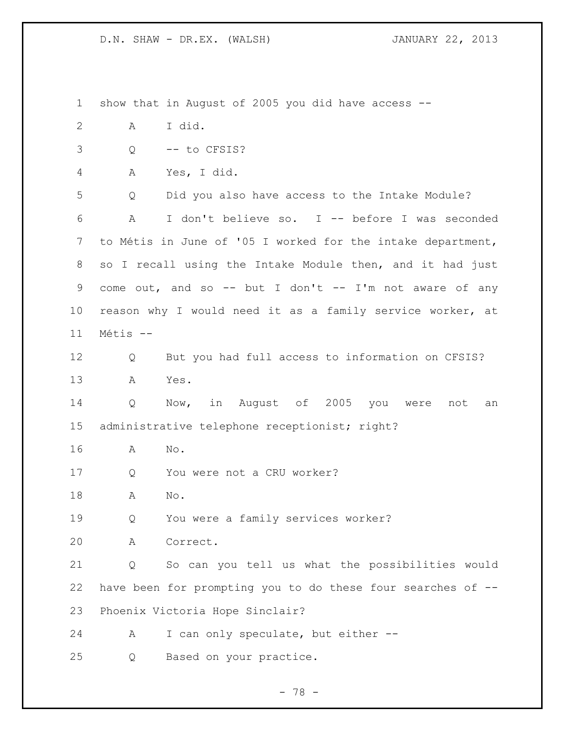show that in August of 2005 you did have access -- A I did. Q -- to CFSIS? A Yes, I did. Q Did you also have access to the Intake Module? A I don't believe so. I -- before I was seconded to Métis in June of '05 I worked for the intake department, so I recall using the Intake Module then, and it had just 9 come out, and so -- but I don't -- I'm not aware of any reason why I would need it as a family service worker, at Métis -- Q But you had full access to information on CFSIS? A Yes. Q Now, in August of 2005 you were not an administrative telephone receptionist; right? A No. Q You were not a CRU worker? A No. Q You were a family services worker? A Correct. Q So can you tell us what the possibilities would have been for prompting you to do these four searches of -- Phoenix Victoria Hope Sinclair? A I can only speculate, but either -- Q Based on your practice.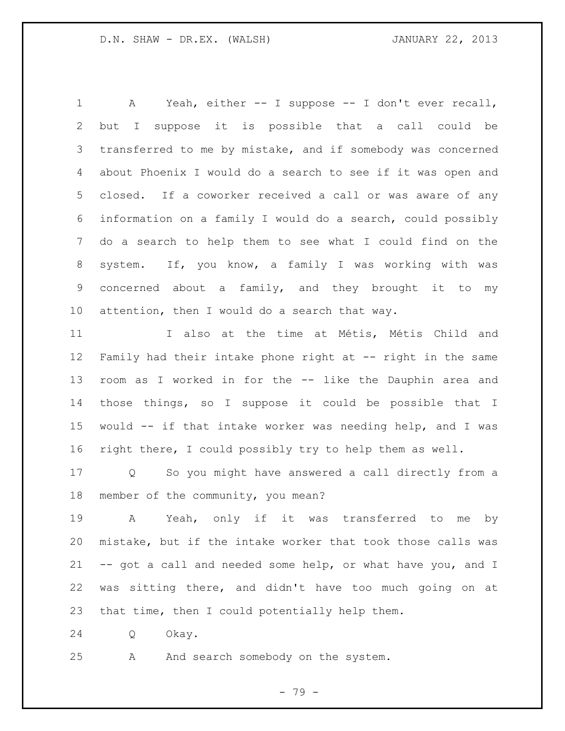A Yeah, either -- I suppose -- I don't ever recall, but I suppose it is possible that a call could be transferred to me by mistake, and if somebody was concerned about Phoenix I would do a search to see if it was open and closed. If a coworker received a call or was aware of any information on a family I would do a search, could possibly do a search to help them to see what I could find on the system. If, you know, a family I was working with was concerned about a family, and they brought it to my attention, then I would do a search that way.

 I also at the time at Métis, Métis Child and Family had their intake phone right at -- right in the same room as I worked in for the -- like the Dauphin area and those things, so I suppose it could be possible that I would -- if that intake worker was needing help, and I was right there, I could possibly try to help them as well.

 Q So you might have answered a call directly from a member of the community, you mean?

 A Yeah, only if it was transferred to me by mistake, but if the intake worker that took those calls was -- got a call and needed some help, or what have you, and I was sitting there, and didn't have too much going on at that time, then I could potentially help them.

Q Okay.

A And search somebody on the system.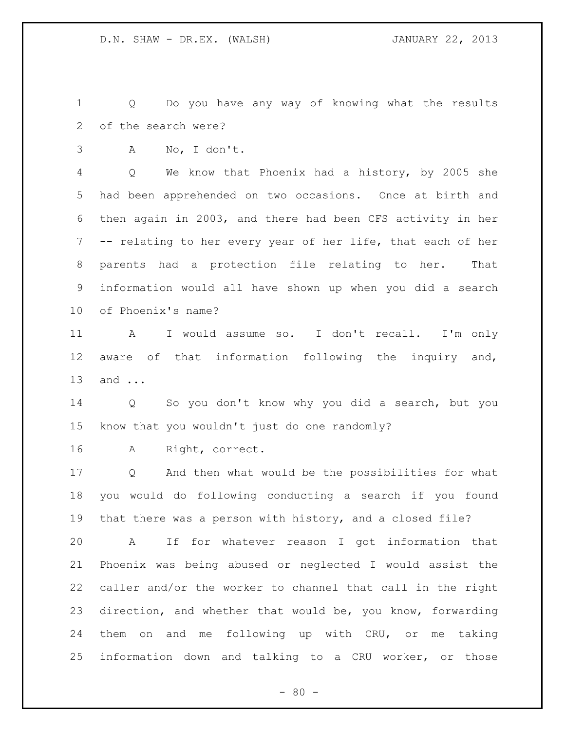Q Do you have any way of knowing what the results of the search were?

A No, I don't.

 Q We know that Phoenix had a history, by 2005 she had been apprehended on two occasions. Once at birth and then again in 2003, and there had been CFS activity in her -- relating to her every year of her life, that each of her parents had a protection file relating to her. That information would all have shown up when you did a search of Phoenix's name?

 A I would assume so. I don't recall. I'm only aware of that information following the inquiry and, and ...

 Q So you don't know why you did a search, but you know that you wouldn't just do one randomly?

A Right, correct.

 Q And then what would be the possibilities for what you would do following conducting a search if you found that there was a person with history, and a closed file?

 A If for whatever reason I got information that Phoenix was being abused or neglected I would assist the caller and/or the worker to channel that call in the right direction, and whether that would be, you know, forwarding them on and me following up with CRU, or me taking information down and talking to a CRU worker, or those

 $- 80 -$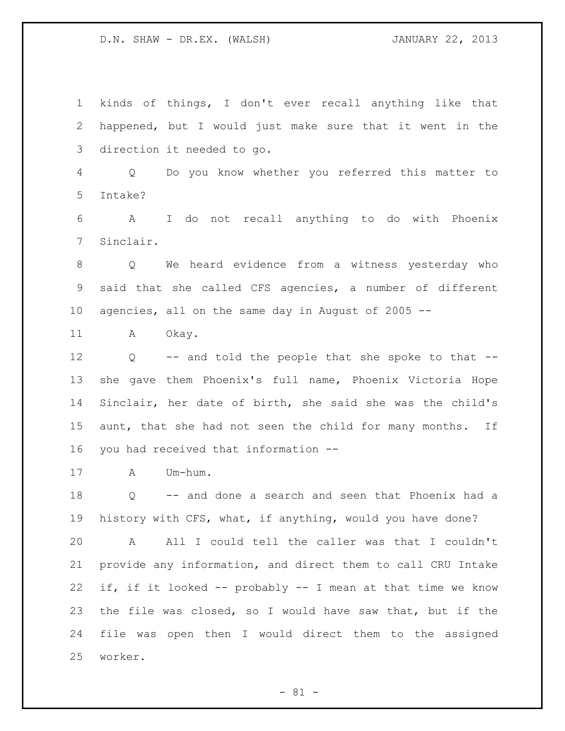kinds of things, I don't ever recall anything like that happened, but I would just make sure that it went in the direction it needed to go. Q Do you know whether you referred this matter to Intake? A I do not recall anything to do with Phoenix Sinclair. Q We heard evidence from a witness yesterday who said that she called CFS agencies, a number of different agencies, all on the same day in August of 2005 -- 11 A Okay. Q -- and told the people that she spoke to that -- she gave them Phoenix's full name, Phoenix Victoria Hope Sinclair, her date of birth, she said she was the child's 15 aunt, that she had not seen the child for many months. If you had received that information -- A Um-hum. Q -- and done a search and seen that Phoenix had a history with CFS, what, if anything, would you have done? A All I could tell the caller was that I couldn't provide any information, and direct them to call CRU Intake if, if it looked -- probably -- I mean at that time we know the file was closed, so I would have saw that, but if the file was open then I would direct them to the assigned worker.

 $- 81 -$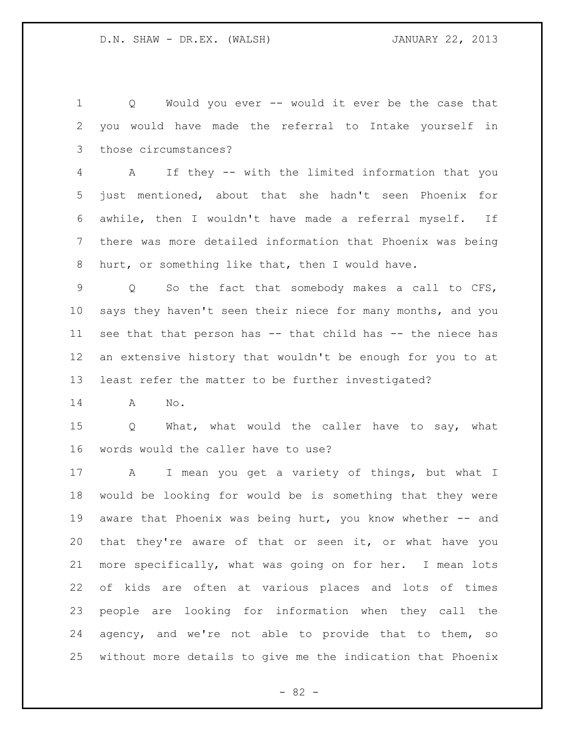Q Would you ever -- would it ever be the case that you would have made the referral to Intake yourself in those circumstances?

 A If they -- with the limited information that you just mentioned, about that she hadn't seen Phoenix for awhile, then I wouldn't have made a referral myself. If there was more detailed information that Phoenix was being hurt, or something like that, then I would have.

 Q So the fact that somebody makes a call to CFS, says they haven't seen their niece for many months, and you see that that person has -- that child has -- the niece has an extensive history that wouldn't be enough for you to at least refer the matter to be further investigated?

A No.

 Q What, what would the caller have to say, what words would the caller have to use?

 A I mean you get a variety of things, but what I would be looking for would be is something that they were aware that Phoenix was being hurt, you know whether -- and that they're aware of that or seen it, or what have you more specifically, what was going on for her. I mean lots of kids are often at various places and lots of times people are looking for information when they call the agency, and we're not able to provide that to them, so without more details to give me the indication that Phoenix

 $- 82 -$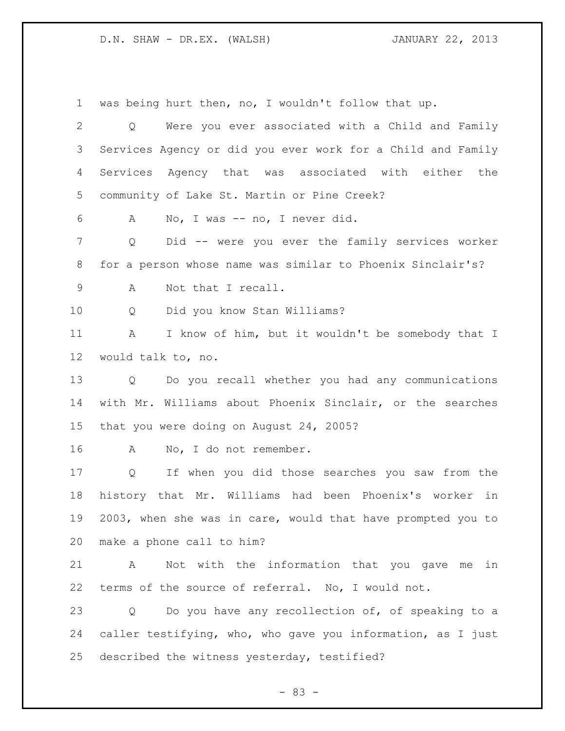was being hurt then, no, I wouldn't follow that up. Q Were you ever associated with a Child and Family Services Agency or did you ever work for a Child and Family Services Agency that was associated with either the community of Lake St. Martin or Pine Creek? A No, I was -- no, I never did. Q Did -- were you ever the family services worker for a person whose name was similar to Phoenix Sinclair's? A Not that I recall. Q Did you know Stan Williams? A I know of him, but it wouldn't be somebody that I would talk to, no. Q Do you recall whether you had any communications with Mr. Williams about Phoenix Sinclair, or the searches that you were doing on August 24, 2005? 16 A No, I do not remember. Q If when you did those searches you saw from the history that Mr. Williams had been Phoenix's worker in 2003, when she was in care, would that have prompted you to make a phone call to him? A Not with the information that you gave me in terms of the source of referral. No, I would not. Q Do you have any recollection of, of speaking to a caller testifying, who, who gave you information, as I just described the witness yesterday, testified?

- 83 -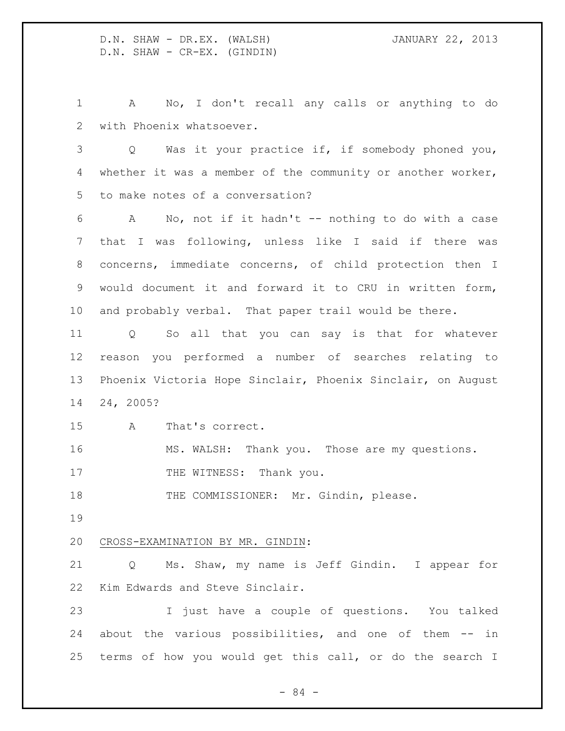D.N. SHAW - DR.EX. (WALSH) JANUARY 22, 2013 D.N. SHAW - CR-EX. (GINDIN)

 A No, I don't recall any calls or anything to do with Phoenix whatsoever.

 Q Was it your practice if, if somebody phoned you, whether it was a member of the community or another worker, to make notes of a conversation?

 A No, not if it hadn't -- nothing to do with a case that I was following, unless like I said if there was concerns, immediate concerns, of child protection then I would document it and forward it to CRU in written form, and probably verbal. That paper trail would be there.

 Q So all that you can say is that for whatever reason you performed a number of searches relating to Phoenix Victoria Hope Sinclair, Phoenix Sinclair, on August 24, 2005?

A That's correct.

MS. WALSH: Thank you. Those are my questions.

17 THE WITNESS: Thank you.

18 THE COMMISSIONER: Mr. Gindin, please.

## CROSS-EXAMINATION BY MR. GINDIN:

 Q Ms. Shaw, my name is Jeff Gindin. I appear for Kim Edwards and Steve Sinclair.

 I just have a couple of questions. You talked about the various possibilities, and one of them -- in terms of how you would get this call, or do the search I

- 84 -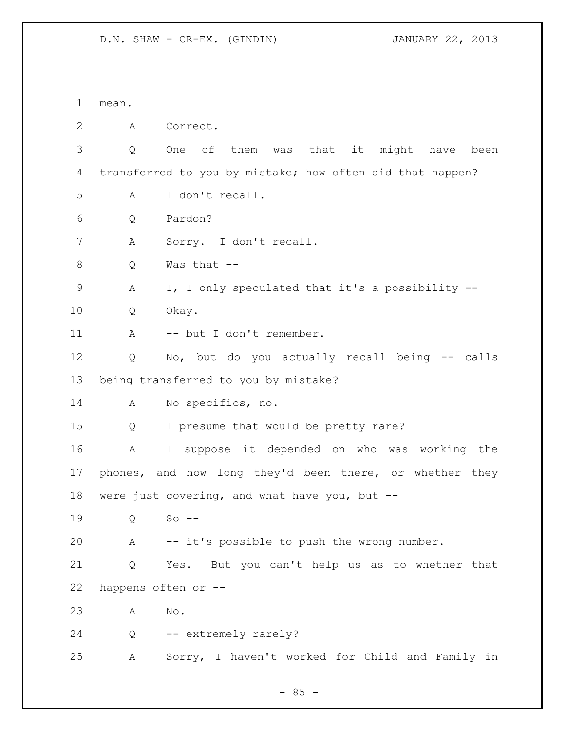D.N. SHAW - CR-EX. (GINDIN) JANUARY 22, 2013

 mean. A Correct. Q One of them was that it might have been transferred to you by mistake; how often did that happen? A I don't recall. Q Pardon? A Sorry. I don't recall. Q Was that -- A I, I only speculated that it's a possibility -- Q Okay. 11 A -- but I don't remember. Q No, but do you actually recall being -- calls being transferred to you by mistake? A No specifics, no. Q I presume that would be pretty rare? A I suppose it depended on who was working the phones, and how long they'd been there, or whether they were just covering, and what have you, but -- Q So -- A -- it's possible to push the wrong number. Q Yes. But you can't help us as to whether that happens often or -- A No. 24 Q -- extremely rarely? A Sorry, I haven't worked for Child and Family in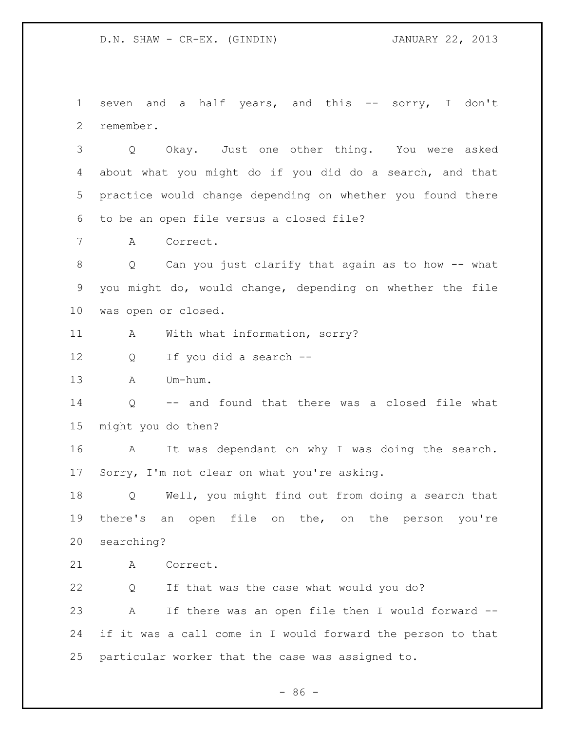D.N. SHAW - CR-EX. (GINDIN) JANUARY 22, 2013

1 seven and a half years, and this -- sorry, I don't remember.

 Q Okay. Just one other thing. You were asked about what you might do if you did do a search, and that practice would change depending on whether you found there to be an open file versus a closed file?

A Correct.

 Q Can you just clarify that again as to how -- what you might do, would change, depending on whether the file was open or closed.

11 A With what information, sorry?

Q If you did a search --

A Um-hum.

 Q -- and found that there was a closed file what might you do then?

 A It was dependant on why I was doing the search. Sorry, I'm not clear on what you're asking.

 Q Well, you might find out from doing a search that there's an open file on the, on the person you're searching?

A Correct.

 Q If that was the case what would you do? A If there was an open file then I would forward -- if it was a call come in I would forward the person to that particular worker that the case was assigned to.

 $-86 -$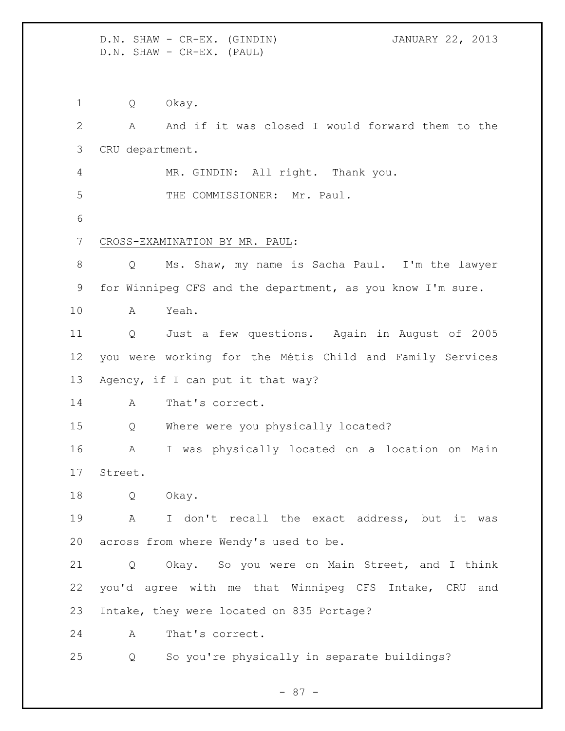D.N. SHAW - CR-EX. (GINDIN) JANUARY 22, 2013 D.N. SHAW - CR-EX. (PAUL)

 Q Okay. A And if it was closed I would forward them to the CRU department. MR. GINDIN: All right. Thank you. 5 THE COMMISSIONER: Mr. Paul. CROSS-EXAMINATION BY MR. PAUL: Q Ms. Shaw, my name is Sacha Paul. I'm the lawyer for Winnipeg CFS and the department, as you know I'm sure. A Yeah. Q Just a few questions. Again in August of 2005 you were working for the Métis Child and Family Services Agency, if I can put it that way? A That's correct. Q Where were you physically located? A I was physically located on a location on Main Street. Q Okay. A I don't recall the exact address, but it was across from where Wendy's used to be. Q Okay. So you were on Main Street, and I think you'd agree with me that Winnipeg CFS Intake, CRU and Intake, they were located on 835 Portage? A That's correct. Q So you're physically in separate buildings?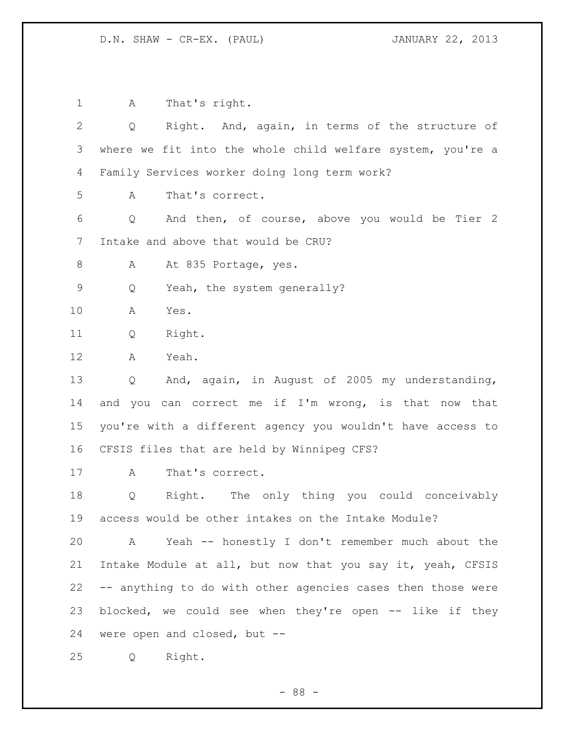D.N. SHAW - CR-EX. (PAUL) JANUARY 22, 2013

 A That's right. Q Right. And, again, in terms of the structure of where we fit into the whole child welfare system, you're a Family Services worker doing long term work? A That's correct. Q And then, of course, above you would be Tier 2 Intake and above that would be CRU? 8 A At 835 Portage, yes. Q Yeah, the system generally? A Yes. Q Right. A Yeah. Q And, again, in August of 2005 my understanding, 14 and you can correct me if I'm wrong, is that now that you're with a different agency you wouldn't have access to CFSIS files that are held by Winnipeg CFS? A That's correct. Q Right. The only thing you could conceivably access would be other intakes on the Intake Module? A Yeah -- honestly I don't remember much about the Intake Module at all, but now that you say it, yeah, CFSIS -- anything to do with other agencies cases then those were blocked, we could see when they're open -- like if they were open and closed, but -- Q Right.

- 88 -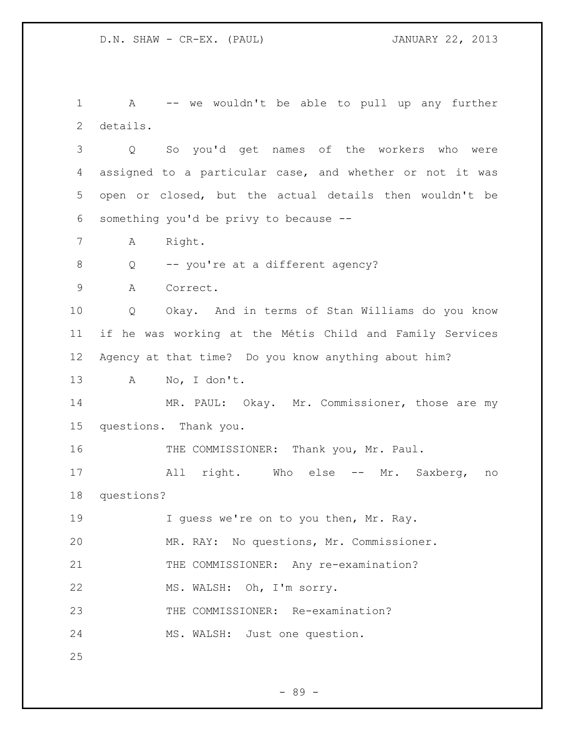A -- we wouldn't be able to pull up any further details.

 Q So you'd get names of the workers who were assigned to a particular case, and whether or not it was open or closed, but the actual details then wouldn't be something you'd be privy to because --

A Right.

Q -- you're at a different agency?

A Correct.

 Q Okay. And in terms of Stan Williams do you know if he was working at the Métis Child and Family Services Agency at that time? Do you know anything about him?

A No, I don't.

 MR. PAUL: Okay. Mr. Commissioner, those are my questions. Thank you.

16 THE COMMISSIONER: Thank you, Mr. Paul.

 All right. Who else -- Mr. Saxberg, no questions?

19 I guess we're on to you then, Mr. Ray.

MR. RAY: No questions, Mr. Commissioner.

21 THE COMMISSIONER: Any re-examination?

MS. WALSH: Oh, I'm sorry.

THE COMMISSIONER: Re-examination?

MS. WALSH: Just one question.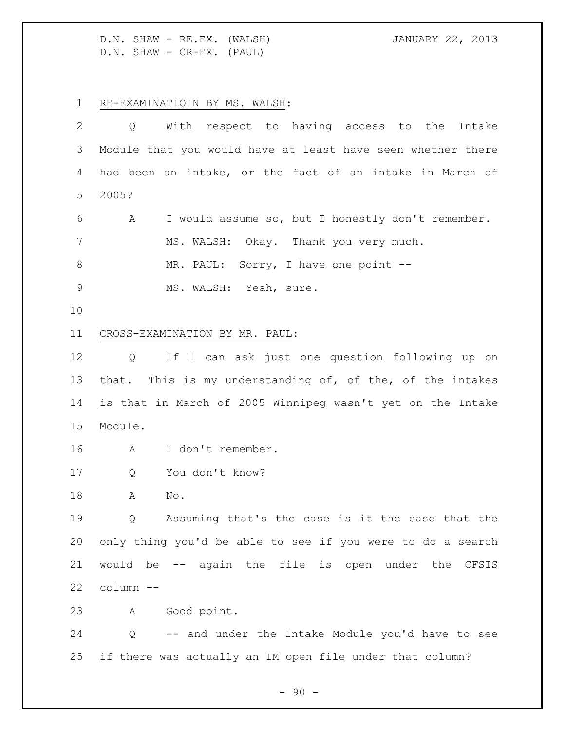D.N. SHAW - RE.EX. (WALSH) JANUARY 22, 2013 D.N. SHAW - CR-EX. (PAUL)

RE-EXAMINATIOIN BY MS. WALSH:

| 2           | With respect to having access to the Intake<br>Q            |
|-------------|-------------------------------------------------------------|
| 3           | Module that you would have at least have seen whether there |
| 4           | had been an intake, or the fact of an intake in March of    |
| 5           | 2005?                                                       |
| 6           | I would assume so, but I honestly don't remember.<br>A      |
| 7           | MS. WALSH: Okay. Thank you very much.                       |
| $8\,$       | MR. PAUL: Sorry, I have one point --                        |
| $\mathsf 9$ | MS. WALSH: Yeah, sure.                                      |
| 10          |                                                             |
| 11          | CROSS-EXAMINATION BY MR. PAUL:                              |
| 12          | If I can ask just one question following up on<br>Q         |
| 13          | that. This is my understanding of, of the, of the intakes   |
| 14          | is that in March of 2005 Winnipeg wasn't yet on the Intake  |
| 15          | Module.                                                     |
| 16          | I don't remember.<br>A                                      |
| 17          | You don't know?<br>Q                                        |
| 18          | Α<br>No.                                                    |
| 19          | Assuming that's the case is it the case that the<br>Q       |
| 20          | only thing you'd be able to see if you were to do a search  |
| 21          | would be -- again the file is open under the CFSIS          |
| 22          | column --                                                   |
| 23          | Good point.<br>A                                            |
| 24          | -- and under the Intake Module you'd have to see<br>Q       |
| 25          | if there was actually an IM open file under that column?    |

- 90 -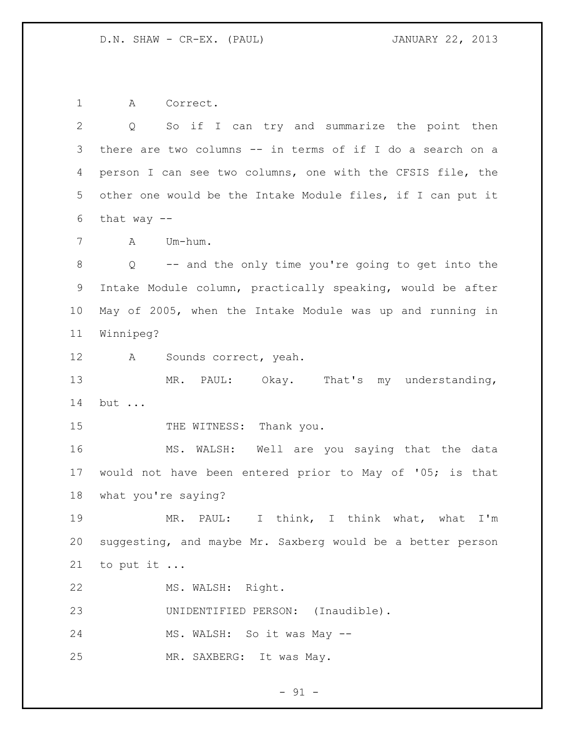A Correct.

 Q So if I can try and summarize the point then there are two columns -- in terms of if I do a search on a person I can see two columns, one with the CFSIS file, the other one would be the Intake Module files, if I can put it 6 that way  $--$  A Um-hum. Q -- and the only time you're going to get into the Intake Module column, practically speaking, would be after May of 2005, when the Intake Module was up and running in Winnipeg? A Sounds correct, yeah. MR. PAUL: Okay. That's my understanding, but ... 15 THE WITNESS: Thank you. MS. WALSH: Well are you saying that the data would not have been entered prior to May of '05; is that what you're saying? MR. PAUL: I think, I think what, what I'm suggesting, and maybe Mr. Saxberg would be a better person to put it ... MS. WALSH: Right. UNIDENTIFIED PERSON: (Inaudible). 24 MS. WALSH: So it was May --MR. SAXBERG: It was May.

 $-91 -$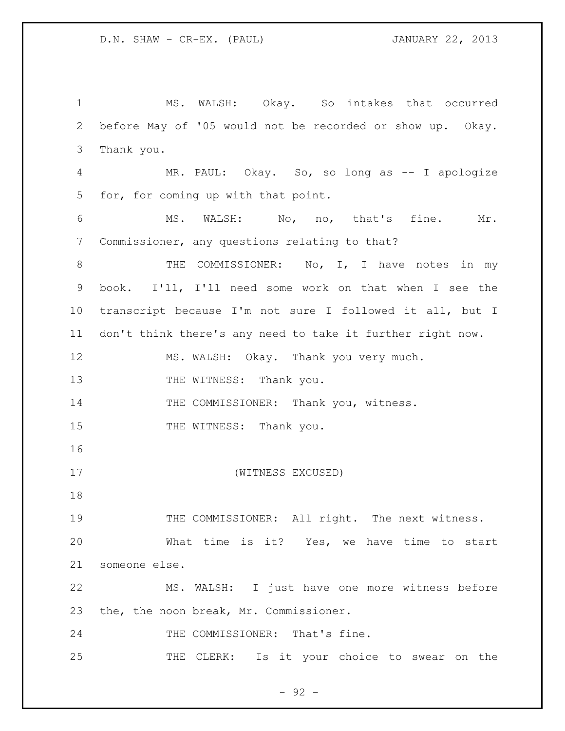MS. WALSH: Okay. So intakes that occurred before May of '05 would not be recorded or show up. Okay. Thank you. MR. PAUL: Okay. So, so long as -- I apologize for, for coming up with that point. MS. WALSH: No, no, that's fine. Mr. Commissioner, any questions relating to that? 8 THE COMMISSIONER: No, I, I have notes in my book. I'll, I'll need some work on that when I see the transcript because I'm not sure I followed it all, but I don't think there's any need to take it further right now. MS. WALSH: Okay. Thank you very much. 13 THE WITNESS: Thank you. 14 THE COMMISSIONER: Thank you, witness. 15 THE WITNESS: Thank you. (WITNESS EXCUSED) 19 THE COMMISSIONER: All right. The next witness. What time is it? Yes, we have time to start someone else. MS. WALSH: I just have one more witness before the, the noon break, Mr. Commissioner. THE COMMISSIONER: That's fine. THE CLERK: Is it your choice to swear on the

 $-92 -$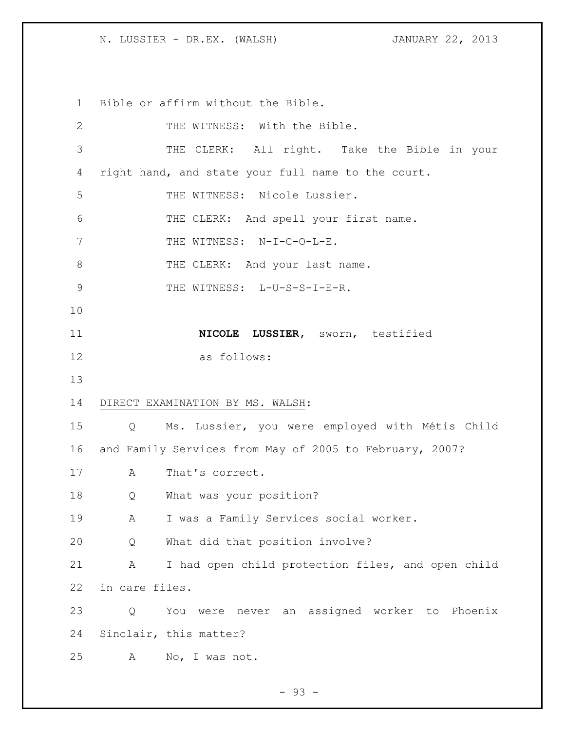N. LUSSIER - DR.EX. (WALSH) JANUARY 22, 2013

Bible or affirm without the Bible.

| $\mathbf{2}$  |                   | THE WITNESS: With the Bible.                            |
|---------------|-------------------|---------------------------------------------------------|
| 3             |                   | THE CLERK: All right. Take the Bible in your            |
| 4             |                   | right hand, and state your full name to the court.      |
| 5             |                   | THE WITNESS: Nicole Lussier.                            |
| 6             |                   | THE CLERK: And spell your first name.                   |
| 7             |                   | THE WITNESS: N-I-C-O-L-E.                               |
| 8             |                   | THE CLERK: And your last name.                          |
| $\mathcal{G}$ |                   | THE WITNESS: L-U-S-S-I-E-R.                             |
| 10            |                   |                                                         |
| 11            |                   | NICOLE LUSSIER, sworn, testified                        |
| 12            |                   | as follows:                                             |
| 13            |                   |                                                         |
| 14            |                   | DIRECT EXAMINATION BY MS. WALSH:                        |
| 15            | $Q \qquad \qquad$ | Ms. Lussier, you were employed with Métis Child         |
| 16            |                   | and Family Services from May of 2005 to February, 2007? |
| 17            | A                 | That's correct.                                         |
| 18            | Q                 | What was your position?                                 |
| 19            | A                 | I was a Family Services social worker.                  |
| 20            | Q                 | What did that position involve?                         |
| 21            | Α                 | I had open child protection files, and open child       |
| 22            | in care files.    |                                                         |
| 23            | Q                 | were never an assigned worker to Phoenix<br>You         |
| 24            |                   | Sinclair, this matter?                                  |
| 25            | Α                 | No, I was not.                                          |

- 93 -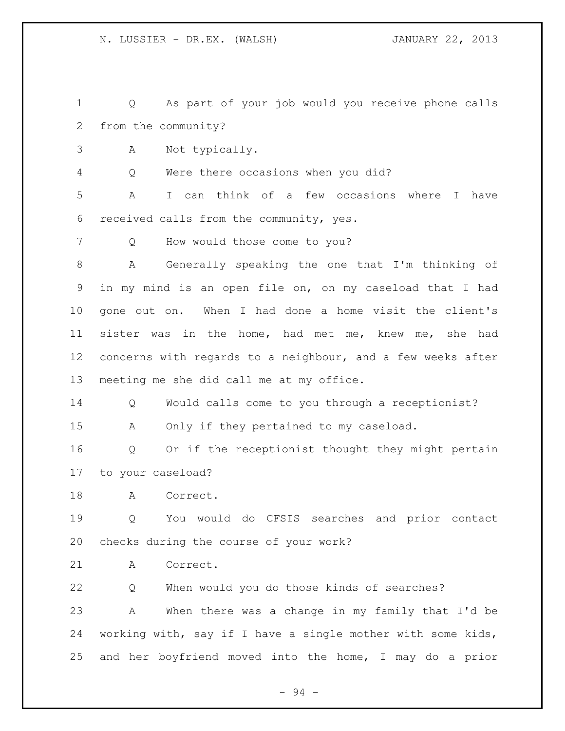Q As part of your job would you receive phone calls from the community?

A Not typically.

Q Were there occasions when you did?

 A I can think of a few occasions where I have received calls from the community, yes.

Q How would those come to you?

 A Generally speaking the one that I'm thinking of in my mind is an open file on, on my caseload that I had gone out on. When I had done a home visit the client's sister was in the home, had met me, knew me, she had concerns with regards to a neighbour, and a few weeks after meeting me she did call me at my office.

Q Would calls come to you through a receptionist?

A Only if they pertained to my caseload.

 Q Or if the receptionist thought they might pertain to your caseload?

A Correct.

 Q You would do CFSIS searches and prior contact checks during the course of your work?

A Correct.

 Q When would you do those kinds of searches? A When there was a change in my family that I'd be working with, say if I have a single mother with some kids, and her boyfriend moved into the home, I may do a prior

- 94 -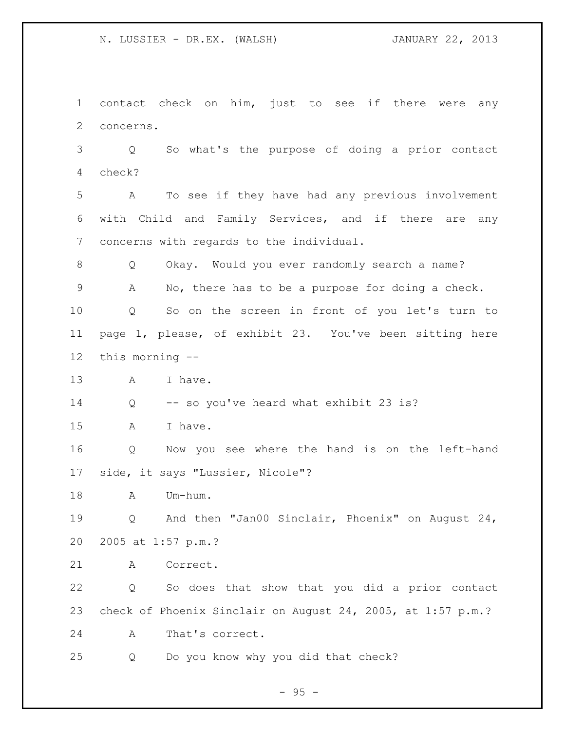N. LUSSIER - DR.EX. (WALSH) JANUARY 22, 2013

 contact check on him, just to see if there were any concerns.

 Q So what's the purpose of doing a prior contact check?

 A To see if they have had any previous involvement with Child and Family Services, and if there are any concerns with regards to the individual.

 Q Okay. Would you ever randomly search a name? A No, there has to be a purpose for doing a check.

 Q So on the screen in front of you let's turn to page 1, please, of exhibit 23. You've been sitting here this morning --

13 A I have.

Q -- so you've heard what exhibit 23 is?

A I have.

 Q Now you see where the hand is on the left-hand side, it says "Lussier, Nicole"?

A Um-hum.

 Q And then "Jan00 Sinclair, Phoenix" on August 24, 2005 at 1:57 p.m.?

A Correct.

 Q So does that show that you did a prior contact check of Phoenix Sinclair on August 24, 2005, at 1:57 p.m.?

A That's correct.

Q Do you know why you did that check?

 $-95 -$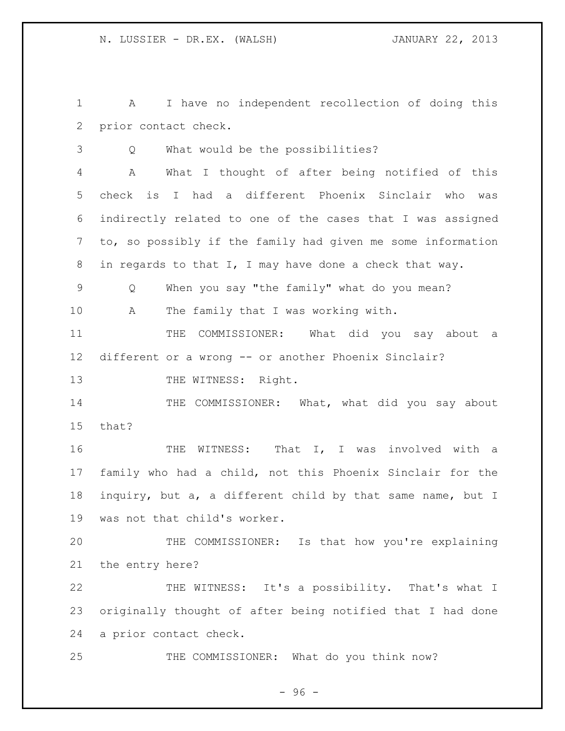A I have no independent recollection of doing this prior contact check.

Q What would be the possibilities?

 A What I thought of after being notified of this check is I had a different Phoenix Sinclair who was indirectly related to one of the cases that I was assigned to, so possibly if the family had given me some information in regards to that I, I may have done a check that way.

Q When you say "the family" what do you mean?

A The family that I was working with.

 THE COMMISSIONER: What did you say about a different or a wrong -- or another Phoenix Sinclair?

13 THE WITNESS: Right.

14 THE COMMISSIONER: What, what did you say about that?

16 THE WITNESS: That I, I was involved with a family who had a child, not this Phoenix Sinclair for the inquiry, but a, a different child by that same name, but I was not that child's worker.

 THE COMMISSIONER: Is that how you're explaining the entry here?

 THE WITNESS: It's a possibility. That's what I originally thought of after being notified that I had done a prior contact check.

25 THE COMMISSIONER: What do you think now?

- 96 -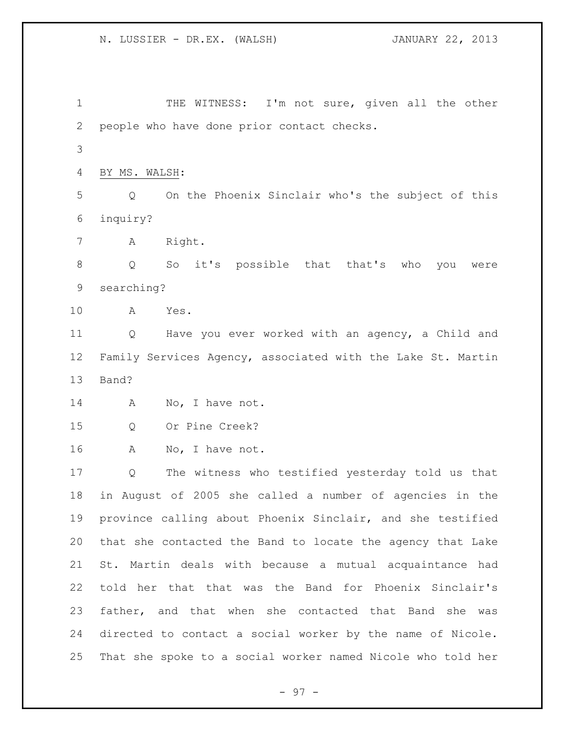1 THE WITNESS: I'm not sure, given all the other people who have done prior contact checks. BY MS. WALSH: Q On the Phoenix Sinclair who's the subject of this inquiry? A Right. Q So it's possible that that's who you were searching? A Yes. Q Have you ever worked with an agency, a Child and Family Services Agency, associated with the Lake St. Martin Band? 14 A No, I have not. Q Or Pine Creek? A No, I have not. Q The witness who testified yesterday told us that in August of 2005 she called a number of agencies in the province calling about Phoenix Sinclair, and she testified that she contacted the Band to locate the agency that Lake St. Martin deals with because a mutual acquaintance had told her that that was the Band for Phoenix Sinclair's father, and that when she contacted that Band she was directed to contact a social worker by the name of Nicole. That she spoke to a social worker named Nicole who told her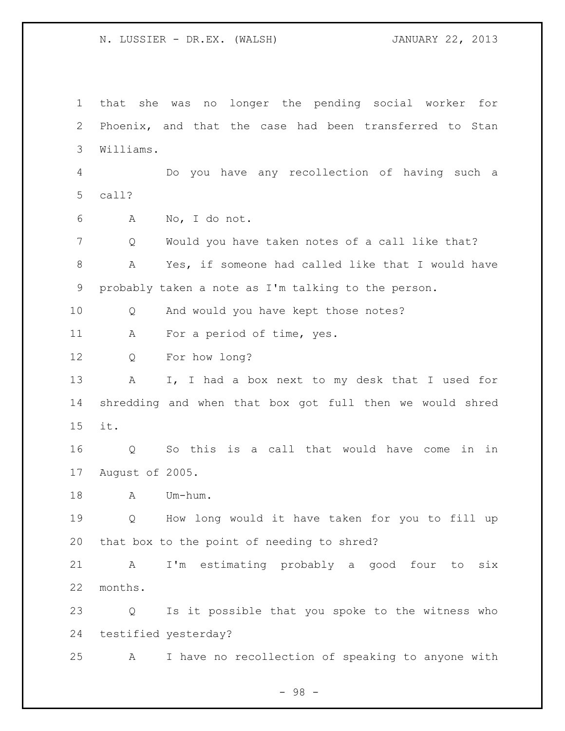N. LUSSIER - DR.EX. (WALSH) JANUARY 22, 2013

 that she was no longer the pending social worker for Phoenix, and that the case had been transferred to Stan Williams. Do you have any recollection of having such a call? A No, I do not. Q Would you have taken notes of a call like that? A Yes, if someone had called like that I would have probably taken a note as I'm talking to the person. Q And would you have kept those notes? 11 A For a period of time, yes. Q For how long? A I, I had a box next to my desk that I used for shredding and when that box got full then we would shred it. Q So this is a call that would have come in in August of 2005. A Um-hum. Q How long would it have taken for you to fill up that box to the point of needing to shred? A I'm estimating probably a good four to six months. Q Is it possible that you spoke to the witness who testified yesterday? A I have no recollection of speaking to anyone with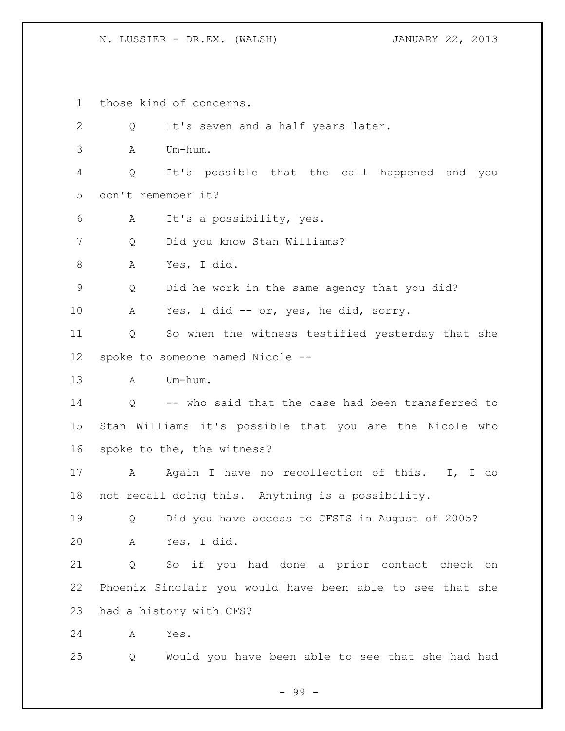## N. LUSSIER - DR.EX. (WALSH) JANUARY 22, 2013

 those kind of concerns. 2 Q It's seven and a half years later. A Um-hum. Q It's possible that the call happened and you don't remember it? A It's a possibility, yes. Q Did you know Stan Williams? A Yes, I did. Q Did he work in the same agency that you did? A Yes, I did -- or, yes, he did, sorry. Q So when the witness testified yesterday that she spoke to someone named Nicole -- A Um-hum. Q -- who said that the case had been transferred to Stan Williams it's possible that you are the Nicole who spoke to the, the witness? 17 A Again I have no recollection of this. I, I do not recall doing this. Anything is a possibility. Q Did you have access to CFSIS in August of 2005? A Yes, I did. Q So if you had done a prior contact check on Phoenix Sinclair you would have been able to see that she had a history with CFS? A Yes. Q Would you have been able to see that she had had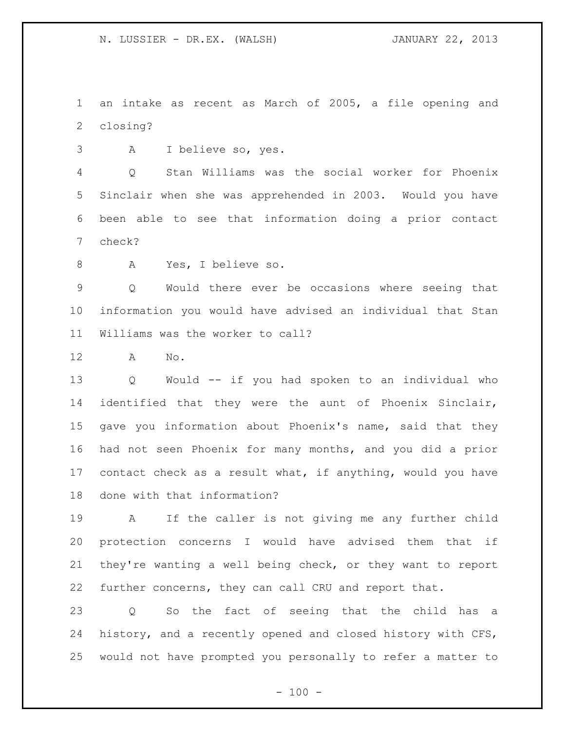an intake as recent as March of 2005, a file opening and closing?

A I believe so, yes.

 Q Stan Williams was the social worker for Phoenix Sinclair when she was apprehended in 2003. Would you have been able to see that information doing a prior contact check?

A Yes, I believe so.

 Q Would there ever be occasions where seeing that information you would have advised an individual that Stan Williams was the worker to call?

A No.

 Q Would -- if you had spoken to an individual who identified that they were the aunt of Phoenix Sinclair, gave you information about Phoenix's name, said that they had not seen Phoenix for many months, and you did a prior contact check as a result what, if anything, would you have done with that information?

 A If the caller is not giving me any further child protection concerns I would have advised them that if they're wanting a well being check, or they want to report further concerns, they can call CRU and report that.

 Q So the fact of seeing that the child has a history, and a recently opened and closed history with CFS, would not have prompted you personally to refer a matter to

 $- 100 -$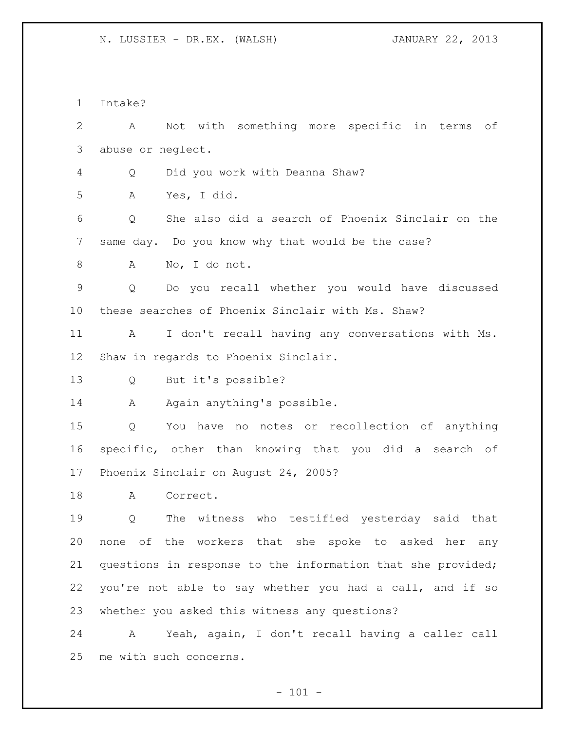Intake?

 A Not with something more specific in terms of abuse or neglect. Q Did you work with Deanna Shaw? A Yes, I did. Q She also did a search of Phoenix Sinclair on the same day. Do you know why that would be the case? A No, I do not. Q Do you recall whether you would have discussed these searches of Phoenix Sinclair with Ms. Shaw? A I don't recall having any conversations with Ms. Shaw in regards to Phoenix Sinclair. Q But it's possible? 14 A Again anything's possible. Q You have no notes or recollection of anything specific, other than knowing that you did a search of Phoenix Sinclair on August 24, 2005? A Correct. Q The witness who testified yesterday said that none of the workers that she spoke to asked her any questions in response to the information that she provided; you're not able to say whether you had a call, and if so whether you asked this witness any questions? A Yeah, again, I don't recall having a caller call me with such concerns.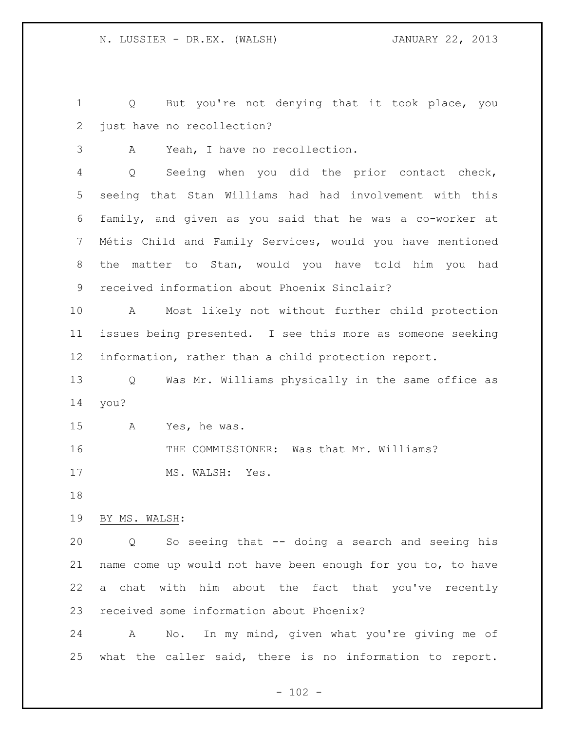Q But you're not denying that it took place, you just have no recollection?

A Yeah, I have no recollection.

 Q Seeing when you did the prior contact check, seeing that Stan Williams had had involvement with this family, and given as you said that he was a co-worker at Métis Child and Family Services, would you have mentioned the matter to Stan, would you have told him you had received information about Phoenix Sinclair?

 A Most likely not without further child protection issues being presented. I see this more as someone seeking information, rather than a child protection report.

 Q Was Mr. Williams physically in the same office as you?

A Yes, he was.

THE COMMISSIONER: Was that Mr. Williams?

17 MS. WALSH: Yes.

BY MS. WALSH:

 Q So seeing that -- doing a search and seeing his name come up would not have been enough for you to, to have a chat with him about the fact that you've recently received some information about Phoenix?

 A No. In my mind, given what you're giving me of what the caller said, there is no information to report.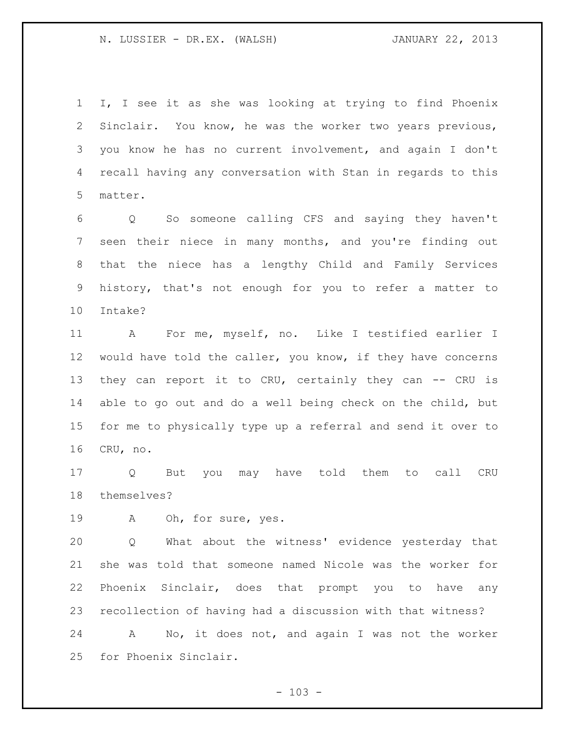N. LUSSIER - DR.EX. (WALSH) JANUARY 22, 2013

 I, I see it as she was looking at trying to find Phoenix Sinclair. You know, he was the worker two years previous, you know he has no current involvement, and again I don't recall having any conversation with Stan in regards to this matter.

 Q So someone calling CFS and saying they haven't seen their niece in many months, and you're finding out that the niece has a lengthy Child and Family Services history, that's not enough for you to refer a matter to Intake?

 A For me, myself, no. Like I testified earlier I would have told the caller, you know, if they have concerns 13 they can report it to CRU, certainly they can -- CRU is able to go out and do a well being check on the child, but for me to physically type up a referral and send it over to CRU, no.

 Q But you may have told them to call CRU themselves?

A Oh, for sure, yes.

 Q What about the witness' evidence yesterday that she was told that someone named Nicole was the worker for Phoenix Sinclair, does that prompt you to have any recollection of having had a discussion with that witness? A No, it does not, and again I was not the worker

for Phoenix Sinclair.

 $- 103 -$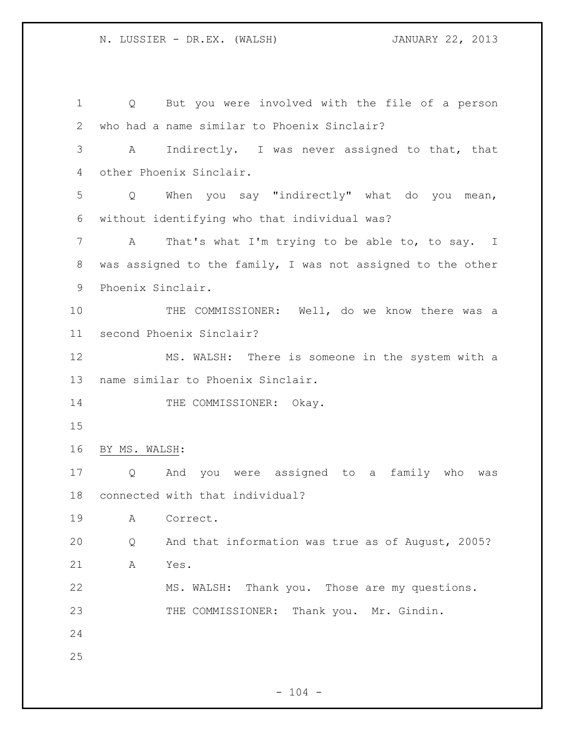Q But you were involved with the file of a person who had a name similar to Phoenix Sinclair? A Indirectly. I was never assigned to that, that other Phoenix Sinclair. Q When you say "indirectly" what do you mean, without identifying who that individual was? 7 A That's what I'm trying to be able to, to say. I was assigned to the family, I was not assigned to the other Phoenix Sinclair. THE COMMISSIONER: Well, do we know there was a second Phoenix Sinclair? MS. WALSH: There is someone in the system with a name similar to Phoenix Sinclair. 14 THE COMMISSIONER: Okay. BY MS. WALSH: Q And you were assigned to a family who was connected with that individual? A Correct. Q And that information was true as of August, 2005? A Yes. MS. WALSH: Thank you. Those are my questions. 23 THE COMMISSIONER: Thank you. Mr. Gindin.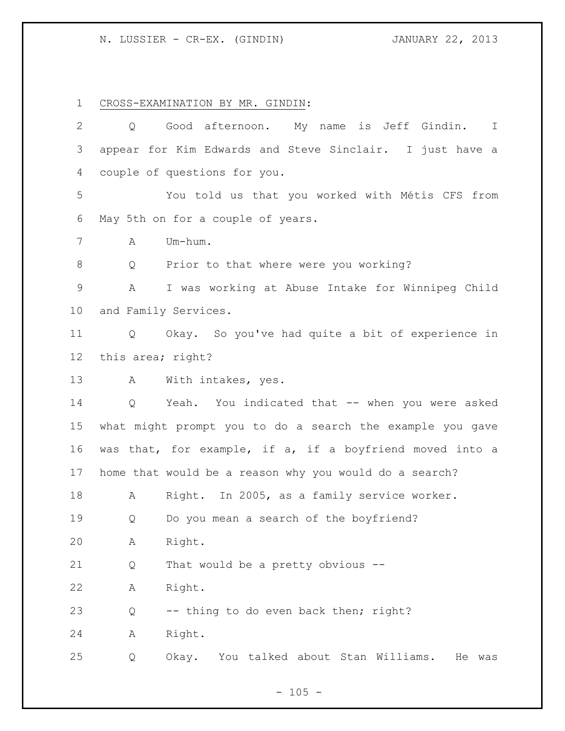## N. LUSSIER - CR-EX. (GINDIN) JANUARY 22, 2013

CROSS-EXAMINATION BY MR. GINDIN:

| $\overline{2}$ | Q                 | Good afternoon. My name is Jeff Gindin. I                 |
|----------------|-------------------|-----------------------------------------------------------|
| 3              |                   | appear for Kim Edwards and Steve Sinclair. I just have a  |
| 4              |                   | couple of questions for you.                              |
| 5              |                   | You told us that you worked with Métis CFS from           |
| 6              |                   | May 5th on for a couple of years.                         |
| 7              | A                 | Um-hum.                                                   |
| 8              | Q                 | Prior to that where were you working?                     |
| $\mathcal{G}$  | A                 | I was working at Abuse Intake for Winnipeg Child          |
| 10             |                   | and Family Services.                                      |
| 11             | Q                 | Okay. So you've had quite a bit of experience in          |
| 12             | this area; right? |                                                           |
| 13             | A                 | With intakes, yes.                                        |
| 14             | $Q \qquad \qquad$ | Yeah. You indicated that -- when you were asked           |
| 15             |                   | what might prompt you to do a search the example you gave |
| 16             |                   | was that, for example, if a, if a boyfriend moved into a  |
| 17             |                   | home that would be a reason why you would do a search?    |
| 18             | A                 | Right. In 2005, as a family service worker.               |
| 19             | Q                 | Do you mean a search of the boyfriend?                    |
| 20             | А                 | Right.                                                    |
| 21             | Q                 | That would be a pretty obvious --                         |
| 22             | Α                 | Right.                                                    |
| 23             | Q                 | -- thing to do even back then; right?                     |
| 24             | Α                 | Right.                                                    |
| 25             | Q                 | Okay.<br>You talked about Stan Williams.<br>He was        |
|                |                   |                                                           |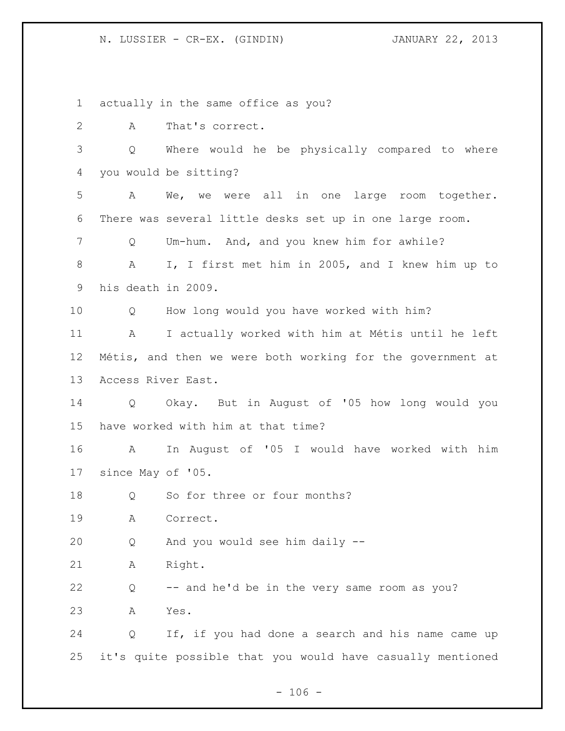### N. LUSSIER - CR-EX. (GINDIN) JANUARY 22, 2013

actually in the same office as you?

A That's correct.

 Q Where would he be physically compared to where you would be sitting?

 A We, we were all in one large room together. There was several little desks set up in one large room.

Q Um-hum. And, and you knew him for awhile?

 A I, I first met him in 2005, and I knew him up to his death in 2009.

Q How long would you have worked with him?

 A I actually worked with him at Métis until he left Métis, and then we were both working for the government at Access River East.

 Q Okay. But in August of '05 how long would you have worked with him at that time?

 A In August of '05 I would have worked with him since May of '05.

18 Q So for three or four months?

A Correct.

Q And you would see him daily --

A Right.

Q -- and he'd be in the very same room as you?

A Yes.

 Q If, if you had done a search and his name came up it's quite possible that you would have casually mentioned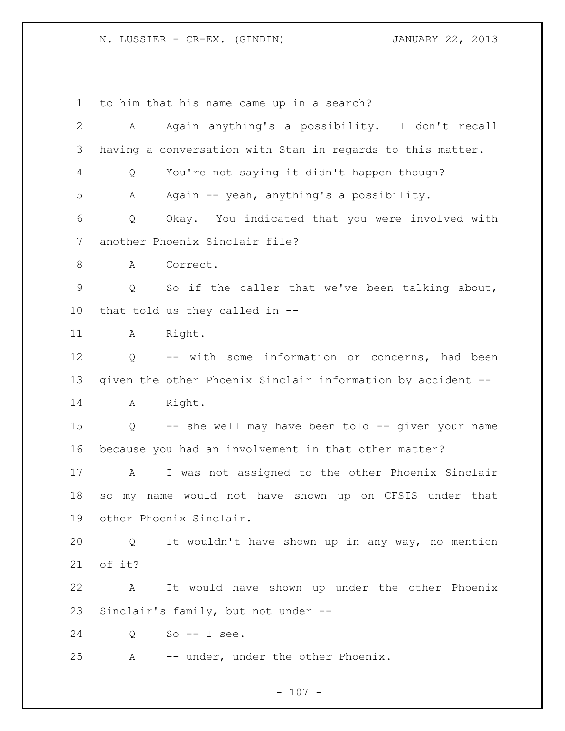# N. LUSSIER - CR-EX. (GINDIN) JANUARY 22, 2013

to him that his name came up in a search?

| 2               | A      | Again anything's a possibility. I don't recall              |
|-----------------|--------|-------------------------------------------------------------|
| 3               |        | having a conversation with Stan in regards to this matter.  |
| 4               | Q      | You're not saying it didn't happen though?                  |
| 5               | Α      | Again -- yeah, anything's a possibility.                    |
| 6               | Q      | Okay. You indicated that you were involved with             |
| 7               |        | another Phoenix Sinclair file?                              |
| 8               | A      | Correct.                                                    |
| $\mathsf 9$     | Q      | So if the caller that we've been talking about,             |
| 10 <sub>o</sub> |        | that told us they called in --                              |
| 11              | A      | Right.                                                      |
| 12              | Q      | -- with some information or concerns, had been              |
| 13              |        | given the other Phoenix Sinclair information by accident -- |
| 14              | A      | Right.                                                      |
| 15              | Q      | -- she well may have been told -- given your name           |
| 16              |        | because you had an involvement in that other matter?        |
| 17              | Α      | I was not assigned to the other Phoenix Sinclair            |
| 18              | SO     | my name would not have shown up on CFSIS under that         |
| 19              |        | other Phoenix Sinclair.                                     |
| 20              |        | Q It wouldn't have shown up in any way, no mention          |
| 21              | of it? |                                                             |
| 22              | A      | It would have shown up under the other Phoenix              |
| 23              |        | Sinclair's family, but not under --                         |
| 24              |        | $Q$ So -- I see.                                            |
| 25              |        | A -- under, under the other Phoenix.                        |
|                 |        |                                                             |

- 107 -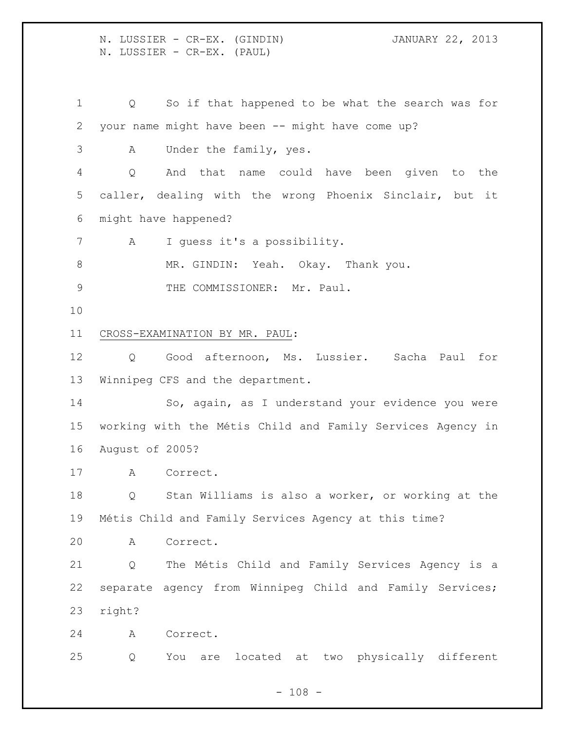N. LUSSIER - CR-EX. (GINDIN) JANUARY 22, 2013 N. LUSSIER - CR-EX. (PAUL) Q So if that happened to be what the search was for your name might have been -- might have come up? A Under the family, yes. Q And that name could have been given to the caller, dealing with the wrong Phoenix Sinclair, but it might have happened? A I guess it's a possibility. 8 MR. GINDIN: Yeah. Okay. Thank you. 9 THE COMMISSIONER: Mr. Paul. CROSS-EXAMINATION BY MR. PAUL: Q Good afternoon, Ms. Lussier. Sacha Paul for Winnipeg CFS and the department. So, again, as I understand your evidence you were working with the Métis Child and Family Services Agency in August of 2005? A Correct. Q Stan Williams is also a worker, or working at the Métis Child and Family Services Agency at this time? A Correct. Q The Métis Child and Family Services Agency is a separate agency from Winnipeg Child and Family Services; right? A Correct. Q You are located at two physically different

 $- 108 -$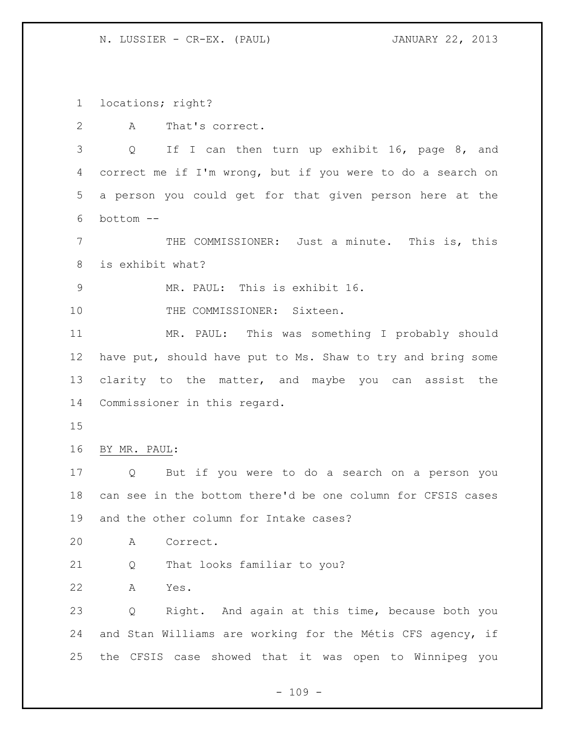N. LUSSIER - CR-EX. (PAUL) JANUARY 22, 2013

locations; right?

A That's correct.

 Q If I can then turn up exhibit 16, page 8, and correct me if I'm wrong, but if you were to do a search on a person you could get for that given person here at the bottom --

 THE COMMISSIONER: Just a minute. This is, this is exhibit what?

MR. PAUL: This is exhibit 16.

10 THE COMMISSIONER: Sixteen.

 MR. PAUL: This was something I probably should have put, should have put to Ms. Shaw to try and bring some clarity to the matter, and maybe you can assist the Commissioner in this regard.

BY MR. PAUL:

 Q But if you were to do a search on a person you can see in the bottom there'd be one column for CFSIS cases and the other column for Intake cases?

A Correct.

Q That looks familiar to you?

A Yes.

 Q Right. And again at this time, because both you and Stan Williams are working for the Métis CFS agency, if the CFSIS case showed that it was open to Winnipeg you

 $- 109 -$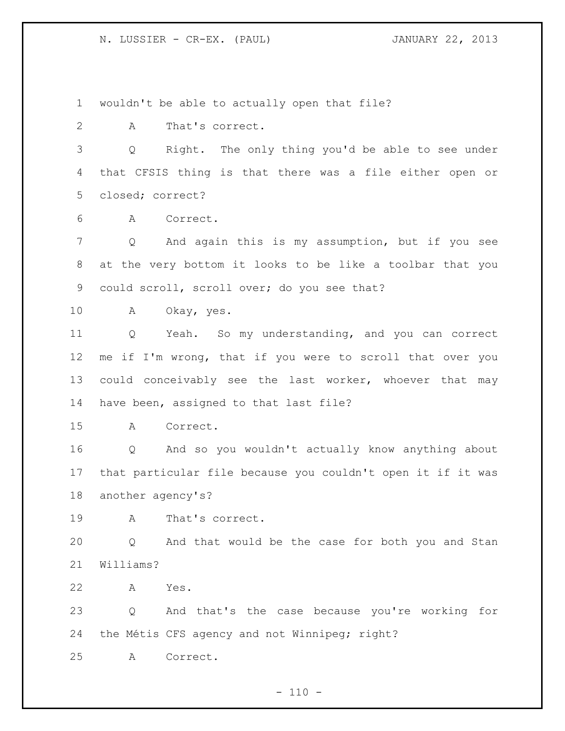N. LUSSIER - CR-EX. (PAUL) JANUARY 22, 2013

wouldn't be able to actually open that file?

2 A That's correct.

 Q Right. The only thing you'd be able to see under that CFSIS thing is that there was a file either open or closed; correct?

A Correct.

 Q And again this is my assumption, but if you see at the very bottom it looks to be like a toolbar that you could scroll, scroll over; do you see that?

A Okay, yes.

 Q Yeah. So my understanding, and you can correct me if I'm wrong, that if you were to scroll that over you could conceivably see the last worker, whoever that may have been, assigned to that last file?

A Correct.

 Q And so you wouldn't actually know anything about that particular file because you couldn't open it if it was another agency's?

A That's correct.

 Q And that would be the case for both you and Stan Williams?

A Yes.

 Q And that's the case because you're working for the Métis CFS agency and not Winnipeg; right?

A Correct.

 $- 110 -$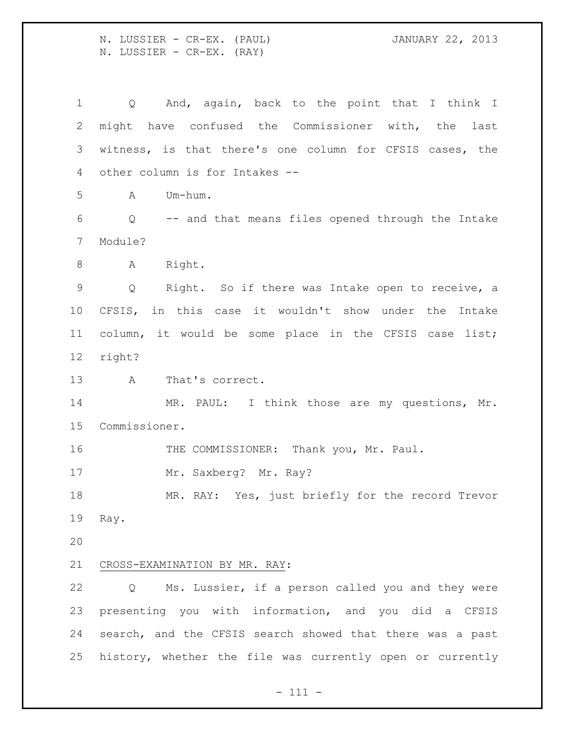N. LUSSIER - CR-EX. (PAUL) JANUARY 22, 2013 N. LUSSIER - CR-EX. (RAY)

 Q And, again, back to the point that I think I might have confused the Commissioner with, the last witness, is that there's one column for CFSIS cases, the other column is for Intakes -- A Um-hum. Q -- and that means files opened through the Intake Module? 8 A Right. Q Right. So if there was Intake open to receive, a CFSIS, in this case it wouldn't show under the Intake column, it would be some place in the CFSIS case list; right? A That's correct. 14 MR. PAUL: I think those are my questions, Mr. Commissioner. THE COMMISSIONER: Thank you, Mr. Paul. 17 Mr. Saxberg? Mr. Ray? MR. RAY: Yes, just briefly for the record Trevor Ray. CROSS-EXAMINATION BY MR. RAY: Q Ms. Lussier, if a person called you and they were presenting you with information, and you did a CFSIS search, and the CFSIS search showed that there was a past history, whether the file was currently open or currently

- 111 -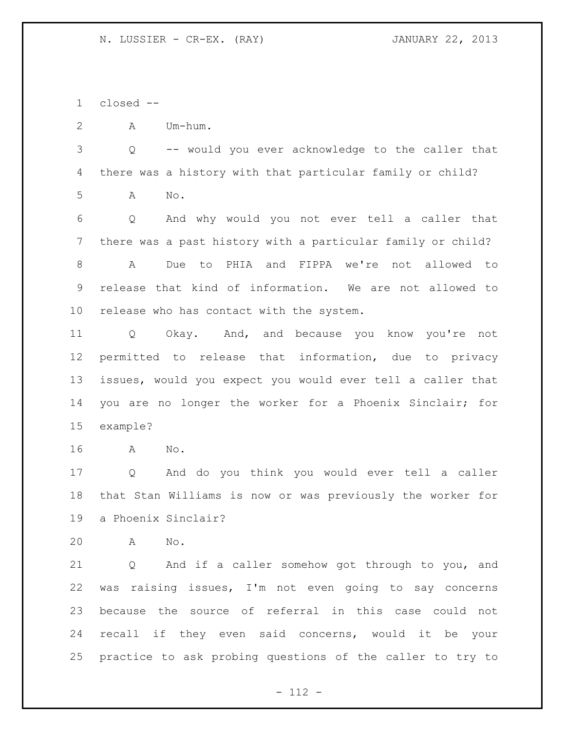closed --

A Um-hum.

 Q -- would you ever acknowledge to the caller that there was a history with that particular family or child? A No.

 Q And why would you not ever tell a caller that there was a past history with a particular family or child? A Due to PHIA and FIPPA we're not allowed to release that kind of information. We are not allowed to release who has contact with the system.

 Q Okay. And, and because you know you're not permitted to release that information, due to privacy issues, would you expect you would ever tell a caller that you are no longer the worker for a Phoenix Sinclair; for example?

A No.

 Q And do you think you would ever tell a caller that Stan Williams is now or was previously the worker for a Phoenix Sinclair?

A No.

 Q And if a caller somehow got through to you, and was raising issues, I'm not even going to say concerns because the source of referral in this case could not recall if they even said concerns, would it be your practice to ask probing questions of the caller to try to

- 112 -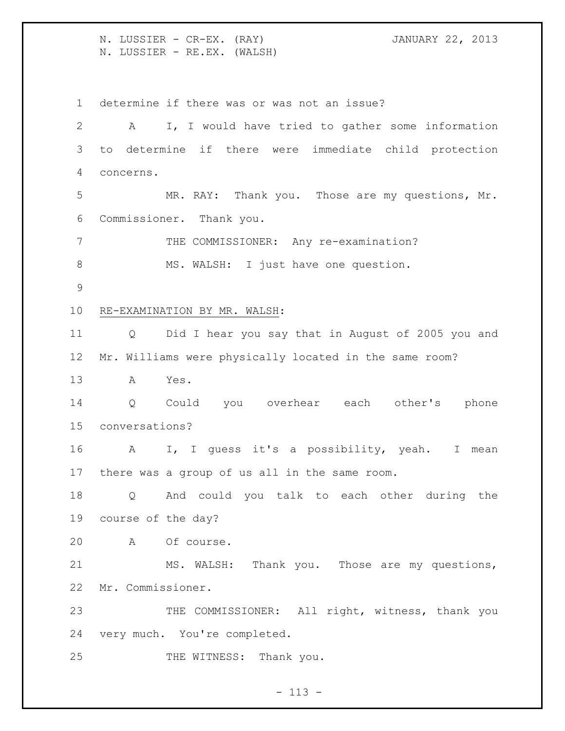N. LUSSIER - CR-EX. (RAY) JANUARY 22, 2013 N. LUSSIER - RE.EX. (WALSH)

determine if there was or was not an issue?

 A I, I would have tried to gather some information to determine if there were immediate child protection concerns. MR. RAY: Thank you. Those are my questions, Mr. Commissioner. Thank you. 7 THE COMMISSIONER: Any re-examination? 8 MS. WALSH: I just have one question. RE-EXAMINATION BY MR. WALSH: Q Did I hear you say that in August of 2005 you and Mr. Williams were physically located in the same room? A Yes. Q Could you overhear each other's phone conversations? A I, I guess it's a possibility, yeah. I mean there was a group of us all in the same room. Q And could you talk to each other during the course of the day? A Of course. MS. WALSH: Thank you. Those are my questions, Mr. Commissioner. THE COMMISSIONER: All right, witness, thank you very much. You're completed. 25 THE WITNESS: Thank you.

 $- 113 -$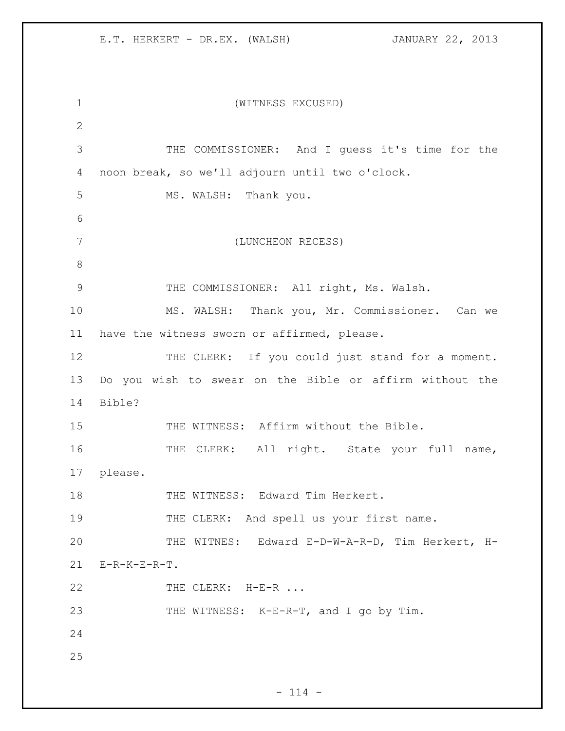| $\mathbf 1$   | (WITNESS EXCUSED)                                       |
|---------------|---------------------------------------------------------|
| $\mathbf{2}$  |                                                         |
| 3             | THE COMMISSIONER: And I guess it's time for the         |
| 4             | noon break, so we'll adjourn until two o'clock.         |
| 5             | MS. WALSH: Thank you.                                   |
| 6             |                                                         |
| 7             | (LUNCHEON RECESS)                                       |
| 8             |                                                         |
| $\mathcal{G}$ | THE COMMISSIONER: All right, Ms. Walsh.                 |
| 10            | MS. WALSH: Thank you, Mr. Commissioner. Can we          |
| 11            | have the witness sworn or affirmed, please.             |
| 12            | THE CLERK: If you could just stand for a moment.        |
| 13            | Do you wish to swear on the Bible or affirm without the |
| 14            | Bible?                                                  |
| 15            | THE WITNESS: Affirm without the Bible.                  |
| 16            | THE CLERK: All right. State your full name,             |
| 17            | please.                                                 |
| 18            | THE WITNESS: Edward Tim Herkert.                        |
| 19            | THE CLERK: And spell us your first name.                |
| 20            | THE WITNES: Edward E-D-W-A-R-D, Tim Herkert, H-         |
| 21            | $E-R-K-E-R-T$ .                                         |
| 22            | THE CLERK: H-E-R                                        |
| 23            | THE WITNESS: K-E-R-T, and I go by Tim.                  |
| 24            |                                                         |
| 25            |                                                         |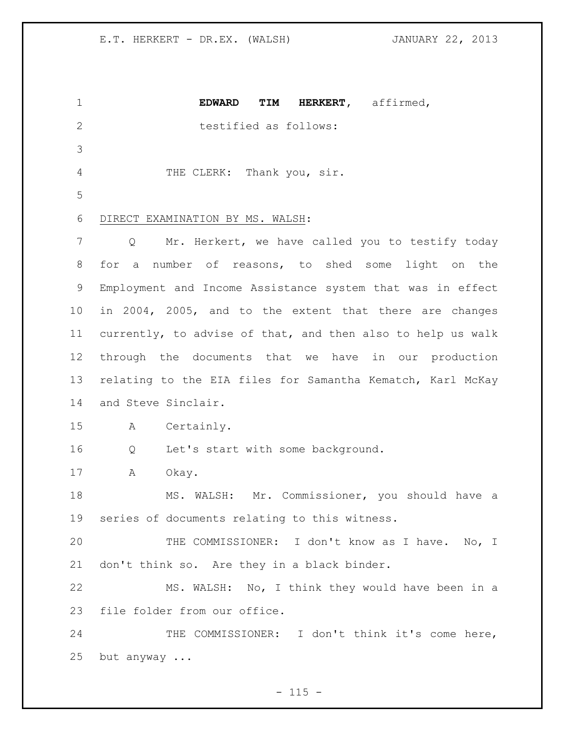| $\mathbf 1$    | <b>EDWARD</b><br>TIM<br>HERKERT, affirmed,                  |
|----------------|-------------------------------------------------------------|
| $\overline{2}$ | testified as follows:                                       |
| 3              |                                                             |
| $\overline{4}$ | THE CLERK: Thank you, sir.                                  |
| 5              |                                                             |
| 6              | DIRECT EXAMINATION BY MS. WALSH:                            |
| 7              | Mr. Herkert, we have called you to testify today<br>Q       |
| 8              | a number of reasons, to shed some light on the<br>for       |
| 9              | Employment and Income Assistance system that was in effect  |
| 10             | in 2004, 2005, and to the extent that there are changes     |
| 11             | currently, to advise of that, and then also to help us walk |
| 12             | through the documents that we have in our production        |
| 13             | relating to the EIA files for Samantha Kematch, Karl McKay  |
| 14             | and Steve Sinclair.                                         |
| 15             | Certainly.<br>A                                             |
| 16             | Let's start with some background.<br>Q                      |
| 17             | A<br>Okay.                                                  |
| 18             | MS. WALSH: Mr. Commissioner, you should have a              |
| 19             | series of documents relating to this witness.               |
| 20             | THE COMMISSIONER: I don't know as I have. No, I             |
| 21             | don't think so. Are they in a black binder.                 |
| 22             | MS. WALSH: No, I think they would have been in a            |
| 23             | file folder from our office.                                |
| 24             | THE COMMISSIONER: I don't think it's come here,             |
| 25             | but anyway                                                  |

- 115 -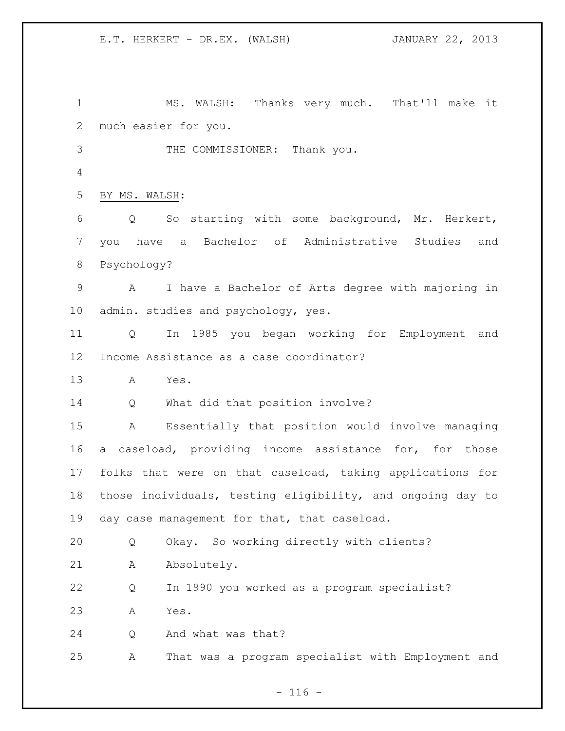MS. WALSH: Thanks very much. That'll make it much easier for you. THE COMMISSIONER: Thank you. BY MS. WALSH: Q So starting with some background, Mr. Herkert, you have a Bachelor of Administrative Studies and Psychology? A I have a Bachelor of Arts degree with majoring in admin. studies and psychology, yes. Q In 1985 you began working for Employment and Income Assistance as a case coordinator? A Yes. 14 Q What did that position involve? A Essentially that position would involve managing a caseload, providing income assistance for, for those folks that were on that caseload, taking applications for those individuals, testing eligibility, and ongoing day to day case management for that, that caseload. Q Okay. So working directly with clients? 21 A Absolutely. Q In 1990 you worked as a program specialist? A Yes. Q And what was that? A That was a program specialist with Employment and

 $- 116 -$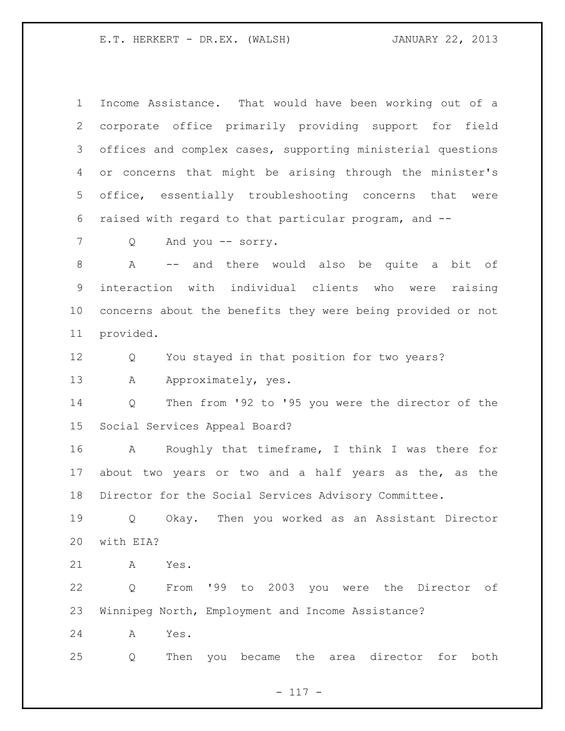Income Assistance. That would have been working out of a corporate office primarily providing support for field offices and complex cases, supporting ministerial questions or concerns that might be arising through the minister's office, essentially troubleshooting concerns that were raised with regard to that particular program, and --

Q And you -- sorry.

 A -- and there would also be quite a bit of interaction with individual clients who were raising concerns about the benefits they were being provided or not provided.

Q You stayed in that position for two years?

13 A Approximately, yes.

 Q Then from '92 to '95 you were the director of the Social Services Appeal Board?

 A Roughly that timeframe, I think I was there for about two years or two and a half years as the, as the Director for the Social Services Advisory Committee.

 Q Okay. Then you worked as an Assistant Director with EIA?

A Yes.

 Q From '99 to 2003 you were the Director of Winnipeg North, Employment and Income Assistance?

A Yes.

Q Then you became the area director for both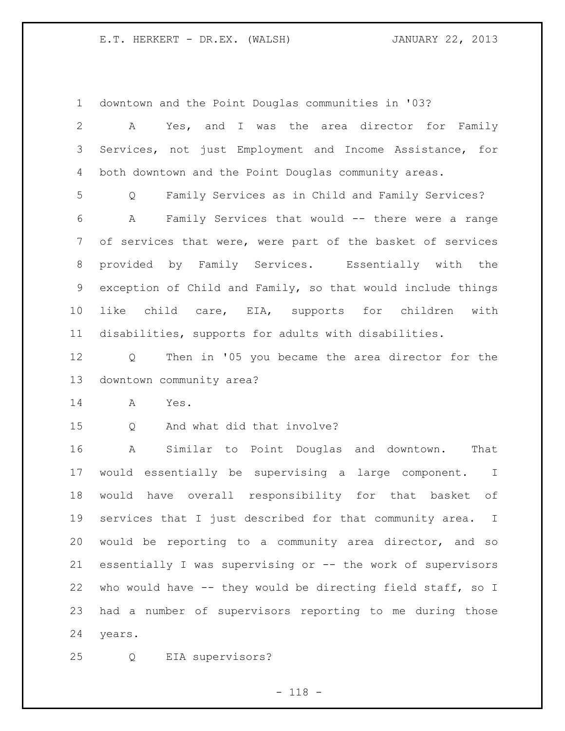downtown and the Point Douglas communities in '03?

| $\mathbf{2}$ | Yes, and I was the area director for Family<br>A            |
|--------------|-------------------------------------------------------------|
| 3            | Services, not just Employment and Income Assistance, for    |
| 4            | both downtown and the Point Douglas community areas.        |
| 5            | Family Services as in Child and Family Services?<br>Q       |
| 6            | Family Services that would -- there were a range<br>A       |
| 7            | of services that were, were part of the basket of services  |
| 8            | provided by Family Services. Essentially with the           |
| 9            | exception of Child and Family, so that would include things |
| 10           | like child care, EIA, supports for children with            |
| 11           | disabilities, supports for adults with disabilities.        |
| 12           | Then in '05 you became the area director for the<br>Q       |
| 13           | downtown community area?                                    |
| 14           | A<br>Yes.                                                   |
| 15           | Q And what did that involve?                                |
| 16           | Similar to Point Douglas and downtown.<br>That<br>A         |
| 17           | would essentially be supervising a large component. I       |
| 18           | would have overall responsibility for that basket of        |
| 19           | services that I just described for that community area. I   |
| 20           | would be reporting to a community area director, and so     |
| 21           | essentially I was supervising or -- the work of supervisors |
| 22           | who would have -- they would be directing field staff, so I |
| 23           | had a number of supervisors reporting to me during those    |
| 24           | years.                                                      |

Q EIA supervisors?

- 118 -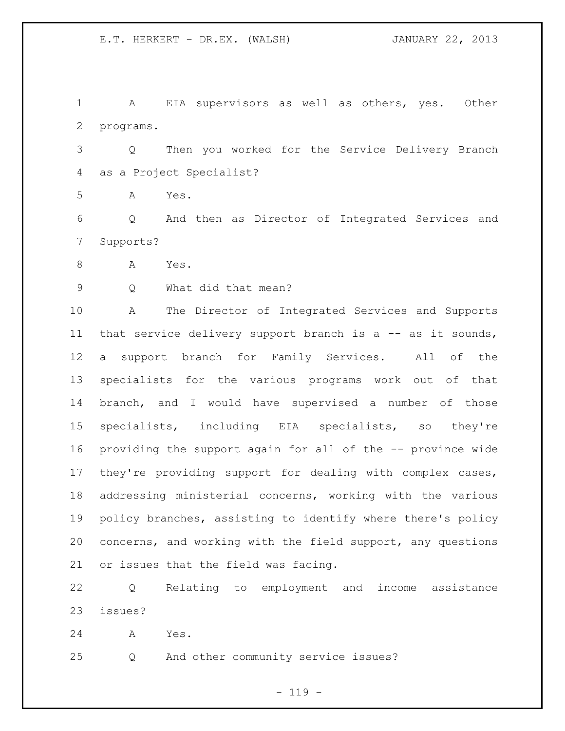A EIA supervisors as well as others, yes. Other programs.

 Q Then you worked for the Service Delivery Branch as a Project Specialist?

A Yes.

 Q And then as Director of Integrated Services and Supports?

A Yes.

Q What did that mean?

 A The Director of Integrated Services and Supports 11 that service delivery support branch is a -- as it sounds, a support branch for Family Services. All of the specialists for the various programs work out of that branch, and I would have supervised a number of those specialists, including EIA specialists, so they're providing the support again for all of the -- province wide they're providing support for dealing with complex cases, addressing ministerial concerns, working with the various policy branches, assisting to identify where there's policy concerns, and working with the field support, any questions or issues that the field was facing.

 Q Relating to employment and income assistance issues?

A Yes.

Q And other community service issues?

 $- 119 -$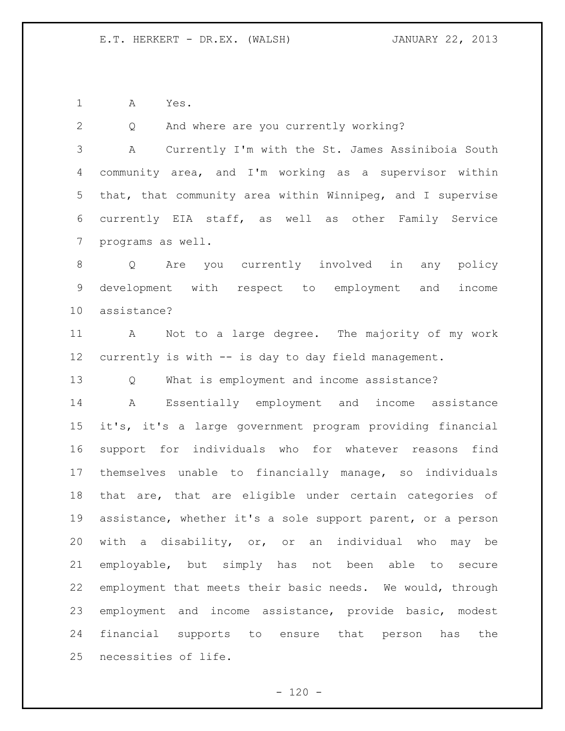A Yes.

 Q And where are you currently working? A Currently I'm with the St. James Assiniboia South community area, and I'm working as a supervisor within that, that community area within Winnipeg, and I supervise currently EIA staff, as well as other Family Service

programs as well.

 Q Are you currently involved in any policy development with respect to employment and income assistance?

 A Not to a large degree. The majority of my work currently is with -- is day to day field management.

Q What is employment and income assistance?

 A Essentially employment and income assistance it's, it's a large government program providing financial support for individuals who for whatever reasons find themselves unable to financially manage, so individuals that are, that are eligible under certain categories of assistance, whether it's a sole support parent, or a person with a disability, or, or an individual who may be employable, but simply has not been able to secure employment that meets their basic needs. We would, through employment and income assistance, provide basic, modest financial supports to ensure that person has the necessities of life.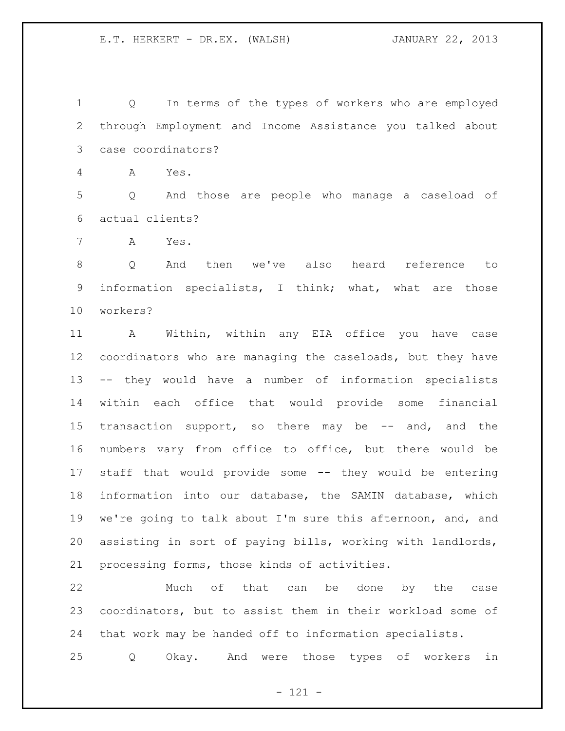Q In terms of the types of workers who are employed through Employment and Income Assistance you talked about case coordinators?

A Yes.

 Q And those are people who manage a caseload of actual clients?

A Yes.

 Q And then we've also heard reference to information specialists, I think; what, what are those workers?

 A Within, within any EIA office you have case coordinators who are managing the caseloads, but they have -- they would have a number of information specialists within each office that would provide some financial 15 transaction support, so there may be -- and, and the numbers vary from office to office, but there would be staff that would provide some -- they would be entering information into our database, the SAMIN database, which we're going to talk about I'm sure this afternoon, and, and assisting in sort of paying bills, working with landlords, processing forms, those kinds of activities.

 Much of that can be done by the case coordinators, but to assist them in their workload some of that work may be handed off to information specialists.

Q Okay. And were those types of workers in

- 121 -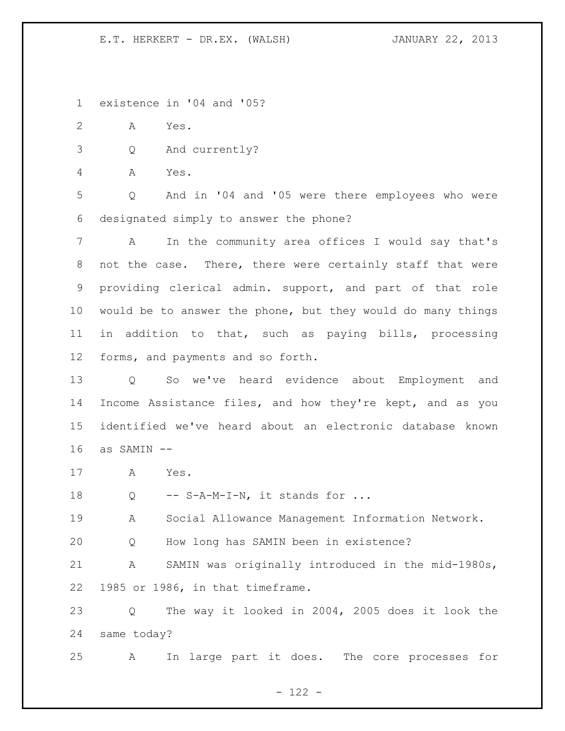existence in '04 and '05?

A Yes.

Q And currently?

A Yes.

 Q And in '04 and '05 were there employees who were designated simply to answer the phone?

 A In the community area offices I would say that's not the case. There, there were certainly staff that were providing clerical admin. support, and part of that role would be to answer the phone, but they would do many things in addition to that, such as paying bills, processing forms, and payments and so forth.

 Q So we've heard evidence about Employment and Income Assistance files, and how they're kept, and as you identified we've heard about an electronic database known as SAMIN --

A Yes.

18 Q -- S-A-M-I-N, it stands for ...

A Social Allowance Management Information Network.

Q How long has SAMIN been in existence?

 A SAMIN was originally introduced in the mid-1980s, 1985 or 1986, in that timeframe.

 Q The way it looked in 2004, 2005 does it look the same today?

A In large part it does. The core processes for

 $- 122 -$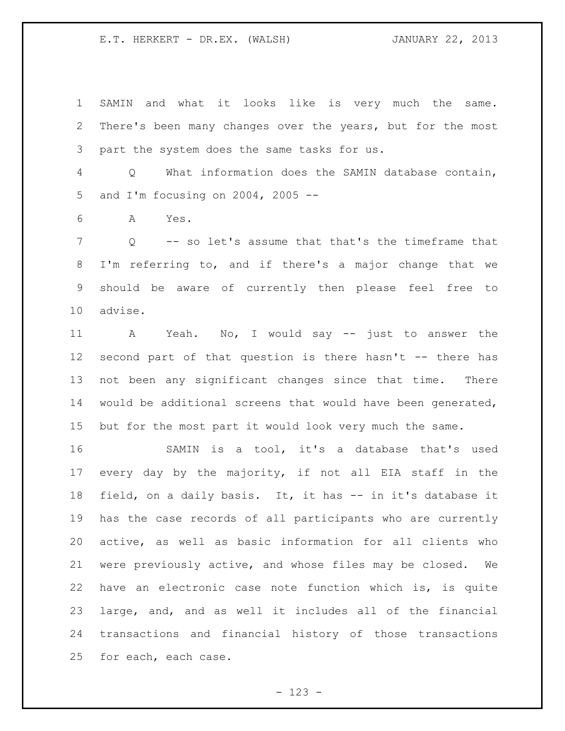SAMIN and what it looks like is very much the same. There's been many changes over the years, but for the most part the system does the same tasks for us.

 Q What information does the SAMIN database contain, and I'm focusing on 2004, 2005 --

A Yes.

 Q -- so let's assume that that's the timeframe that I'm referring to, and if there's a major change that we should be aware of currently then please feel free to advise.

 A Yeah. No, I would say -- just to answer the second part of that question is there hasn't -- there has not been any significant changes since that time. There would be additional screens that would have been generated, but for the most part it would look very much the same.

 SAMIN is a tool, it's a database that's used every day by the majority, if not all EIA staff in the field, on a daily basis. It, it has -- in it's database it has the case records of all participants who are currently active, as well as basic information for all clients who were previously active, and whose files may be closed. We have an electronic case note function which is, is quite large, and, and as well it includes all of the financial transactions and financial history of those transactions for each, each case.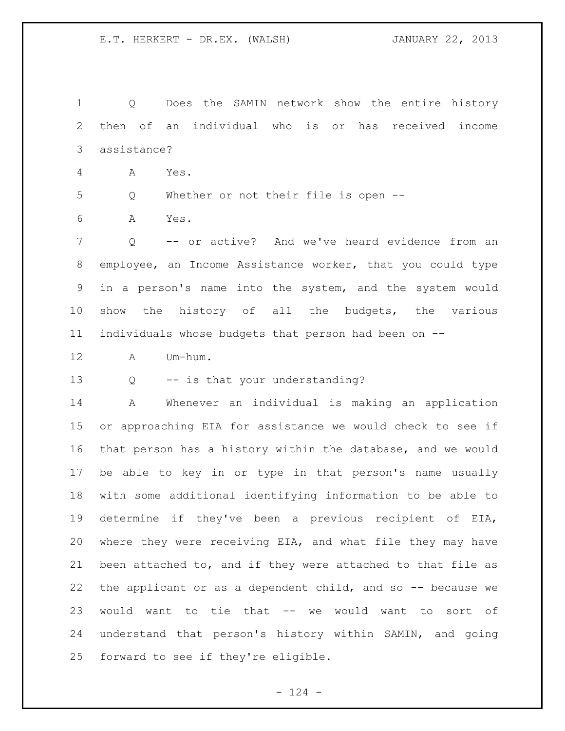Q Does the SAMIN network show the entire history then of an individual who is or has received income assistance?

A Yes.

Q Whether or not their file is open --

A Yes.

 Q -- or active? And we've heard evidence from an employee, an Income Assistance worker, that you could type in a person's name into the system, and the system would show the history of all the budgets, the various individuals whose budgets that person had been on --

A Um-hum.

Q -- is that your understanding?

 A Whenever an individual is making an application or approaching EIA for assistance we would check to see if that person has a history within the database, and we would be able to key in or type in that person's name usually with some additional identifying information to be able to determine if they've been a previous recipient of EIA, where they were receiving EIA, and what file they may have been attached to, and if they were attached to that file as 22 the applicant or as a dependent child, and so -- because we would want to tie that -- we would want to sort of understand that person's history within SAMIN, and going forward to see if they're eligible.

 $- 124 -$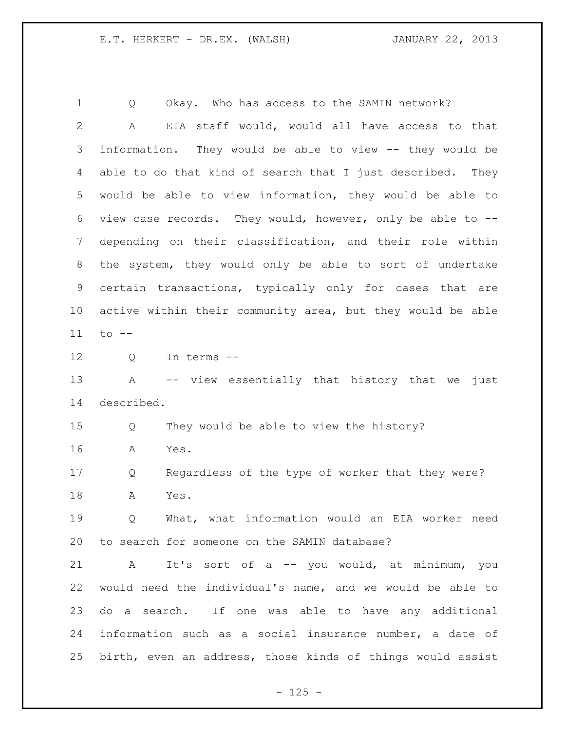1 O Okay. Who has access to the SAMIN network? A EIA staff would, would all have access to that information. They would be able to view -- they would be able to do that kind of search that I just described. They would be able to view information, they would be able to view case records. They would, however, only be able to -- depending on their classification, and their role within the system, they would only be able to sort of undertake certain transactions, typically only for cases that are active within their community area, but they would be able to -- Q In terms -- A -- view essentially that history that we just described. Q They would be able to view the history? A Yes. Q Regardless of the type of worker that they were? A Yes. Q What, what information would an EIA worker need to search for someone on the SAMIN database?

 A It's sort of a -- you would, at minimum, you would need the individual's name, and we would be able to do a search. If one was able to have any additional information such as a social insurance number, a date of birth, even an address, those kinds of things would assist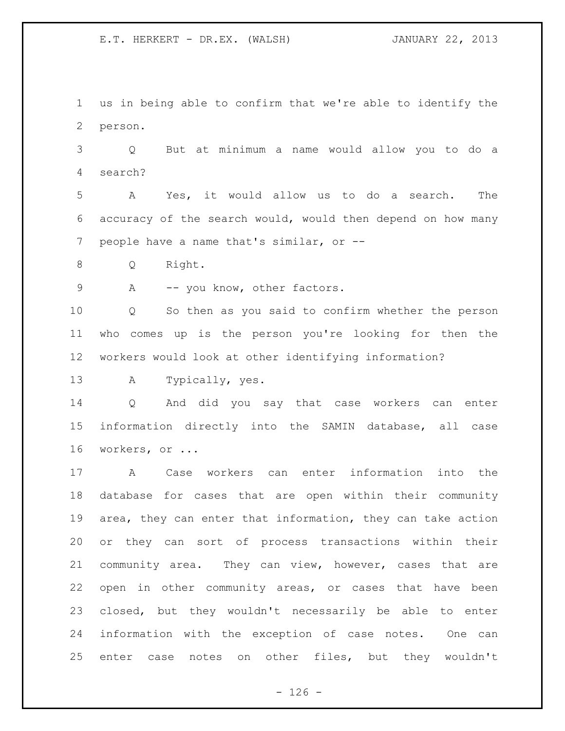us in being able to confirm that we're able to identify the person.

 Q But at minimum a name would allow you to do a search?

 A Yes, it would allow us to do a search. The accuracy of the search would, would then depend on how many people have a name that's similar, or --

Q Right.

9 A -- you know, other factors.

 Q So then as you said to confirm whether the person who comes up is the person you're looking for then the workers would look at other identifying information?

A Typically, yes.

 Q And did you say that case workers can enter information directly into the SAMIN database, all case workers, or ...

 A Case workers can enter information into the database for cases that are open within their community area, they can enter that information, they can take action or they can sort of process transactions within their community area. They can view, however, cases that are open in other community areas, or cases that have been closed, but they wouldn't necessarily be able to enter information with the exception of case notes. One can enter case notes on other files, but they wouldn't

 $- 126 -$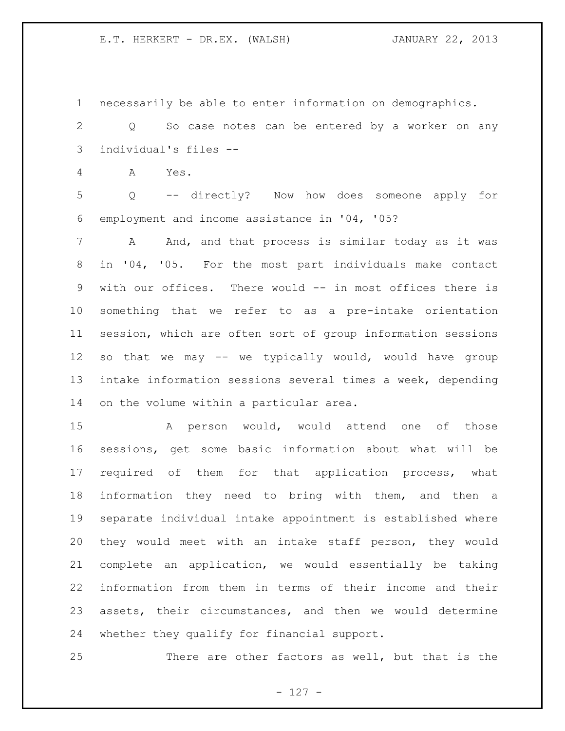necessarily be able to enter information on demographics.

 Q So case notes can be entered by a worker on any individual's files --

A Yes.

 Q -- directly? Now how does someone apply for employment and income assistance in '04, '05?

7 A And, and that process is similar today as it was in '04, '05. For the most part individuals make contact with our offices. There would -- in most offices there is something that we refer to as a pre-intake orientation session, which are often sort of group information sessions so that we may -- we typically would, would have group intake information sessions several times a week, depending on the volume within a particular area.

 A person would, would attend one of those sessions, get some basic information about what will be required of them for that application process, what information they need to bring with them, and then a separate individual intake appointment is established where they would meet with an intake staff person, they would complete an application, we would essentially be taking information from them in terms of their income and their assets, their circumstances, and then we would determine whether they qualify for financial support.

There are other factors as well, but that is the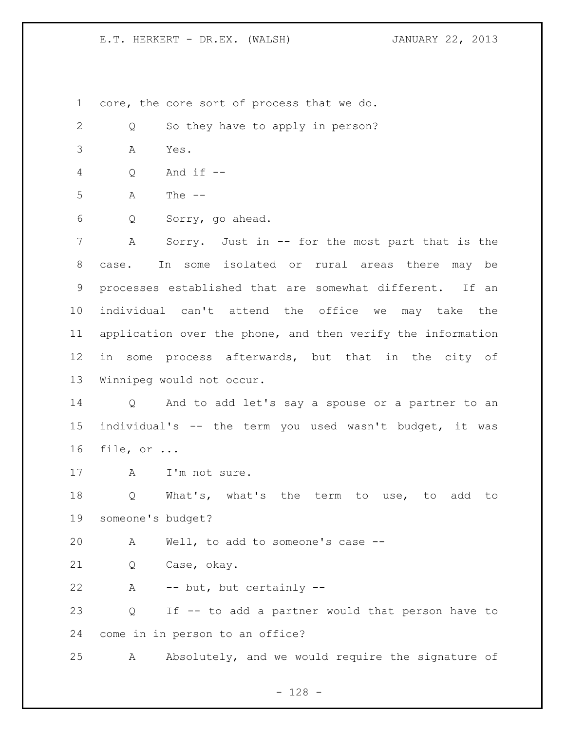core, the core sort of process that we do.

2 Q So they have to apply in person?

A Yes.

Q And if --

A The --

Q Sorry, go ahead.

 A Sorry. Just in -- for the most part that is the case. In some isolated or rural areas there may be processes established that are somewhat different. If an individual can't attend the office we may take the application over the phone, and then verify the information in some process afterwards, but that in the city of Winnipeg would not occur.

 Q And to add let's say a spouse or a partner to an individual's -- the term you used wasn't budget, it was file, or ...

17 A I'm not sure.

 Q What's, what's the term to use, to add to someone's budget?

A Well, to add to someone's case --

Q Case, okay.

A -- but, but certainly --

 Q If -- to add a partner would that person have to come in in person to an office?

A Absolutely, and we would require the signature of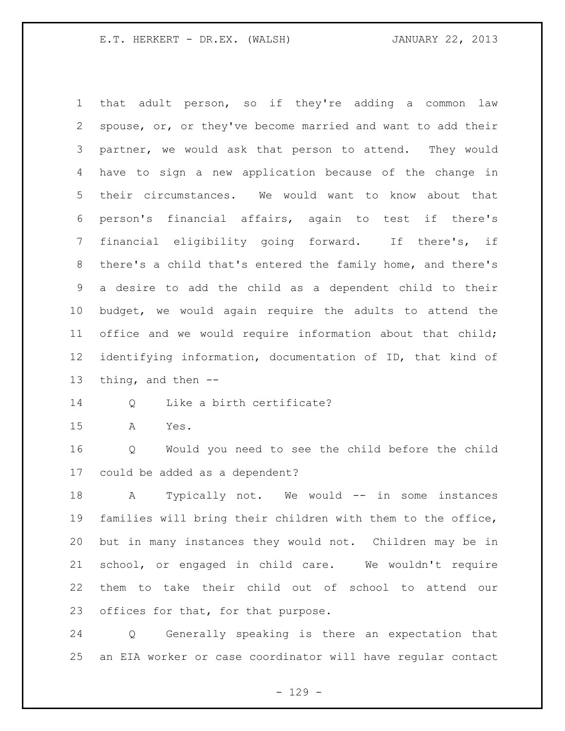that adult person, so if they're adding a common law spouse, or, or they've become married and want to add their partner, we would ask that person to attend. They would have to sign a new application because of the change in their circumstances. We would want to know about that person's financial affairs, again to test if there's financial eligibility going forward. If there's, if there's a child that's entered the family home, and there's a desire to add the child as a dependent child to their budget, we would again require the adults to attend the office and we would require information about that child; identifying information, documentation of ID, that kind of thing, and then -- Q Like a birth certificate?

A Yes.

 Q Would you need to see the child before the child could be added as a dependent?

18 A Typically not. We would -- in some instances families will bring their children with them to the office, but in many instances they would not. Children may be in school, or engaged in child care. We wouldn't require them to take their child out of school to attend our offices for that, for that purpose.

 Q Generally speaking is there an expectation that an EIA worker or case coordinator will have regular contact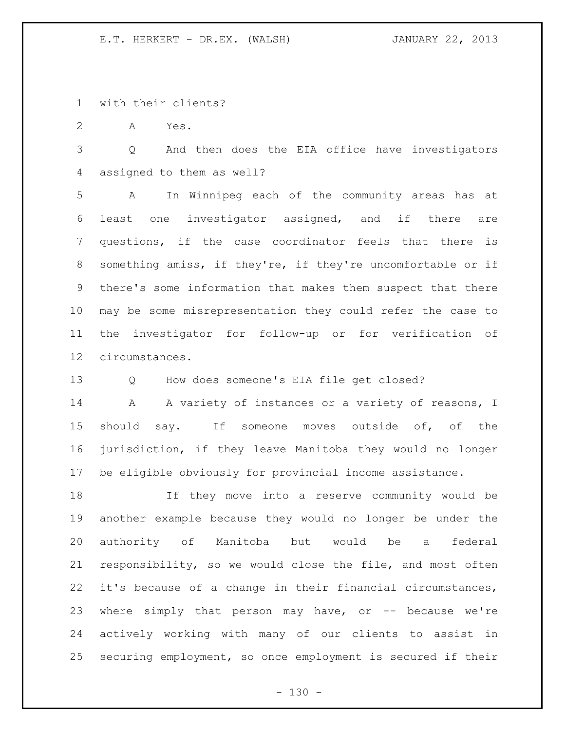with their clients?

A Yes.

 Q And then does the EIA office have investigators assigned to them as well?

 A In Winnipeg each of the community areas has at least one investigator assigned, and if there are questions, if the case coordinator feels that there is something amiss, if they're, if they're uncomfortable or if there's some information that makes them suspect that there may be some misrepresentation they could refer the case to the investigator for follow-up or for verification of circumstances.

Q How does someone's EIA file get closed?

14 A A variety of instances or a variety of reasons, I should say. If someone moves outside of, of the jurisdiction, if they leave Manitoba they would no longer be eligible obviously for provincial income assistance.

 If they move into a reserve community would be another example because they would no longer be under the authority of Manitoba but would be a federal responsibility, so we would close the file, and most often it's because of a change in their financial circumstances, 23 where simply that person may have, or -- because we're actively working with many of our clients to assist in securing employment, so once employment is secured if their

 $- 130 -$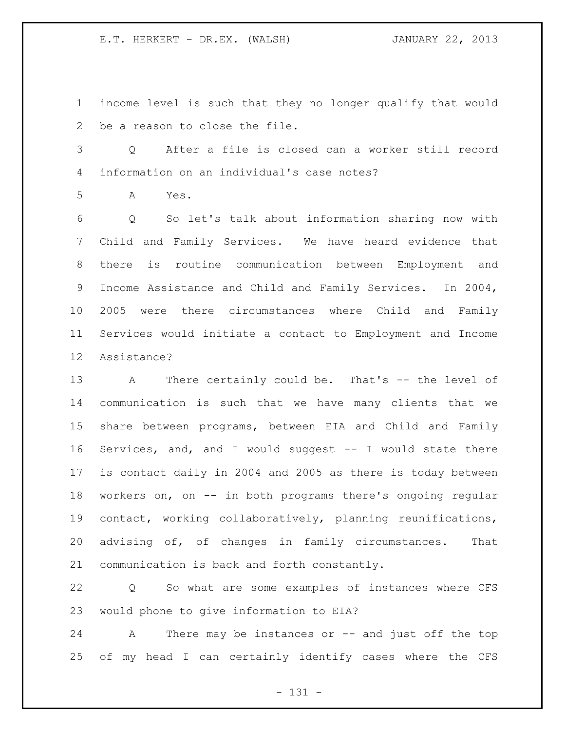income level is such that they no longer qualify that would be a reason to close the file.

- Q After a file is closed can a worker still record information on an individual's case notes?
- A Yes.

 Q So let's talk about information sharing now with Child and Family Services. We have heard evidence that there is routine communication between Employment and Income Assistance and Child and Family Services. In 2004, 2005 were there circumstances where Child and Family Services would initiate a contact to Employment and Income Assistance?

 A There certainly could be. That's -- the level of communication is such that we have many clients that we share between programs, between EIA and Child and Family Services, and, and I would suggest -- I would state there is contact daily in 2004 and 2005 as there is today between workers on, on -- in both programs there's ongoing regular contact, working collaboratively, planning reunifications, advising of, of changes in family circumstances. That communication is back and forth constantly.

 Q So what are some examples of instances where CFS would phone to give information to EIA?

 A There may be instances or -- and just off the top of my head I can certainly identify cases where the CFS

- 131 -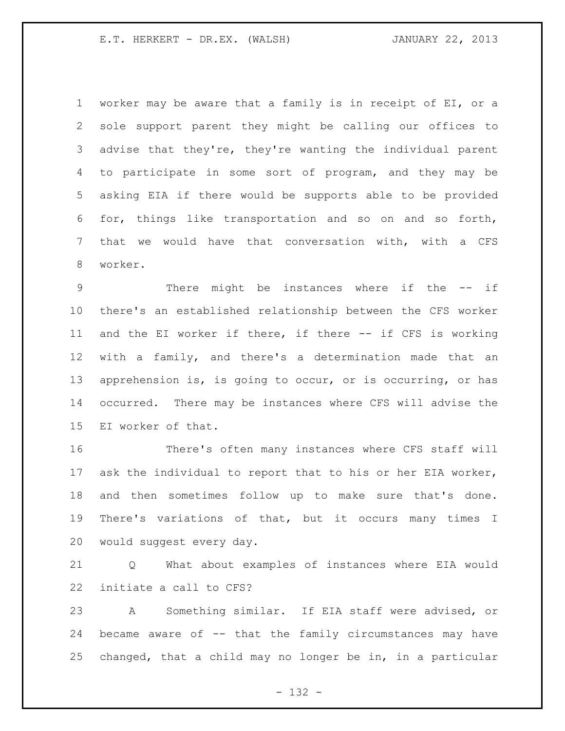worker may be aware that a family is in receipt of EI, or a sole support parent they might be calling our offices to advise that they're, they're wanting the individual parent to participate in some sort of program, and they may be asking EIA if there would be supports able to be provided for, things like transportation and so on and so forth, that we would have that conversation with, with a CFS worker.

 There might be instances where if the -- if there's an established relationship between the CFS worker and the EI worker if there, if there -- if CFS is working with a family, and there's a determination made that an apprehension is, is going to occur, or is occurring, or has occurred. There may be instances where CFS will advise the EI worker of that.

 There's often many instances where CFS staff will ask the individual to report that to his or her EIA worker, and then sometimes follow up to make sure that's done. There's variations of that, but it occurs many times I would suggest every day.

 Q What about examples of instances where EIA would initiate a call to CFS?

 A Something similar. If EIA staff were advised, or became aware of -- that the family circumstances may have changed, that a child may no longer be in, in a particular

- 132 -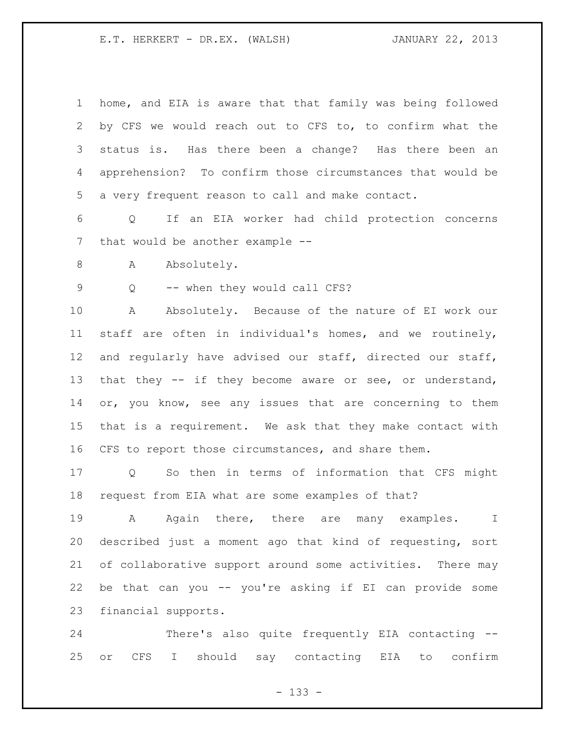| $\mathbf 1$ | home, and EIA is aware that that family was being followed |
|-------------|------------------------------------------------------------|
| 2           | by CFS we would reach out to CFS to, to confirm what the   |
| 3           | status is. Has there been a change? Has there been an      |
| 4           | apprehension? To confirm those circumstances that would be |
| 5           | a very frequent reason to call and make contact.           |
| 6           | If an EIA worker had child protection concerns<br>Q        |
| 7           | that would be another example --                           |
| 8           | Absolutely.<br>A                                           |
| $\mathsf 9$ | -- when they would call CFS?<br>Q                          |
| 10          | Absolutely. Because of the nature of EI work our<br>A      |
| 11          | staff are often in individual's homes, and we routinely,   |
| 12          | and regularly have advised our staff, directed our staff,  |
| 13          | that they -- if they become aware or see, or understand,   |
| 14          | or, you know, see any issues that are concerning to them   |
| 15          | that is a requirement. We ask that they make contact with  |
| 16          | CFS to report those circumstances, and share them.         |
| 17          | So then in terms of information that CFS<br>might<br>Q     |
| 18          | request from EIA what are some examples of that?           |
| 19          | A Again there, there are many examples. I                  |
| 20          | described just a moment ago that kind of requesting, sort  |
| 21          | of collaborative support around some activities. There may |
| 22          | be that can you -- you're asking if EI can provide some    |
| 23          | financial supports.                                        |
|             |                                                            |

 There's also quite frequently EIA contacting -- or CFS I should say contacting EIA to confirm

- 133 -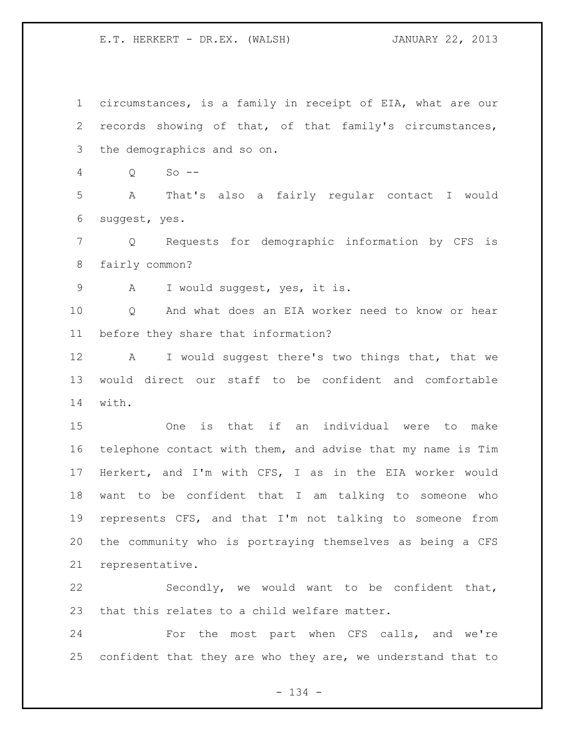circumstances, is a family in receipt of EIA, what are our records showing of that, of that family's circumstances, the demographics and so on. Q So -- A That's also a fairly regular contact I would suggest, yes. Q Requests for demographic information by CFS is fairly common? A I would suggest, yes, it is. Q And what does an EIA worker need to know or hear before they share that information? A I would suggest there's two things that, that we would direct our staff to be confident and comfortable with. One is that if an individual were to make telephone contact with them, and advise that my name is Tim Herkert, and I'm with CFS, I as in the EIA worker would want to be confident that I am talking to someone who represents CFS, and that I'm not talking to someone from the community who is portraying themselves as being a CFS representative. Secondly, we would want to be confident that, that this relates to a child welfare matter. For the most part when CFS calls, and we're

- 134 -

confident that they are who they are, we understand that to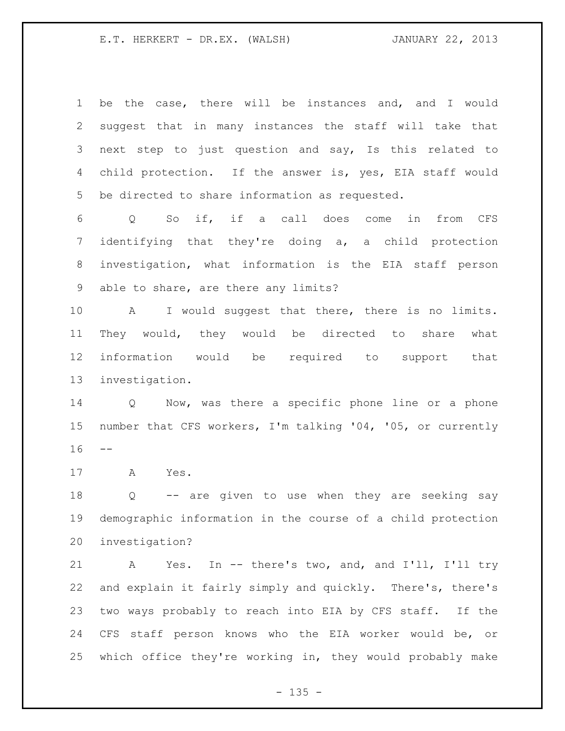be the case, there will be instances and, and I would suggest that in many instances the staff will take that next step to just question and say, Is this related to 4 child protection. If the answer is, yes, EIA staff would be directed to share information as requested. Q So if, if a call does come in from CFS identifying that they're doing a, a child protection investigation, what information is the EIA staff person able to share, are there any limits? A I would suggest that there, there is no limits. They would, they would be directed to share what information would be required to support that investigation. Q Now, was there a specific phone line or a phone number that CFS workers, I'm talking '04, '05, or currently A Yes. Q -- are given to use when they are seeking say demographic information in the course of a child protection investigation? A Yes. In -- there's two, and, and I'll, I'll try

 and explain it fairly simply and quickly. There's, there's two ways probably to reach into EIA by CFS staff. If the CFS staff person knows who the EIA worker would be, or which office they're working in, they would probably make

 $- 135 -$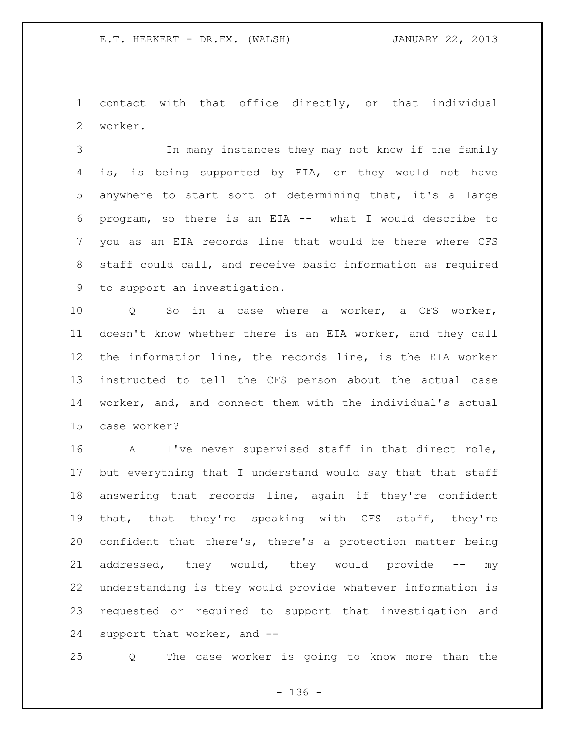contact with that office directly, or that individual worker.

 In many instances they may not know if the family is, is being supported by EIA, or they would not have anywhere to start sort of determining that, it's a large program, so there is an EIA -- what I would describe to you as an EIA records line that would be there where CFS staff could call, and receive basic information as required to support an investigation.

 Q So in a case where a worker, a CFS worker, doesn't know whether there is an EIA worker, and they call the information line, the records line, is the EIA worker instructed to tell the CFS person about the actual case worker, and, and connect them with the individual's actual case worker?

 A I've never supervised staff in that direct role, but everything that I understand would say that that staff answering that records line, again if they're confident that, that they're speaking with CFS staff, they're confident that there's, there's a protection matter being 21 addressed, they would, they would provide -- my understanding is they would provide whatever information is requested or required to support that investigation and support that worker, and --

Q The case worker is going to know more than the

- 136 -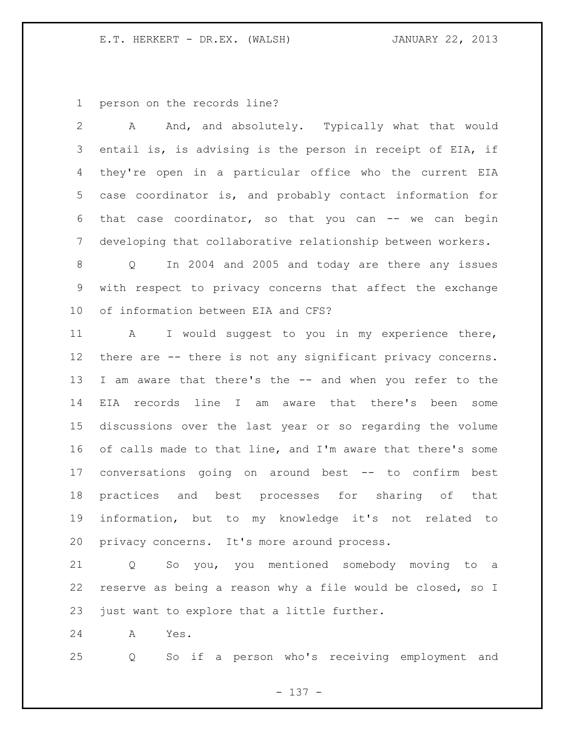person on the records line?

| $\overline{2}$ | A And, and absolutely. Typically what that would               |
|----------------|----------------------------------------------------------------|
| 3              | entail is, is advising is the person in receipt of EIA, if     |
| 4              | they're open in a particular office who the current EIA        |
| 5              | case coordinator is, and probably contact information for      |
| 6              | that case coordinator, so that you can -- we can begin         |
| 7              | developing that collaborative relationship between workers.    |
| 8              | In 2004 and 2005 and today are there any issues<br>Q           |
| 9              | with respect to privacy concerns that affect the exchange      |
| 10             | of information between EIA and CFS?                            |
| 11             | I would suggest to you in my experience there,<br>$\mathbf{A}$ |
| 12             | there are -- there is not any significant privacy concerns.    |
| 13             | I am aware that there's the -- and when you refer to the       |
| 14             | EIA records line I am aware that there's been some             |
| 15             | discussions over the last year or so regarding the volume      |
| 16             | of calls made to that line, and I'm aware that there's some    |
| 17             | conversations going on around best -- to confirm best          |
| 18             | practices and best processes for sharing of that               |
| 19             | information, but to my knowledge it's not related to           |
| 20             | privacy concerns. It's more around process.                    |
| 21             | So you, you mentioned somebody moving to<br>Q<br>a             |
| 22             | reserve as being a reason why a file would be closed, so I     |

just want to explore that a little further.

A Yes.

Q So if a person who's receiving employment and

- 137 -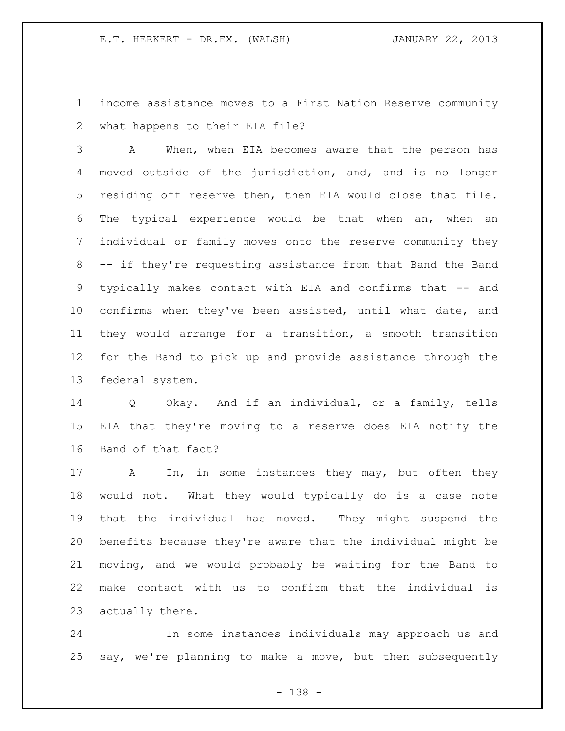income assistance moves to a First Nation Reserve community what happens to their EIA file?

 A When, when EIA becomes aware that the person has moved outside of the jurisdiction, and, and is no longer residing off reserve then, then EIA would close that file. The typical experience would be that when an, when an individual or family moves onto the reserve community they -- if they're requesting assistance from that Band the Band typically makes contact with EIA and confirms that -- and confirms when they've been assisted, until what date, and they would arrange for a transition, a smooth transition for the Band to pick up and provide assistance through the federal system.

 Q Okay. And if an individual, or a family, tells EIA that they're moving to a reserve does EIA notify the Band of that fact?

17 A In, in some instances they may, but often they would not. What they would typically do is a case note that the individual has moved. They might suspend the benefits because they're aware that the individual might be moving, and we would probably be waiting for the Band to make contact with us to confirm that the individual is actually there.

 In some instances individuals may approach us and say, we're planning to make a move, but then subsequently

- 138 -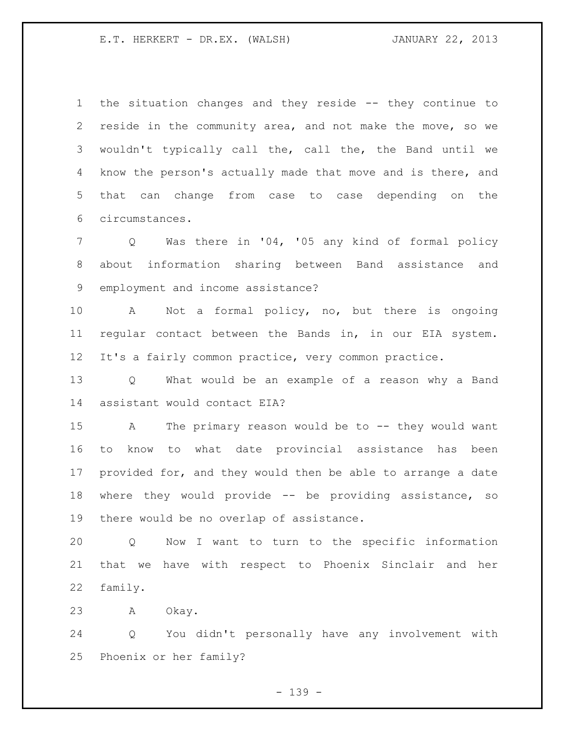the situation changes and they reside -- they continue to reside in the community area, and not make the move, so we wouldn't typically call the, call the, the Band until we know the person's actually made that move and is there, and that can change from case to case depending on the circumstances.

 Q Was there in '04, '05 any kind of formal policy about information sharing between Band assistance and employment and income assistance?

 A Not a formal policy, no, but there is ongoing regular contact between the Bands in, in our EIA system. It's a fairly common practice, very common practice.

 Q What would be an example of a reason why a Band assistant would contact EIA?

 A The primary reason would be to -- they would want to know to what date provincial assistance has been provided for, and they would then be able to arrange a date where they would provide -- be providing assistance, so there would be no overlap of assistance.

 Q Now I want to turn to the specific information that we have with respect to Phoenix Sinclair and her family.

A Okay.

 Q You didn't personally have any involvement with Phoenix or her family?

- 139 -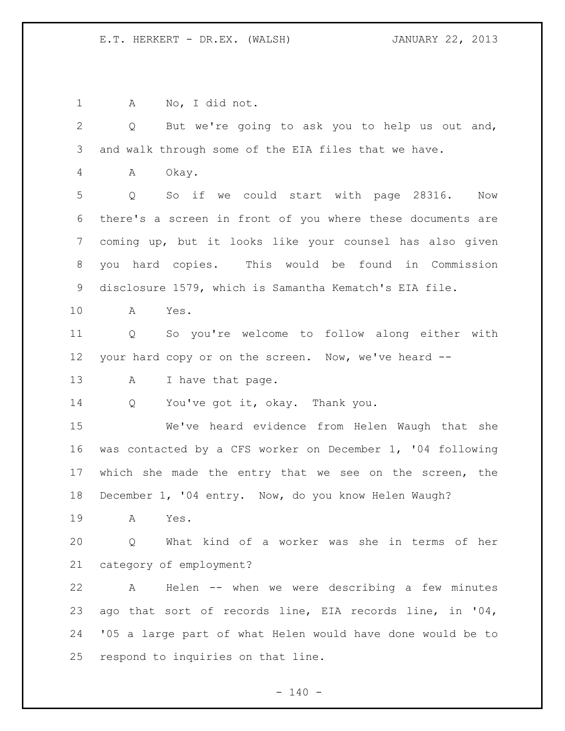A No, I did not. Q But we're going to ask you to help us out and, and walk through some of the EIA files that we have. A Okay. Q So if we could start with page 28316. Now there's a screen in front of you where these documents are coming up, but it looks like your counsel has also given you hard copies. This would be found in Commission disclosure 1579, which is Samantha Kematch's EIA file. A Yes. Q So you're welcome to follow along either with your hard copy or on the screen. Now, we've heard -- 13 A I have that page. 14 Q You've got it, okay. Thank you. We've heard evidence from Helen Waugh that she was contacted by a CFS worker on December 1, '04 following which she made the entry that we see on the screen, the December 1, '04 entry. Now, do you know Helen Waugh? A Yes. Q What kind of a worker was she in terms of her category of employment? A Helen -- when we were describing a few minutes ago that sort of records line, EIA records line, in '04, '05 a large part of what Helen would have done would be to respond to inquiries on that line.

 $- 140 -$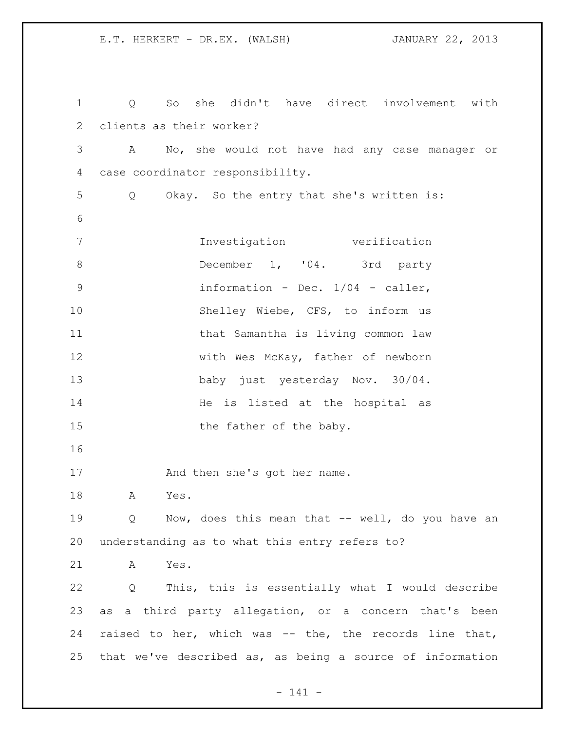Q So she didn't have direct involvement with clients as their worker? A No, she would not have had any case manager or case coordinator responsibility. Q Okay. So the entry that she's written is: Investigation verification 8 December 1, '04. 3rd party information - Dec. 1/04 - caller, Shelley Wiebe, CFS, to inform us 11 that Samantha is living common law 12 with Wes McKay, father of newborn baby just yesterday Nov. 30/04. 14 He is listed at the hospital as 15 the father of the baby. 17 And then she's got her name. A Yes. Q Now, does this mean that -- well, do you have an understanding as to what this entry refers to? A Yes. Q This, this is essentially what I would describe as a third party allegation, or a concern that's been raised to her, which was -- the, the records line that, that we've described as, as being a source of information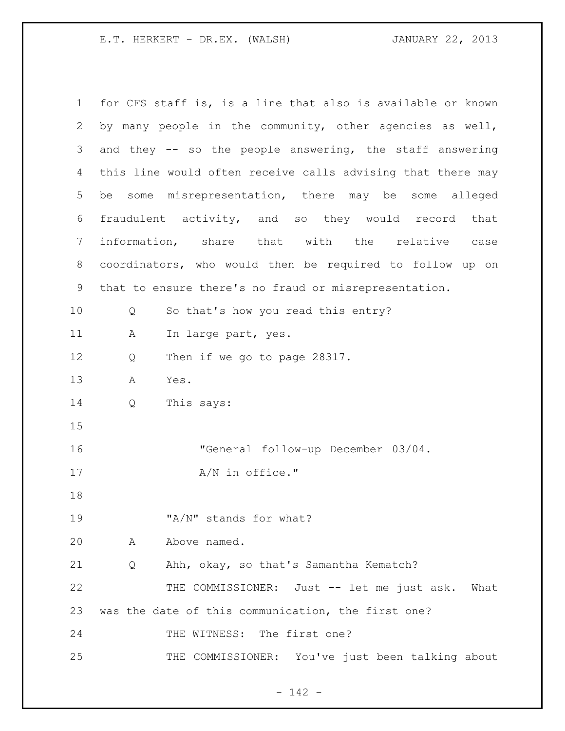| $\mathbf 1$ |   | for CFS staff is, is a line that also is available or known |
|-------------|---|-------------------------------------------------------------|
| 2           |   | by many people in the community, other agencies as well,    |
| 3           |   | and they -- so the people answering, the staff answering    |
| 4           |   | this line would often receive calls advising that there may |
| 5           |   | be some misrepresentation, there may be some alleged        |
| 6           |   | fraudulent activity, and so they would record that          |
| 7           |   | information, share that with the relative case              |
| 8           |   | coordinators, who would then be required to follow up on    |
| 9           |   | that to ensure there's no fraud or misrepresentation.       |
| 10          | Q | So that's how you read this entry?                          |
| 11          | Α | In large part, yes.                                         |
| 12          | Q | Then if we go to page 28317.                                |
| 13          | A | Yes.                                                        |
| 14          | Q | This says:                                                  |
| 15          |   |                                                             |
| 16          |   | "General follow-up December 03/04.                          |
| 17          |   | A/N in office."                                             |
| 18          |   |                                                             |
| 19          |   | "A/N" stands for what?                                      |
| 20          | A | Above named.                                                |
| 21          | Q | Ahh, okay, so that's Samantha Kematch?                      |
| 22          |   | THE COMMISSIONER: Just -- let me just ask. What             |
| 23          |   | was the date of this communication, the first one?          |
| 24          |   | THE WITNESS: The first one?                                 |
| 25          |   | THE COMMISSIONER: You've just been talking about            |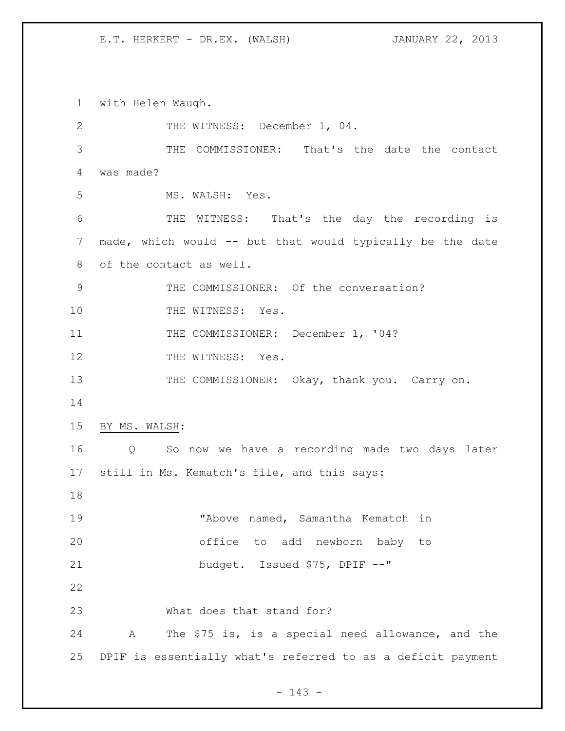with Helen Waugh. 2 THE WITNESS: December 1, 04. THE COMMISSIONER: That's the date the contact was made? MS. WALSH: Yes. THE WITNESS: That's the day the recording is made, which would -- but that would typically be the date of the contact as well. 9 THE COMMISSIONER: Of the conversation? 10 THE WITNESS: Yes. 11 THE COMMISSIONER: December 1, '04? 12 THE WITNESS: Yes. 13 THE COMMISSIONER: Okay, thank you. Carry on. BY MS. WALSH: Q So now we have a recording made two days later still in Ms. Kematch's file, and this says: "Above named, Samantha Kematch in office to add newborn baby to budget. Issued \$75, DPIF --" What does that stand for? A The \$75 is, is a special need allowance, and the DPIF is essentially what's referred to as a deficit payment

- 143 -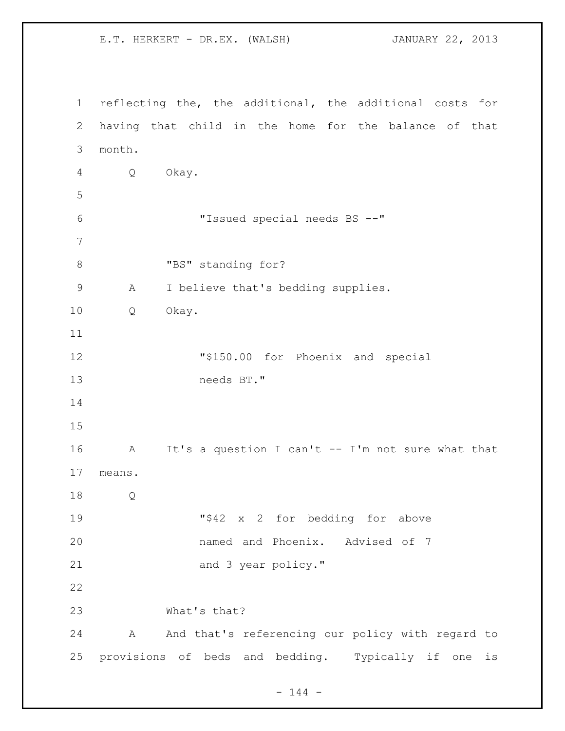reflecting the, the additional, the additional costs for having that child in the home for the balance of that month. Q Okay. "Issued special needs BS --" 8 "BS" standing for? A I believe that's bedding supplies. Q Okay. "\$150.00 for Phoenix and special needs BT." A It's a question I can't -- I'm not sure what that means. Q "\$42 x 2 for bedding for above named and Phoenix. Advised of 7 21 and 3 year policy." What's that? A And that's referencing our policy with regard to provisions of beds and bedding. Typically if one is

E.T. HERKERT - DR.EX. (WALSH) JANUARY 22, 2013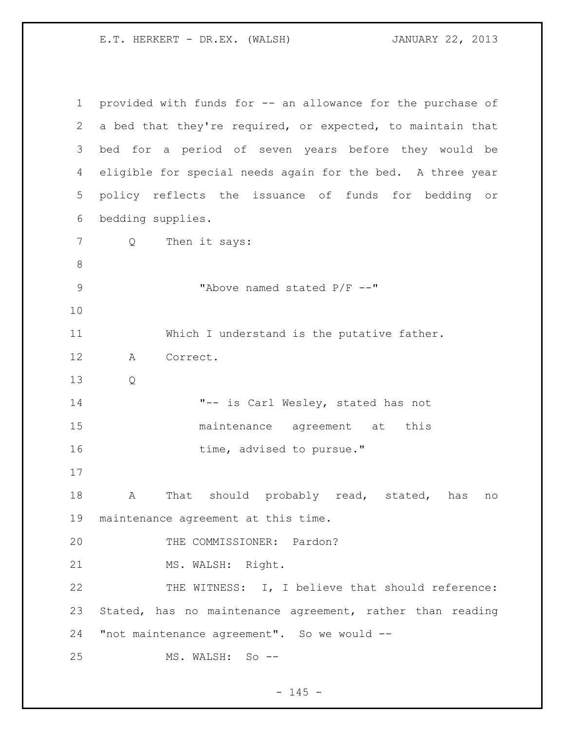| $\mathbf 1$  | provided with funds for -- an allowance for the purchase of |
|--------------|-------------------------------------------------------------|
| $\mathbf{2}$ | a bed that they're required, or expected, to maintain that  |
| 3            | bed for a period of seven years before they would be        |
| 4            | eligible for special needs again for the bed. A three year  |
| 5            | policy reflects the issuance of funds for bedding or        |
| 6            | bedding supplies.                                           |
| 7            | Then it says:<br>$Q \qquad \qquad$                          |
| $\,8\,$      |                                                             |
| $\mathsf 9$  | "Above named stated P/F --"                                 |
| 10           |                                                             |
| 11           | Which I understand is the putative father.                  |
| 12           | Correct.<br>A                                               |
| 13           | Q                                                           |
| 14           | "-- is Carl Wesley, stated has not                          |
| 15           | maintenance agreement at this                               |
| 16           | time, advised to pursue."                                   |
| 17           |                                                             |
| 18           | That should probably read, stated, has<br>А<br>no           |
| 19           | maintenance agreement at this time.                         |
| 20           | THE COMMISSIONER: Pardon?                                   |
| 21           | MS. WALSH: Right.                                           |
| 22           | THE WITNESS: I, I believe that should reference:            |
| 23           | Stated, has no maintenance agreement, rather than reading   |
| 24           | "not maintenance agreement". So we would --                 |
| 25           | MS. WALSH: So --                                            |

- 145 -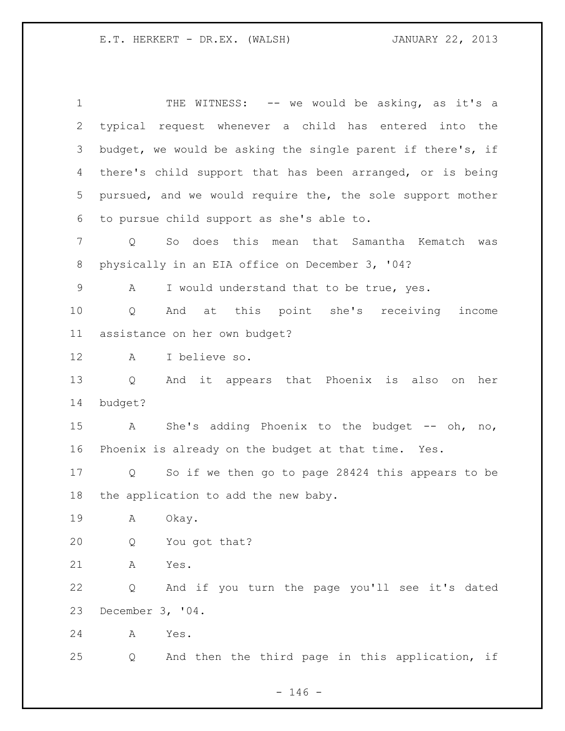1 THE WITNESS: -- we would be asking, as it's a typical request whenever a child has entered into the budget, we would be asking the single parent if there's, if there's child support that has been arranged, or is being pursued, and we would require the, the sole support mother to pursue child support as she's able to. Q So does this mean that Samantha Kematch was physically in an EIA office on December 3, '04? A I would understand that to be true, yes. Q And at this point she's receiving income assistance on her own budget? A I believe so. Q And it appears that Phoenix is also on her budget? 15 A She's adding Phoenix to the budget -- oh, no, Phoenix is already on the budget at that time. Yes. Q So if we then go to page 28424 this appears to be the application to add the new baby. A Okay. Q You got that? A Yes. Q And if you turn the page you'll see it's dated December 3, '04. A Yes. Q And then the third page in this application, if

- 146 -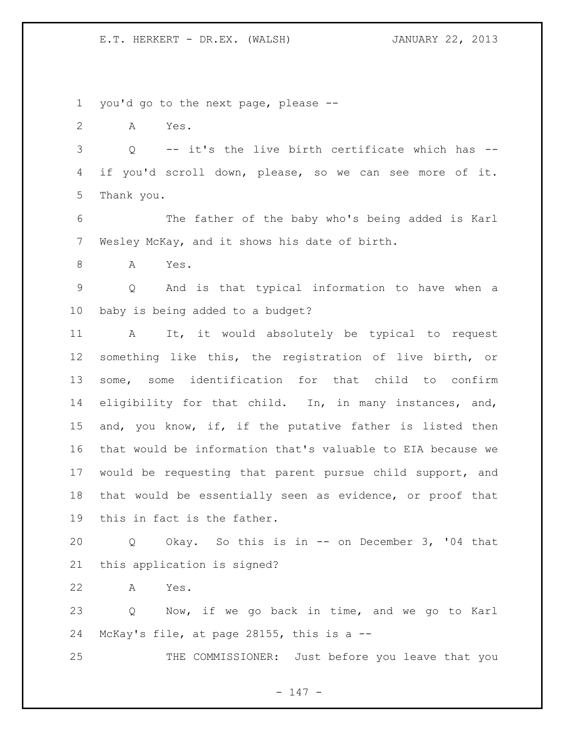you'd go to the next page, please --

A Yes.

 Q -- it's the live birth certificate which has -- if you'd scroll down, please, so we can see more of it. Thank you.

 The father of the baby who's being added is Karl Wesley McKay, and it shows his date of birth.

A Yes.

 Q And is that typical information to have when a baby is being added to a budget?

 A It, it would absolutely be typical to request something like this, the registration of live birth, or some, some identification for that child to confirm eligibility for that child. In, in many instances, and, and, you know, if, if the putative father is listed then that would be information that's valuable to EIA because we would be requesting that parent pursue child support, and that would be essentially seen as evidence, or proof that this in fact is the father.

 Q Okay. So this is in -- on December 3, '04 that this application is signed?

A Yes.

 Q Now, if we go back in time, and we go to Karl McKay's file, at page 28155, this is a --

THE COMMISSIONER: Just before you leave that you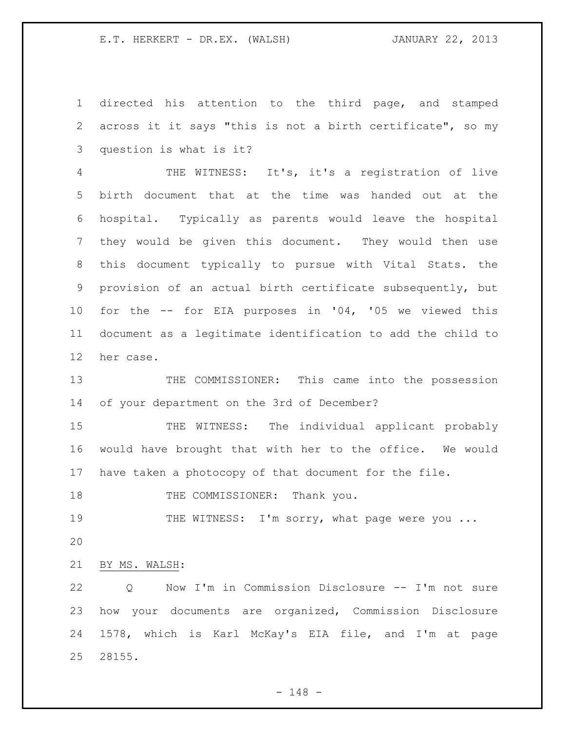directed his attention to the third page, and stamped across it it says "this is not a birth certificate", so my question is what is it?

 THE WITNESS: It's, it's a registration of live birth document that at the time was handed out at the hospital. Typically as parents would leave the hospital they would be given this document. They would then use this document typically to pursue with Vital Stats. the provision of an actual birth certificate subsequently, but for the -- for EIA purposes in '04, '05 we viewed this document as a legitimate identification to add the child to her case.

13 THE COMMISSIONER: This came into the possession of your department on the 3rd of December?

15 THE WITNESS: The individual applicant probably would have brought that with her to the office. We would have taken a photocopy of that document for the file.

18 THE COMMISSIONER: Thank you.

19 THE WITNESS: I'm sorry, what page were you ...

BY MS. WALSH:

22 Q Now I'm in Commission Disclosure -- I'm not sure how your documents are organized, Commission Disclosure 1578, which is Karl McKay's EIA file, and I'm at page 28155.

- 148 -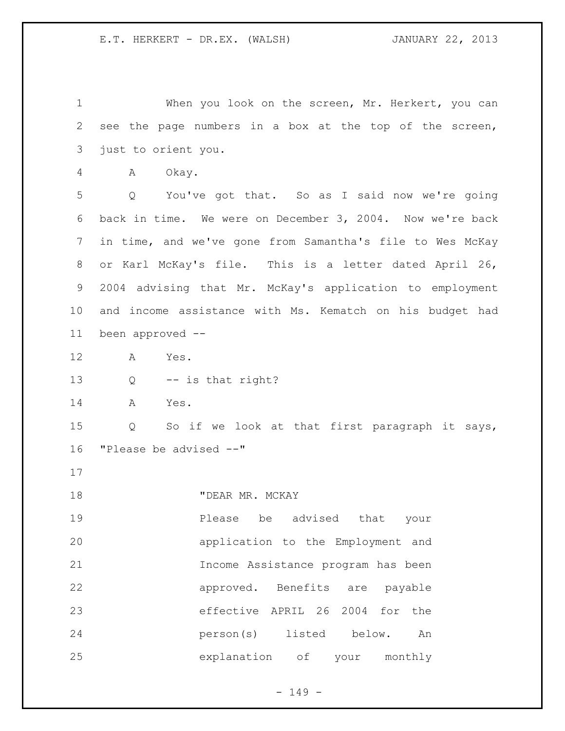When you look on the screen, Mr. Herkert, you can see the page numbers in a box at the top of the screen, just to orient you. A Okay. Q You've got that. So as I said now we're going back in time. We were on December 3, 2004. Now we're back in time, and we've gone from Samantha's file to Wes McKay or Karl McKay's file. This is a letter dated April 26, 2004 advising that Mr. McKay's application to employment and income assistance with Ms. Kematch on his budget had been approved -- A Yes. Q -- is that right? A Yes. Q So if we look at that first paragraph it says, "Please be advised --" **"DEAR MR. MCKAY Please** be advised that your application to the Employment and Income Assistance program has been approved. Benefits are payable effective APRIL 26 2004 for the person(s) listed below. An explanation of your monthly

- 149 -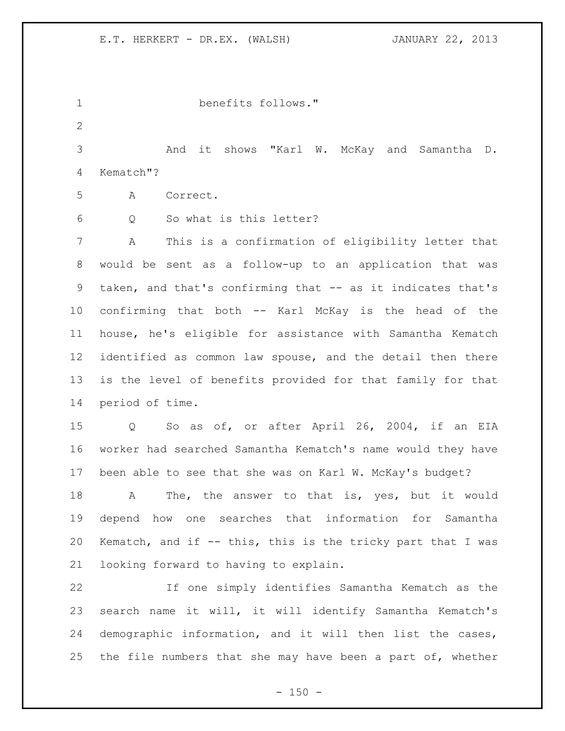benefits follows." And it shows "Karl W. McKay and Samantha D. Kematch"? A Correct. Q So what is this letter? A This is a confirmation of eligibility letter that would be sent as a follow-up to an application that was taken, and that's confirming that -- as it indicates that's confirming that both -- Karl McKay is the head of the house, he's eligible for assistance with Samantha Kematch identified as common law spouse, and the detail then there is the level of benefits provided for that family for that period of time. Q So as of, or after April 26, 2004, if an EIA worker had searched Samantha Kematch's name would they have been able to see that she was on Karl W. McKay's budget? 18 A The, the answer to that is, yes, but it would depend how one searches that information for Samantha Kematch, and if -- this, this is the tricky part that I was looking forward to having to explain. If one simply identifies Samantha Kematch as the search name it will, it will identify Samantha Kematch's demographic information, and it will then list the cases, 25 the file numbers that she may have been a part of, whether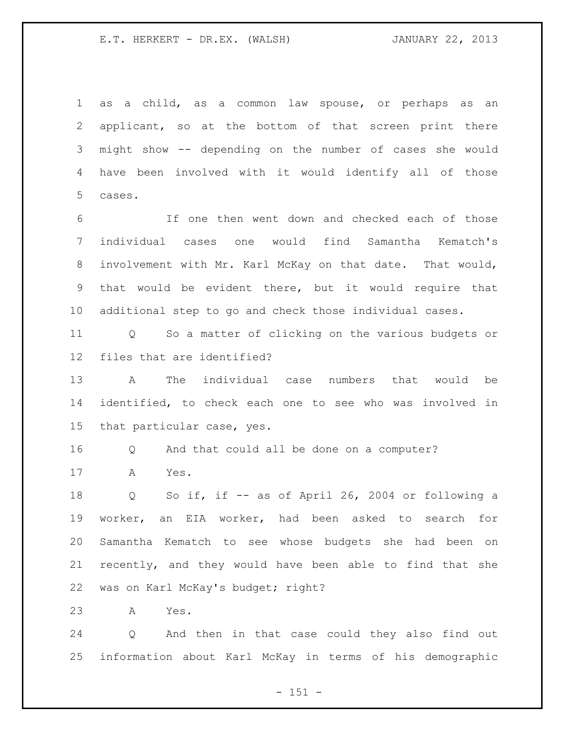as a child, as a common law spouse, or perhaps as an applicant, so at the bottom of that screen print there might show -- depending on the number of cases she would have been involved with it would identify all of those cases.

 If one then went down and checked each of those individual cases one would find Samantha Kematch's involvement with Mr. Karl McKay on that date. That would, that would be evident there, but it would require that additional step to go and check those individual cases.

 Q So a matter of clicking on the various budgets or files that are identified?

 A The individual case numbers that would be identified, to check each one to see who was involved in that particular case, yes.

Q And that could all be done on a computer?

A Yes.

 Q So if, if -- as of April 26, 2004 or following a worker, an EIA worker, had been asked to search for Samantha Kematch to see whose budgets she had been on recently, and they would have been able to find that she was on Karl McKay's budget; right?

A Yes.

 Q And then in that case could they also find out information about Karl McKay in terms of his demographic

- 151 -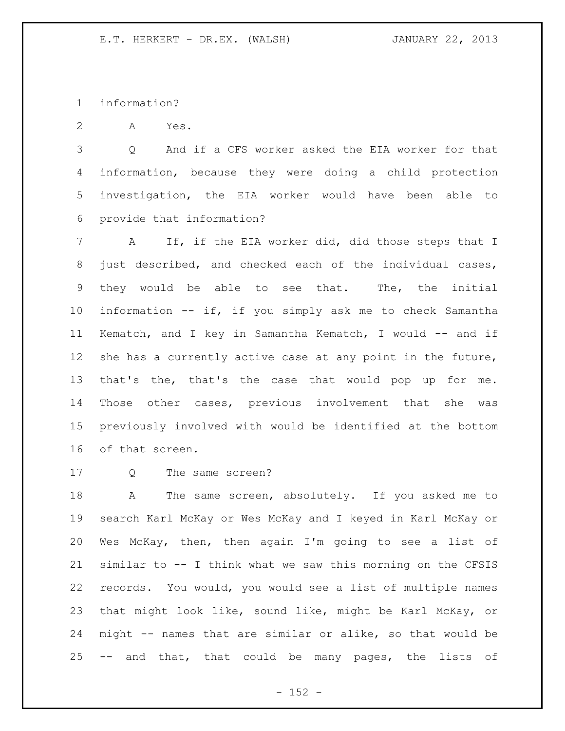information?

A Yes.

 Q And if a CFS worker asked the EIA worker for that information, because they were doing a child protection investigation, the EIA worker would have been able to provide that information?

 A If, if the EIA worker did, did those steps that I just described, and checked each of the individual cases, they would be able to see that. The, the initial information -- if, if you simply ask me to check Samantha Kematch, and I key in Samantha Kematch, I would -- and if she has a currently active case at any point in the future, that's the, that's the case that would pop up for me. Those other cases, previous involvement that she was previously involved with would be identified at the bottom of that screen.

Q The same screen?

 A The same screen, absolutely. If you asked me to search Karl McKay or Wes McKay and I keyed in Karl McKay or Wes McKay, then, then again I'm going to see a list of similar to -- I think what we saw this morning on the CFSIS records. You would, you would see a list of multiple names that might look like, sound like, might be Karl McKay, or might -- names that are similar or alike, so that would be -- and that, that could be many pages, the lists of

 $- 152 -$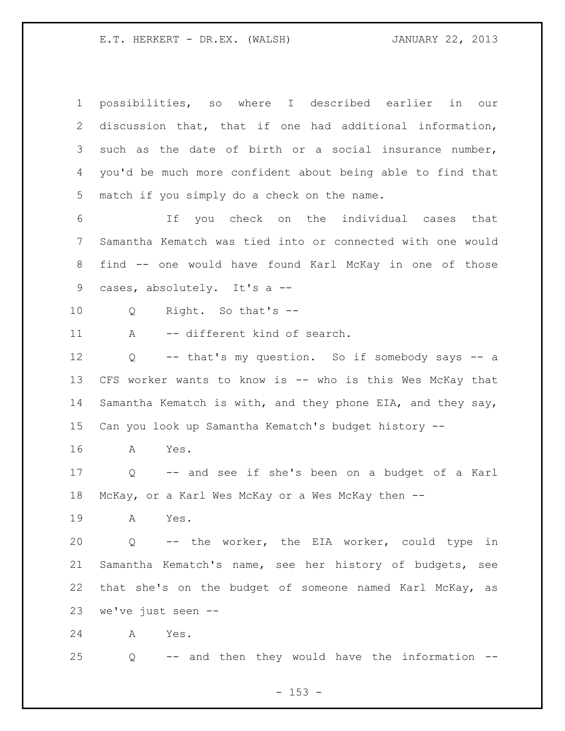possibilities, so where I described earlier in our discussion that, that if one had additional information, such as the date of birth or a social insurance number, you'd be much more confident about being able to find that match if you simply do a check on the name. If you check on the individual cases that Samantha Kematch was tied into or connected with one would find -- one would have found Karl McKay in one of those 9 cases, absolutely. It's a -- Q Right. So that's -- 11 A -- different kind of search. Q -- that's my question. So if somebody says -- a CFS worker wants to know is -- who is this Wes McKay that Samantha Kematch is with, and they phone EIA, and they say, Can you look up Samantha Kematch's budget history -- A Yes. Q -- and see if she's been on a budget of a Karl McKay, or a Karl Wes McKay or a Wes McKay then -- A Yes. Q -- the worker, the EIA worker, could type in Samantha Kematch's name, see her history of budgets, see that she's on the budget of someone named Karl McKay, as we've just seen -- A Yes. Q -- and then they would have the information --

 $- 153 -$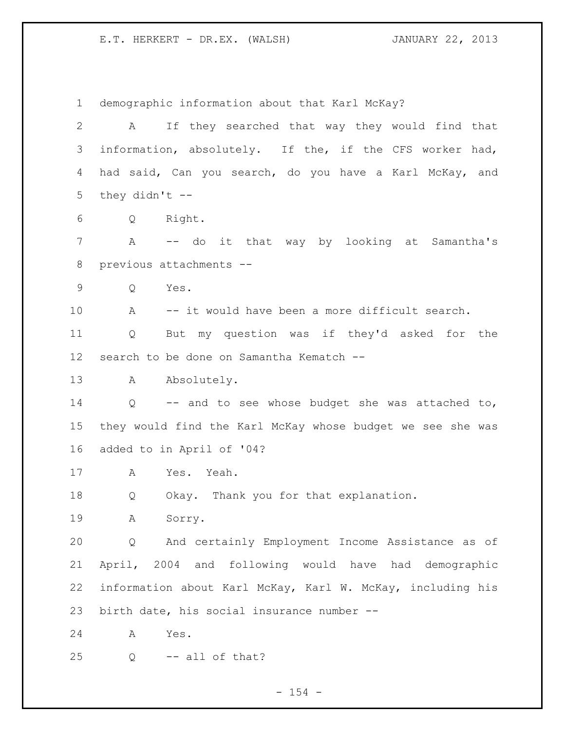demographic information about that Karl McKay? A If they searched that way they would find that information, absolutely. If the, if the CFS worker had, had said, Can you search, do you have a Karl McKay, and 5 they didn't  $-$  Q Right. A -- do it that way by looking at Samantha's previous attachments -- Q Yes. A -- it would have been a more difficult search. Q But my question was if they'd asked for the search to be done on Samantha Kematch -- 13 A Absolutely. Q -- and to see whose budget she was attached to, they would find the Karl McKay whose budget we see she was added to in April of '04? A Yes. Yeah. Q Okay. Thank you for that explanation. A Sorry. Q And certainly Employment Income Assistance as of April, 2004 and following would have had demographic information about Karl McKay, Karl W. McKay, including his birth date, his social insurance number -- A Yes. Q -- all of that?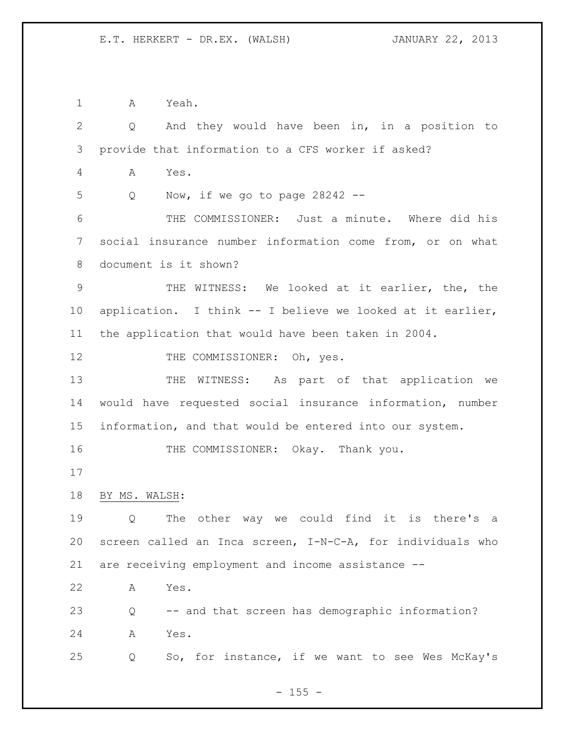A Yeah.

|                | And they would have been in, in a position to<br>Q         |
|----------------|------------------------------------------------------------|
| 3              | provide that information to a CFS worker if asked?         |
| $\overline{4}$ | Α<br>Yes.                                                  |
| 5              | Now, if we go to page $28242$ --<br>Q                      |
| 6              | THE COMMISSIONER: Just a minute. Where did his             |
| 7              | social insurance number information come from, or on what  |
| 8              | document is it shown?                                      |
| $\mathsf 9$    | THE WITNESS: We looked at it earlier, the, the             |
| 10             | application. I think -- I believe we looked at it earlier, |
| 11             | the application that would have been taken in 2004.        |
| 12             | THE COMMISSIONER: Oh, yes.                                 |
| 13             | WITNESS: As part of that application we<br>THE             |
| 14             | would have requested social insurance information, number  |
| 15             | information, and that would be entered into our system.    |
| 16             | THE COMMISSIONER: Okay. Thank you.                         |
| 17             |                                                            |
| 18             | BY MS. WALSH:                                              |
| 19             | The other way we could find it is there's<br>Q<br>a        |
| 20             | screen called an Inca screen, I-N-C-A, for individuals who |
| 21             | are receiving employment and income assistance --          |
| 22             | Yes.<br>Α                                                  |
|                | -- and that screen has demographic information?<br>Q       |
| 23             |                                                            |
| 24             | Yes.<br>A                                                  |

- 155 -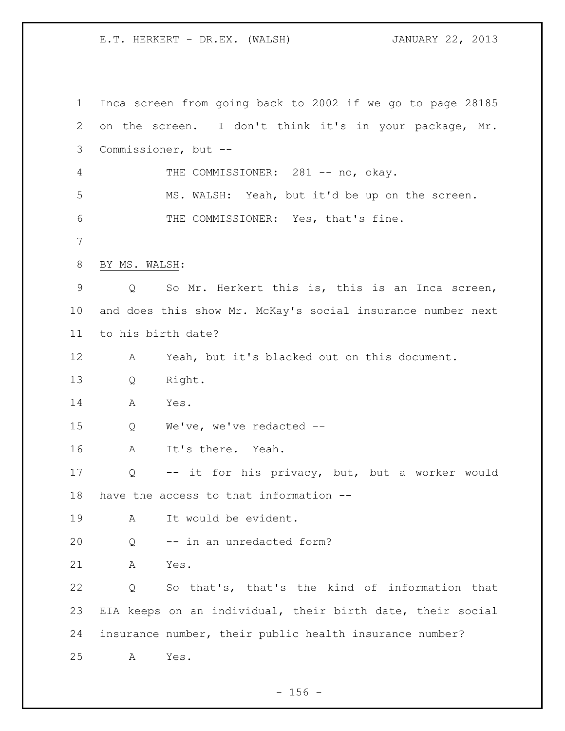Inca screen from going back to 2002 if we go to page 28185 on the screen. I don't think it's in your package, Mr. Commissioner, but -- 4 THE COMMISSIONER: 281 -- no, okay. MS. WALSH: Yeah, but it'd be up on the screen. THE COMMISSIONER: Yes, that's fine. BY MS. WALSH: Q So Mr. Herkert this is, this is an Inca screen, and does this show Mr. McKay's social insurance number next to his birth date? A Yeah, but it's blacked out on this document. Q Right. A Yes. Q We've, we've redacted -- A It's there. Yeah. Q -- it for his privacy, but, but a worker would have the access to that information -- A It would be evident. Q -- in an unredacted form? A Yes. Q So that's, that's the kind of information that EIA keeps on an individual, their birth date, their social insurance number, their public health insurance number? A Yes.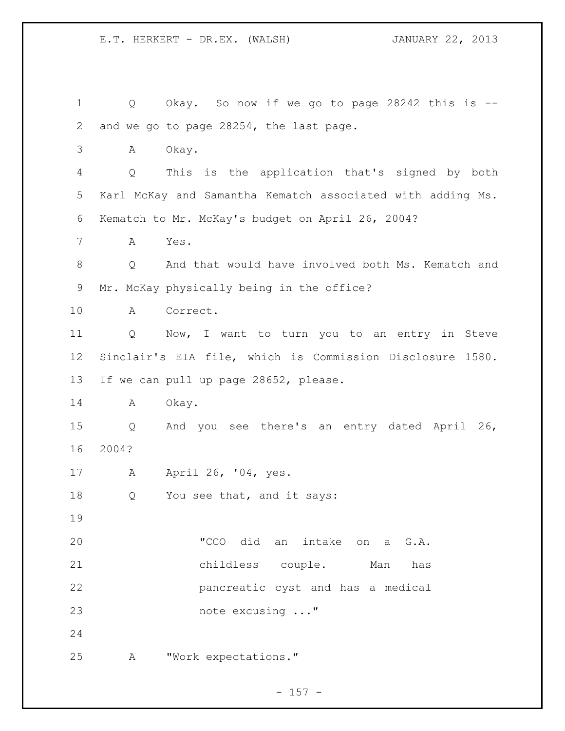Q Okay. So now if we go to page 28242 this is -- and we go to page 28254, the last page. A Okay. Q This is the application that's signed by both Karl McKay and Samantha Kematch associated with adding Ms. Kematch to Mr. McKay's budget on April 26, 2004? A Yes. Q And that would have involved both Ms. Kematch and Mr. McKay physically being in the office? A Correct. Q Now, I want to turn you to an entry in Steve Sinclair's EIA file, which is Commission Disclosure 1580. If we can pull up page 28652, please. A Okay. Q And you see there's an entry dated April 26, 2004? A April 26, '04, yes. 18 Q You see that, and it says: "CCO did an intake on a G.A. childless couple. Man has pancreatic cyst and has a medical note excusing ..." A "Work expectations."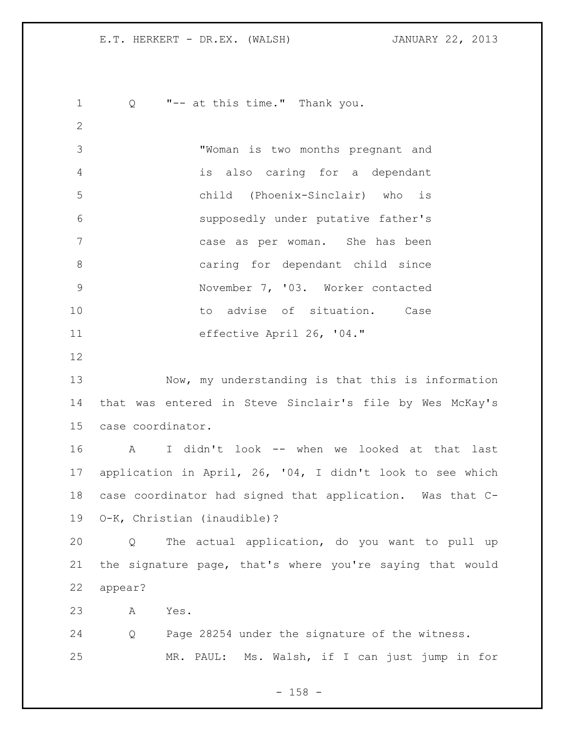Q "-- at this time." Thank you. "Woman is two months pregnant and is also caring for a dependant child (Phoenix-Sinclair) who is supposedly under putative father's case as per woman. She has been caring for dependant child since November 7, '03. Worker contacted 10 to advise of situation. Case effective April 26, '04." Now, my understanding is that this is information that was entered in Steve Sinclair's file by Wes McKay's case coordinator. A I didn't look -- when we looked at that last application in April, 26, '04, I didn't look to see which case coordinator had signed that application. Was that C- O-K, Christian (inaudible)? Q The actual application, do you want to pull up the signature page, that's where you're saying that would appear? A Yes. Q Page 28254 under the signature of the witness. MR. PAUL: Ms. Walsh, if I can just jump in for

- 158 -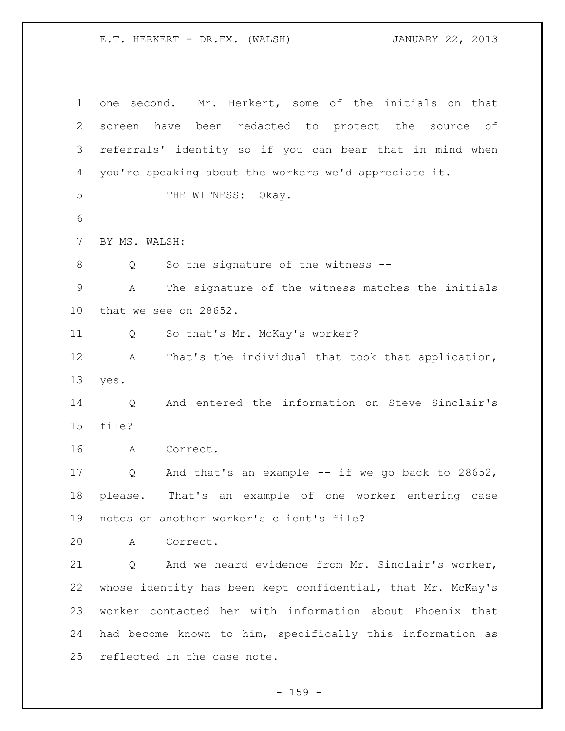one second. Mr. Herkert, some of the initials on that screen have been redacted to protect the source of referrals' identity so if you can bear that in mind when you're speaking about the workers we'd appreciate it. 5 THE WITNESS: Okay. BY MS. WALSH: Q So the signature of the witness -- A The signature of the witness matches the initials that we see on 28652. Q So that's Mr. McKay's worker? A That's the individual that took that application, yes. Q And entered the information on Steve Sinclair's file? A Correct. Q And that's an example -- if we go back to 28652, please. That's an example of one worker entering case notes on another worker's client's file? A Correct. Q And we heard evidence from Mr. Sinclair's worker, whose identity has been kept confidential, that Mr. McKay's worker contacted her with information about Phoenix that had become known to him, specifically this information as reflected in the case note.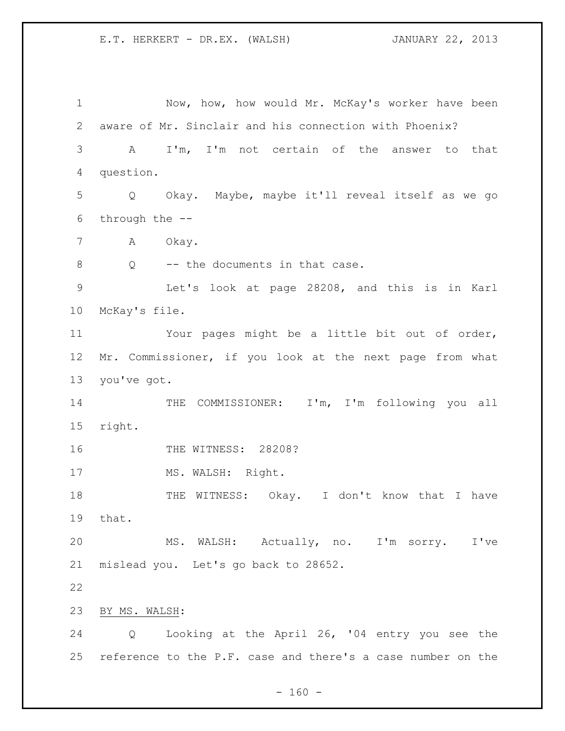Now, how, how would Mr. McKay's worker have been aware of Mr. Sinclair and his connection with Phoenix? A I'm, I'm not certain of the answer to that question. Q Okay. Maybe, maybe it'll reveal itself as we go through the -- A Okay. 8 Q -- the documents in that case. Let's look at page 28208, and this is in Karl McKay's file. Your pages might be a little bit out of order, Mr. Commissioner, if you look at the next page from what you've got. THE COMMISSIONER: I'm, I'm following you all right. THE WITNESS: 28208? 17 MS. WALSH: Right. 18 THE WITNESS: Okay. I don't know that I have that. MS. WALSH: Actually, no. I'm sorry. I've mislead you. Let's go back to 28652. BY MS. WALSH: Q Looking at the April 26, '04 entry you see the reference to the P.F. case and there's a case number on the

 $- 160 -$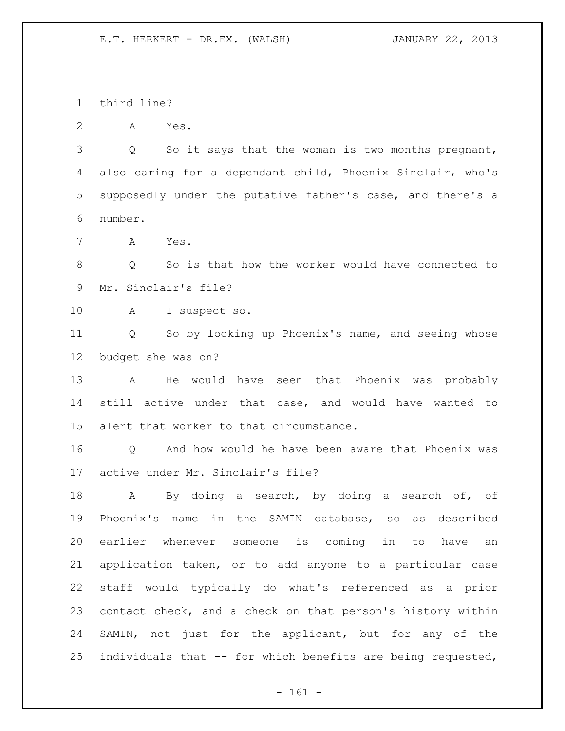third line?

A Yes.

3 Q So it says that the woman is two months pregnant, also caring for a dependant child, Phoenix Sinclair, who's supposedly under the putative father's case, and there's a number.

A Yes.

 Q So is that how the worker would have connected to Mr. Sinclair's file?

A I suspect so.

 Q So by looking up Phoenix's name, and seeing whose budget she was on?

 A He would have seen that Phoenix was probably still active under that case, and would have wanted to alert that worker to that circumstance.

 Q And how would he have been aware that Phoenix was active under Mr. Sinclair's file?

 A By doing a search, by doing a search of, of Phoenix's name in the SAMIN database, so as described earlier whenever someone is coming in to have an application taken, or to add anyone to a particular case staff would typically do what's referenced as a prior contact check, and a check on that person's history within SAMIN, not just for the applicant, but for any of the individuals that -- for which benefits are being requested,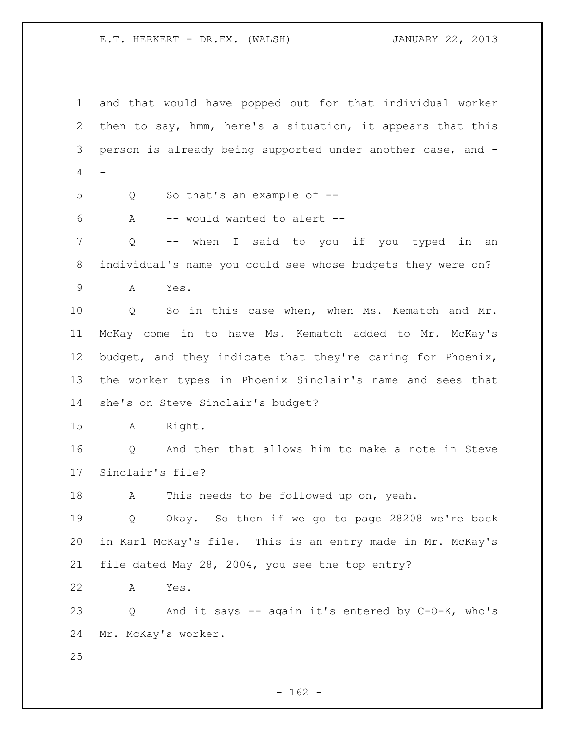and that would have popped out for that individual worker then to say, hmm, here's a situation, it appears that this person is already being supported under another case, and -  $\overline{4}$ 

- Q So that's an example of --
- A -- would wanted to alert --

 Q -- when I said to you if you typed in an individual's name you could see whose budgets they were on?

A Yes.

 Q So in this case when, when Ms. Kematch and Mr. McKay come in to have Ms. Kematch added to Mr. McKay's budget, and they indicate that they're caring for Phoenix, the worker types in Phoenix Sinclair's name and sees that she's on Steve Sinclair's budget?

A Right.

 Q And then that allows him to make a note in Steve Sinclair's file?

18 A This needs to be followed up on, yeah.

 Q Okay. So then if we go to page 28208 we're back in Karl McKay's file. This is an entry made in Mr. McKay's file dated May 28, 2004, you see the top entry?

A Yes.

 Q And it says -- again it's entered by C-O-K, who's Mr. McKay's worker.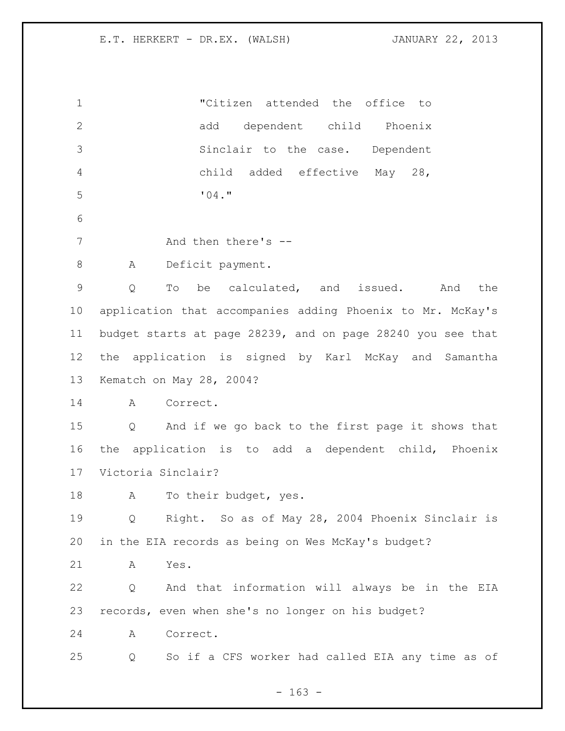| $\mathbf 1$    | "Citizen attended the office to                                        |
|----------------|------------------------------------------------------------------------|
| $\mathbf 2$    | dependent child Phoenix<br>add                                         |
| 3              | Sinclair to the case. Dependent                                        |
| $\overline{4}$ | child added effective May 28,                                          |
| 5              | "04."                                                                  |
| 6              |                                                                        |
| $7\phantom{.}$ | And then there's --                                                    |
| $8\,$          | Deficit payment.<br>A                                                  |
| $\mathsf 9$    | be calculated, and issued. And<br>the<br>Q<br>To                       |
| 10             | application that accompanies adding Phoenix to Mr. McKay's             |
| 11             | budget starts at page 28239, and on page 28240 you see that            |
| 12             | the application is signed by Karl McKay and Samantha                   |
| 13             | Kematch on May 28, 2004?                                               |
| 14             | A<br>Correct.                                                          |
| 15             | And if we go back to the first page it shows that<br>$Q \qquad \qquad$ |
| 16             | the application is to add a dependent child, Phoenix                   |
| 17             | Victoria Sinclair?                                                     |
| 18             | To their budget, yes.<br>A                                             |
| 19             | Right. So as of May 28, 2004 Phoenix Sinclair is<br>$Q \qquad \qquad$  |
| 20             | in the EIA records as being on Wes McKay's budget?                     |
| 21             | Yes.<br>A                                                              |
| 22             | And that information will always be in the EIA<br>Q                    |
| 23             | records, even when she's no longer on his budget?                      |
| 24             | Correct.<br>A                                                          |
| 25             | So if a CFS worker had called EIA any time as of<br>Q                  |
|                |                                                                        |

- 163 -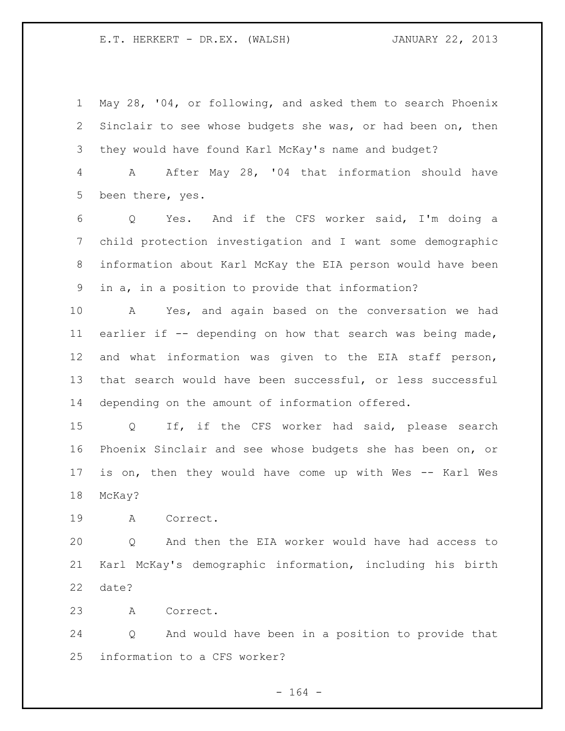May 28, '04, or following, and asked them to search Phoenix Sinclair to see whose budgets she was, or had been on, then they would have found Karl McKay's name and budget?

 A After May 28, '04 that information should have been there, yes.

 Q Yes. And if the CFS worker said, I'm doing a child protection investigation and I want some demographic information about Karl McKay the EIA person would have been in a, in a position to provide that information?

 A Yes, and again based on the conversation we had earlier if -- depending on how that search was being made, and what information was given to the EIA staff person, that search would have been successful, or less successful depending on the amount of information offered.

 Q If, if the CFS worker had said, please search Phoenix Sinclair and see whose budgets she has been on, or is on, then they would have come up with Wes -- Karl Wes McKay?

A Correct.

 Q And then the EIA worker would have had access to Karl McKay's demographic information, including his birth date?

A Correct.

 Q And would have been in a position to provide that information to a CFS worker?

- 164 -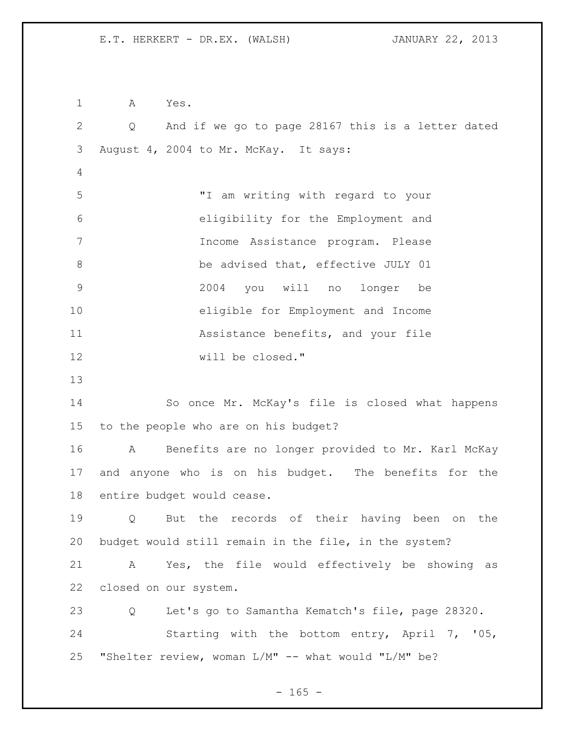A Yes. Q And if we go to page 28167 this is a letter dated August 4, 2004 to Mr. McKay. It says: "I am writing with regard to your eligibility for the Employment and Income Assistance program. Please be advised that, effective JULY 01 2004 you will no longer be eligible for Employment and Income **Assistance benefits, and your file**  will be closed." So once Mr. McKay's file is closed what happens to the people who are on his budget? A Benefits are no longer provided to Mr. Karl McKay and anyone who is on his budget. The benefits for the entire budget would cease. Q But the records of their having been on the budget would still remain in the file, in the system? A Yes, the file would effectively be showing as closed on our system. Q Let's go to Samantha Kematch's file, page 28320. Starting with the bottom entry, April 7, '05, "Shelter review, woman L/M" -- what would "L/M" be?

 $- 165 -$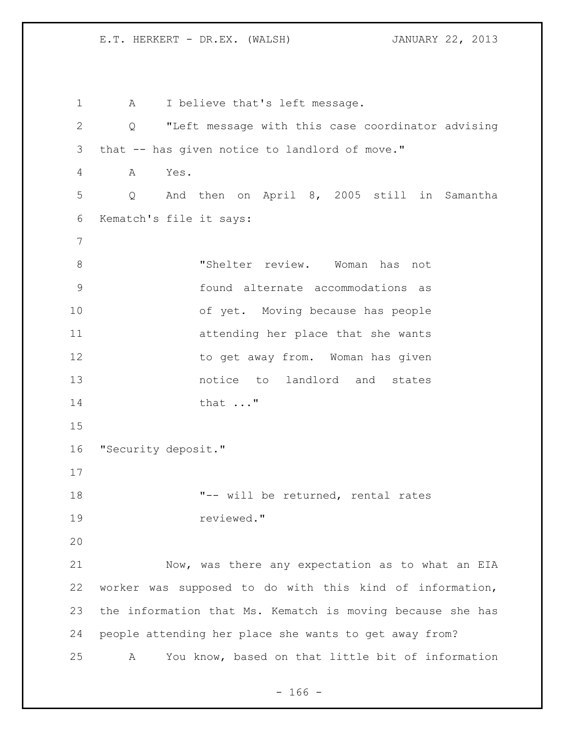1 A I believe that's left message. Q "Left message with this case coordinator advising that -- has given notice to landlord of move." A Yes. Q And then on April 8, 2005 still in Samantha Kematch's file it says: 8 6 Thelter review. Woman has not found alternate accommodations as of yet. Moving because has people attending her place that she wants 12 to get away from. Woman has given notice to landlord and states 14 that ..." "Security deposit." "-- will be returned, rental rates reviewed." Now, was there any expectation as to what an EIA worker was supposed to do with this kind of information, the information that Ms. Kematch is moving because she has people attending her place she wants to get away from? A You know, based on that little bit of information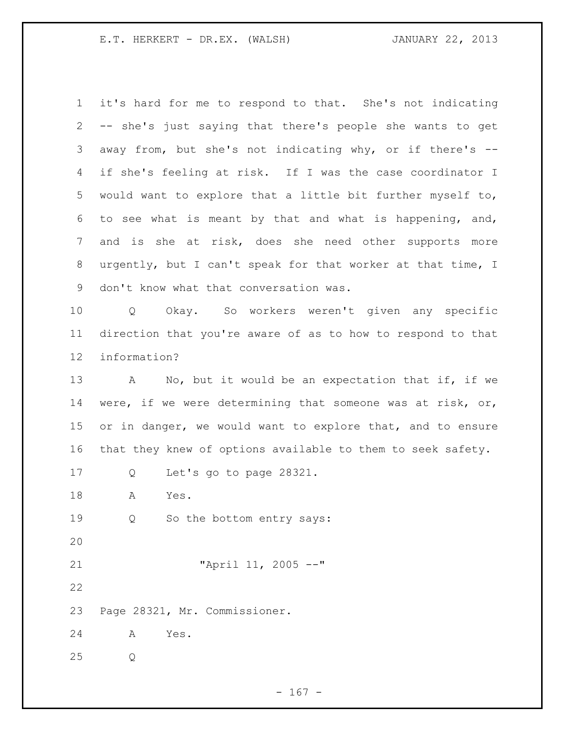it's hard for me to respond to that. She's not indicating -- she's just saying that there's people she wants to get away from, but she's not indicating why, or if there's -- if she's feeling at risk. If I was the case coordinator I would want to explore that a little bit further myself to, to see what is meant by that and what is happening, and, and is she at risk, does she need other supports more urgently, but I can't speak for that worker at that time, I don't know what that conversation was. Q Okay. So workers weren't given any specific direction that you're aware of as to how to respond to that information? 13 A No, but it would be an expectation that if, if we were, if we were determining that someone was at risk, or, 15 or in danger, we would want to explore that, and to ensure that they knew of options available to them to seek safety. Q Let's go to page 28321. A Yes. Q So the bottom entry says: "April 11, 2005 --" Page 28321, Mr. Commissioner. A Yes. Q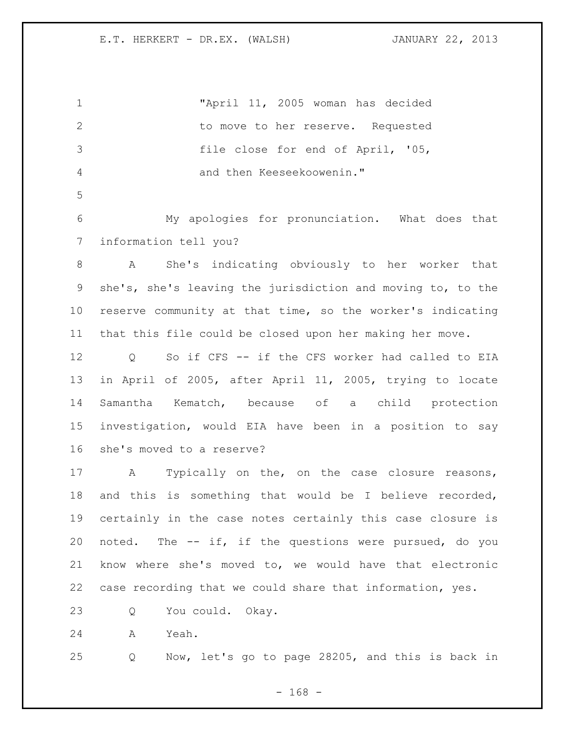"April 11, 2005 woman has decided 2 to move to her reserve. Requested file close for end of April, '05, and then Keeseekoowenin." My apologies for pronunciation. What does that information tell you? A She's indicating obviously to her worker that she's, she's leaving the jurisdiction and moving to, to the reserve community at that time, so the worker's indicating that this file could be closed upon her making her move. Q So if CFS -- if the CFS worker had called to EIA in April of 2005, after April 11, 2005, trying to locate Samantha Kematch, because of a child protection investigation, would EIA have been in a position to say she's moved to a reserve? A Typically on the, on the case closure reasons, and this is something that would be I believe recorded, certainly in the case notes certainly this case closure is noted. The -- if, if the questions were pursued, do you know where she's moved to, we would have that electronic case recording that we could share that information, yes. Q You could. Okay. A Yeah. Q Now, let's go to page 28205, and this is back in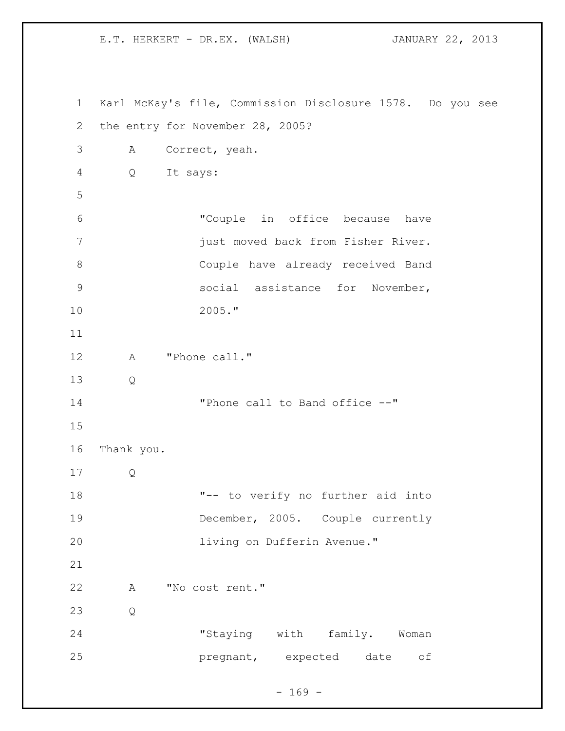Karl McKay's file, Commission Disclosure 1578. Do you see the entry for November 28, 2005? A Correct, yeah. Q It says: "Couple in office because have just moved back from Fisher River. Couple have already received Band social assistance for November, 2005." 12 A "Phone call." Q 14 Thone call to Band office  $--"$  Thank you. Q "-- to verify no further aid into December, 2005. Couple currently living on Dufferin Avenue." A "No cost rent." Q "Staying with family. Woman pregnant, expected date of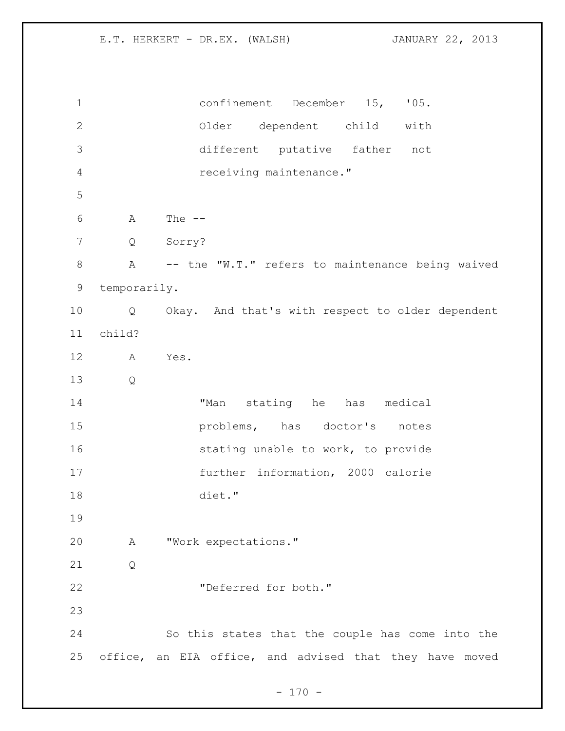confinement December 15, '05. Older dependent child with different putative father not receiving maintenance." A The -- Q Sorry? A -- the "W.T." refers to maintenance being waived temporarily. Q Okay. And that's with respect to older dependent child? A Yes. Q "Man stating he has medical **problems**, has doctor's notes **stating unable to work, to provide**  further information, 2000 calorie diet." A "Work expectations." Q "Deferred for both." So this states that the couple has come into the office, an EIA office, and advised that they have moved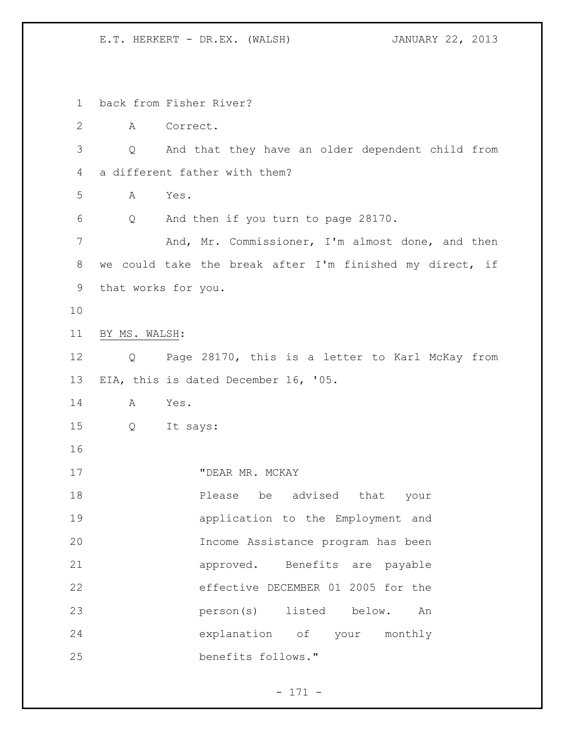back from Fisher River? A Correct. Q And that they have an older dependent child from a different father with them? A Yes. Q And then if you turn to page 28170. 7 And, Mr. Commissioner, I'm almost done, and then we could take the break after I'm finished my direct, if that works for you. BY MS. WALSH: Q Page 28170, this is a letter to Karl McKay from EIA, this is dated December 16, '05. A Yes. Q It says: 17 "DEAR MR. MCKAY Please be advised that your application to the Employment and Income Assistance program has been approved. Benefits are payable effective DECEMBER 01 2005 for the person(s) listed below. An explanation of your monthly benefits follows."

- 171 -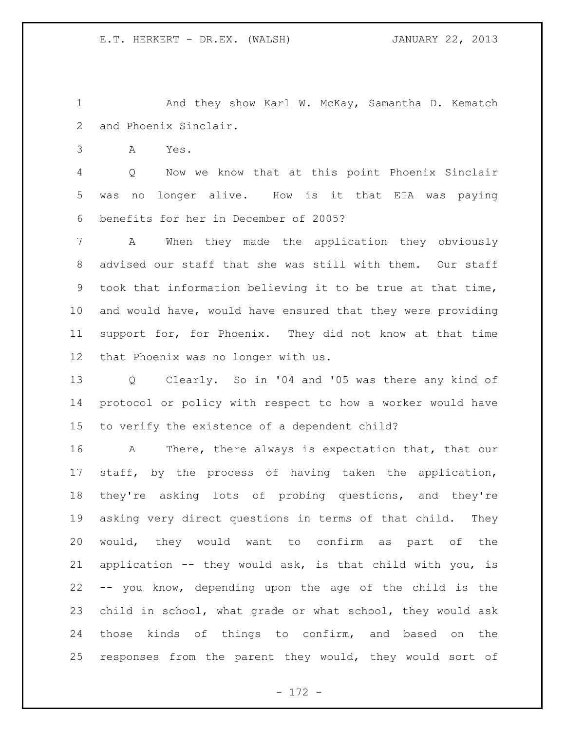And they show Karl W. McKay, Samantha D. Kematch and Phoenix Sinclair.

A Yes.

 Q Now we know that at this point Phoenix Sinclair was no longer alive. How is it that EIA was paying benefits for her in December of 2005?

 A When they made the application they obviously advised our staff that she was still with them. Our staff took that information believing it to be true at that time, and would have, would have ensured that they were providing support for, for Phoenix. They did not know at that time that Phoenix was no longer with us.

 Q Clearly. So in '04 and '05 was there any kind of protocol or policy with respect to how a worker would have to verify the existence of a dependent child?

 A There, there always is expectation that, that our staff, by the process of having taken the application, they're asking lots of probing questions, and they're asking very direct questions in terms of that child. They would, they would want to confirm as part of the application -- they would ask, is that child with you, is -- you know, depending upon the age of the child is the child in school, what grade or what school, they would ask those kinds of things to confirm, and based on the responses from the parent they would, they would sort of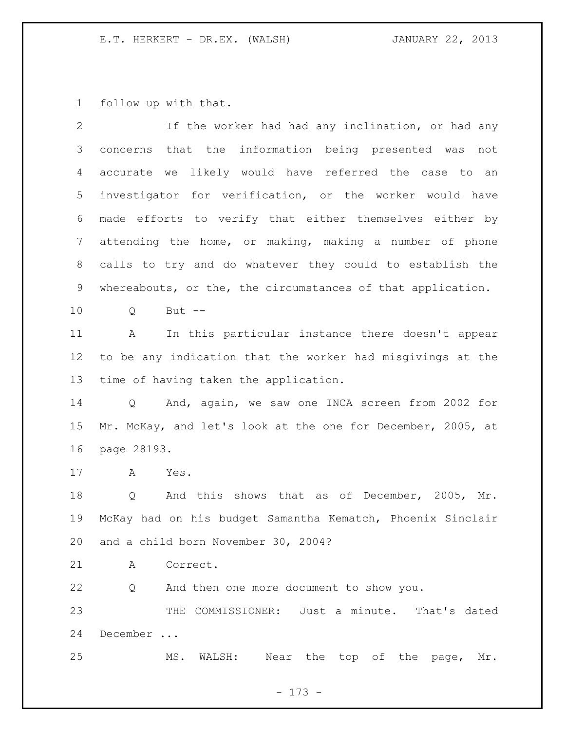follow up with that.

| $\mathbf{2}$    | If the worker had had any inclination, or had any           |
|-----------------|-------------------------------------------------------------|
| 3               | concerns that the information being presented was<br>not    |
| 4               | likely would have referred the case to an<br>accurate we    |
| 5               | investigator for verification, or the worker would have     |
| 6               | made efforts to verify that either themselves either by     |
| $7\phantom{.0}$ | attending the home, or making, making a number of phone     |
| 8               | calls to try and do whatever they could to establish the    |
| 9               | whereabouts, or the, the circumstances of that application. |
| 10 <sub>o</sub> | But $--$<br>Q                                               |
| 11              | In this particular instance there doesn't appear<br>A       |
| 12              | to be any indication that the worker had misgivings at the  |
| 13              | time of having taken the application.                       |
| 14              | And, again, we saw one INCA screen from 2002 for<br>Q       |
| 15              | Mr. McKay, and let's look at the one for December, 2005, at |
| 16              | page 28193.                                                 |
| 17              | A<br>Yes.                                                   |
| 18              | Q And this shows that as of December, 2005, Mr.             |
| 19              | McKay had on his budget Samantha Kematch, Phoenix Sinclair  |
|                 | 20 and a child born November 30, 2004?                      |
| 21              | A Correct.                                                  |
| 22              | Q And then one more document to show you.                   |
| 23              | THE COMMISSIONER: Just a minute. That's dated               |
| 24              | December                                                    |
| 25              | Near the top of the page, Mr.<br>MS. WALSH:                 |
|                 |                                                             |

- 173 -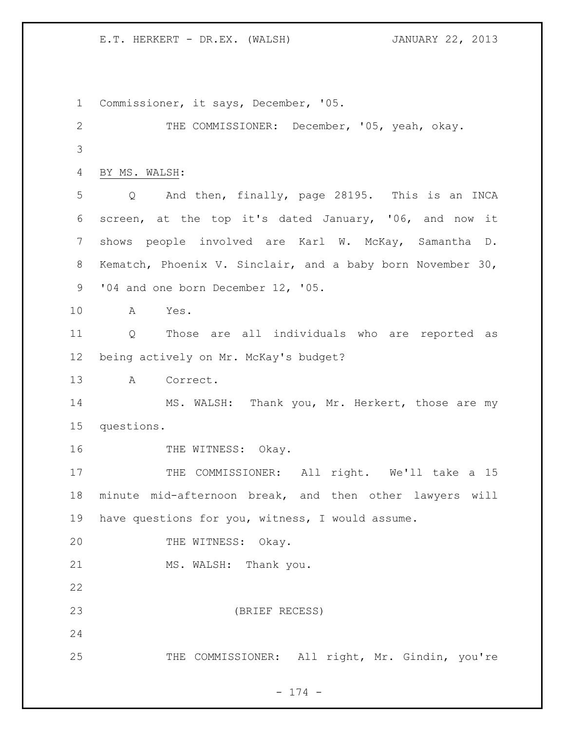Commissioner, it says, December, '05. THE COMMISSIONER: December, '05, yeah, okay. BY MS. WALSH: Q And then, finally, page 28195. This is an INCA screen, at the top it's dated January, '06, and now it shows people involved are Karl W. McKay, Samantha D. Kematch, Phoenix V. Sinclair, and a baby born November 30, 9 '04 and one born December 12, '05. A Yes. Q Those are all individuals who are reported as being actively on Mr. McKay's budget? A Correct. 14 MS. WALSH: Thank you, Mr. Herkert, those are my questions. 16 THE WITNESS: Okay. 17 THE COMMISSIONER: All right. We'll take a 15 minute mid-afternoon break, and then other lawyers will have questions for you, witness, I would assume. 20 THE WITNESS: Okay. 21 MS. WALSH: Thank you. (BRIEF RECESS) THE COMMISSIONER: All right, Mr. Gindin, you're

- 174 -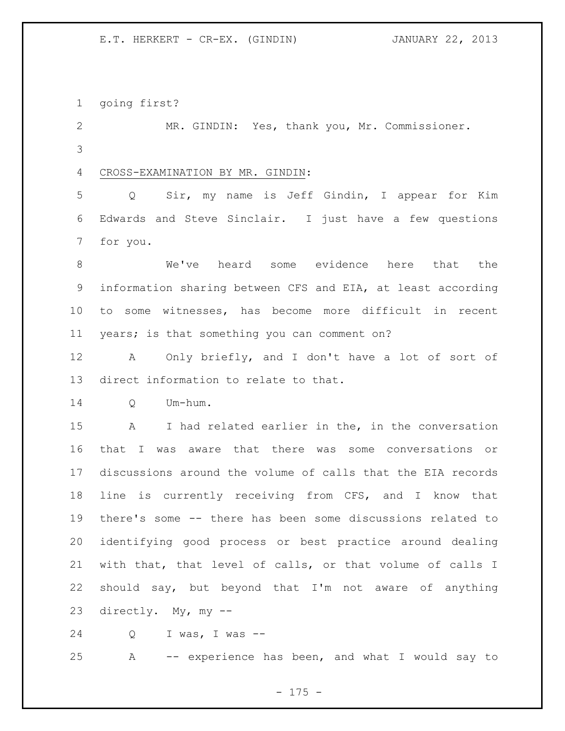E.T. HERKERT - CR-EX. (GINDIN) JANUARY 22, 2013

going first?

 MR. GINDIN: Yes, thank you, Mr. Commissioner. 

## CROSS-EXAMINATION BY MR. GINDIN:

 Q Sir, my name is Jeff Gindin, I appear for Kim Edwards and Steve Sinclair. I just have a few questions for you.

 We've heard some evidence here that the information sharing between CFS and EIA, at least according to some witnesses, has become more difficult in recent years; is that something you can comment on?

 A Only briefly, and I don't have a lot of sort of direct information to relate to that.

Q Um-hum.

 A I had related earlier in the, in the conversation that I was aware that there was some conversations or discussions around the volume of calls that the EIA records line is currently receiving from CFS, and I know that there's some -- there has been some discussions related to identifying good process or best practice around dealing with that, that level of calls, or that volume of calls I should say, but beyond that I'm not aware of anything directly. My, my --

Q I was, I was --

A -- experience has been, and what I would say to

- 175 -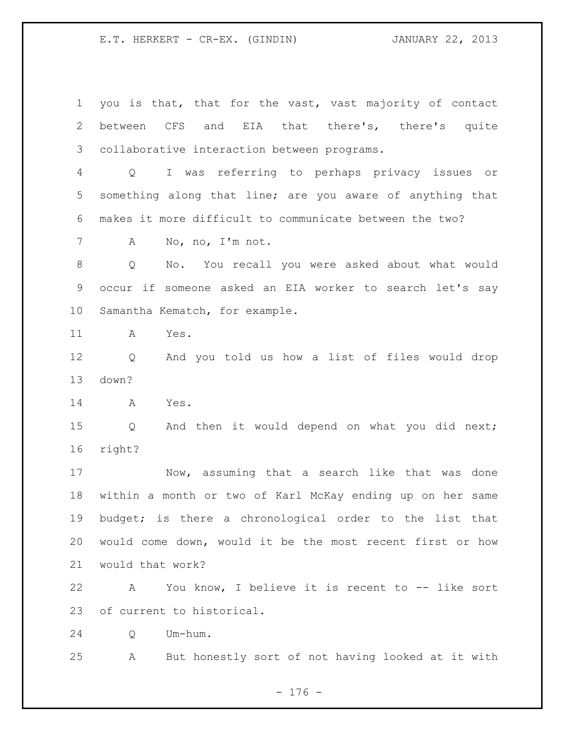E.T. HERKERT - CR-EX. (GINDIN) JANUARY 22, 2013

 you is that, that for the vast, vast majority of contact between CFS and EIA that there's, there's quite collaborative interaction between programs. Q I was referring to perhaps privacy issues or something along that line; are you aware of anything that makes it more difficult to communicate between the two? A No, no, I'm not. Q No. You recall you were asked about what would occur if someone asked an EIA worker to search let's say Samantha Kematch, for example. A Yes. Q And you told us how a list of files would drop down? A Yes. Q And then it would depend on what you did next; right? Now, assuming that a search like that was done within a month or two of Karl McKay ending up on her same budget; is there a chronological order to the list that would come down, would it be the most recent first or how would that work? A You know, I believe it is recent to -- like sort of current to historical. Q Um-hum. A But honestly sort of not having looked at it with

- 176 -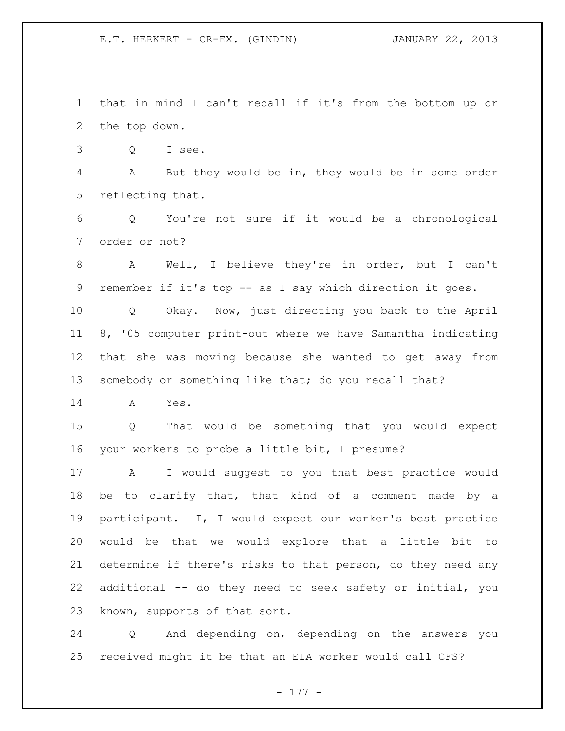E.T. HERKERT - CR-EX. (GINDIN) JANUARY 22, 2013

 that in mind I can't recall if it's from the bottom up or the top down.

Q I see.

 A But they would be in, they would be in some order reflecting that.

 Q You're not sure if it would be a chronological order or not?

 A Well, I believe they're in order, but I can't remember if it's top -- as I say which direction it goes.

 Q Okay. Now, just directing you back to the April 8, '05 computer print-out where we have Samantha indicating that she was moving because she wanted to get away from somebody or something like that; do you recall that?

A Yes.

 Q That would be something that you would expect your workers to probe a little bit, I presume?

 A I would suggest to you that best practice would be to clarify that, that kind of a comment made by a participant. I, I would expect our worker's best practice would be that we would explore that a little bit to determine if there's risks to that person, do they need any additional -- do they need to seek safety or initial, you known, supports of that sort.

 Q And depending on, depending on the answers you received might it be that an EIA worker would call CFS?

- 177 -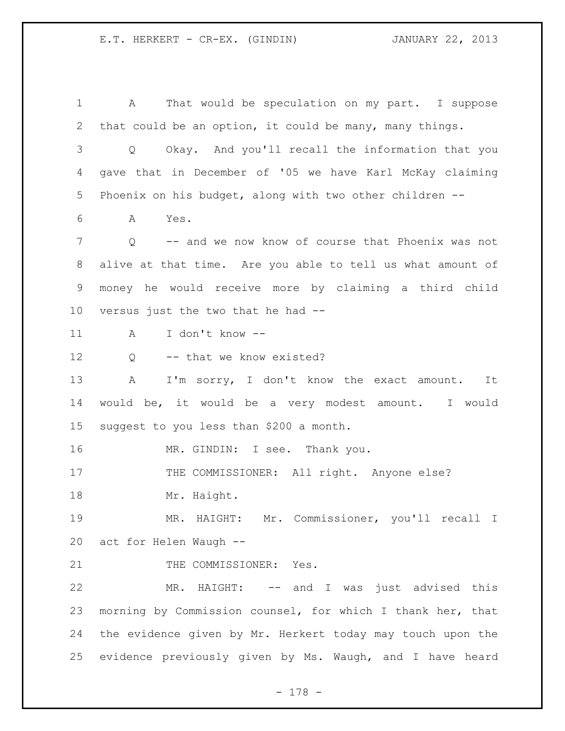E.T. HERKERT - CR-EX. (GINDIN) JANUARY 22, 2013

 A That would be speculation on my part. I suppose that could be an option, it could be many, many things. Q Okay. And you'll recall the information that you gave that in December of '05 we have Karl McKay claiming Phoenix on his budget, along with two other children -- A Yes. Q -- and we now know of course that Phoenix was not alive at that time. Are you able to tell us what amount of money he would receive more by claiming a third child versus just the two that he had -- A I don't know -- 12 Q -- that we know existed? 13 A I'm sorry, I don't know the exact amount. It would be, it would be a very modest amount. I would suggest to you less than \$200 a month. 16 MR. GINDIN: I see. Thank you. 17 THE COMMISSIONER: All right. Anyone else? 18 Mr. Haight. MR. HAIGHT: Mr. Commissioner, you'll recall I act for Helen Waugh -- 21 THE COMMISSIONER: Yes. MR. HAIGHT: -- and I was just advised this morning by Commission counsel, for which I thank her, that the evidence given by Mr. Herkert today may touch upon the evidence previously given by Ms. Waugh, and I have heard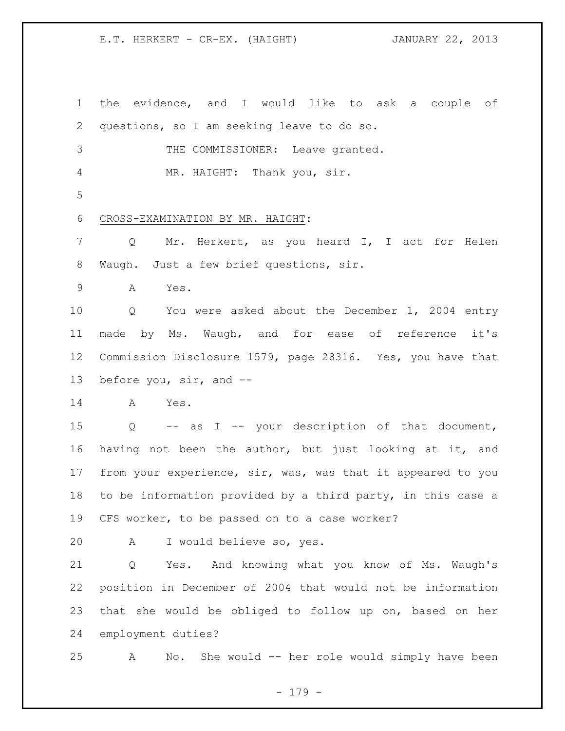E.T. HERKERT - CR-EX. (HAIGHT) JANUARY 22, 2013

 the evidence, and I would like to ask a couple of questions, so I am seeking leave to do so. THE COMMISSIONER: Leave granted. MR. HAIGHT: Thank you, sir. CROSS-EXAMINATION BY MR. HAIGHT: Q Mr. Herkert, as you heard I, I act for Helen Waugh. Just a few brief questions, sir. A Yes. Q You were asked about the December 1, 2004 entry made by Ms. Waugh, and for ease of reference it's Commission Disclosure 1579, page 28316. Yes, you have that before you, sir, and -- A Yes. Q -- as I -- your description of that document, having not been the author, but just looking at it, and from your experience, sir, was, was that it appeared to you to be information provided by a third party, in this case a

CFS worker, to be passed on to a case worker?

A I would believe so, yes.

 Q Yes. And knowing what you know of Ms. Waugh's position in December of 2004 that would not be information that she would be obliged to follow up on, based on her employment duties?

A No. She would -- her role would simply have been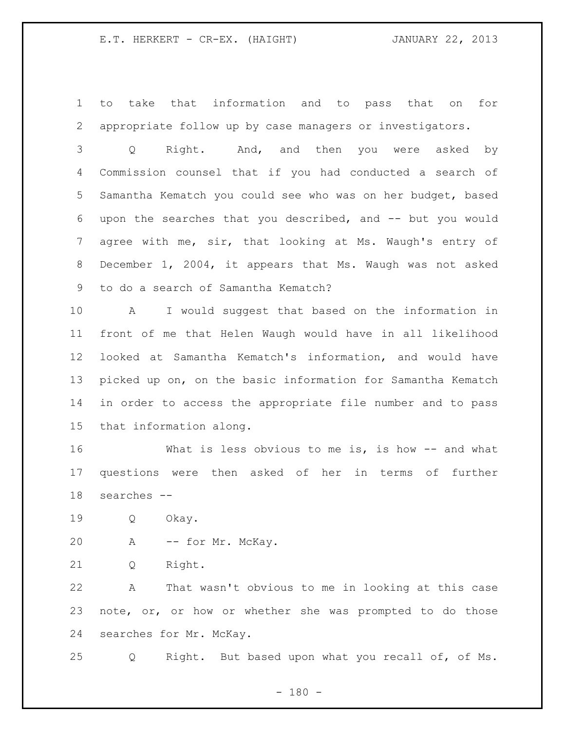to take that information and to pass that on for appropriate follow up by case managers or investigators.

 Q Right. And, and then you were asked by Commission counsel that if you had conducted a search of Samantha Kematch you could see who was on her budget, based upon the searches that you described, and -- but you would agree with me, sir, that looking at Ms. Waugh's entry of December 1, 2004, it appears that Ms. Waugh was not asked to do a search of Samantha Kematch?

 A I would suggest that based on the information in front of me that Helen Waugh would have in all likelihood looked at Samantha Kematch's information, and would have picked up on, on the basic information for Samantha Kematch in order to access the appropriate file number and to pass that information along.

 What is less obvious to me is, is how -- and what questions were then asked of her in terms of further searches --

Q Okay.

A -- for Mr. McKay.

Q Right.

 A That wasn't obvious to me in looking at this case note, or, or how or whether she was prompted to do those searches for Mr. McKay.

Q Right. But based upon what you recall of, of Ms.

 $- 180 -$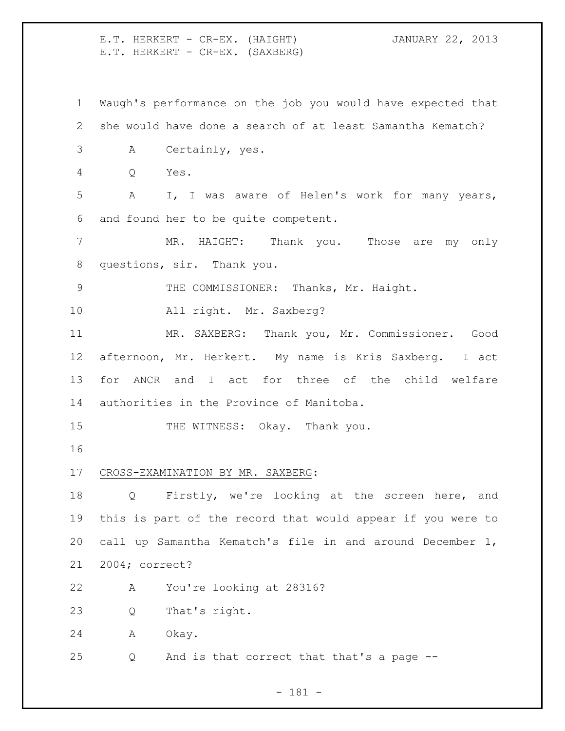E.T. HERKERT - CR-EX. (HAIGHT) JANUARY 22, 2013 E.T. HERKERT - CR-EX. (SAXBERG) Waugh's performance on the job you would have expected that she would have done a search of at least Samantha Kematch? A Certainly, yes. Q Yes. A I, I was aware of Helen's work for many years, and found her to be quite competent. MR. HAIGHT: Thank you. Those are my only questions, sir. Thank you. 9 THE COMMISSIONER: Thanks, Mr. Haight. All right. Mr. Saxberg? MR. SAXBERG: Thank you, Mr. Commissioner. Good afternoon, Mr. Herkert. My name is Kris Saxberg. I act for ANCR and I act for three of the child welfare authorities in the Province of Manitoba. 15 THE WITNESS: Okay. Thank you. CROSS-EXAMINATION BY MR. SAXBERG: Q Firstly, we're looking at the screen here, and this is part of the record that would appear if you were to call up Samantha Kematch's file in and around December 1, 2004; correct? A You're looking at 28316? Q That's right. A Okay. Q And is that correct that that's a page --

- 181 -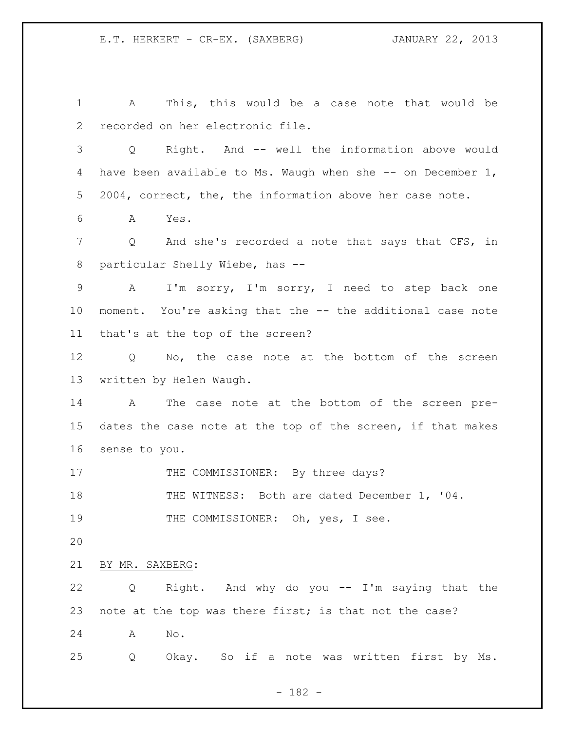A This, this would be a case note that would be recorded on her electronic file. Q Right. And -- well the information above would have been available to Ms. Waugh when she -- on December 1, 2004, correct, the, the information above her case note. A Yes. 7 Q And she's recorded a note that says that CFS, in particular Shelly Wiebe, has -- A I'm sorry, I'm sorry, I need to step back one moment. You're asking that the -- the additional case note that's at the top of the screen? Q No, the case note at the bottom of the screen written by Helen Waugh. A The case note at the bottom of the screen pre- dates the case note at the top of the screen, if that makes sense to you. 17 THE COMMISSIONER: By three days? 18 THE WITNESS: Both are dated December 1, '04. 19 THE COMMISSIONER: Oh, yes, I see. BY MR. SAXBERG: Q Right. And why do you -- I'm saying that the 23 note at the top was there first; is that not the case? A No. Q Okay. So if a note was written first by Ms.

- 182 -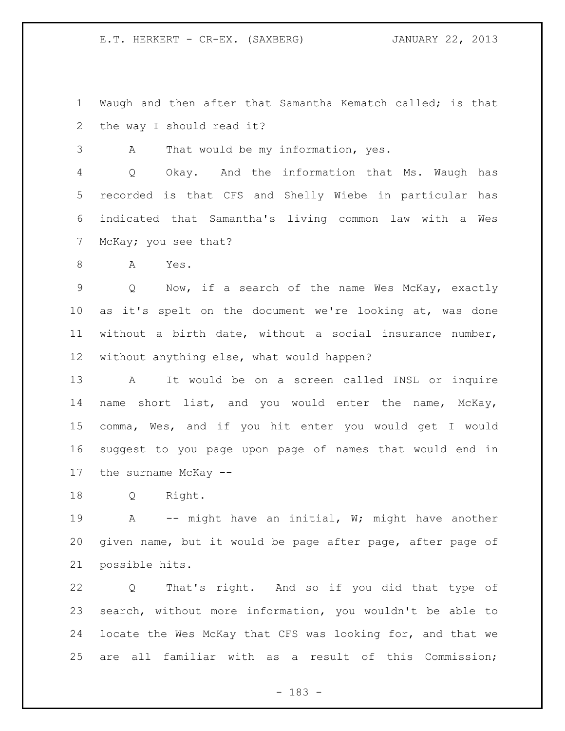Waugh and then after that Samantha Kematch called; is that the way I should read it?

A That would be my information, yes.

 Q Okay. And the information that Ms. Waugh has recorded is that CFS and Shelly Wiebe in particular has indicated that Samantha's living common law with a Wes McKay; you see that?

A Yes.

 Q Now, if a search of the name Wes McKay, exactly as it's spelt on the document we're looking at, was done without a birth date, without a social insurance number, without anything else, what would happen?

 A It would be on a screen called INSL or inquire name short list, and you would enter the name, McKay, comma, Wes, and if you hit enter you would get I would suggest to you page upon page of names that would end in the surname McKay --

Q Right.

19 A -- might have an initial, W; might have another given name, but it would be page after page, after page of possible hits.

 Q That's right. And so if you did that type of search, without more information, you wouldn't be able to locate the Wes McKay that CFS was looking for, and that we are all familiar with as a result of this Commission;

- 183 -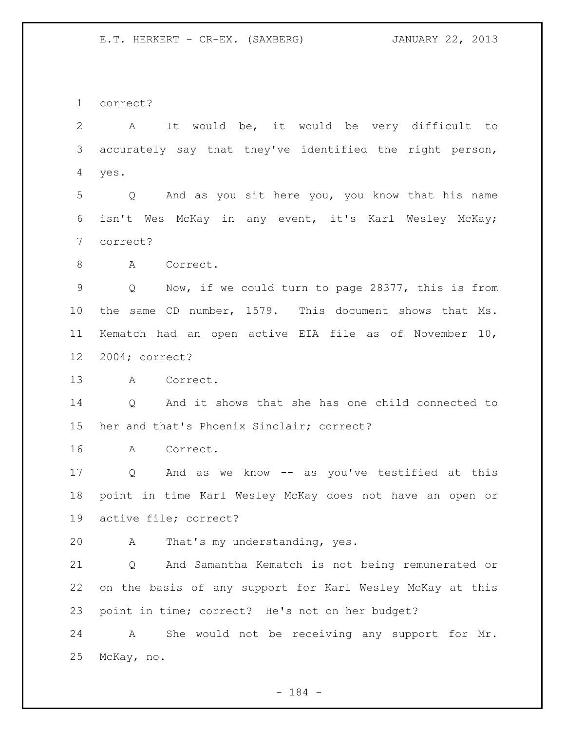correct?

 A It would be, it would be very difficult to accurately say that they've identified the right person, yes.

 Q And as you sit here you, you know that his name isn't Wes McKay in any event, it's Karl Wesley McKay; correct?

8 A Correct.

 Q Now, if we could turn to page 28377, this is from the same CD number, 1579. This document shows that Ms. Kematch had an open active EIA file as of November 10, 2004; correct?

A Correct.

 Q And it shows that she has one child connected to her and that's Phoenix Sinclair; correct?

A Correct.

 Q And as we know -- as you've testified at this point in time Karl Wesley McKay does not have an open or active file; correct?

A That's my understanding, yes.

 Q And Samantha Kematch is not being remunerated or on the basis of any support for Karl Wesley McKay at this point in time; correct? He's not on her budget?

 A She would not be receiving any support for Mr. McKay, no.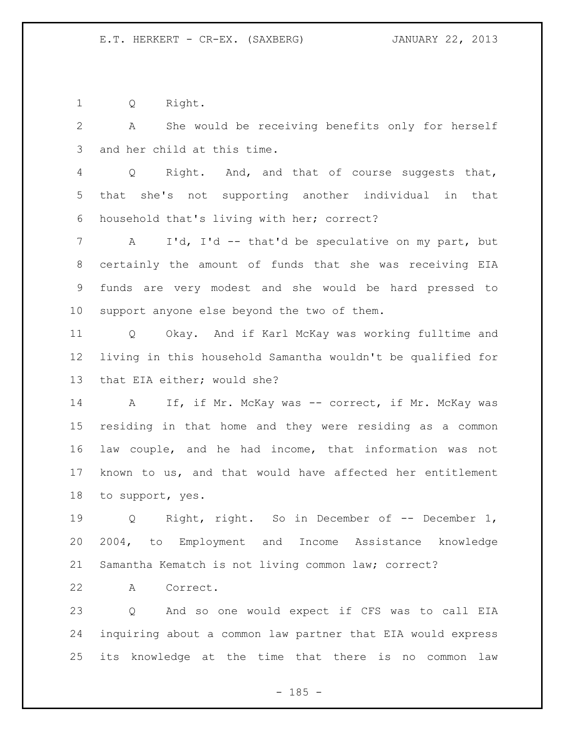Q Right.

 A She would be receiving benefits only for herself and her child at this time.

 Q Right. And, and that of course suggests that, that she's not supporting another individual in that household that's living with her; correct?

 A I'd, I'd -- that'd be speculative on my part, but certainly the amount of funds that she was receiving EIA funds are very modest and she would be hard pressed to support anyone else beyond the two of them.

 Q Okay. And if Karl McKay was working fulltime and living in this household Samantha wouldn't be qualified for that EIA either; would she?

14 A If, if Mr. McKay was -- correct, if Mr. McKay was residing in that home and they were residing as a common law couple, and he had income, that information was not known to us, and that would have affected her entitlement to support, yes.

 Q Right, right. So in December of -- December 1, 2004, to Employment and Income Assistance knowledge Samantha Kematch is not living common law; correct?

A Correct.

 Q And so one would expect if CFS was to call EIA inquiring about a common law partner that EIA would express its knowledge at the time that there is no common law

 $- 185 -$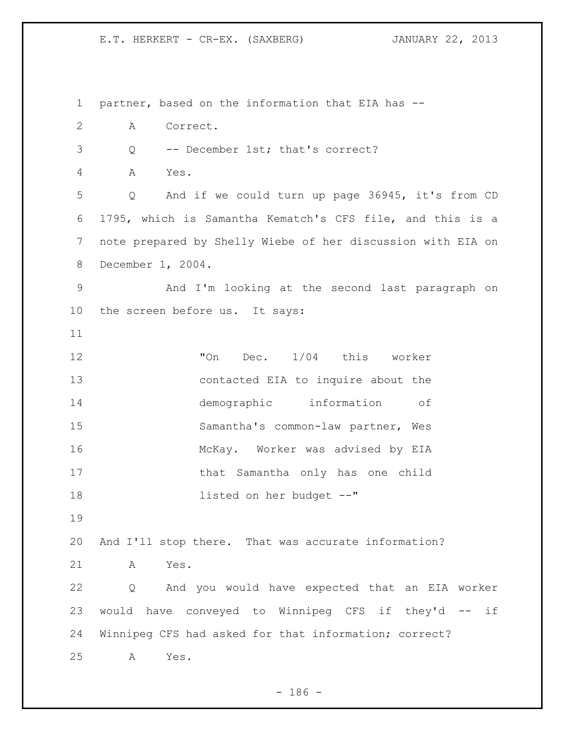partner, based on the information that EIA has -- A Correct. Q -- December 1st; that's correct? A Yes. Q And if we could turn up page 36945, it's from CD 1795, which is Samantha Kematch's CFS file, and this is a note prepared by Shelly Wiebe of her discussion with EIA on December 1, 2004. And I'm looking at the second last paragraph on the screen before us. It says: "On Dec. 1/04 this worker contacted EIA to inquire about the demographic information of Samantha's common-law partner, Wes McKay. Worker was advised by EIA that Samantha only has one child listed on her budget --" And I'll stop there. That was accurate information? A Yes. Q And you would have expected that an EIA worker would have conveyed to Winnipeg CFS if they'd -- if Winnipeg CFS had asked for that information; correct? A Yes.

 $- 186 -$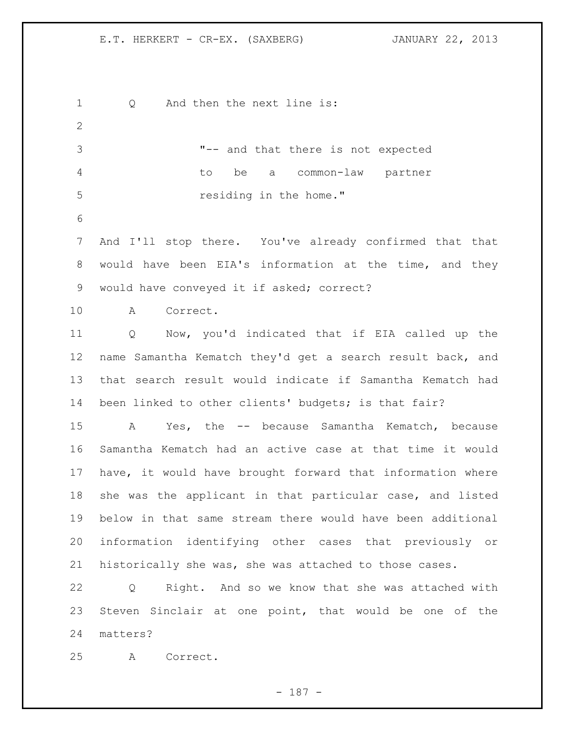1 Q And then the next line is: "-- and that there is not expected to be a common-law partner residing in the home." And I'll stop there. You've already confirmed that that would have been EIA's information at the time, and they 9 would have conveyed it if asked; correct? A Correct. Q Now, you'd indicated that if EIA called up the name Samantha Kematch they'd get a search result back, and that search result would indicate if Samantha Kematch had been linked to other clients' budgets; is that fair? A Yes, the -- because Samantha Kematch, because Samantha Kematch had an active case at that time it would have, it would have brought forward that information where she was the applicant in that particular case, and listed below in that same stream there would have been additional information identifying other cases that previously or historically she was, she was attached to those cases. Q Right. And so we know that she was attached with Steven Sinclair at one point, that would be one of the matters? A Correct.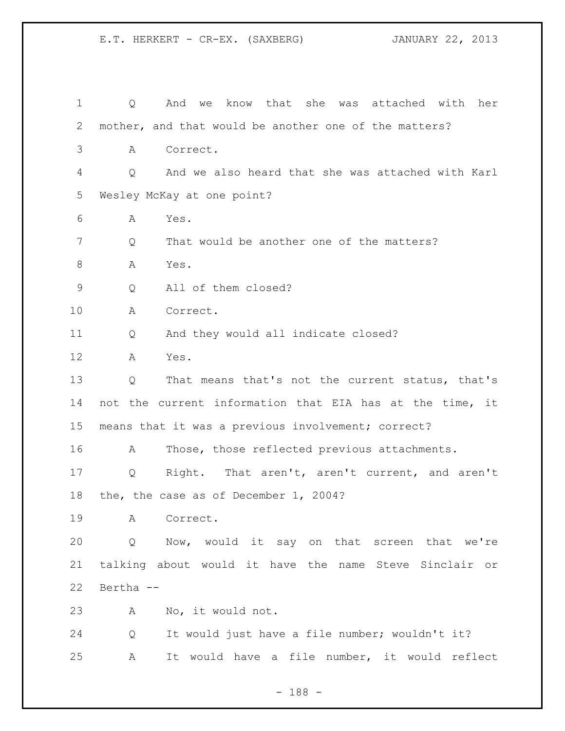| $\mathbf 1$ | Q         | And we know that she was attached with her               |
|-------------|-----------|----------------------------------------------------------|
| 2           |           | mother, and that would be another one of the matters?    |
| 3           | Α         | Correct.                                                 |
| 4           | Q         | And we also heard that she was attached with Karl        |
| 5           |           | Wesley McKay at one point?                               |
| 6           | Α         | Yes.                                                     |
| 7           | Q         | That would be another one of the matters?                |
| $\,8\,$     | A         | Yes.                                                     |
| 9           | Q         | All of them closed?                                      |
| 10          | А         | Correct.                                                 |
| 11          | Q         | And they would all indicate closed?                      |
| 12          | А         | Yes.                                                     |
| 13          | Q         | That means that's not the current status, that's         |
| 14          |           | not the current information that EIA has at the time, it |
| 15          |           | means that it was a previous involvement; correct?       |
| 16          | А         | Those, those reflected previous attachments.             |
| 17          | Q         | Right. That aren't, aren't current, and aren't           |
| 18          |           | the, the case as of December 1, 2004?                    |
| 19          |           | A Correct.                                               |
| 20          | Q         | Now, would it say on that screen that we're              |
| 21          |           | talking about would it have the name Steve Sinclair or   |
| 22          | Bertha -- |                                                          |
| 23          | A         | No, it would not.                                        |
| 24          | Q         | It would just have a file number; wouldn't it?           |
| 25          | A         | It would have a file number, it would reflect            |

- 188 -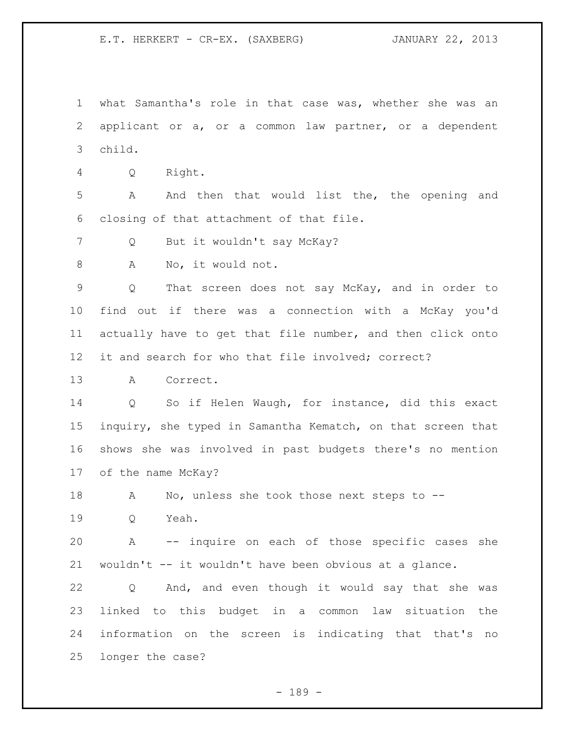what Samantha's role in that case was, whether she was an applicant or a, or a common law partner, or a dependent child.

Q Right.

 A And then that would list the, the opening and closing of that attachment of that file.

Q But it wouldn't say McKay?

8 A No, it would not.

 Q That screen does not say McKay, and in order to find out if there was a connection with a McKay you'd actually have to get that file number, and then click onto it and search for who that file involved; correct?

A Correct.

 Q So if Helen Waugh, for instance, did this exact inquiry, she typed in Samantha Kematch, on that screen that shows she was involved in past budgets there's no mention of the name McKay?

A No, unless she took those next steps to --

Q Yeah.

 A -- inquire on each of those specific cases she wouldn't -- it wouldn't have been obvious at a glance.

 Q And, and even though it would say that she was linked to this budget in a common law situation the information on the screen is indicating that that's no longer the case?

- 189 -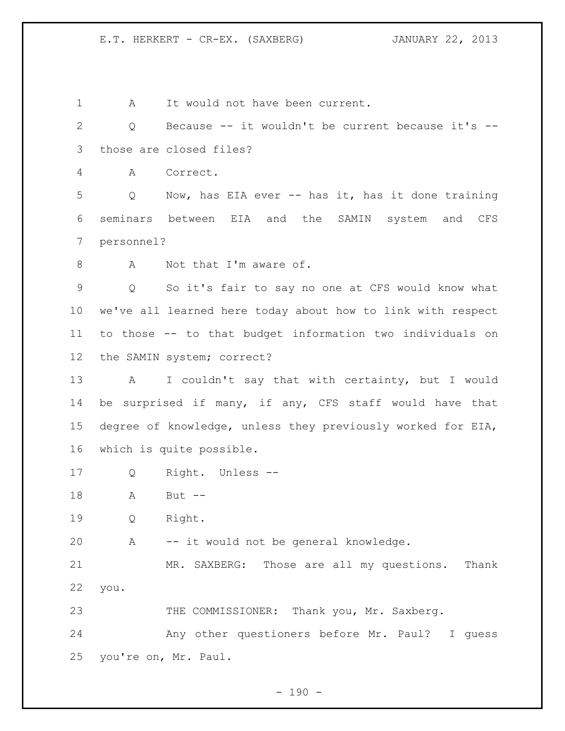1 A It would not have been current.

 Q Because -- it wouldn't be current because it's -- those are closed files?

A Correct.

 Q Now, has EIA ever -- has it, has it done training seminars between EIA and the SAMIN system and CFS personnel?

8 A Not that I'm aware of.

 Q So it's fair to say no one at CFS would know what we've all learned here today about how to link with respect to those -- to that budget information two individuals on the SAMIN system; correct?

 A I couldn't say that with certainty, but I would be surprised if many, if any, CFS staff would have that degree of knowledge, unless they previously worked for EIA, which is quite possible.

Q Right. Unless --

A But --

Q Right.

A -- it would not be general knowledge.

 MR. SAXBERG: Those are all my questions. Thank you.

23 THE COMMISSIONER: Thank you, Mr. Saxberg.

 Any other questioners before Mr. Paul? I guess you're on, Mr. Paul.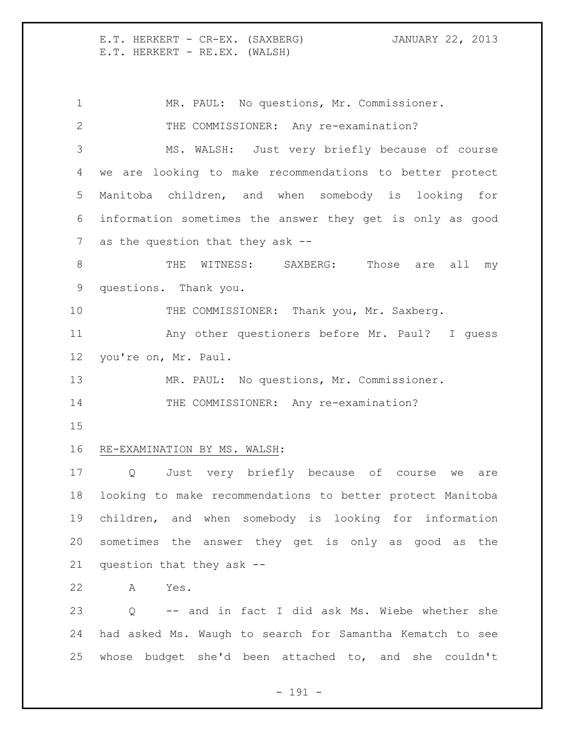E.T. HERKERT - CR-EX. (SAXBERG) JANUARY 22, 2013 E.T. HERKERT - RE.EX. (WALSH)

1 MR. PAUL: No questions, Mr. Commissioner. THE COMMISSIONER: Any re-examination? MS. WALSH: Just very briefly because of course we are looking to make recommendations to better protect Manitoba children, and when somebody is looking for information sometimes the answer they get is only as good as the question that they ask -- 8 THE WITNESS: SAXBERG: Those are all my questions. Thank you. 10 THE COMMISSIONER: Thank you, Mr. Saxberg. Any other questioners before Mr. Paul? I guess you're on, Mr. Paul. MR. PAUL: No questions, Mr. Commissioner. 14 THE COMMISSIONER: Any re-examination? RE-EXAMINATION BY MS. WALSH: Q Just very briefly because of course we are looking to make recommendations to better protect Manitoba children, and when somebody is looking for information sometimes the answer they get is only as good as the question that they ask -- A Yes. Q -- and in fact I did ask Ms. Wiebe whether she had asked Ms. Waugh to search for Samantha Kematch to see whose budget she'd been attached to, and she couldn't

- 191 -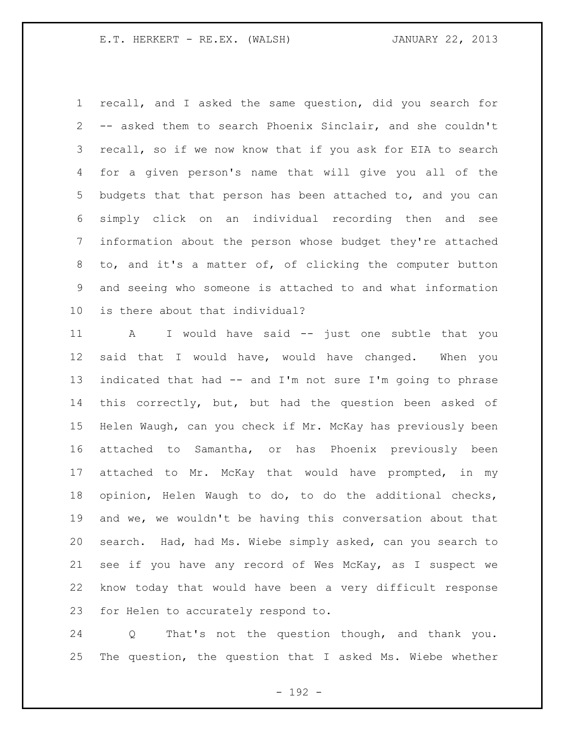recall, and I asked the same question, did you search for -- asked them to search Phoenix Sinclair, and she couldn't recall, so if we now know that if you ask for EIA to search for a given person's name that will give you all of the budgets that that person has been attached to, and you can simply click on an individual recording then and see information about the person whose budget they're attached to, and it's a matter of, of clicking the computer button and seeing who someone is attached to and what information is there about that individual?

 A I would have said -- just one subtle that you said that I would have, would have changed. When you indicated that had -- and I'm not sure I'm going to phrase this correctly, but, but had the question been asked of Helen Waugh, can you check if Mr. McKay has previously been attached to Samantha, or has Phoenix previously been attached to Mr. McKay that would have prompted, in my opinion, Helen Waugh to do, to do the additional checks, and we, we wouldn't be having this conversation about that search. Had, had Ms. Wiebe simply asked, can you search to see if you have any record of Wes McKay, as I suspect we know today that would have been a very difficult response for Helen to accurately respond to.

 Q That's not the question though, and thank you. The question, the question that I asked Ms. Wiebe whether

- 192 -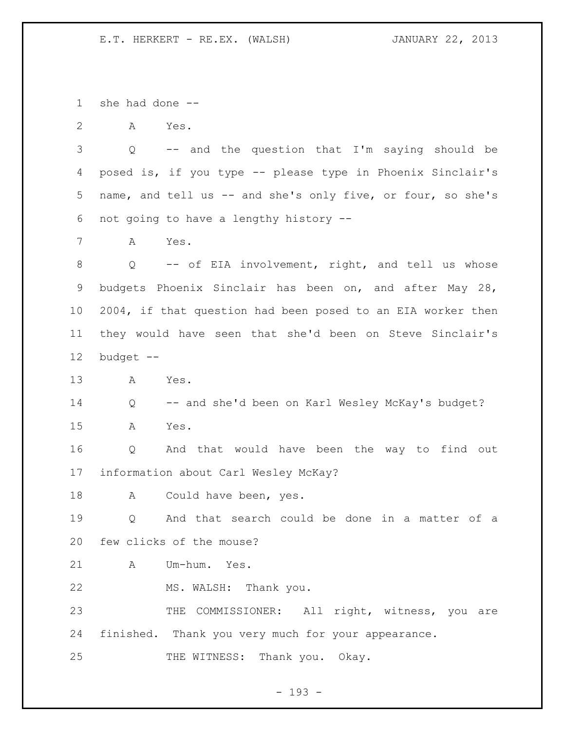she had done --

A Yes.

 Q -- and the question that I'm saying should be posed is, if you type -- please type in Phoenix Sinclair's name, and tell us -- and she's only five, or four, so she's not going to have a lengthy history --

A Yes.

8 Q -- of EIA involvement, right, and tell us whose budgets Phoenix Sinclair has been on, and after May 28, 2004, if that question had been posed to an EIA worker then they would have seen that she'd been on Steve Sinclair's budget --

A Yes.

Q -- and she'd been on Karl Wesley McKay's budget?

A Yes.

 Q And that would have been the way to find out information about Carl Wesley McKay?

18 A Could have been, yes.

 Q And that search could be done in a matter of a few clicks of the mouse?

A Um-hum. Yes.

MS. WALSH: Thank you.

23 THE COMMISSIONER: All right, witness, you are finished. Thank you very much for your appearance.

25 THE WITNESS: Thank you. Okay.

- 193 -